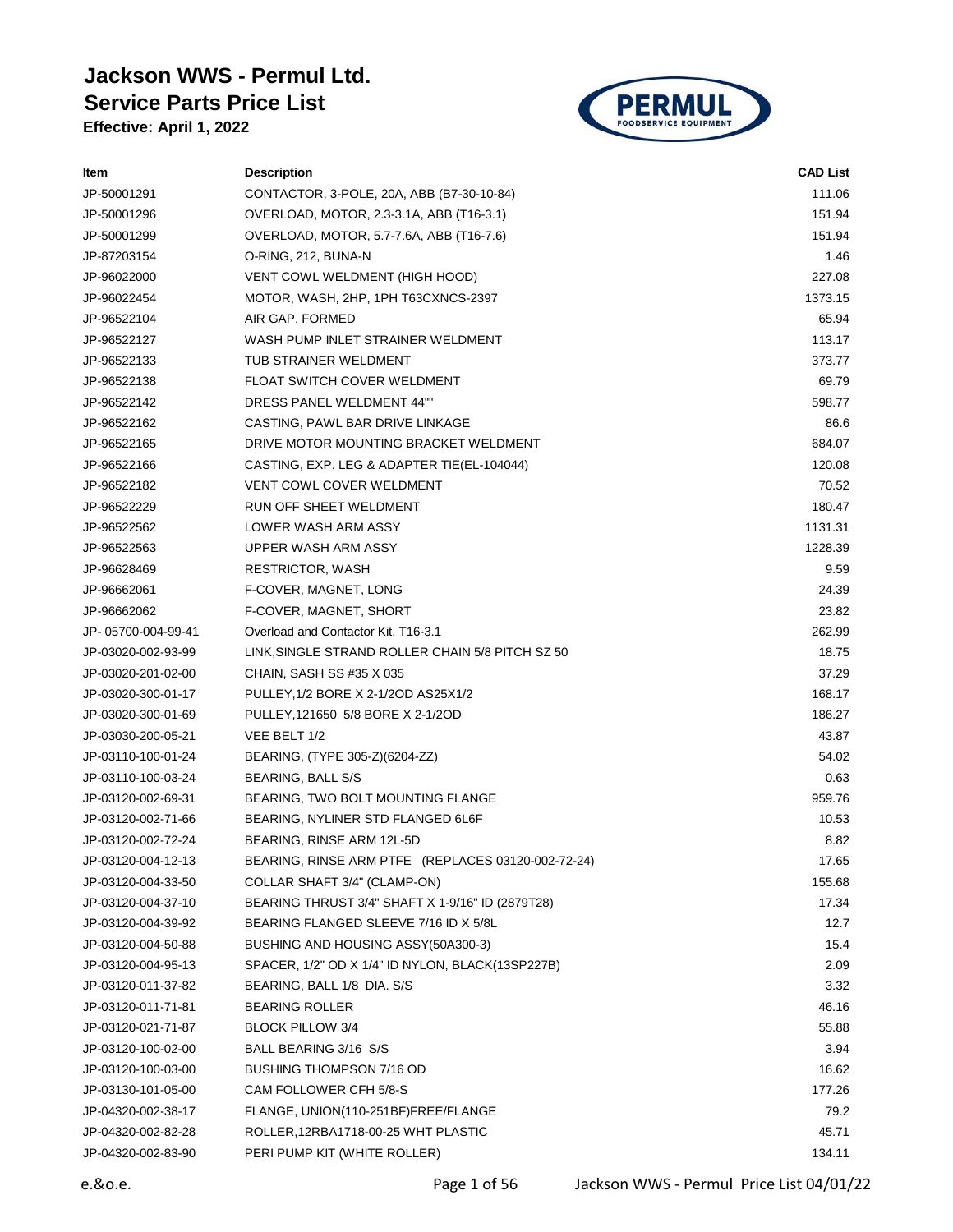## **Jackson WWS - Permul Ltd. Service Parts Price List**

**Effective: April 1, 2022**



| ltem               | <b>Description</b>                                 | <b>CAD List</b> |
|--------------------|----------------------------------------------------|-----------------|
| JP-50001291        | CONTACTOR, 3-POLE, 20A, ABB (B7-30-10-84)          | 111.06          |
| JP-50001296        | OVERLOAD, MOTOR, 2.3-3.1A, ABB (T16-3.1)           | 151.94          |
| JP-50001299        | OVERLOAD, MOTOR, 5.7-7.6A, ABB (T16-7.6)           | 151.94          |
| JP-87203154        | O-RING, 212, BUNA-N                                | 1.46            |
| JP-96022000        | VENT COWL WELDMENT (HIGH HOOD)                     | 227.08          |
| JP-96022454        | MOTOR, WASH, 2HP, 1PH T63CXNCS-2397                | 1373.15         |
| JP-96522104        | AIR GAP, FORMED                                    | 65.94           |
| JP-96522127        | WASH PUMP INLET STRAINER WELDMENT                  | 113.17          |
| JP-96522133        | TUB STRAINER WELDMENT                              | 373.77          |
| JP-96522138        | <b>FLOAT SWITCH COVER WELDMENT</b>                 | 69.79           |
| JP-96522142        | DRESS PANEL WELDMENT 44""                          | 598.77          |
| JP-96522162        | CASTING, PAWL BAR DRIVE LINKAGE                    | 86.6            |
| JP-96522165        | DRIVE MOTOR MOUNTING BRACKET WELDMENT              | 684.07          |
| JP-96522166        | CASTING, EXP. LEG & ADAPTER TIE(EL-104044)         | 120.08          |
| JP-96522182        | <b>VENT COWL COVER WELDMENT</b>                    | 70.52           |
| JP-96522229        | RUN OFF SHEET WELDMENT                             | 180.47          |
| JP-96522562        | LOWER WASH ARM ASSY                                | 1131.31         |
| JP-96522563        | UPPER WASH ARM ASSY                                | 1228.39         |
| JP-96628469        | RESTRICTOR, WASH                                   | 9.59            |
| JP-96662061        | F-COVER, MAGNET, LONG                              | 24.39           |
| JP-96662062        | F-COVER, MAGNET, SHORT                             | 23.82           |
| JP-05700-004-99-41 | Overload and Contactor Kit, T16-3.1                | 262.99          |
| JP-03020-002-93-99 | LINK, SINGLE STRAND ROLLER CHAIN 5/8 PITCH SZ 50   | 18.75           |
| JP-03020-201-02-00 | CHAIN, SASH SS #35 X 035                           | 37.29           |
| JP-03020-300-01-17 | PULLEY, 1/2 BORE X 2-1/20D AS25X1/2                | 168.17          |
| JP-03020-300-01-69 | PULLEY, 121650 5/8 BORE X 2-1/2OD                  | 186.27          |
| JP-03030-200-05-21 | VEE BELT 1/2                                       | 43.87           |
| JP-03110-100-01-24 | BEARING, (TYPE 305-Z)(6204-ZZ)                     | 54.02           |
| JP-03110-100-03-24 | BEARING, BALL S/S                                  | 0.63            |
| JP-03120-002-69-31 | BEARING, TWO BOLT MOUNTING FLANGE                  | 959.76          |
| JP-03120-002-71-66 | BEARING, NYLINER STD FLANGED 6L6F                  | 10.53           |
| JP-03120-002-72-24 | BEARING, RINSE ARM 12L-5D                          | 8.82            |
| JP-03120-004-12-13 | BEARING, RINSE ARM PTFE (REPLACES 03120-002-72-24) | 17.65           |
| JP-03120-004-33-50 | COLLAR SHAFT 3/4" (CLAMP-ON)                       | 155.68          |
| JP-03120-004-37-10 | BEARING THRUST 3/4" SHAFT X 1-9/16" ID (2879T28)   | 17.34           |
| JP-03120-004-39-92 | BEARING FLANGED SLEEVE 7/16 ID X 5/8L              | 12.7            |
| JP-03120-004-50-88 | BUSHING AND HOUSING ASSY(50A300-3)                 | 15.4            |
| JP-03120-004-95-13 | SPACER, 1/2" OD X 1/4" ID NYLON, BLACK(13SP227B)   | 2.09            |
| JP-03120-011-37-82 | BEARING, BALL 1/8 DIA. S/S                         | 3.32            |
| JP-03120-011-71-81 | <b>BEARING ROLLER</b>                              | 46.16           |
| JP-03120-021-71-87 | <b>BLOCK PILLOW 3/4</b>                            | 55.88           |
| JP-03120-100-02-00 | BALL BEARING 3/16 S/S                              | 3.94            |
| JP-03120-100-03-00 | BUSHING THOMPSON 7/16 OD                           | 16.62           |
| JP-03130-101-05-00 | CAM FOLLOWER CFH 5/8-S                             | 177.26          |
| JP-04320-002-38-17 | FLANGE, UNION(110-251BF)FREE/FLANGE                | 79.2            |
| JP-04320-002-82-28 | ROLLER, 12RBA1718-00-25 WHT PLASTIC                | 45.71           |
| JP-04320-002-83-90 | PERI PUMP KIT (WHITE ROLLER)                       | 134.11          |
|                    |                                                    |                 |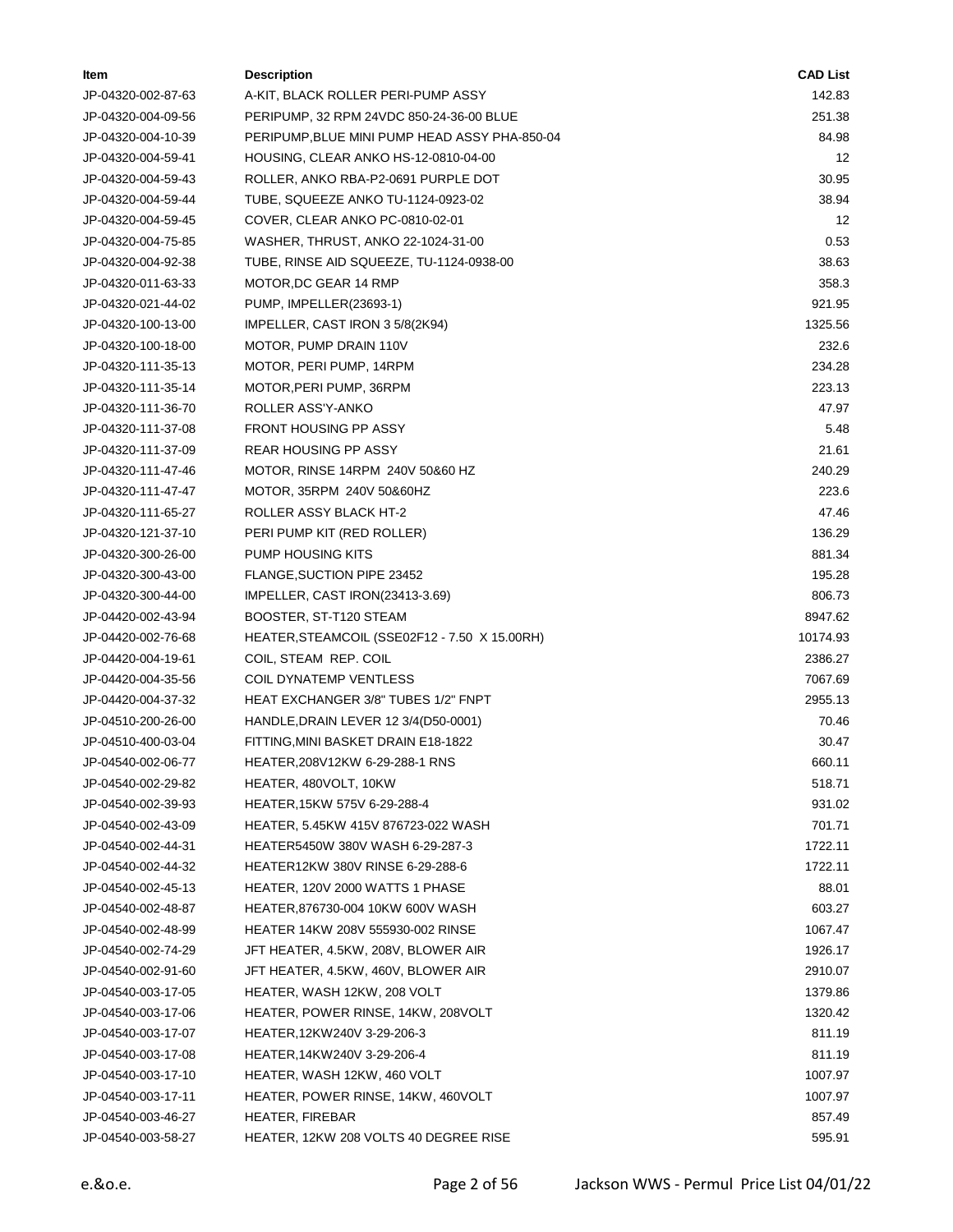| ltem               | <b>Description</b>                            | <b>CAD List</b> |
|--------------------|-----------------------------------------------|-----------------|
| JP-04320-002-87-63 | A-KIT, BLACK ROLLER PERI-PUMP ASSY            | 142.83          |
| JP-04320-004-09-56 | PERIPUMP, 32 RPM 24VDC 850-24-36-00 BLUE      | 251.38          |
| JP-04320-004-10-39 | PERIPUMP, BLUE MINI PUMP HEAD ASSY PHA-850-04 | 84.98           |
| JP-04320-004-59-41 | HOUSING, CLEAR ANKO HS-12-0810-04-00          | 12              |
| JP-04320-004-59-43 | ROLLER, ANKO RBA-P2-0691 PURPLE DOT           | 30.95           |
| JP-04320-004-59-44 | TUBE, SQUEEZE ANKO TU-1124-0923-02            | 38.94           |
| JP-04320-004-59-45 | COVER, CLEAR ANKO PC-0810-02-01               | 12              |
| JP-04320-004-75-85 | WASHER, THRUST, ANKO 22-1024-31-00            | 0.53            |
| JP-04320-004-92-38 | TUBE, RINSE AID SQUEEZE, TU-1124-0938-00      | 38.63           |
| JP-04320-011-63-33 | MOTOR, DC GEAR 14 RMP                         | 358.3           |
| JP-04320-021-44-02 | PUMP, IMPELLER(23693-1)                       | 921.95          |
| JP-04320-100-13-00 | IMPELLER, CAST IRON 3 5/8(2K94)               | 1325.56         |
| JP-04320-100-18-00 | MOTOR, PUMP DRAIN 110V                        | 232.6           |
| JP-04320-111-35-13 | MOTOR, PERI PUMP, 14RPM                       | 234.28          |
| JP-04320-111-35-14 | MOTOR, PERI PUMP, 36RPM                       | 223.13          |
| JP-04320-111-36-70 | ROLLER ASS'Y-ANKO                             | 47.97           |
| JP-04320-111-37-08 | FRONT HOUSING PP ASSY                         | 5.48            |
| JP-04320-111-37-09 | <b>REAR HOUSING PP ASSY</b>                   | 21.61           |
| JP-04320-111-47-46 | MOTOR, RINSE 14RPM 240V 50&60 HZ              | 240.29          |
| JP-04320-111-47-47 | MOTOR, 35RPM 240V 50&60HZ                     | 223.6           |
| JP-04320-111-65-27 | ROLLER ASSY BLACK HT-2                        | 47.46           |
| JP-04320-121-37-10 | PERI PUMP KIT (RED ROLLER)                    | 136.29          |
| JP-04320-300-26-00 | PUMP HOUSING KITS                             | 881.34          |
| JP-04320-300-43-00 | FLANGE, SUCTION PIPE 23452                    | 195.28          |
| JP-04320-300-44-00 | IMPELLER, CAST IRON(23413-3.69)               | 806.73          |
| JP-04420-002-43-94 | BOOSTER, ST-T120 STEAM                        | 8947.62         |
| JP-04420-002-76-68 | HEATER, STEAMCOIL (SSE02F12 - 7.50 X 15.00RH) | 10174.93        |
| JP-04420-004-19-61 | COIL, STEAM REP. COIL                         | 2386.27         |
| JP-04420-004-35-56 | <b>COIL DYNATEMP VENTLESS</b>                 | 7067.69         |
| JP-04420-004-37-32 | HEAT EXCHANGER 3/8" TUBES 1/2" FNPT           | 2955.13         |
| JP-04510-200-26-00 | HANDLE, DRAIN LEVER 12 3/4(D50-0001)          | 70.46           |
| JP-04510-400-03-04 | FITTING, MINI BASKET DRAIN E18-1822           | 30.47           |
| JP-04540-002-06-77 | HEATER, 208V12KW 6-29-288-1 RNS               | 660.11          |
| JP-04540-002-29-82 | HEATER, 480VOLT, 10KW                         | 518.71          |
| JP-04540-002-39-93 | HEATER, 15KW 575V 6-29-288-4                  | 931.02          |
| JP-04540-002-43-09 | HEATER, 5.45KW 415V 876723-022 WASH           | 701.71          |
| JP-04540-002-44-31 | HEATER5450W 380V WASH 6-29-287-3              | 1722.11         |
| JP-04540-002-44-32 | HEATER12KW 380V RINSE 6-29-288-6              | 1722.11         |
| JP-04540-002-45-13 | HEATER, 120V 2000 WATTS 1 PHASE               | 88.01           |
| JP-04540-002-48-87 | HEATER, 876730-004 10KW 600V WASH             | 603.27          |
| JP-04540-002-48-99 | <b>HEATER 14KW 208V 555930-002 RINSE</b>      | 1067.47         |
| JP-04540-002-74-29 | JFT HEATER, 4.5KW, 208V, BLOWER AIR           | 1926.17         |
| JP-04540-002-91-60 | JFT HEATER, 4.5KW, 460V, BLOWER AIR           | 2910.07         |
| JP-04540-003-17-05 | HEATER, WASH 12KW, 208 VOLT                   | 1379.86         |
| JP-04540-003-17-06 | HEATER, POWER RINSE, 14KW, 208VOLT            | 1320.42         |
| JP-04540-003-17-07 | HEATER, 12KW240V 3-29-206-3                   | 811.19          |
| JP-04540-003-17-08 | HEATER, 14KW240V 3-29-206-4                   | 811.19          |
| JP-04540-003-17-10 | HEATER, WASH 12KW, 460 VOLT                   | 1007.97         |
| JP-04540-003-17-11 | HEATER, POWER RINSE, 14KW, 460VOLT            | 1007.97         |
| JP-04540-003-46-27 | HEATER, FIREBAR                               | 857.49          |
| JP-04540-003-58-27 | HEATER, 12KW 208 VOLTS 40 DEGREE RISE         | 595.91          |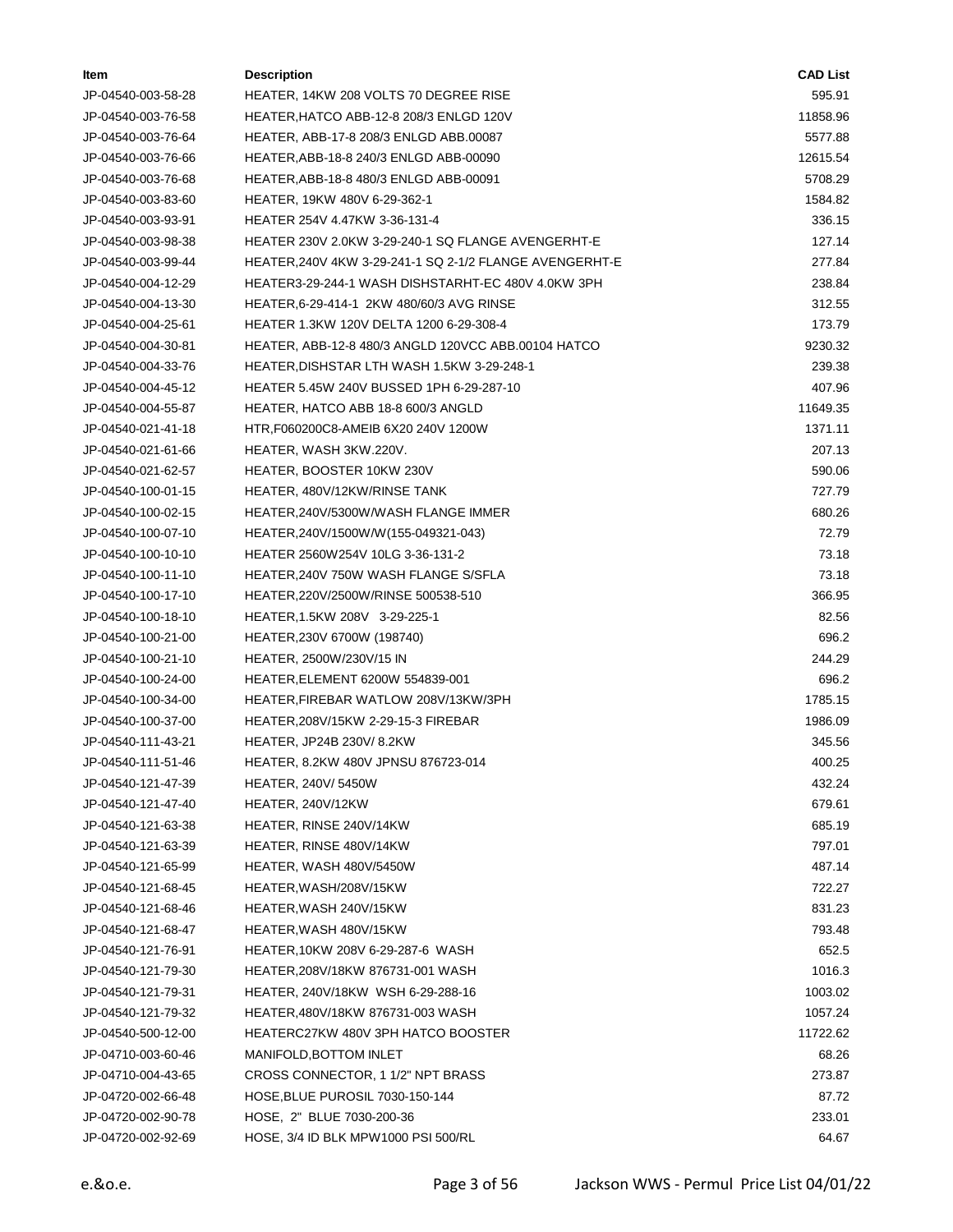| ltem               | <b>Description</b>                                     | <b>CAD List</b> |
|--------------------|--------------------------------------------------------|-----------------|
| JP-04540-003-58-28 | HEATER, 14KW 208 VOLTS 70 DEGREE RISE                  | 595.91          |
| JP-04540-003-76-58 | HEATER, HATCO ABB-12-8 208/3 ENLGD 120V                | 11858.96        |
| JP-04540-003-76-64 | HEATER, ABB-17-8 208/3 ENLGD ABB.00087                 | 5577.88         |
| JP-04540-003-76-66 | HEATER, ABB-18-8 240/3 ENLGD ABB-00090                 | 12615.54        |
| JP-04540-003-76-68 | HEATER, ABB-18-8 480/3 ENLGD ABB-00091                 | 5708.29         |
| JP-04540-003-83-60 | HEATER, 19KW 480V 6-29-362-1                           | 1584.82         |
| JP-04540-003-93-91 | HEATER 254V 4.47KW 3-36-131-4                          | 336.15          |
| JP-04540-003-98-38 | HEATER 230V 2.0KW 3-29-240-1 SQ FLANGE AVENGERHT-E     | 127.14          |
| JP-04540-003-99-44 | HEATER,240V 4KW 3-29-241-1 SQ 2-1/2 FLANGE AVENGERHT-E | 277.84          |
| JP-04540-004-12-29 | HEATER3-29-244-1 WASH DISHSTARHT-EC 480V 4.0KW 3PH     | 238.84          |
| JP-04540-004-13-30 | HEATER, 6-29-414-1 2KW 480/60/3 AVG RINSE              | 312.55          |
| JP-04540-004-25-61 | HEATER 1.3KW 120V DELTA 1200 6-29-308-4                | 173.79          |
| JP-04540-004-30-81 | HEATER, ABB-12-8 480/3 ANGLD 120VCC ABB.00104 HATCO    | 9230.32         |
| JP-04540-004-33-76 | HEATER, DISHSTAR LTH WASH 1.5KW 3-29-248-1             | 239.38          |
| JP-04540-004-45-12 | HEATER 5.45W 240V BUSSED 1PH 6-29-287-10               | 407.96          |
| JP-04540-004-55-87 | HEATER, HATCO ABB 18-8 600/3 ANGLD                     | 11649.35        |
| JP-04540-021-41-18 | HTR, F060200C8-AMEIB 6X20 240V 1200W                   | 1371.11         |
| JP-04540-021-61-66 | HEATER, WASH 3KW.220V.                                 | 207.13          |
| JP-04540-021-62-57 | HEATER, BOOSTER 10KW 230V                              | 590.06          |
| JP-04540-100-01-15 | HEATER, 480V/12KW/RINSE TANK                           | 727.79          |
| JP-04540-100-02-15 | HEATER, 240V/5300W/WASH FLANGE IMMER                   | 680.26          |
| JP-04540-100-07-10 | HEATER, 240V/1500W/W (155-049321-043)                  | 72.79           |
| JP-04540-100-10-10 | HEATER 2560W254V 10LG 3-36-131-2                       | 73.18           |
| JP-04540-100-11-10 | HEATER, 240V 750W WASH FLANGE S/SFLA                   | 73.18           |
| JP-04540-100-17-10 | HEATER,220V/2500W/RINSE 500538-510                     | 366.95          |
| JP-04540-100-18-10 | HEATER, 1.5KW 208V 3-29-225-1                          | 82.56           |
| JP-04540-100-21-00 | HEATER, 230V 6700W (198740)                            | 696.2           |
| JP-04540-100-21-10 | HEATER, 2500W/230V/15 IN                               | 244.29          |
| JP-04540-100-24-00 | HEATER, ELEMENT 6200W 554839-001                       | 696.2           |
| JP-04540-100-34-00 | HEATER.FIREBAR WATLOW 208V/13KW/3PH                    | 1785.15         |
| JP-04540-100-37-00 | HEATER, 208V/15KW 2-29-15-3 FIREBAR                    | 1986.09         |
| JP-04540-111-43-21 | HEATER, JP24B 230V/8.2KW                               | 345.56          |
| JP-04540-111-51-46 | HEATER, 8.2KW 480V JPNSU 876723-014                    | 400.25          |
| JP-04540-121-47-39 | HEATER, 240V/ 5450W                                    | 432.24          |
| JP-04540-121-47-40 | HEATER, 240V/12KW                                      | 679.61          |
| JP-04540-121-63-38 | HEATER, RINSE 240V/14KW                                | 685.19          |
| JP-04540-121-63-39 | HEATER, RINSE 480V/14KW                                | 797.01          |
| JP-04540-121-65-99 | HEATER, WASH 480V/5450W                                | 487.14          |
| JP-04540-121-68-45 | HEATER, WASH/208V/15KW                                 | 722.27          |
| JP-04540-121-68-46 | HEATER, WASH 240V/15KW                                 | 831.23          |
| JP-04540-121-68-47 | HEATER, WASH 480V/15KW                                 | 793.48          |
| JP-04540-121-76-91 | HEATER,10KW 208V 6-29-287-6 WASH                       | 652.5           |
| JP-04540-121-79-30 | HEATER, 208V/18KW 876731-001 WASH                      | 1016.3          |
| JP-04540-121-79-31 | HEATER, 240V/18KW WSH 6-29-288-16                      | 1003.02         |
| JP-04540-121-79-32 | HEATER,480V/18KW 876731-003 WASH                       | 1057.24         |
| JP-04540-500-12-00 | HEATERC27KW 480V 3PH HATCO BOOSTER                     | 11722.62        |
| JP-04710-003-60-46 | MANIFOLD, BOTTOM INLET                                 | 68.26           |
| JP-04710-004-43-65 | CROSS CONNECTOR, 1 1/2" NPT BRASS                      | 273.87          |
| JP-04720-002-66-48 | HOSE, BLUE PUROSIL 7030-150-144                        | 87.72           |
| JP-04720-002-90-78 | HOSE, 2" BLUE 7030-200-36                              | 233.01          |
| JP-04720-002-92-69 | HOSE, 3/4 ID BLK MPW1000 PSI 500/RL                    | 64.67           |
|                    |                                                        |                 |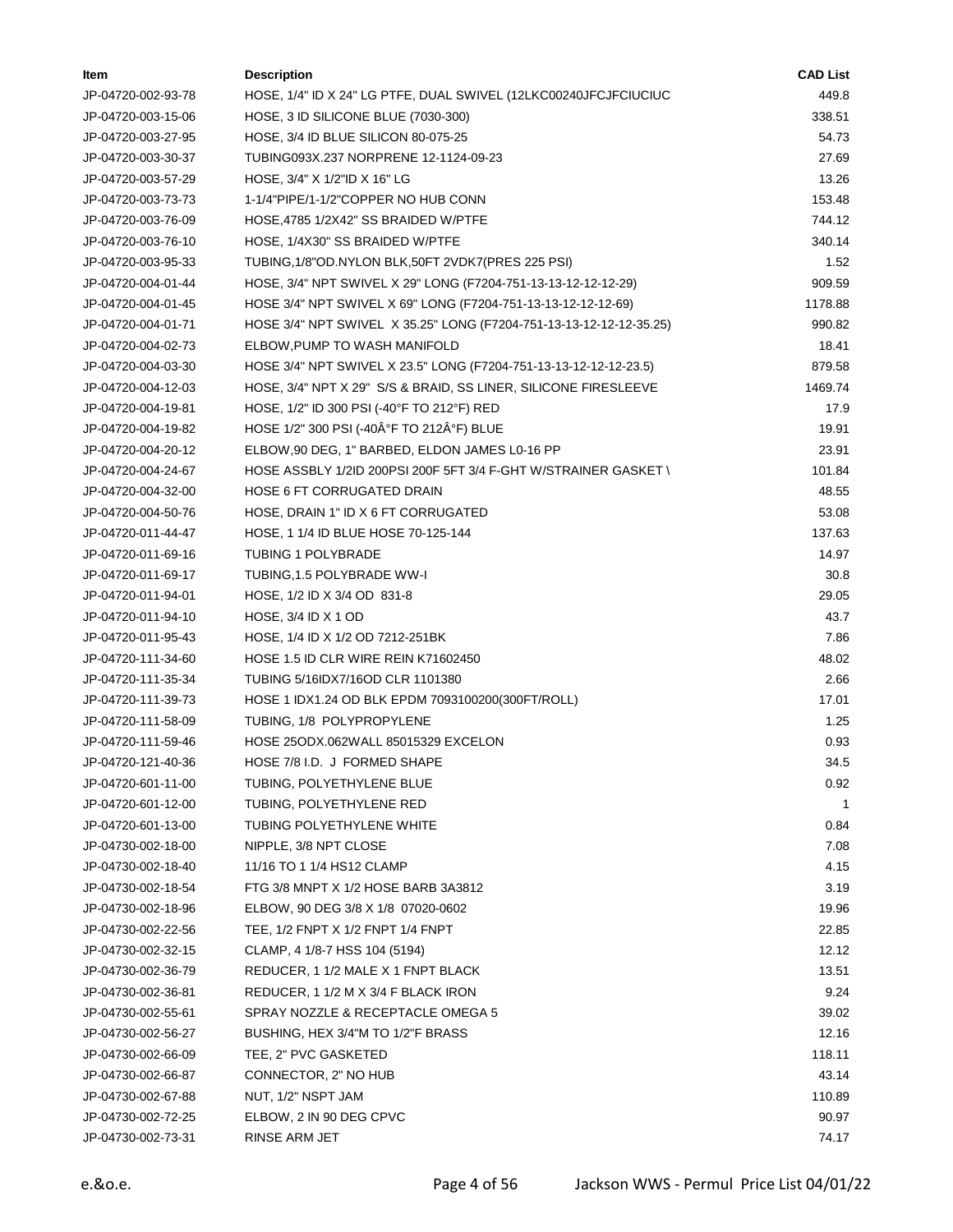| ltem               | <b>Description</b>                                                  | <b>CAD List</b> |
|--------------------|---------------------------------------------------------------------|-----------------|
| JP-04720-002-93-78 | HOSE, 1/4" ID X 24" LG PTFE, DUAL SWIVEL (12LKC00240JFCJFCIUCIUC    | 449.8           |
| JP-04720-003-15-06 | HOSE, 3 ID SILICONE BLUE (7030-300)                                 | 338.51          |
| JP-04720-003-27-95 | HOSE, 3/4 ID BLUE SILICON 80-075-25                                 | 54.73           |
| JP-04720-003-30-37 | TUBING093X.237 NORPRENE 12-1124-09-23                               | 27.69           |
| JP-04720-003-57-29 | HOSE, 3/4" X 1/2"ID X 16" LG                                        | 13.26           |
| JP-04720-003-73-73 | 1-1/4"PIPE/1-1/2"COPPER NO HUB CONN                                 | 153.48          |
| JP-04720-003-76-09 | HOSE, 4785 1/2X42" SS BRAIDED W/PTFE                                | 744.12          |
| JP-04720-003-76-10 | HOSE, 1/4X30" SS BRAIDED W/PTFE                                     | 340.14          |
| JP-04720-003-95-33 | TUBING, 1/8"OD. NYLON BLK, 50FT 2VDK7 (PRES 225 PSI)                | 1.52            |
| JP-04720-004-01-44 | HOSE, 3/4" NPT SWIVEL X 29" LONG (F7204-751-13-13-12-12-12-29)      | 909.59          |
| JP-04720-004-01-45 | HOSE 3/4" NPT SWIVEL X 69" LONG (F7204-751-13-13-12-12-12-69)       | 1178.88         |
| JP-04720-004-01-71 | HOSE 3/4" NPT SWIVEL X 35.25" LONG (F7204-751-13-13-12-12-12-35.25) | 990.82          |
| JP-04720-004-02-73 | ELBOW, PUMP TO WASH MANIFOLD                                        | 18.41           |
| JP-04720-004-03-30 | HOSE 3/4" NPT SWIVEL X 23.5" LONG (F7204-751-13-13-12-12-12-23.5)   | 879.58          |
| JP-04720-004-12-03 | HOSE, 3/4" NPT X 29" S/S & BRAID, SS LINER, SILICONE FIRESLEEVE     | 1469.74         |
| JP-04720-004-19-81 | HOSE, 1/2" ID 300 PSI (-40°F TO 212°F) RED                          | 17.9            |
| JP-04720-004-19-82 | HOSE 1/2" 300 PSI (-40°F TO 212°F) BLUE                             | 19.91           |
| JP-04720-004-20-12 | ELBOW, 90 DEG, 1" BARBED, ELDON JAMES L0-16 PP                      | 23.91           |
| JP-04720-004-24-67 | HOSE ASSBLY 1/2ID 200PSI 200F 5FT 3/4 F-GHT W/STRAINER GASKET \     | 101.84          |
| JP-04720-004-32-00 | <b>HOSE 6 FT CORRUGATED DRAIN</b>                                   | 48.55           |
| JP-04720-004-50-76 | HOSE, DRAIN 1" ID X 6 FT CORRUGATED                                 | 53.08           |
| JP-04720-011-44-47 | HOSE, 1 1/4 ID BLUE HOSE 70-125-144                                 | 137.63          |
| JP-04720-011-69-16 | <b>TUBING 1 POLYBRADE</b>                                           | 14.97           |
| JP-04720-011-69-17 | TUBING, 1.5 POLYBRADE WW-I                                          | 30.8            |
| JP-04720-011-94-01 | HOSE, 1/2 ID X 3/4 OD 831-8                                         | 29.05           |
| JP-04720-011-94-10 | HOSE, 3/4 ID X 1 OD                                                 | 43.7            |
| JP-04720-011-95-43 | HOSE, 1/4 ID X 1/2 OD 7212-251BK                                    | 7.86            |
| JP-04720-111-34-60 | <b>HOSE 1.5 ID CLR WIRE REIN K71602450</b>                          | 48.02           |
| JP-04720-111-35-34 | TUBING 5/16IDX7/16OD CLR 1101380                                    | 2.66            |
| JP-04720-111-39-73 | HOSE 1 IDX1.24 OD BLK EPDM 7093100200(300FT/ROLL)                   | 17.01           |
| JP-04720-111-58-09 | TUBING, 1/8 POLYPROPYLENE                                           | 1.25            |
| JP-04720-111-59-46 | HOSE 25ODX.062WALL 85015329 EXCELON                                 | 0.93            |
| JP-04720-121-40-36 | HOSE 7/8 I.D. J FORMED SHAPE                                        | 34.5            |
| JP-04720-601-11-00 | TUBING, POLYETHYLENE BLUE                                           | 0.92            |
| JP-04720-601-12-00 | TUBING, POLYETHYLENE RED                                            | 1               |
| JP-04720-601-13-00 | TUBING POLYETHYLENE WHITE                                           | 0.84            |
| JP-04730-002-18-00 | NIPPLE, 3/8 NPT CLOSE                                               | 7.08            |
| JP-04730-002-18-40 | 11/16 TO 1 1/4 HS12 CLAMP                                           | 4.15            |
| JP-04730-002-18-54 | FTG 3/8 MNPT X 1/2 HOSE BARB 3A3812                                 | 3.19            |
| JP-04730-002-18-96 | ELBOW, 90 DEG 3/8 X 1/8 07020-0602                                  | 19.96           |
| JP-04730-002-22-56 | TEE, 1/2 FNPT X 1/2 FNPT 1/4 FNPT                                   | 22.85           |
| JP-04730-002-32-15 | CLAMP, 4 1/8-7 HSS 104 (5194)                                       | 12.12           |
| JP-04730-002-36-79 | REDUCER, 1 1/2 MALE X 1 FNPT BLACK                                  | 13.51           |
| JP-04730-002-36-81 | REDUCER, 1 1/2 M X 3/4 F BLACK IRON                                 | 9.24            |
| JP-04730-002-55-61 | SPRAY NOZZLE & RECEPTACLE OMEGA 5                                   | 39.02           |
| JP-04730-002-56-27 | BUSHING, HEX 3/4"M TO 1/2"F BRASS                                   | 12.16           |
| JP-04730-002-66-09 | TEE, 2" PVC GASKETED                                                | 118.11          |
| JP-04730-002-66-87 | CONNECTOR, 2" NO HUB                                                | 43.14           |
| JP-04730-002-67-88 | NUT, 1/2" NSPT JAM                                                  | 110.89          |
| JP-04730-002-72-25 | ELBOW, 2 IN 90 DEG CPVC                                             | 90.97           |
| JP-04730-002-73-31 | RINSE ARM JET                                                       | 74.17           |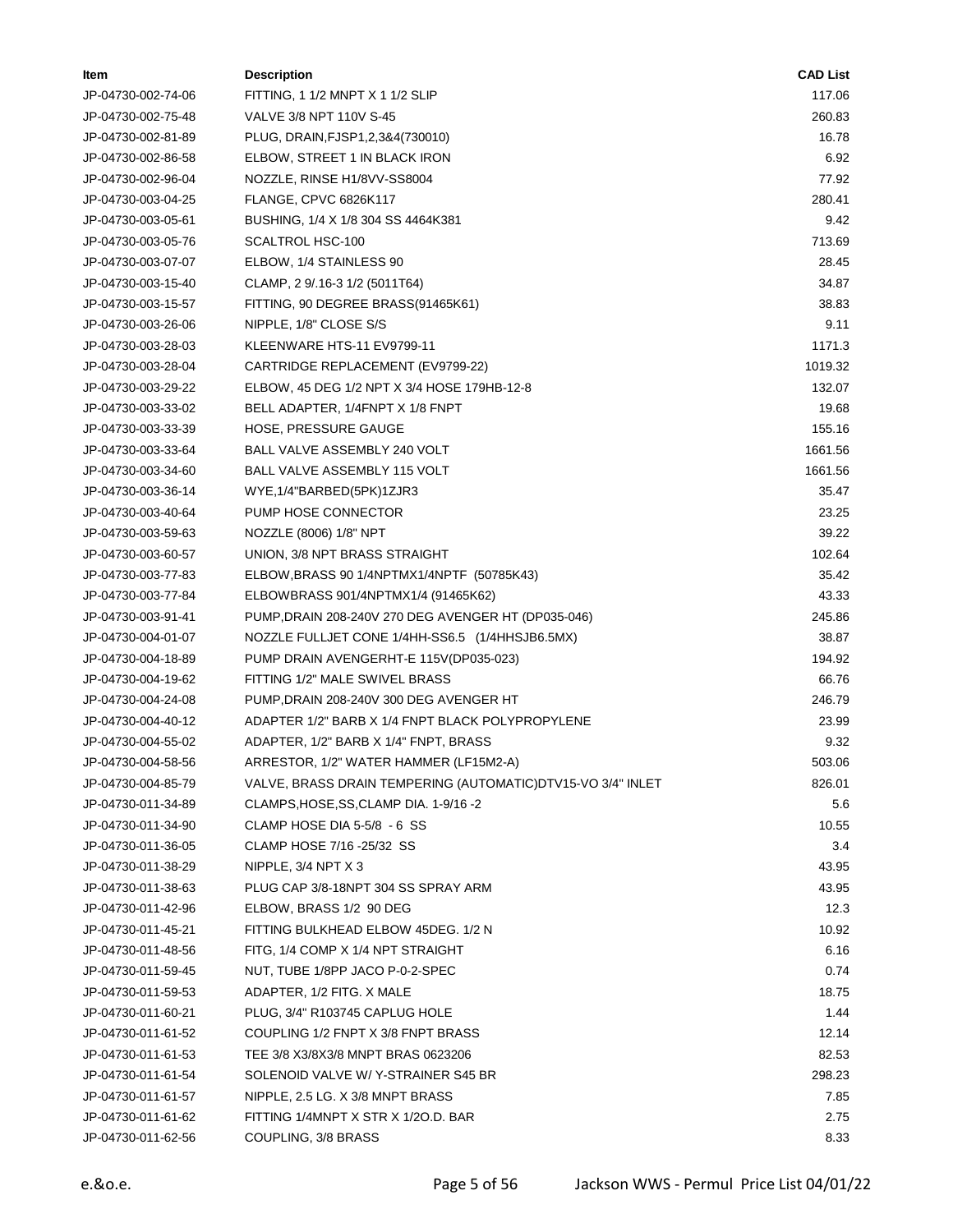| ltem               | <b>Description</b>                                           | <b>CAD List</b> |
|--------------------|--------------------------------------------------------------|-----------------|
| JP-04730-002-74-06 | FITTING, 1 1/2 MNPT X 1 1/2 SLIP                             | 117.06          |
| JP-04730-002-75-48 | VALVE 3/8 NPT 110V S-45                                      | 260.83          |
| JP-04730-002-81-89 | PLUG, DRAIN, FJSP1, 2,3&4(730010)                            | 16.78           |
| JP-04730-002-86-58 | ELBOW, STREET 1 IN BLACK IRON                                | 6.92            |
| JP-04730-002-96-04 | NOZZLE, RINSE H1/8VV-SS8004                                  | 77.92           |
| JP-04730-003-04-25 | <b>FLANGE, CPVC 6826K117</b>                                 | 280.41          |
| JP-04730-003-05-61 | BUSHING, 1/4 X 1/8 304 SS 4464K381                           | 9.42            |
| JP-04730-003-05-76 | SCALTROL HSC-100                                             | 713.69          |
| JP-04730-003-07-07 | ELBOW, 1/4 STAINLESS 90                                      | 28.45           |
| JP-04730-003-15-40 | CLAMP, 2 9/.16-3 1/2 (5011T64)                               | 34.87           |
| JP-04730-003-15-57 | FITTING, 90 DEGREE BRASS(91465K61)                           | 38.83           |
| JP-04730-003-26-06 | NIPPLE, 1/8" CLOSE S/S                                       | 9.11            |
| JP-04730-003-28-03 | KLEENWARE HTS-11 EV9799-11                                   | 1171.3          |
| JP-04730-003-28-04 | CARTRIDGE REPLACEMENT (EV9799-22)                            | 1019.32         |
| JP-04730-003-29-22 | ELBOW, 45 DEG 1/2 NPT X 3/4 HOSE 179HB-12-8                  | 132.07          |
| JP-04730-003-33-02 | BELL ADAPTER, 1/4FNPT X 1/8 FNPT                             | 19.68           |
| JP-04730-003-33-39 | HOSE, PRESSURE GAUGE                                         | 155.16          |
| JP-04730-003-33-64 | BALL VALVE ASSEMBLY 240 VOLT                                 | 1661.56         |
| JP-04730-003-34-60 | BALL VALVE ASSEMBLY 115 VOLT                                 | 1661.56         |
| JP-04730-003-36-14 | WYE, 1/4"BARBED(5PK)1ZJR3                                    | 35.47           |
| JP-04730-003-40-64 | PUMP HOSE CONNECTOR                                          | 23.25           |
| JP-04730-003-59-63 | NOZZLE (8006) 1/8" NPT                                       | 39.22           |
| JP-04730-003-60-57 | UNION, 3/8 NPT BRASS STRAIGHT                                | 102.64          |
| JP-04730-003-77-83 | ELBOW, BRASS 90 1/4NPTMX1/4NPTF (50785K43)                   | 35.42           |
| JP-04730-003-77-84 | ELBOWBRASS 901/4NPTMX1/4 (91465K62)                          | 43.33           |
| JP-04730-003-91-41 | PUMP, DRAIN 208-240V 270 DEG AVENGER HT (DP035-046)          | 245.86          |
| JP-04730-004-01-07 | NOZZLE FULLJET CONE 1/4HH-SS6.5 (1/4HHSJB6.5MX)              | 38.87           |
| JP-04730-004-18-89 | PUMP DRAIN AVENGERHT-E 115V(DP035-023)                       | 194.92          |
| JP-04730-004-19-62 | FITTING 1/2" MALE SWIVEL BRASS                               | 66.76           |
| JP-04730-004-24-08 | PUMP, DRAIN 208-240V 300 DEG AVENGER HT                      | 246.79          |
| JP-04730-004-40-12 | ADAPTER 1/2" BARB X 1/4 FNPT BLACK POLYPROPYLENE             | 23.99           |
| JP-04730-004-55-02 | ADAPTER, 1/2" BARB X 1/4" FNPT, BRASS                        | 9.32            |
| JP-04730-004-58-56 | ARRESTOR, 1/2" WATER HAMMER (LF15M2-A)                       | 503.06          |
| JP-04730-004-85-79 | VALVE, BRASS DRAIN TEMPERING (AUTOMATIC) DTV15-VO 3/4" INLET | 826.01          |
| JP-04730-011-34-89 | CLAMPS, HOSE, SS, CLAMP DIA. 1-9/16-2                        | 5.6             |
| JP-04730-011-34-90 | CLAMP HOSE DIA 5-5/8 - 6 SS                                  | 10.55           |
| JP-04730-011-36-05 | CLAMP HOSE 7/16 -25/32 SS                                    | 3.4             |
| JP-04730-011-38-29 | NIPPLE, $3/4$ NPT $\times$ 3                                 | 43.95           |
| JP-04730-011-38-63 | PLUG CAP 3/8-18NPT 304 SS SPRAY ARM                          | 43.95           |
| JP-04730-011-42-96 | ELBOW, BRASS 1/2 90 DEG                                      | 12.3            |
| JP-04730-011-45-21 | FITTING BULKHEAD ELBOW 45DEG. 1/2 N                          | 10.92           |
| JP-04730-011-48-56 | FITG, 1/4 COMP X 1/4 NPT STRAIGHT                            | 6.16            |
| JP-04730-011-59-45 | NUT, TUBE 1/8PP JACO P-0-2-SPEC                              | 0.74            |
| JP-04730-011-59-53 | ADAPTER, 1/2 FITG. X MALE                                    | 18.75           |
| JP-04730-011-60-21 | PLUG, 3/4" R103745 CAPLUG HOLE                               | 1.44            |
| JP-04730-011-61-52 | COUPLING 1/2 FNPT X 3/8 FNPT BRASS                           | 12.14           |
| JP-04730-011-61-53 | TEE 3/8 X3/8X3/8 MNPT BRAS 0623206                           | 82.53           |
| JP-04730-011-61-54 | SOLENOID VALVE W/Y-STRAINER S45 BR                           | 298.23          |
| JP-04730-011-61-57 | NIPPLE, 2.5 LG. X 3/8 MNPT BRASS                             | 7.85            |
| JP-04730-011-61-62 | FITTING 1/4MNPT X STR X 1/20.D. BAR                          | 2.75            |
| JP-04730-011-62-56 | COUPLING, 3/8 BRASS                                          | 8.33            |
|                    |                                                              |                 |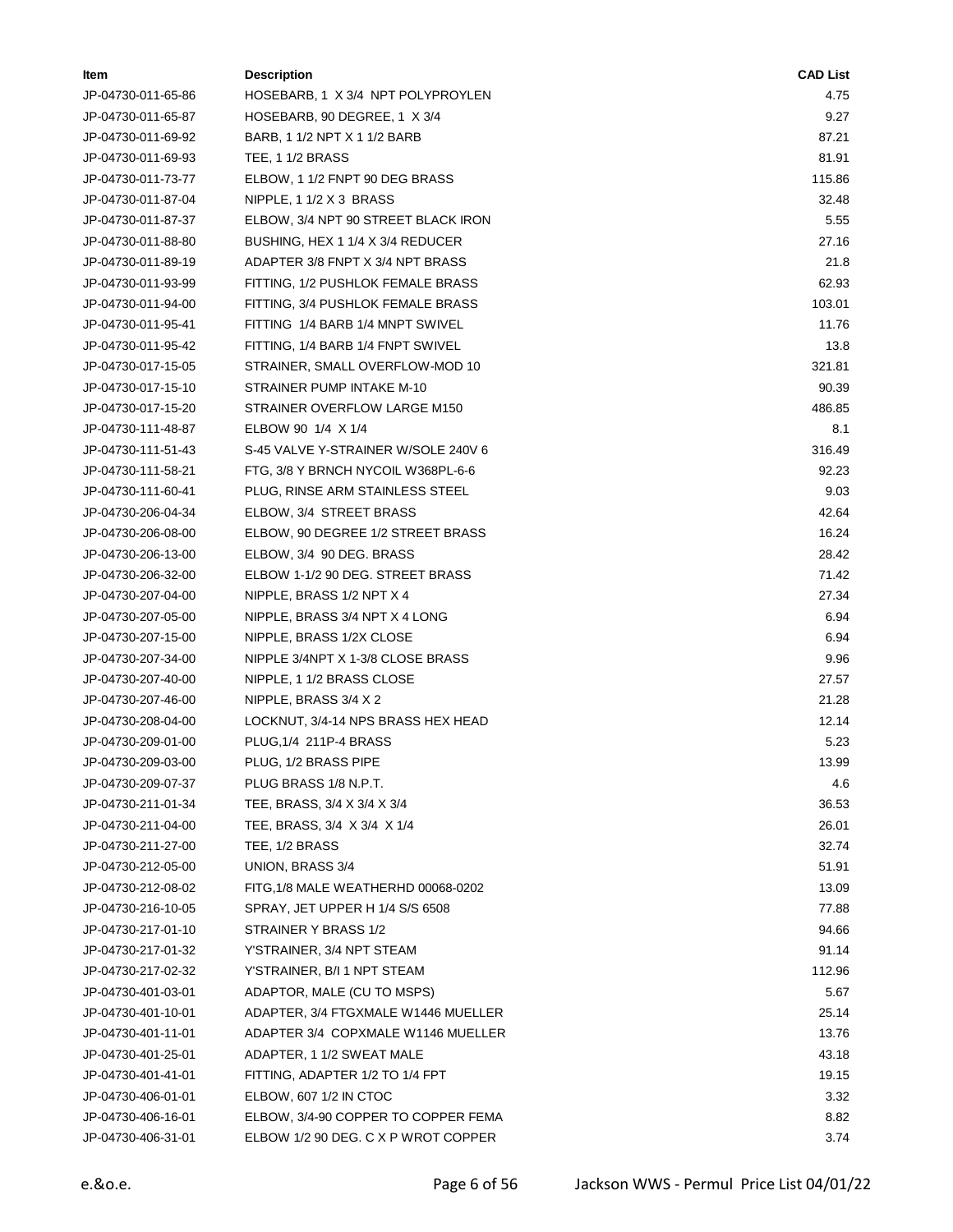| ltem               | <b>Description</b>                  | <b>CAD List</b> |
|--------------------|-------------------------------------|-----------------|
| JP-04730-011-65-86 | HOSEBARB, 1 X 3/4 NPT POLYPROYLEN   | 4.75            |
| JP-04730-011-65-87 | HOSEBARB, 90 DEGREE, 1 X 3/4        | 9.27            |
| JP-04730-011-69-92 | BARB, 1 1/2 NPT X 1 1/2 BARB        | 87.21           |
| JP-04730-011-69-93 | <b>TEE, 1 1/2 BRASS</b>             | 81.91           |
| JP-04730-011-73-77 | ELBOW, 1 1/2 FNPT 90 DEG BRASS      | 115.86          |
| JP-04730-011-87-04 | NIPPLE, 1 1/2 X 3 BRASS             | 32.48           |
| JP-04730-011-87-37 | ELBOW, 3/4 NPT 90 STREET BLACK IRON | 5.55            |
| JP-04730-011-88-80 | BUSHING, HEX 1 1/4 X 3/4 REDUCER    | 27.16           |
| JP-04730-011-89-19 | ADAPTER 3/8 FNPT X 3/4 NPT BRASS    | 21.8            |
| JP-04730-011-93-99 | FITTING, 1/2 PUSHLOK FEMALE BRASS   | 62.93           |
| JP-04730-011-94-00 | FITTING, 3/4 PUSHLOK FEMALE BRASS   | 103.01          |
| JP-04730-011-95-41 | FITTING 1/4 BARB 1/4 MNPT SWIVEL    | 11.76           |
| JP-04730-011-95-42 | FITTING, 1/4 BARB 1/4 FNPT SWIVEL   | 13.8            |
| JP-04730-017-15-05 | STRAINER, SMALL OVERFLOW-MOD 10     | 321.81          |
| JP-04730-017-15-10 | STRAINER PUMP INTAKE M-10           | 90.39           |
| JP-04730-017-15-20 | STRAINER OVERFLOW LARGE M150        | 486.85          |
| JP-04730-111-48-87 | ELBOW 90 1/4 X 1/4                  | 8.1             |
| JP-04730-111-51-43 | S-45 VALVE Y-STRAINER W/SOLE 240V 6 | 316.49          |
| JP-04730-111-58-21 | FTG, 3/8 Y BRNCH NYCOIL W368PL-6-6  | 92.23           |
| JP-04730-111-60-41 | PLUG, RINSE ARM STAINLESS STEEL     | 9.03            |
| JP-04730-206-04-34 | ELBOW, 3/4 STREET BRASS             | 42.64           |
| JP-04730-206-08-00 | ELBOW, 90 DEGREE 1/2 STREET BRASS   | 16.24           |
| JP-04730-206-13-00 | ELBOW, 3/4 90 DEG. BRASS            | 28.42           |
| JP-04730-206-32-00 | ELBOW 1-1/2 90 DEG. STREET BRASS    | 71.42           |
| JP-04730-207-04-00 | NIPPLE, BRASS 1/2 NPT X 4           | 27.34           |
| JP-04730-207-05-00 | NIPPLE, BRASS 3/4 NPT X 4 LONG      | 6.94            |
| JP-04730-207-15-00 | NIPPLE, BRASS 1/2X CLOSE            | 6.94            |
| JP-04730-207-34-00 | NIPPLE 3/4NPT X 1-3/8 CLOSE BRASS   | 9.96            |
| JP-04730-207-40-00 | NIPPLE, 1 1/2 BRASS CLOSE           | 27.57           |
| JP-04730-207-46-00 | NIPPLE, BRASS 3/4 X 2               | 21.28           |
| JP-04730-208-04-00 | LOCKNUT, 3/4-14 NPS BRASS HEX HEAD  | 12.14           |
| JP-04730-209-01-00 | PLUG, 1/4 211P-4 BRASS              | 5.23            |
| JP-04730-209-03-00 | PLUG, 1/2 BRASS PIPE                | 13.99           |
| JP-04730-209-07-37 | PLUG BRASS 1/8 N.P.T.               | 4.6             |
| JP-04730-211-01-34 | TEE, BRASS, 3/4 X 3/4 X 3/4         | 36.53           |
| JP-04730-211-04-00 | TEE, BRASS, 3/4 X 3/4 X 1/4         | 26.01           |
| JP-04730-211-27-00 | TEE, 1/2 BRASS                      | 32.74           |
| JP-04730-212-05-00 | UNION, BRASS 3/4                    | 51.91           |
| JP-04730-212-08-02 | FITG, 1/8 MALE WEATHERHD 00068-0202 | 13.09           |
| JP-04730-216-10-05 | SPRAY, JET UPPER H 1/4 S/S 6508     | 77.88           |
| JP-04730-217-01-10 | STRAINER Y BRASS 1/2                | 94.66           |
| JP-04730-217-01-32 | Y'STRAINER, 3/4 NPT STEAM           | 91.14           |
| JP-04730-217-02-32 | Y'STRAINER, B/I 1 NPT STEAM         | 112.96          |
| JP-04730-401-03-01 | ADAPTOR, MALE (CU TO MSPS)          | 5.67            |
| JP-04730-401-10-01 | ADAPTER, 3/4 FTGXMALE W1446 MUELLER | 25.14           |
| JP-04730-401-11-01 | ADAPTER 3/4 COPXMALE W1146 MUELLER  | 13.76           |
| JP-04730-401-25-01 | ADAPTER, 1 1/2 SWEAT MALE           | 43.18           |
| JP-04730-401-41-01 | FITTING, ADAPTER 1/2 TO 1/4 FPT     | 19.15           |
| JP-04730-406-01-01 | ELBOW, 607 1/2 IN CTOC              | 3.32            |
| JP-04730-406-16-01 | ELBOW, 3/4-90 COPPER TO COPPER FEMA | 8.82            |
| JP-04730-406-31-01 | ELBOW 1/2 90 DEG. C X P WROT COPPER | 3.74            |
|                    |                                     |                 |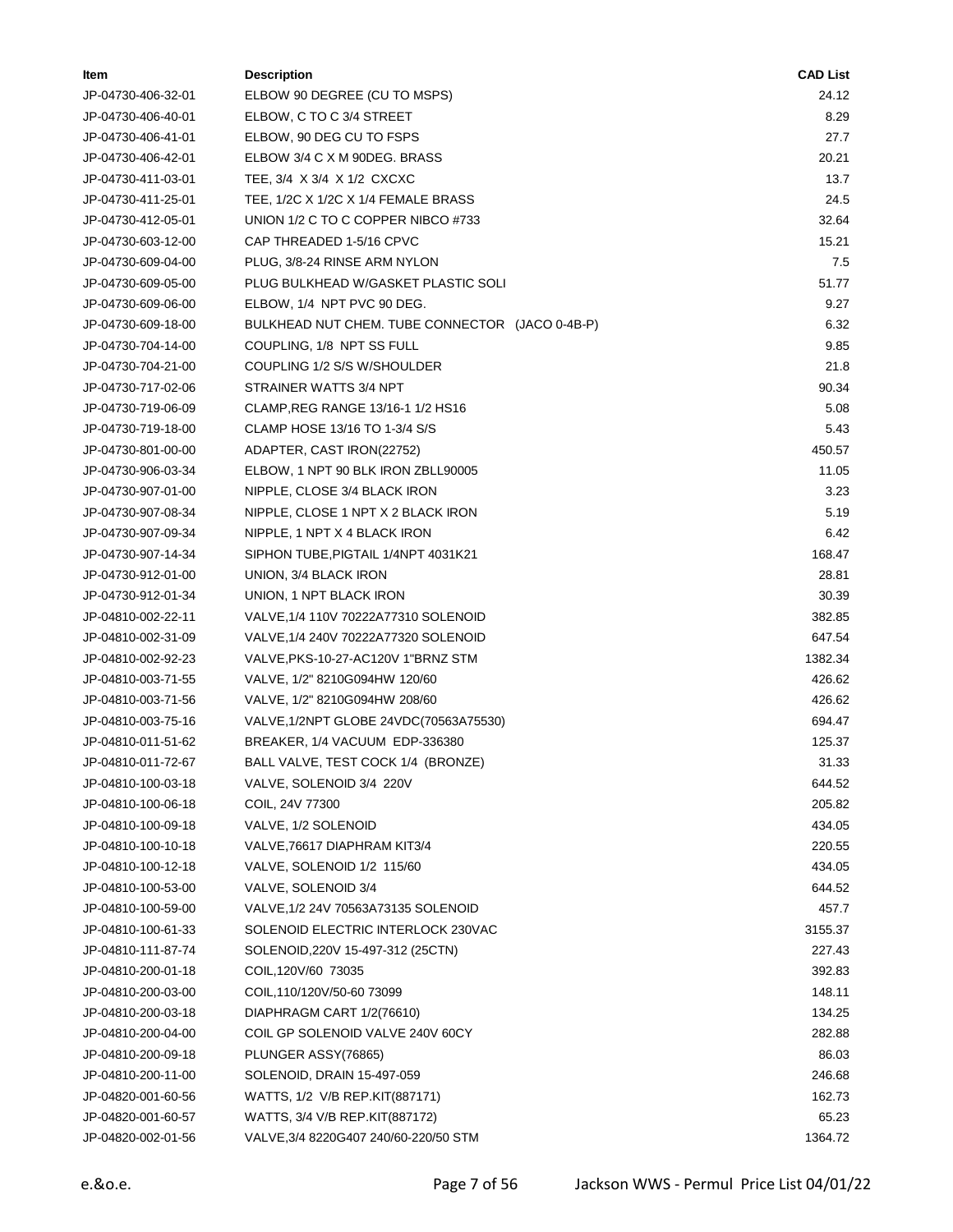| Item               | <b>Description</b>                              | <b>CAD List</b> |
|--------------------|-------------------------------------------------|-----------------|
| JP-04730-406-32-01 | ELBOW 90 DEGREE (CU TO MSPS)                    | 24.12           |
| JP-04730-406-40-01 | ELBOW, C TO C 3/4 STREET                        | 8.29            |
| JP-04730-406-41-01 | ELBOW, 90 DEG CU TO FSPS                        | 27.7            |
| JP-04730-406-42-01 | ELBOW 3/4 C X M 90DEG. BRASS                    | 20.21           |
| JP-04730-411-03-01 | TEE, 3/4 X 3/4 X 1/2 CXCXC                      | 13.7            |
| JP-04730-411-25-01 | TEE, 1/2C X 1/2C X 1/4 FEMALE BRASS             | 24.5            |
| JP-04730-412-05-01 | UNION 1/2 C TO C COPPER NIBCO #733              | 32.64           |
| JP-04730-603-12-00 | CAP THREADED 1-5/16 CPVC                        | 15.21           |
| JP-04730-609-04-00 | PLUG, 3/8-24 RINSE ARM NYLON                    | 7.5             |
| JP-04730-609-05-00 | PLUG BULKHEAD W/GASKET PLASTIC SOLI             | 51.77           |
| JP-04730-609-06-00 | ELBOW, 1/4 NPT PVC 90 DEG.                      | 9.27            |
| JP-04730-609-18-00 | BULKHEAD NUT CHEM. TUBE CONNECTOR (JACO 0-4B-P) | 6.32            |
| JP-04730-704-14-00 | COUPLING, 1/8 NPT SS FULL                       | 9.85            |
| JP-04730-704-21-00 | COUPLING 1/2 S/S W/SHOULDER                     | 21.8            |
| JP-04730-717-02-06 | STRAINER WATTS 3/4 NPT                          | 90.34           |
| JP-04730-719-06-09 | CLAMP, REG RANGE 13/16-1 1/2 HS16               | 5.08            |
| JP-04730-719-18-00 | CLAMP HOSE 13/16 TO 1-3/4 S/S                   | 5.43            |
| JP-04730-801-00-00 | ADAPTER, CAST IRON(22752)                       | 450.57          |
| JP-04730-906-03-34 | ELBOW, 1 NPT 90 BLK IRON ZBLL90005              | 11.05           |
| JP-04730-907-01-00 | NIPPLE, CLOSE 3/4 BLACK IRON                    | 3.23            |
| JP-04730-907-08-34 | NIPPLE, CLOSE 1 NPT X 2 BLACK IRON              | 5.19            |
| JP-04730-907-09-34 | NIPPLE, 1 NPT X 4 BLACK IRON                    | 6.42            |
| JP-04730-907-14-34 | SIPHON TUBE, PIGTAIL 1/4NPT 4031K21             | 168.47          |
| JP-04730-912-01-00 | UNION, 3/4 BLACK IRON                           | 28.81           |
| JP-04730-912-01-34 | UNION, 1 NPT BLACK IRON                         | 30.39           |
| JP-04810-002-22-11 | VALVE, 1/4 110V 70222A77310 SOLENOID            | 382.85          |
| JP-04810-002-31-09 | VALVE, 1/4 240V 70222A77320 SOLENOID            | 647.54          |
| JP-04810-002-92-23 | VALVE, PKS-10-27-AC120V 1"BRNZ STM              | 1382.34         |
| JP-04810-003-71-55 | VALVE, 1/2" 8210G094HW 120/60                   | 426.62          |
| JP-04810-003-71-56 | VALVE, 1/2" 8210G094HW 208/60                   | 426.62          |
| JP-04810-003-75-16 | VALVE, 1/2NPT GLOBE 24VDC(70563A75530)          | 694.47          |
| JP-04810-011-51-62 | BREAKER, 1/4 VACUUM EDP-336380                  | 125.37          |
| JP-04810-011-72-67 | BALL VALVE, TEST COCK 1/4 (BRONZE)              | 31.33           |
| JP-04810-100-03-18 | VALVE, SOLENOID 3/4 220V                        | 644.52          |
| JP-04810-100-06-18 | COIL, 24V 77300                                 | 205.82          |
| JP-04810-100-09-18 | VALVE, 1/2 SOLENOID                             | 434.05          |
| JP-04810-100-10-18 | VALVE, 76617 DIAPHRAM KIT3/4                    | 220.55          |
| JP-04810-100-12-18 | VALVE, SOLENOID 1/2 115/60                      | 434.05          |
| JP-04810-100-53-00 | VALVE, SOLENOID 3/4                             | 644.52          |
| JP-04810-100-59-00 | VALVE, 1/2 24V 70563A73135 SOLENOID             | 457.7           |
| JP-04810-100-61-33 | SOLENOID ELECTRIC INTERLOCK 230VAC              | 3155.37         |
| JP-04810-111-87-74 | SOLENOID, 220V 15-497-312 (25CTN)               | 227.43          |
| JP-04810-200-01-18 | COIL, 120V/60 73035                             | 392.83          |
| JP-04810-200-03-00 | COIL, 110/120V/50-60 73099                      | 148.11          |
| JP-04810-200-03-18 | DIAPHRAGM CART 1/2(76610)                       | 134.25          |
| JP-04810-200-04-00 | COIL GP SOLENOID VALVE 240V 60CY                | 282.88          |
| JP-04810-200-09-18 | PLUNGER ASSY(76865)                             | 86.03           |
| JP-04810-200-11-00 | SOLENOID, DRAIN 15-497-059                      | 246.68          |
| JP-04820-001-60-56 | WATTS, 1/2 V/B REP.KIT(887171)                  | 162.73          |
| JP-04820-001-60-57 | WATTS, 3/4 V/B REP.KIT(887172)                  | 65.23           |
| JP-04820-002-01-56 | VALVE, 3/4 8220G407 240/60-220/50 STM           | 1364.72         |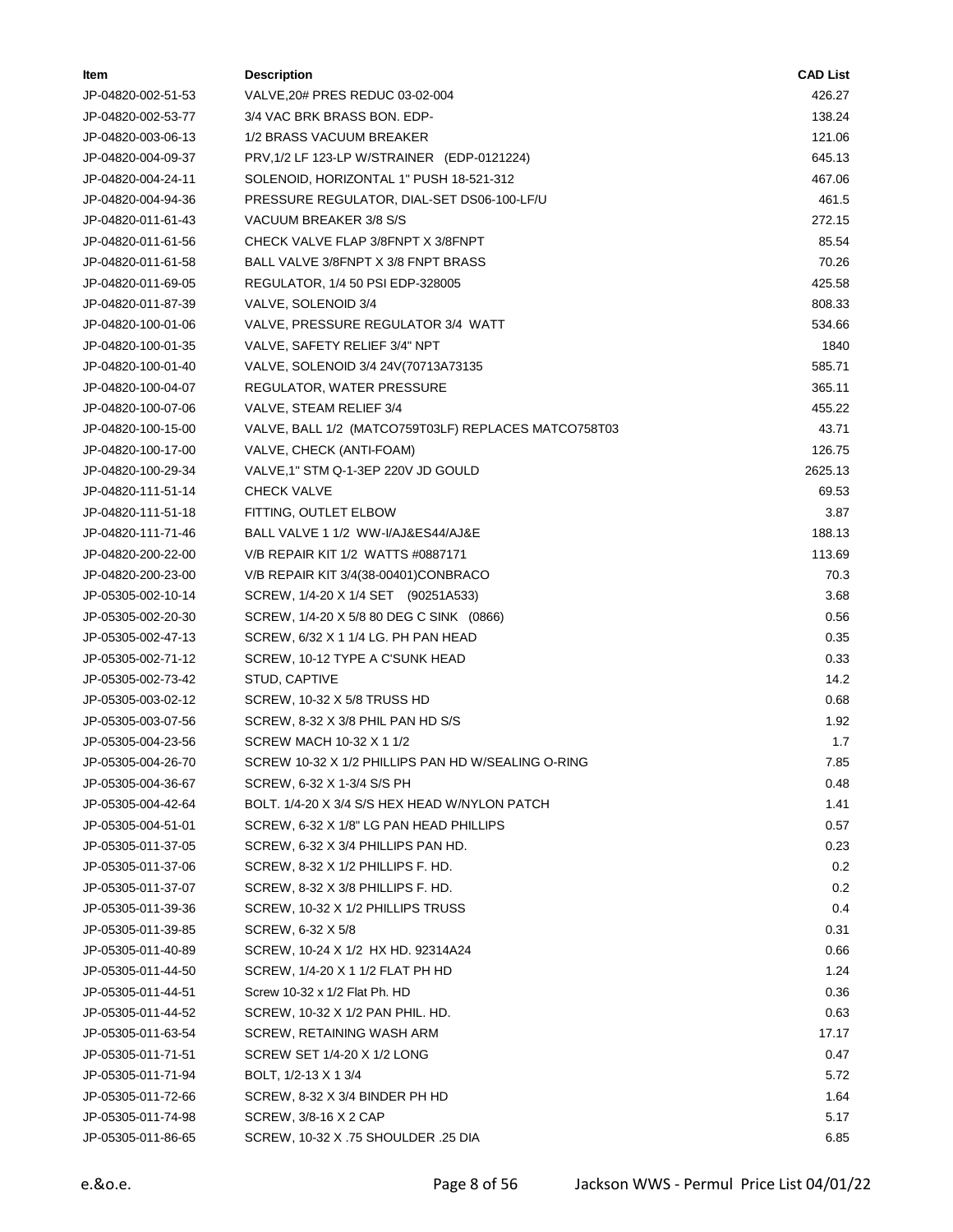| ltem               | <b>Description</b>                                   | <b>CAD List</b> |
|--------------------|------------------------------------------------------|-----------------|
| JP-04820-002-51-53 | VALVE, 20# PRES REDUC 03-02-004                      | 426.27          |
| JP-04820-002-53-77 | 3/4 VAC BRK BRASS BON. EDP-                          | 138.24          |
| JP-04820-003-06-13 | 1/2 BRASS VACUUM BREAKER                             | 121.06          |
| JP-04820-004-09-37 | PRV, 1/2 LF 123-LP W/STRAINER (EDP-0121224)          | 645.13          |
| JP-04820-004-24-11 | SOLENOID, HORIZONTAL 1" PUSH 18-521-312              | 467.06          |
| JP-04820-004-94-36 | PRESSURE REGULATOR, DIAL-SET DS06-100-LF/U           | 461.5           |
| JP-04820-011-61-43 | VACUUM BREAKER 3/8 S/S                               | 272.15          |
| JP-04820-011-61-56 | CHECK VALVE FLAP 3/8FNPT X 3/8FNPT                   | 85.54           |
| JP-04820-011-61-58 | BALL VALVE 3/8FNPT X 3/8 FNPT BRASS                  | 70.26           |
| JP-04820-011-69-05 | REGULATOR, 1/4 50 PSI EDP-328005                     | 425.58          |
| JP-04820-011-87-39 | VALVE, SOLENOID 3/4                                  | 808.33          |
| JP-04820-100-01-06 | VALVE, PRESSURE REGULATOR 3/4 WATT                   | 534.66          |
| JP-04820-100-01-35 | VALVE, SAFETY RELIEF 3/4" NPT                        | 1840            |
| JP-04820-100-01-40 | VALVE, SOLENOID 3/4 24V(70713A73135                  | 585.71          |
| JP-04820-100-04-07 | REGULATOR, WATER PRESSURE                            | 365.11          |
| JP-04820-100-07-06 | VALVE, STEAM RELIEF 3/4                              | 455.22          |
| JP-04820-100-15-00 | VALVE, BALL 1/2 (MATCO759T03LF) REPLACES MATCO758T03 | 43.71           |
| JP-04820-100-17-00 | VALVE, CHECK (ANTI-FOAM)                             | 126.75          |
| JP-04820-100-29-34 | VALVE, 1" STM Q-1-3EP 220V JD GOULD                  | 2625.13         |
| JP-04820-111-51-14 | CHECK VALVE                                          | 69.53           |
| JP-04820-111-51-18 | FITTING, OUTLET ELBOW                                | 3.87            |
| JP-04820-111-71-46 | BALL VALVE 1 1/2 WW-I/AJ&ES44/AJ&E                   | 188.13          |
| JP-04820-200-22-00 | V/B REPAIR KIT 1/2 WATTS #0887171                    | 113.69          |
| JP-04820-200-23-00 | V/B REPAIR KIT 3/4(38-00401)CONBRACO                 | 70.3            |
| JP-05305-002-10-14 | SCREW, 1/4-20 X 1/4 SET (90251A533)                  | 3.68            |
| JP-05305-002-20-30 | SCREW, 1/4-20 X 5/8 80 DEG C SINK (0866)             | 0.56            |
| JP-05305-002-47-13 | SCREW, 6/32 X 1 1/4 LG. PH PAN HEAD                  | 0.35            |
| JP-05305-002-71-12 | SCREW, 10-12 TYPE A C'SUNK HEAD                      | 0.33            |
| JP-05305-002-73-42 | STUD, CAPTIVE                                        | 14.2            |
| JP-05305-003-02-12 | SCREW, 10-32 X 5/8 TRUSS HD                          | 0.68            |
| JP-05305-003-07-56 | SCREW, 8-32 X 3/8 PHIL PAN HD S/S                    | 1.92            |
| JP-05305-004-23-56 | SCREW MACH 10-32 X 1 1/2                             | 1.7             |
| JP-05305-004-26-70 | SCREW 10-32 X 1/2 PHILLIPS PAN HD W/SEALING O-RING   | 7.85            |
| JP-05305-004-36-67 | SCREW, 6-32 X 1-3/4 S/S PH                           | 0.48            |
| JP-05305-004-42-64 | BOLT. 1/4-20 X 3/4 S/S HEX HEAD W/NYLON PATCH        | 1.41            |
| JP-05305-004-51-01 | SCREW, 6-32 X 1/8" LG PAN HEAD PHILLIPS              | 0.57            |
| JP-05305-011-37-05 | SCREW, 6-32 X 3/4 PHILLIPS PAN HD.                   | 0.23            |
| JP-05305-011-37-06 | SCREW, 8-32 X 1/2 PHILLIPS F. HD.                    | 0.2             |
| JP-05305-011-37-07 | SCREW, 8-32 X 3/8 PHILLIPS F. HD.                    | 0.2             |
| JP-05305-011-39-36 | SCREW, 10-32 X 1/2 PHILLIPS TRUSS                    | 0.4             |
| JP-05305-011-39-85 | SCREW, 6-32 X 5/8                                    | 0.31            |
| JP-05305-011-40-89 | SCREW, 10-24 X 1/2 HX HD. 92314A24                   | 0.66            |
| JP-05305-011-44-50 | SCREW, 1/4-20 X 1 1/2 FLAT PH HD                     | 1.24            |
| JP-05305-011-44-51 | Screw 10-32 x 1/2 Flat Ph. HD                        | 0.36            |
| JP-05305-011-44-52 | SCREW, 10-32 X 1/2 PAN PHIL. HD.                     | 0.63            |
|                    |                                                      |                 |
| JP-05305-011-63-54 | SCREW, RETAINING WASH ARM                            | 17.17           |
| JP-05305-011-71-51 | SCREW SET 1/4-20 X 1/2 LONG                          | 0.47            |
| JP-05305-011-71-94 | BOLT, 1/2-13 X 1 3/4                                 | 5.72            |
| JP-05305-011-72-66 | SCREW, 8-32 X 3/4 BINDER PH HD                       | 1.64            |
| JP-05305-011-74-98 | SCREW, 3/8-16 X 2 CAP                                | 5.17            |
| JP-05305-011-86-65 | SCREW, 10-32 X .75 SHOULDER .25 DIA                  | 6.85            |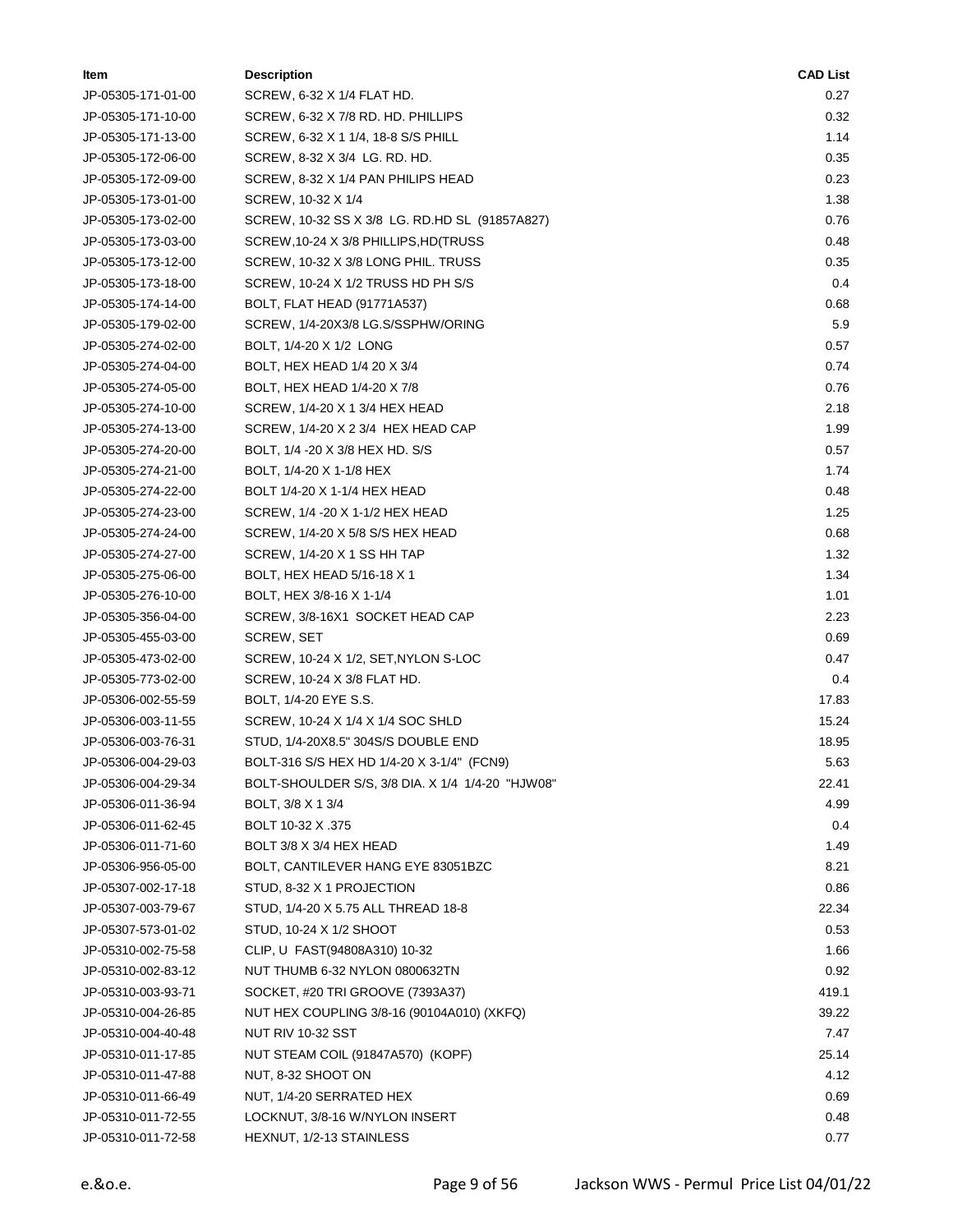| Item               | <b>Description</b>                               | <b>CAD List</b> |
|--------------------|--------------------------------------------------|-----------------|
| JP-05305-171-01-00 | SCREW, 6-32 X 1/4 FLAT HD.                       | 0.27            |
| JP-05305-171-10-00 | SCREW, 6-32 X 7/8 RD. HD. PHILLIPS               | 0.32            |
| JP-05305-171-13-00 | SCREW, 6-32 X 1 1/4, 18-8 S/S PHILL              | 1.14            |
| JP-05305-172-06-00 | SCREW, 8-32 X 3/4 LG. RD. HD.                    | 0.35            |
| JP-05305-172-09-00 | SCREW, 8-32 X 1/4 PAN PHILIPS HEAD               | 0.23            |
| JP-05305-173-01-00 | SCREW, 10-32 X 1/4                               | 1.38            |
| JP-05305-173-02-00 | SCREW, 10-32 SS X 3/8 LG. RD.HD SL (91857A827)   | 0.76            |
| JP-05305-173-03-00 | SCREW, 10-24 X 3/8 PHILLIPS, HD (TRUSS           | 0.48            |
| JP-05305-173-12-00 | SCREW, 10-32 X 3/8 LONG PHIL. TRUSS              | 0.35            |
| JP-05305-173-18-00 | SCREW, 10-24 X 1/2 TRUSS HD PH S/S               | 0.4             |
| JP-05305-174-14-00 | BOLT, FLAT HEAD (91771A537)                      | 0.68            |
| JP-05305-179-02-00 | SCREW, 1/4-20X3/8 LG.S/SSPHW/ORING               | 5.9             |
| JP-05305-274-02-00 | BOLT, 1/4-20 X 1/2 LONG                          | 0.57            |
| JP-05305-274-04-00 | BOLT, HEX HEAD 1/4 20 X 3/4                      | 0.74            |
| JP-05305-274-05-00 | BOLT, HEX HEAD 1/4-20 X 7/8                      | 0.76            |
| JP-05305-274-10-00 | SCREW, 1/4-20 X 1 3/4 HEX HEAD                   | 2.18            |
| JP-05305-274-13-00 | SCREW, 1/4-20 X 2 3/4 HEX HEAD CAP               | 1.99            |
| JP-05305-274-20-00 | BOLT, 1/4 -20 X 3/8 HEX HD. S/S                  | 0.57            |
| JP-05305-274-21-00 | BOLT, 1/4-20 X 1-1/8 HEX                         | 1.74            |
| JP-05305-274-22-00 | BOLT 1/4-20 X 1-1/4 HEX HEAD                     | 0.48            |
| JP-05305-274-23-00 | SCREW, 1/4 -20 X 1-1/2 HEX HEAD                  | 1.25            |
| JP-05305-274-24-00 | SCREW, 1/4-20 X 5/8 S/S HEX HEAD                 | 0.68            |
| JP-05305-274-27-00 | SCREW, 1/4-20 X 1 SS HH TAP                      | 1.32            |
| JP-05305-275-06-00 | BOLT, HEX HEAD 5/16-18 X 1                       | 1.34            |
| JP-05305-276-10-00 | BOLT, HEX 3/8-16 X 1-1/4                         | 1.01            |
| JP-05305-356-04-00 | SCREW, 3/8-16X1 SOCKET HEAD CAP                  | 2.23            |
| JP-05305-455-03-00 | SCREW, SET                                       | 0.69            |
| JP-05305-473-02-00 | SCREW, 10-24 X 1/2, SET, NYLON S-LOC             | 0.47            |
| JP-05305-773-02-00 | SCREW, 10-24 X 3/8 FLAT HD.                      | 0.4             |
| JP-05306-002-55-59 | BOLT, 1/4-20 EYE S.S.                            | 17.83           |
| JP-05306-003-11-55 | SCREW, 10-24 X 1/4 X 1/4 SOC SHLD                | 15.24           |
| JP-05306-003-76-31 | STUD, 1/4-20X8.5" 304S/S DOUBLE END              | 18.95           |
| JP-05306-004-29-03 | BOLT-316 S/S HEX HD 1/4-20 X 3-1/4" (FCN9)       | 5.63            |
| JP-05306-004-29-34 | BOLT-SHOULDER S/S, 3/8 DIA. X 1/4 1/4-20 "HJW08" | 22.41           |
| JP-05306-011-36-94 | BOLT, 3/8 X 1 3/4                                | 4.99            |
| JP-05306-011-62-45 | BOLT 10-32 X .375                                | 0.4             |
| JP-05306-011-71-60 | BOLT 3/8 X 3/4 HEX HEAD                          | 1.49            |
| JP-05306-956-05-00 | BOLT, CANTILEVER HANG EYE 83051BZC               | 8.21            |
| JP-05307-002-17-18 | STUD, 8-32 X 1 PROJECTION                        | 0.86            |
| JP-05307-003-79-67 | STUD, 1/4-20 X 5.75 ALL THREAD 18-8              | 22.34           |
| JP-05307-573-01-02 | STUD, 10-24 X 1/2 SHOOT                          | 0.53            |
| JP-05310-002-75-58 | CLIP, U FAST(94808A310) 10-32                    | 1.66            |
| JP-05310-002-83-12 | NUT THUMB 6-32 NYLON 0800632TN                   | 0.92            |
| JP-05310-003-93-71 | SOCKET, #20 TRI GROOVE (7393A37)                 | 419.1           |
| JP-05310-004-26-85 | NUT HEX COUPLING 3/8-16 (90104A010) (XKFQ)       | 39.22           |
| JP-05310-004-40-48 | <b>NUT RIV 10-32 SST</b>                         | 7.47            |
| JP-05310-011-17-85 | NUT STEAM COIL (91847A570) (KOPF)                | 25.14           |
| JP-05310-011-47-88 | NUT, 8-32 SHOOT ON                               | 4.12            |
| JP-05310-011-66-49 | NUT, 1/4-20 SERRATED HEX                         | 0.69            |
| JP-05310-011-72-55 | LOCKNUT, 3/8-16 W/NYLON INSERT                   | 0.48            |
| JP-05310-011-72-58 | HEXNUT, 1/2-13 STAINLESS                         | 0.77            |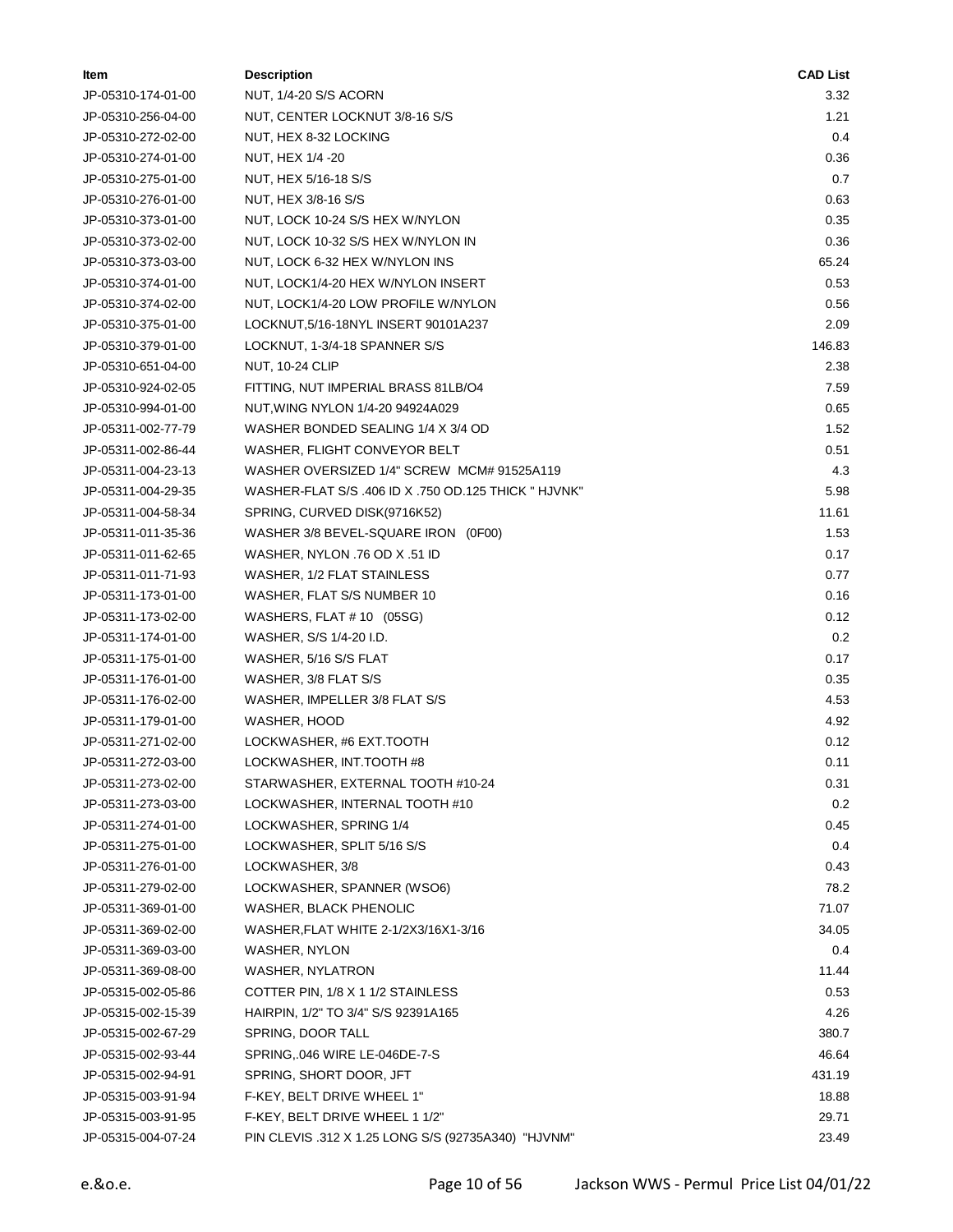| ltem               | <b>Description</b>                                   | <b>CAD List</b> |
|--------------------|------------------------------------------------------|-----------------|
| JP-05310-174-01-00 | NUT, 1/4-20 S/S ACORN                                | 3.32            |
| JP-05310-256-04-00 | NUT, CENTER LOCKNUT 3/8-16 S/S                       | 1.21            |
| JP-05310-272-02-00 | NUT, HEX 8-32 LOCKING                                | 0.4             |
| JP-05310-274-01-00 | NUT, HEX 1/4 -20                                     | 0.36            |
| JP-05310-275-01-00 | NUT, HEX 5/16-18 S/S                                 | 0.7             |
| JP-05310-276-01-00 | NUT, HEX 3/8-16 S/S                                  | 0.63            |
| JP-05310-373-01-00 | NUT, LOCK 10-24 S/S HEX W/NYLON                      | 0.35            |
| JP-05310-373-02-00 | NUT, LOCK 10-32 S/S HEX W/NYLON IN                   | 0.36            |
| JP-05310-373-03-00 | NUT, LOCK 6-32 HEX W/NYLON INS                       | 65.24           |
| JP-05310-374-01-00 | NUT, LOCK1/4-20 HEX W/NYLON INSERT                   | 0.53            |
| JP-05310-374-02-00 | NUT, LOCK1/4-20 LOW PROFILE W/NYLON                  | 0.56            |
| JP-05310-375-01-00 | LOCKNUT,5/16-18NYL INSERT 90101A237                  | 2.09            |
| JP-05310-379-01-00 | LOCKNUT, 1-3/4-18 SPANNER S/S                        | 146.83          |
| JP-05310-651-04-00 | <b>NUT, 10-24 CLIP</b>                               | 2.38            |
| JP-05310-924-02-05 | FITTING, NUT IMPERIAL BRASS 81LB/O4                  | 7.59            |
| JP-05310-994-01-00 | NUT, WING NYLON 1/4-20 94924A029                     | 0.65            |
| JP-05311-002-77-79 | WASHER BONDED SEALING 1/4 X 3/4 OD                   | 1.52            |
| JP-05311-002-86-44 | WASHER, FLIGHT CONVEYOR BELT                         | 0.51            |
| JP-05311-004-23-13 | WASHER OVERSIZED 1/4" SCREW MCM# 91525A119           | 4.3             |
| JP-05311-004-29-35 | WASHER-FLAT S/S .406 ID X .750 OD.125 THICK " HJVNK" | 5.98            |
| JP-05311-004-58-34 | SPRING, CURVED DISK(9716K52)                         | 11.61           |
| JP-05311-011-35-36 | WASHER 3/8 BEVEL-SQUARE IRON (0F00)                  | 1.53            |
| JP-05311-011-62-65 | WASHER, NYLON .76 OD X .51 ID                        | 0.17            |
| JP-05311-011-71-93 | WASHER, 1/2 FLAT STAINLESS                           | 0.77            |
| JP-05311-173-01-00 | WASHER, FLAT S/S NUMBER 10                           | 0.16            |
| JP-05311-173-02-00 | WASHERS, FLAT # 10 $(05SG)$                          | 0.12            |
| JP-05311-174-01-00 | WASHER, S/S 1/4-20 I.D.                              | 0.2             |
| JP-05311-175-01-00 | WASHER, 5/16 S/S FLAT                                | 0.17            |
| JP-05311-176-01-00 | WASHER, 3/8 FLAT S/S                                 | 0.35            |
| JP-05311-176-02-00 | WASHER, IMPELLER 3/8 FLAT S/S                        | 4.53            |
| JP-05311-179-01-00 | WASHER, HOOD                                         | 4.92            |
| JP-05311-271-02-00 | LOCKWASHER, #6 EXT.TOOTH                             | 0.12            |
| JP-05311-272-03-00 | LOCKWASHER, INT.TOOTH #8                             | 0.11            |
| JP-05311-273-02-00 | STARWASHER, EXTERNAL TOOTH #10-24                    | 0.31            |
| JP-05311-273-03-00 | LOCKWASHER, INTERNAL TOOTH #10                       | 0.2             |
| JP-05311-274-01-00 | LOCKWASHER, SPRING 1/4                               | 0.45            |
| JP-05311-275-01-00 | LOCKWASHER, SPLIT 5/16 S/S                           | 0.4             |
| JP-05311-276-01-00 | LOCKWASHER, 3/8                                      | 0.43            |
| JP-05311-279-02-00 | LOCKWASHER, SPANNER (WSO6)                           | 78.2            |
| JP-05311-369-01-00 | WASHER, BLACK PHENOLIC                               | 71.07           |
| JP-05311-369-02-00 | WASHER, FLAT WHITE 2-1/2X3/16X1-3/16                 | 34.05           |
| JP-05311-369-03-00 | WASHER, NYLON                                        | 0.4             |
| JP-05311-369-08-00 | WASHER, NYLATRON                                     | 11.44           |
| JP-05315-002-05-86 | COTTER PIN, 1/8 X 1 1/2 STAINLESS                    | 0.53            |
| JP-05315-002-15-39 | HAIRPIN, 1/2" TO 3/4" S/S 92391A165                  | 4.26            |
| JP-05315-002-67-29 | SPRING, DOOR TALL                                    | 380.7           |
| JP-05315-002-93-44 | SPRING, 046 WIRE LE-046DE-7-S                        | 46.64           |
| JP-05315-002-94-91 | SPRING, SHORT DOOR, JFT                              | 431.19          |
| JP-05315-003-91-94 | F-KEY, BELT DRIVE WHEEL 1"                           | 18.88           |
| JP-05315-003-91-95 | F-KEY, BELT DRIVE WHEEL 1 1/2"                       | 29.71           |
| JP-05315-004-07-24 | PIN CLEVIS .312 X 1.25 LONG S/S (92735A340) "HJVNM"  | 23.49           |
|                    |                                                      |                 |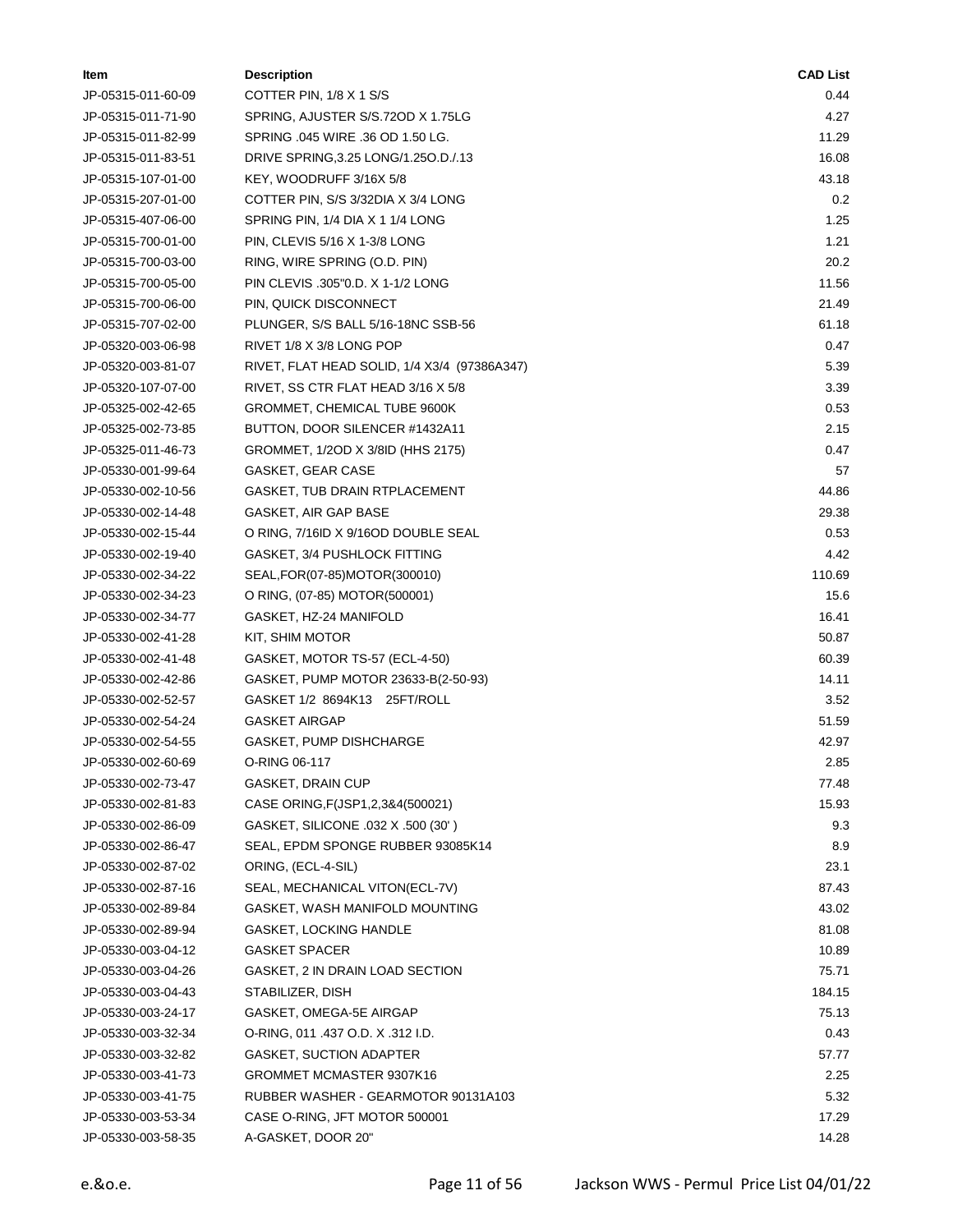| Item               | <b>Description</b>                           | <b>CAD List</b> |
|--------------------|----------------------------------------------|-----------------|
| JP-05315-011-60-09 | COTTER PIN, 1/8 X 1 S/S                      | 0.44            |
| JP-05315-011-71-90 | SPRING, AJUSTER S/S.72OD X 1.75LG            | 4.27            |
| JP-05315-011-82-99 | SPRING .045 WIRE .36 OD 1.50 LG.             | 11.29           |
| JP-05315-011-83-51 | DRIVE SPRING, 3.25 LONG/1.250.D./.13         | 16.08           |
| JP-05315-107-01-00 | KEY, WOODRUFF 3/16X 5/8                      | 43.18           |
| JP-05315-207-01-00 | COTTER PIN, S/S 3/32DIA X 3/4 LONG           | 0.2             |
| JP-05315-407-06-00 | SPRING PIN, 1/4 DIA X 1 1/4 LONG             | 1.25            |
| JP-05315-700-01-00 | PIN, CLEVIS 5/16 X 1-3/8 LONG                | 1.21            |
| JP-05315-700-03-00 | RING, WIRE SPRING (O.D. PIN)                 | 20.2            |
| JP-05315-700-05-00 | PIN CLEVIS .305"0.D. X 1-1/2 LONG            | 11.56           |
| JP-05315-700-06-00 | PIN, QUICK DISCONNECT                        | 21.49           |
| JP-05315-707-02-00 | PLUNGER, S/S BALL 5/16-18NC SSB-56           | 61.18           |
| JP-05320-003-06-98 | RIVET 1/8 X 3/8 LONG POP                     | 0.47            |
| JP-05320-003-81-07 | RIVET, FLAT HEAD SOLID, 1/4 X3/4 (97386A347) | 5.39            |
| JP-05320-107-07-00 | RIVET, SS CTR FLAT HEAD 3/16 X 5/8           | 3.39            |
| JP-05325-002-42-65 | GROMMET, CHEMICAL TUBE 9600K                 | 0.53            |
| JP-05325-002-73-85 | BUTTON, DOOR SILENCER #1432A11               | 2.15            |
| JP-05325-011-46-73 | GROMMET, 1/2OD X 3/8ID (HHS 2175)            | 0.47            |
| JP-05330-001-99-64 | GASKET, GEAR CASE                            | 57              |
| JP-05330-002-10-56 | GASKET, TUB DRAIN RTPLACEMENT                | 44.86           |
| JP-05330-002-14-48 | GASKET, AIR GAP BASE                         | 29.38           |
| JP-05330-002-15-44 | O RING, 7/16ID X 9/16OD DOUBLE SEAL          | 0.53            |
| JP-05330-002-19-40 | GASKET, 3/4 PUSHLOCK FITTING                 | 4.42            |
| JP-05330-002-34-22 | SEAL, FOR(07-85) MOTOR(300010)               | 110.69          |
| JP-05330-002-34-23 | O RING, (07-85) MOTOR(500001)                | 15.6            |
| JP-05330-002-34-77 | GASKET, HZ-24 MANIFOLD                       | 16.41           |
| JP-05330-002-41-28 | KIT, SHIM MOTOR                              | 50.87           |
| JP-05330-002-41-48 | GASKET, MOTOR TS-57 (ECL-4-50)               | 60.39           |
| JP-05330-002-42-86 | GASKET, PUMP MOTOR 23633-B(2-50-93)          | 14.11           |
| JP-05330-002-52-57 | GASKET 1/2 8694K13 25FT/ROLL                 | 3.52            |
| JP-05330-002-54-24 | <b>GASKET AIRGAP</b>                         | 51.59           |
| JP-05330-002-54-55 | <b>GASKET, PUMP DISHCHARGE</b>               | 42.97           |
| JP-05330-002-60-69 | O-RING 06-117                                | 2.85            |
| JP-05330-002-73-47 | GASKET, DRAIN CUP                            | 77.48           |
| JP-05330-002-81-83 | CASE ORING, F(JSP1, 2,3&4(500021)            | 15.93           |
| JP-05330-002-86-09 | GASKET, SILICONE .032 X .500 (30')           | 9.3             |
| JP-05330-002-86-47 | SEAL, EPDM SPONGE RUBBER 93085K14            | 8.9             |
| JP-05330-002-87-02 | ORING, (ECL-4-SIL)                           | 23.1            |
| JP-05330-002-87-16 | SEAL, MECHANICAL VITON(ECL-7V)               | 87.43           |
| JP-05330-002-89-84 | GASKET, WASH MANIFOLD MOUNTING               | 43.02           |
| JP-05330-002-89-94 | <b>GASKET, LOCKING HANDLE</b>                | 81.08           |
| JP-05330-003-04-12 | <b>GASKET SPACER</b>                         | 10.89           |
| JP-05330-003-04-26 | GASKET, 2 IN DRAIN LOAD SECTION              | 75.71           |
| JP-05330-003-04-43 | STABILIZER, DISH                             | 184.15          |
| JP-05330-003-24-17 | GASKET, OMEGA-5E AIRGAP                      | 75.13           |
| JP-05330-003-32-34 | O-RING, 011 .437 O.D. X .312 I.D.            | 0.43            |
| JP-05330-003-32-82 | <b>GASKET, SUCTION ADAPTER</b>               | 57.77           |
| JP-05330-003-41-73 | GROMMET MCMASTER 9307K16                     | 2.25            |
| JP-05330-003-41-75 | RUBBER WASHER - GEARMOTOR 90131A103          | 5.32            |
| JP-05330-003-53-34 | CASE O-RING, JFT MOTOR 500001                | 17.29           |
| JP-05330-003-58-35 | A-GASKET, DOOR 20"                           | 14.28           |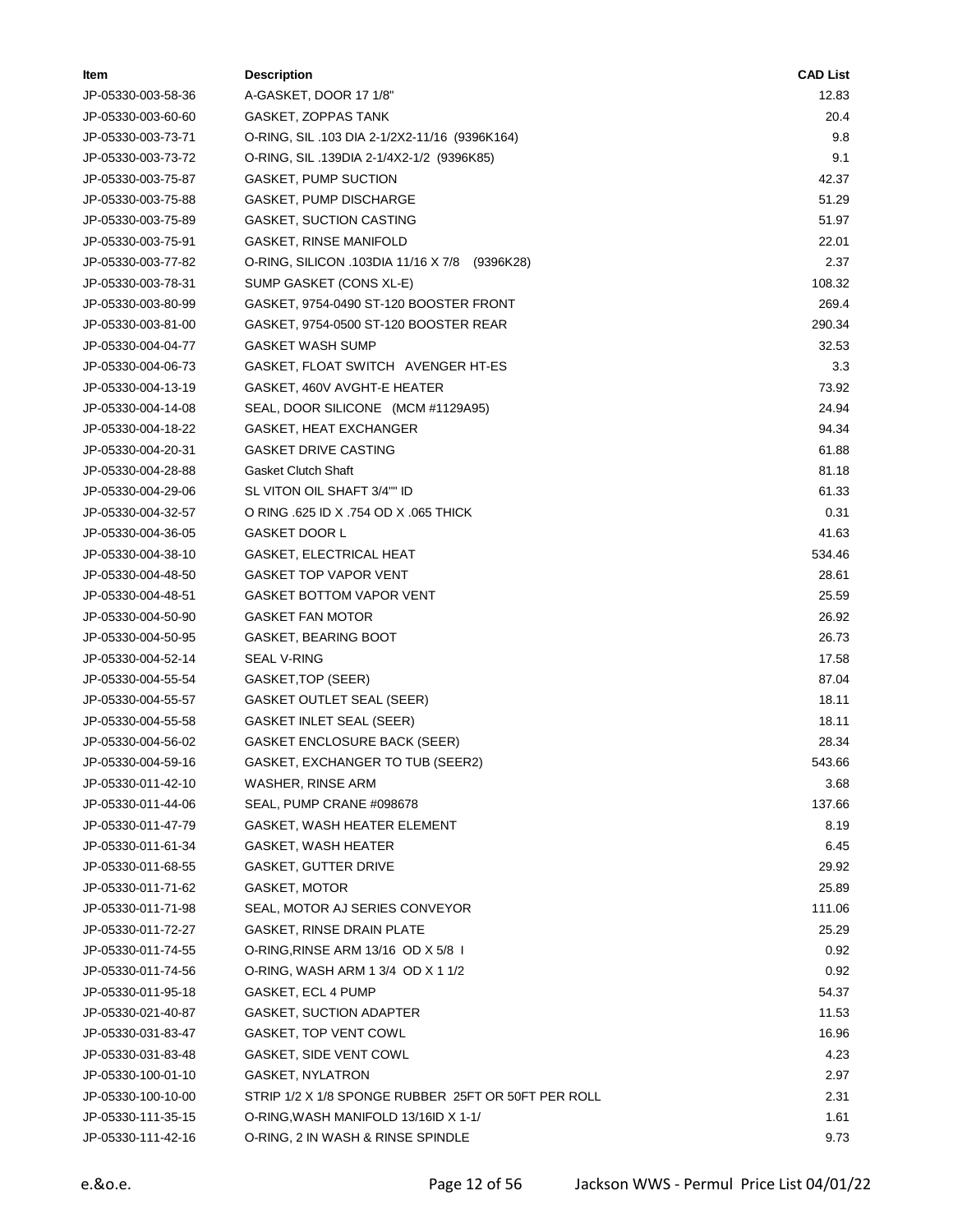| Item               | <b>Description</b>                                  | <b>CAD List</b> |
|--------------------|-----------------------------------------------------|-----------------|
| JP-05330-003-58-36 | A-GASKET, DOOR 17 1/8"                              | 12.83           |
| JP-05330-003-60-60 | GASKET, ZOPPAS TANK                                 | 20.4            |
| JP-05330-003-73-71 | O-RING, SIL .103 DIA 2-1/2X2-11/16 (9396K164)       | 9.8             |
| JP-05330-003-73-72 | O-RING, SIL .139DIA 2-1/4X2-1/2 (9396K85)           | 9.1             |
| JP-05330-003-75-87 | <b>GASKET, PUMP SUCTION</b>                         | 42.37           |
| JP-05330-003-75-88 | GASKET, PUMP DISCHARGE                              | 51.29           |
| JP-05330-003-75-89 | <b>GASKET, SUCTION CASTING</b>                      | 51.97           |
| JP-05330-003-75-91 | <b>GASKET, RINSE MANIFOLD</b>                       | 22.01           |
| JP-05330-003-77-82 | O-RING, SILICON .103DIA 11/16 X 7/8 (9396K28)       | 2.37            |
| JP-05330-003-78-31 | SUMP GASKET (CONS XL-E)                             | 108.32          |
| JP-05330-003-80-99 | GASKET, 9754-0490 ST-120 BOOSTER FRONT              | 269.4           |
| JP-05330-003-81-00 | GASKET, 9754-0500 ST-120 BOOSTER REAR               | 290.34          |
| JP-05330-004-04-77 | <b>GASKET WASH SUMP</b>                             | 32.53           |
| JP-05330-004-06-73 | GASKET, FLOAT SWITCH AVENGER HT-ES                  | 3.3             |
| JP-05330-004-13-19 | GASKET, 460V AVGHT-E HEATER                         | 73.92           |
| JP-05330-004-14-08 | SEAL, DOOR SILICONE (MCM #1129A95)                  | 24.94           |
| JP-05330-004-18-22 | GASKET, HEAT EXCHANGER                              | 94.34           |
| JP-05330-004-20-31 | <b>GASKET DRIVE CASTING</b>                         | 61.88           |
| JP-05330-004-28-88 | <b>Gasket Clutch Shaft</b>                          | 81.18           |
| JP-05330-004-29-06 | SL VITON OIL SHAFT 3/4"" ID                         | 61.33           |
| JP-05330-004-32-57 | O RING .625 ID X .754 OD X .065 THICK               | 0.31            |
| JP-05330-004-36-05 | <b>GASKET DOOR L</b>                                | 41.63           |
| JP-05330-004-38-10 | GASKET, ELECTRICAL HEAT                             | 534.46          |
| JP-05330-004-48-50 | <b>GASKET TOP VAPOR VENT</b>                        | 28.61           |
| JP-05330-004-48-51 | <b>GASKET BOTTOM VAPOR VENT</b>                     | 25.59           |
| JP-05330-004-50-90 | <b>GASKET FAN MOTOR</b>                             | 26.92           |
| JP-05330-004-50-95 | <b>GASKET, BEARING BOOT</b>                         | 26.73           |
| JP-05330-004-52-14 | SEAL V-RING                                         | 17.58           |
| JP-05330-004-55-54 | GASKET, TOP (SEER)                                  | 87.04           |
| JP-05330-004-55-57 | GASKET OUTLET SEAL (SEER)                           | 18.11           |
| JP-05330-004-55-58 | <b>GASKET INLET SEAL (SEER)</b>                     | 18.11           |
| JP-05330-004-56-02 | <b>GASKET ENCLOSURE BACK (SEER)</b>                 | 28.34           |
| JP-05330-004-59-16 | GASKET, EXCHANGER TO TUB (SEER2)                    | 543.66          |
| JP-05330-011-42-10 | WASHER, RINSE ARM                                   | 3.68            |
| JP-05330-011-44-06 | SEAL, PUMP CRANE #098678                            | 137.66          |
| JP-05330-011-47-79 | GASKET, WASH HEATER ELEMENT                         | 8.19            |
| JP-05330-011-61-34 | GASKET, WASH HEATER                                 | 6.45            |
| JP-05330-011-68-55 | GASKET, GUTTER DRIVE                                | 29.92           |
| JP-05330-011-71-62 | GASKET, MOTOR                                       | 25.89           |
| JP-05330-011-71-98 | SEAL, MOTOR AJ SERIES CONVEYOR                      | 111.06          |
| JP-05330-011-72-27 | <b>GASKET, RINSE DRAIN PLATE</b>                    | 25.29           |
| JP-05330-011-74-55 | O-RING, RINSE ARM 13/16 OD X 5/8 1                  | 0.92            |
| JP-05330-011-74-56 | O-RING, WASH ARM 1 3/4 OD X 1 1/2                   | 0.92            |
| JP-05330-011-95-18 | GASKET, ECL 4 PUMP                                  | 54.37           |
| JP-05330-021-40-87 | GASKET, SUCTION ADAPTER                             | 11.53           |
| JP-05330-031-83-47 | GASKET, TOP VENT COWL                               | 16.96           |
| JP-05330-031-83-48 | GASKET, SIDE VENT COWL                              | 4.23            |
| JP-05330-100-01-10 | <b>GASKET, NYLATRON</b>                             | 2.97            |
| JP-05330-100-10-00 | STRIP 1/2 X 1/8 SPONGE RUBBER 25FT OR 50FT PER ROLL | 2.31            |
| JP-05330-111-35-15 | O-RING, WASH MANIFOLD 13/16ID X 1-1/                | 1.61            |
| JP-05330-111-42-16 | O-RING, 2 IN WASH & RINSE SPINDLE                   | 9.73            |
|                    |                                                     |                 |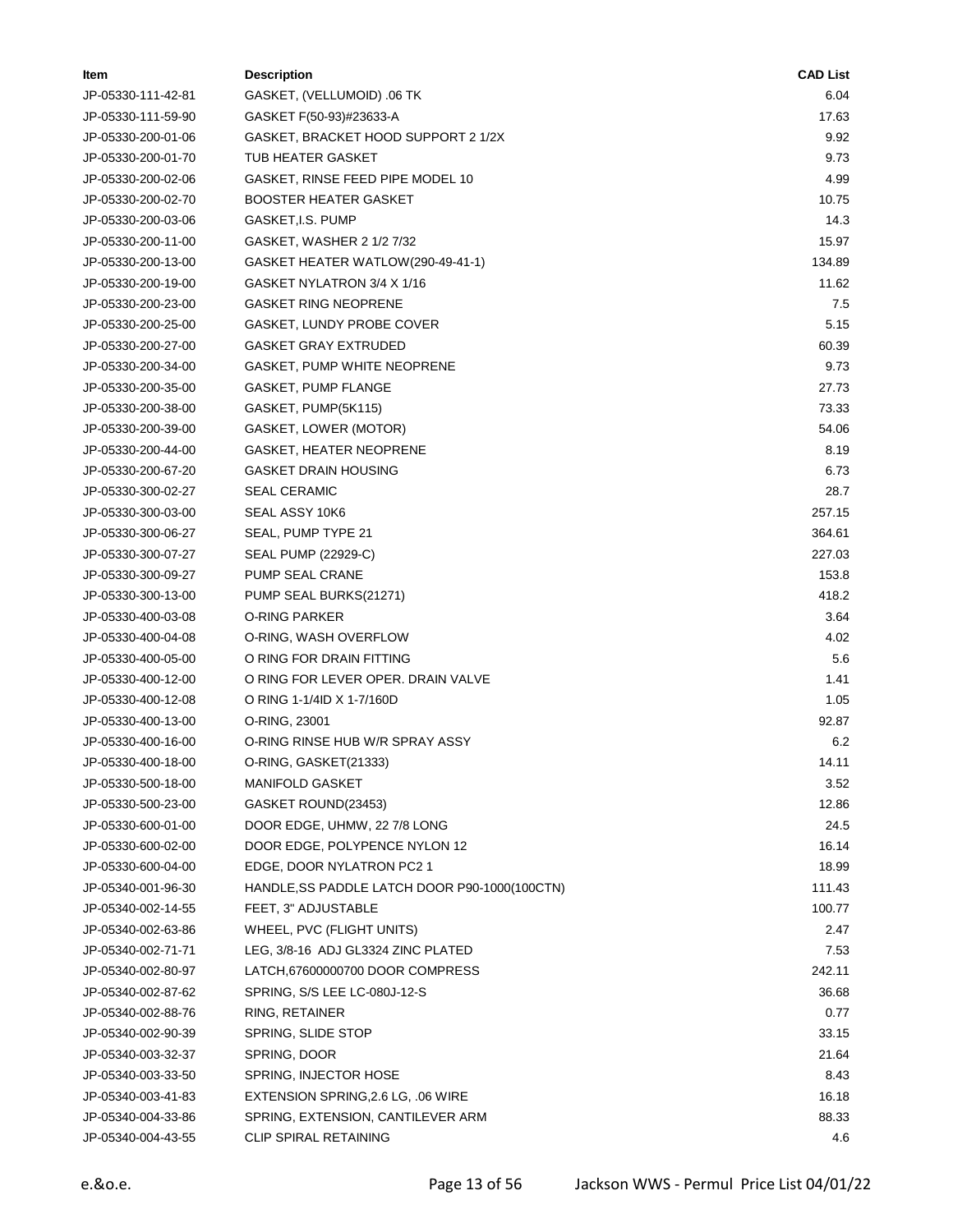| Item               | <b>Description</b>                            | <b>CAD List</b> |
|--------------------|-----------------------------------------------|-----------------|
| JP-05330-111-42-81 | GASKET, (VELLUMOID) .06 TK                    | 6.04            |
| JP-05330-111-59-90 | GASKET F(50-93)#23633-A                       | 17.63           |
| JP-05330-200-01-06 | GASKET, BRACKET HOOD SUPPORT 2 1/2X           | 9.92            |
| JP-05330-200-01-70 | TUB HEATER GASKET                             | 9.73            |
| JP-05330-200-02-06 | GASKET, RINSE FEED PIPE MODEL 10              | 4.99            |
| JP-05330-200-02-70 | <b>BOOSTER HEATER GASKET</b>                  | 10.75           |
| JP-05330-200-03-06 | GASKET, I.S. PUMP                             | 14.3            |
| JP-05330-200-11-00 | GASKET, WASHER 2 1/2 7/32                     | 15.97           |
| JP-05330-200-13-00 | GASKET HEATER WATLOW(290-49-41-1)             | 134.89          |
| JP-05330-200-19-00 | GASKET NYLATRON 3/4 X 1/16                    | 11.62           |
| JP-05330-200-23-00 | <b>GASKET RING NEOPRENE</b>                   | 7.5             |
| JP-05330-200-25-00 | GASKET, LUNDY PROBE COVER                     | 5.15            |
| JP-05330-200-27-00 | GASKET GRAY EXTRUDED                          | 60.39           |
| JP-05330-200-34-00 | GASKET, PUMP WHITE NEOPRENE                   | 9.73            |
| JP-05330-200-35-00 | GASKET, PUMP FLANGE                           | 27.73           |
| JP-05330-200-38-00 | GASKET, PUMP(5K115)                           | 73.33           |
| JP-05330-200-39-00 | GASKET, LOWER (MOTOR)                         | 54.06           |
| JP-05330-200-44-00 | GASKET, HEATER NEOPRENE                       | 8.19            |
| JP-05330-200-67-20 | GASKET DRAIN HOUSING                          | 6.73            |
| JP-05330-300-02-27 | <b>SEAL CERAMIC</b>                           | 28.7            |
| JP-05330-300-03-00 | SEAL ASSY 10K6                                | 257.15          |
| JP-05330-300-06-27 | SEAL, PUMP TYPE 21                            | 364.61          |
| JP-05330-300-07-27 | SEAL PUMP (22929-C)                           | 227.03          |
| JP-05330-300-09-27 | PUMP SEAL CRANE                               | 153.8           |
| JP-05330-300-13-00 | PUMP SEAL BURKS(21271)                        | 418.2           |
| JP-05330-400-03-08 | O-RING PARKER                                 | 3.64            |
| JP-05330-400-04-08 | O-RING, WASH OVERFLOW                         | 4.02            |
| JP-05330-400-05-00 | O RING FOR DRAIN FITTING                      | 5.6             |
| JP-05330-400-12-00 | O RING FOR LEVER OPER. DRAIN VALVE            | 1.41            |
| JP-05330-400-12-08 | O RING 1-1/4ID X 1-7/160D                     | 1.05            |
| JP-05330-400-13-00 | O-RING, 23001                                 | 92.87           |
| JP-05330-400-16-00 | O-RING RINSE HUB W/R SPRAY ASSY               | 6.2             |
| JP-05330-400-18-00 | O-RING, GASKET(21333)                         | 14.11           |
| JP-05330-500-18-00 | MANIFOLD GASKET                               | 3.52            |
| JP-05330-500-23-00 | GASKET ROUND(23453)                           | 12.86           |
| JP-05330-600-01-00 | DOOR EDGE, UHMW, 22 7/8 LONG                  | 24.5            |
| JP-05330-600-02-00 | DOOR EDGE, POLYPENCE NYLON 12                 | 16.14           |
| JP-05330-600-04-00 | EDGE, DOOR NYLATRON PC2 1                     | 18.99           |
| JP-05340-001-96-30 | HANDLE, SS PADDLE LATCH DOOR P90-1000(100CTN) | 111.43          |
| JP-05340-002-14-55 | FEET, 3" ADJUSTABLE                           | 100.77          |
| JP-05340-002-63-86 | WHEEL, PVC (FLIGHT UNITS)                     | 2.47            |
| JP-05340-002-71-71 | LEG, 3/8-16 ADJ GL3324 ZINC PLATED            | 7.53            |
| JP-05340-002-80-97 | LATCH,67600000700 DOOR COMPRESS               | 242.11          |
| JP-05340-002-87-62 | SPRING, S/S LEE LC-080J-12-S                  | 36.68           |
| JP-05340-002-88-76 | RING, RETAINER                                | 0.77            |
| JP-05340-002-90-39 | SPRING, SLIDE STOP                            | 33.15           |
| JP-05340-003-32-37 | SPRING, DOOR                                  | 21.64           |
| JP-05340-003-33-50 | SPRING, INJECTOR HOSE                         | 8.43            |
| JP-05340-003-41-83 | EXTENSION SPRING, 2.6 LG, .06 WIRE            | 16.18           |
| JP-05340-004-33-86 | SPRING, EXTENSION, CANTILEVER ARM             | 88.33           |
| JP-05340-004-43-55 | CLIP SPIRAL RETAINING                         | 4.6             |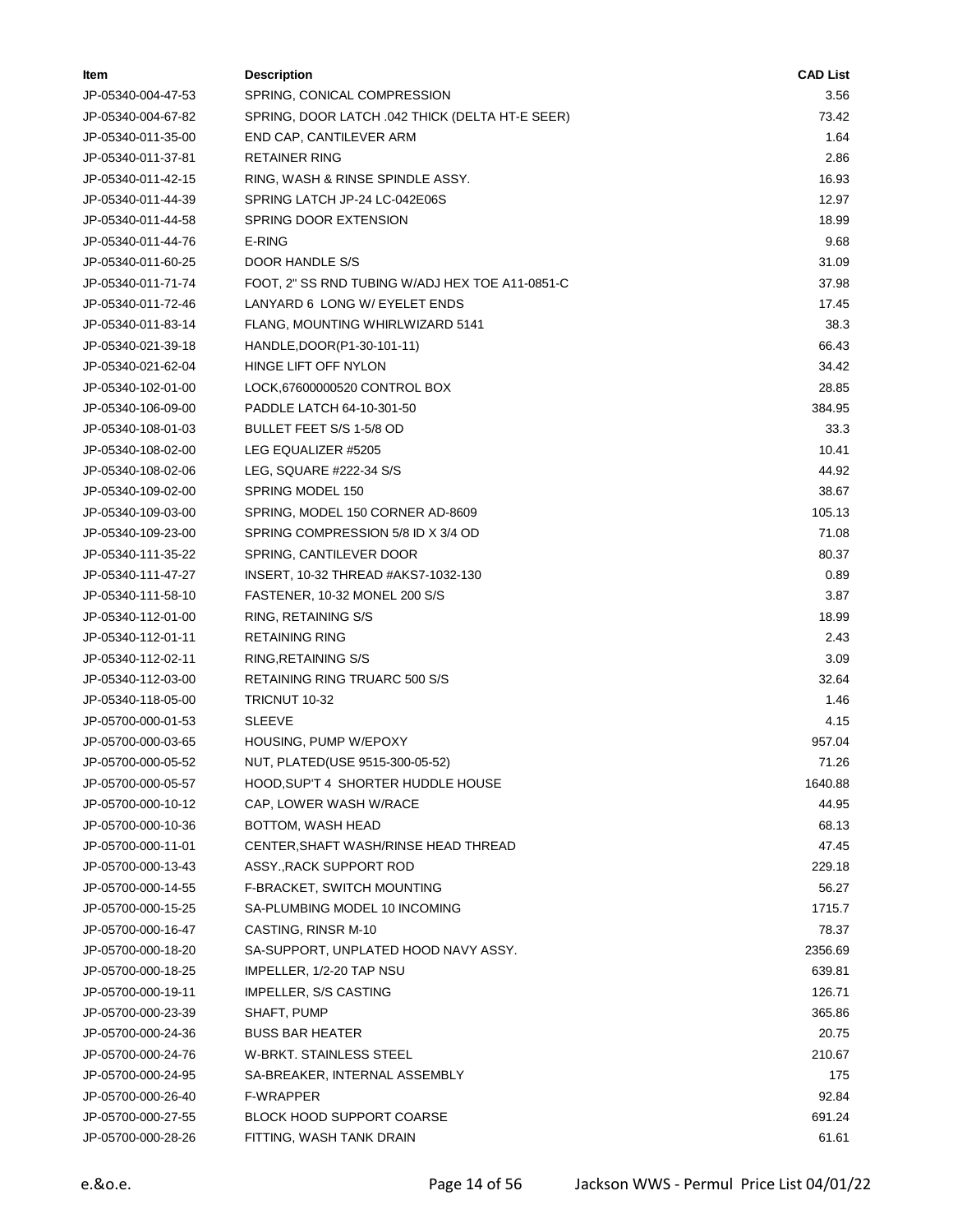| ltem               | <b>Description</b>                              | <b>CAD List</b> |
|--------------------|-------------------------------------------------|-----------------|
| JP-05340-004-47-53 | SPRING, CONICAL COMPRESSION                     | 3.56            |
| JP-05340-004-67-82 | SPRING, DOOR LATCH .042 THICK (DELTA HT-E SEER) | 73.42           |
| JP-05340-011-35-00 | END CAP, CANTILEVER ARM                         | 1.64            |
| JP-05340-011-37-81 | <b>RETAINER RING</b>                            | 2.86            |
| JP-05340-011-42-15 | RING, WASH & RINSE SPINDLE ASSY.                | 16.93           |
| JP-05340-011-44-39 | SPRING LATCH JP-24 LC-042E06S                   | 12.97           |
| JP-05340-011-44-58 | SPRING DOOR EXTENSION                           | 18.99           |
| JP-05340-011-44-76 | E-RING                                          | 9.68            |
| JP-05340-011-60-25 | DOOR HANDLE S/S                                 | 31.09           |
| JP-05340-011-71-74 | FOOT, 2" SS RND TUBING W/ADJ HEX TOE A11-0851-C | 37.98           |
| JP-05340-011-72-46 | LANYARD 6 LONG W/ EYELET ENDS                   | 17.45           |
| JP-05340-011-83-14 | FLANG, MOUNTING WHIRLWIZARD 5141                | 38.3            |
| JP-05340-021-39-18 | HANDLE, DOOR(P1-30-101-11)                      | 66.43           |
| JP-05340-021-62-04 | HINGE LIFT OFF NYLON                            | 34.42           |
| JP-05340-102-01-00 | LOCK,67600000520 CONTROL BOX                    | 28.85           |
| JP-05340-106-09-00 | PADDLE LATCH 64-10-301-50                       | 384.95          |
| JP-05340-108-01-03 | BULLET FEET S/S 1-5/8 OD                        | 33.3            |
| JP-05340-108-02-00 | LEG EQUALIZER #5205                             | 10.41           |
| JP-05340-108-02-06 | LEG, SQUARE #222-34 S/S                         | 44.92           |
| JP-05340-109-02-00 | SPRING MODEL 150                                | 38.67           |
| JP-05340-109-03-00 | SPRING, MODEL 150 CORNER AD-8609                | 105.13          |
| JP-05340-109-23-00 | SPRING COMPRESSION 5/8 ID X 3/4 OD              | 71.08           |
| JP-05340-111-35-22 | SPRING, CANTILEVER DOOR                         | 80.37           |
| JP-05340-111-47-27 | INSERT, 10-32 THREAD #AKS7-1032-130             | 0.89            |
| JP-05340-111-58-10 | FASTENER, 10-32 MONEL 200 S/S                   | 3.87            |
| JP-05340-112-01-00 | RING, RETAINING S/S                             | 18.99           |
| JP-05340-112-01-11 | <b>RETAINING RING</b>                           | 2.43            |
| JP-05340-112-02-11 | RING, RETAINING S/S                             | 3.09            |
| JP-05340-112-03-00 | RETAINING RING TRUARC 500 S/S                   | 32.64           |
| JP-05340-118-05-00 | TRICNUT 10-32                                   | 1.46            |
| JP-05700-000-01-53 | <b>SLEEVE</b>                                   | 4.15            |
| JP-05700-000-03-65 | HOUSING, PUMP W/EPOXY                           | 957.04          |
| JP-05700-000-05-52 | NUT, PLATED(USE 9515-300-05-52)                 | 71.26           |
| JP-05700-000-05-57 | HOOD, SUP'T 4 SHORTER HUDDLE HOUSE              | 1640.88         |
| JP-05700-000-10-12 | CAP, LOWER WASH W/RACE                          | 44.95           |
| JP-05700-000-10-36 | BOTTOM, WASH HEAD                               | 68.13           |
| JP-05700-000-11-01 | CENTER, SHAFT WASH/RINSE HEAD THREAD            | 47.45           |
| JP-05700-000-13-43 | ASSY., RACK SUPPORT ROD                         | 229.18          |
| JP-05700-000-14-55 | F-BRACKET, SWITCH MOUNTING                      | 56.27           |
| JP-05700-000-15-25 | SA-PLUMBING MODEL 10 INCOMING                   | 1715.7          |
| JP-05700-000-16-47 | CASTING, RINSR M-10                             | 78.37           |
| JP-05700-000-18-20 | SA-SUPPORT, UNPLATED HOOD NAVY ASSY.            | 2356.69         |
| JP-05700-000-18-25 | IMPELLER, 1/2-20 TAP NSU                        | 639.81          |
| JP-05700-000-19-11 | <b>IMPELLER, S/S CASTING</b>                    | 126.71          |
| JP-05700-000-23-39 | SHAFT, PUMP                                     | 365.86          |
| JP-05700-000-24-36 | <b>BUSS BAR HEATER</b>                          | 20.75           |
| JP-05700-000-24-76 | W-BRKT. STAINLESS STEEL                         | 210.67          |
| JP-05700-000-24-95 | SA-BREAKER, INTERNAL ASSEMBLY                   | 175             |
| JP-05700-000-26-40 | F-WRAPPER                                       | 92.84           |
| JP-05700-000-27-55 | <b>BLOCK HOOD SUPPORT COARSE</b>                | 691.24          |
| JP-05700-000-28-26 | FITTING, WASH TANK DRAIN                        | 61.61           |
|                    |                                                 |                 |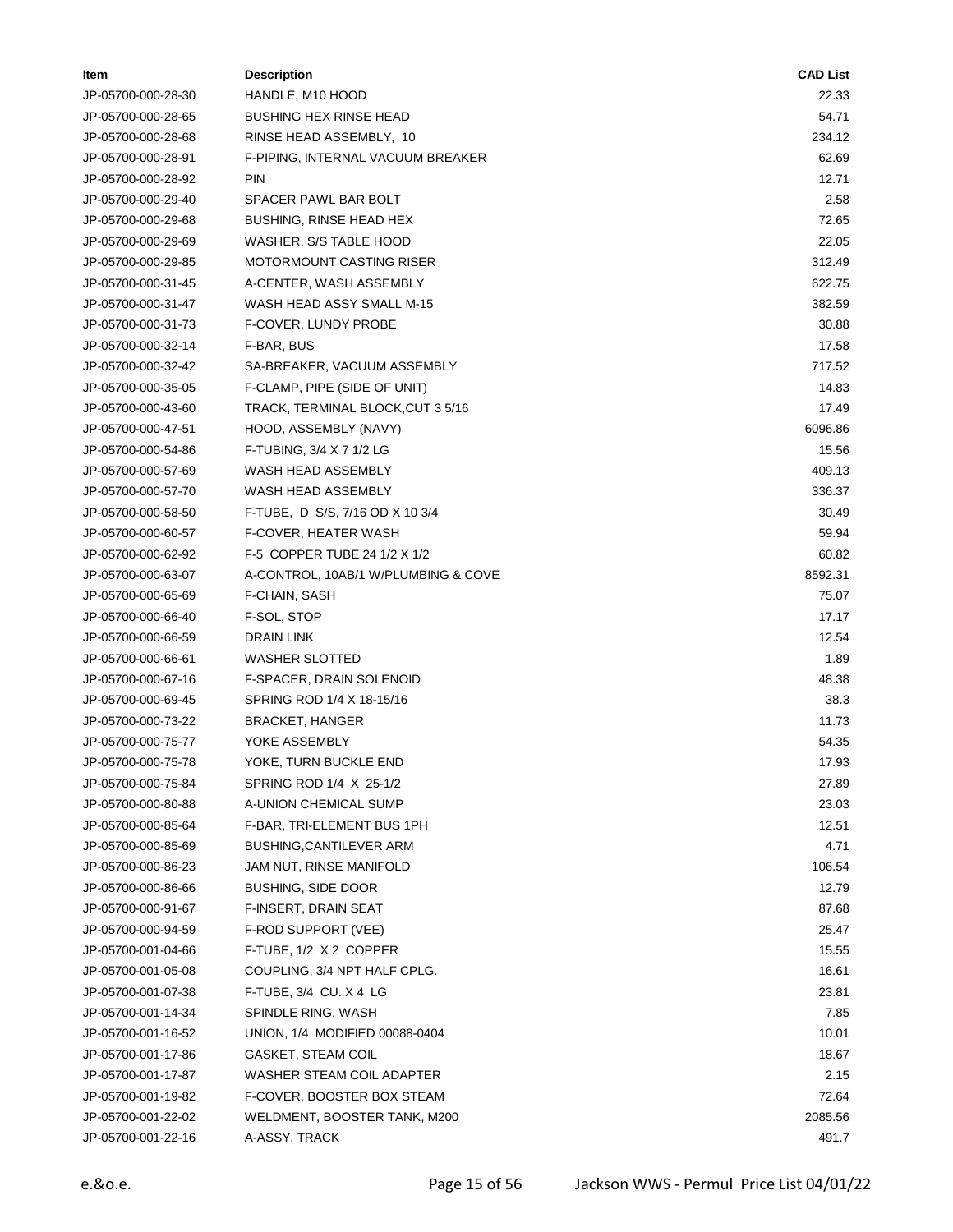| ltem               | <b>Description</b>                  | <b>CAD List</b> |
|--------------------|-------------------------------------|-----------------|
| JP-05700-000-28-30 | HANDLE, M10 HOOD                    | 22.33           |
| JP-05700-000-28-65 | <b>BUSHING HEX RINSE HEAD</b>       | 54.71           |
| JP-05700-000-28-68 | RINSE HEAD ASSEMBLY, 10             | 234.12          |
| JP-05700-000-28-91 | F-PIPING, INTERNAL VACUUM BREAKER   | 62.69           |
| JP-05700-000-28-92 | <b>PIN</b>                          | 12.71           |
| JP-05700-000-29-40 | SPACER PAWL BAR BOLT                | 2.58            |
| JP-05700-000-29-68 | BUSHING, RINSE HEAD HEX             | 72.65           |
| JP-05700-000-29-69 | WASHER, S/S TABLE HOOD              | 22.05           |
| JP-05700-000-29-85 | MOTORMOUNT CASTING RISER            | 312.49          |
| JP-05700-000-31-45 | A-CENTER, WASH ASSEMBLY             | 622.75          |
| JP-05700-000-31-47 | WASH HEAD ASSY SMALL M-15           | 382.59          |
| JP-05700-000-31-73 | F-COVER, LUNDY PROBE                | 30.88           |
| JP-05700-000-32-14 | F-BAR, BUS                          | 17.58           |
| JP-05700-000-32-42 | SA-BREAKER, VACUUM ASSEMBLY         | 717.52          |
| JP-05700-000-35-05 | F-CLAMP, PIPE (SIDE OF UNIT)        | 14.83           |
| JP-05700-000-43-60 | TRACK, TERMINAL BLOCK, CUT 3 5/16   | 17.49           |
| JP-05700-000-47-51 | HOOD, ASSEMBLY (NAVY)               | 6096.86         |
| JP-05700-000-54-86 | F-TUBING, 3/4 X 7 1/2 LG            | 15.56           |
| JP-05700-000-57-69 | WASH HEAD ASSEMBLY                  | 409.13          |
| JP-05700-000-57-70 | WASH HEAD ASSEMBLY                  | 336.37          |
| JP-05700-000-58-50 | F-TUBE, D S/S, 7/16 OD X 10 3/4     | 30.49           |
| JP-05700-000-60-57 | F-COVER, HEATER WASH                | 59.94           |
| JP-05700-000-62-92 | F-5 COPPER TUBE 24 1/2 X 1/2        | 60.82           |
| JP-05700-000-63-07 | A-CONTROL, 10AB/1 W/PLUMBING & COVE | 8592.31         |
| JP-05700-000-65-69 | F-CHAIN, SASH                       | 75.07           |
| JP-05700-000-66-40 | F-SOL, STOP                         | 17.17           |
| JP-05700-000-66-59 | DRAIN LINK                          | 12.54           |
| JP-05700-000-66-61 | WASHER SLOTTED                      | 1.89            |
| JP-05700-000-67-16 | F-SPACER, DRAIN SOLENOID            | 48.38           |
| JP-05700-000-69-45 | SPRING ROD 1/4 X 18-15/16           | 38.3            |
| JP-05700-000-73-22 | <b>BRACKET, HANGER</b>              | 11.73           |
| JP-05700-000-75-77 | YOKE ASSEMBLY                       | 54.35           |
| JP-05700-000-75-78 | YOKE, TURN BUCKLE END               | 17.93           |
| JP-05700-000-75-84 | SPRING ROD 1/4 X 25-1/2             | 27.89           |
| JP-05700-000-80-88 | A-UNION CHEMICAL SUMP               | 23.03           |
| JP-05700-000-85-64 | F-BAR, TRI-ELEMENT BUS 1PH          | 12.51           |
| JP-05700-000-85-69 | BUSHING, CANTILEVER ARM             | 4.71            |
| JP-05700-000-86-23 | JAM NUT, RINSE MANIFOLD             | 106.54          |
| JP-05700-000-86-66 | <b>BUSHING, SIDE DOOR</b>           | 12.79           |
| JP-05700-000-91-67 | F-INSERT, DRAIN SEAT                | 87.68           |
| JP-05700-000-94-59 | F-ROD SUPPORT (VEE)                 | 25.47           |
| JP-05700-001-04-66 | F-TUBE, 1/2 X 2 COPPER              | 15.55           |
| JP-05700-001-05-08 | COUPLING, 3/4 NPT HALF CPLG.        | 16.61           |
| JP-05700-001-07-38 | F-TUBE, 3/4 CU. X 4 LG              | 23.81           |
| JP-05700-001-14-34 | SPINDLE RING, WASH                  | 7.85            |
| JP-05700-001-16-52 | UNION, 1/4 MODIFIED 00088-0404      | 10.01           |
| JP-05700-001-17-86 | <b>GASKET, STEAM COIL</b>           | 18.67           |
| JP-05700-001-17-87 | WASHER STEAM COIL ADAPTER           | 2.15            |
| JP-05700-001-19-82 | F-COVER, BOOSTER BOX STEAM          | 72.64           |
| JP-05700-001-22-02 | WELDMENT, BOOSTER TANK, M200        | 2085.56         |
| JP-05700-001-22-16 | A-ASSY. TRACK                       | 491.7           |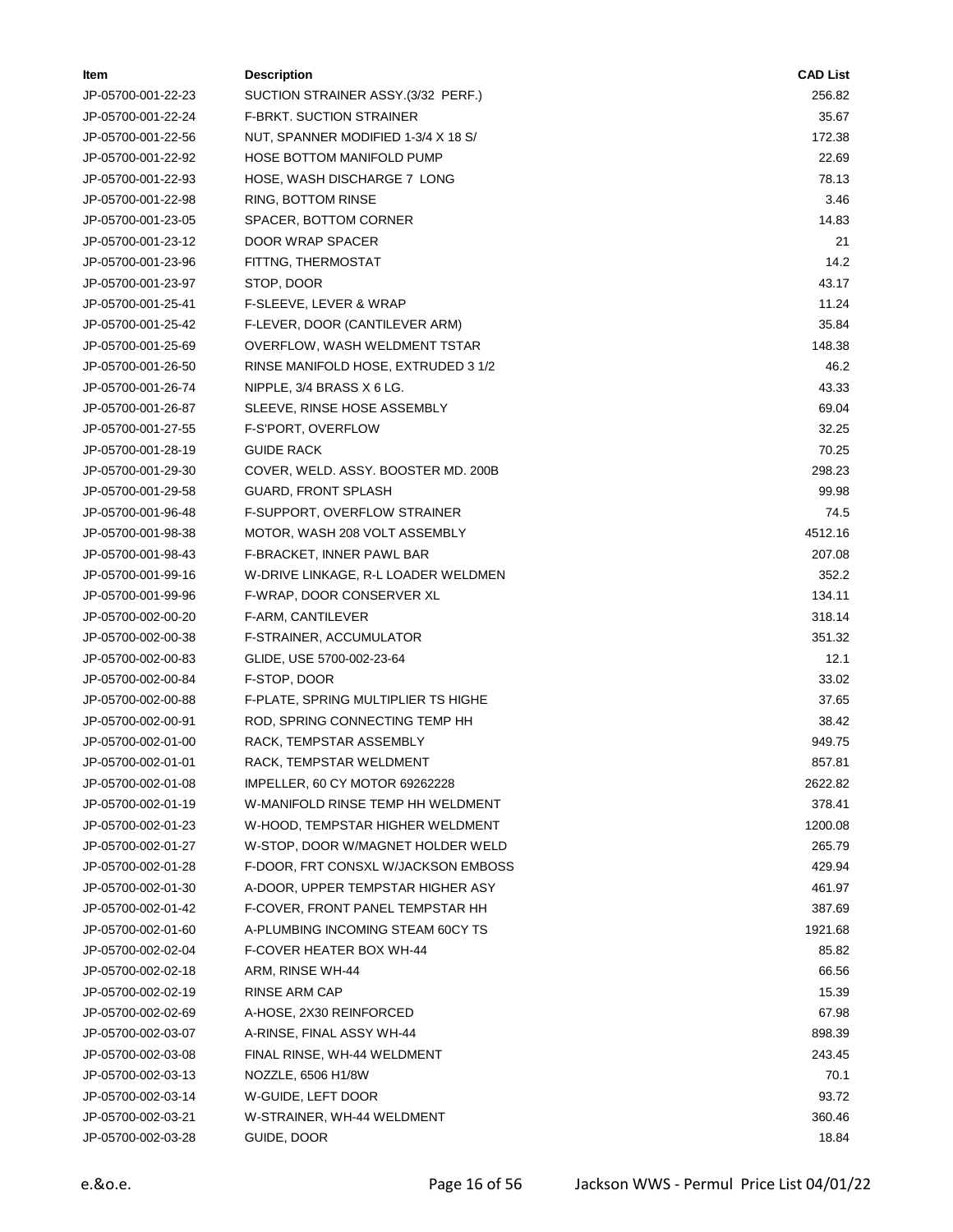| Item               | <b>Description</b>                  | <b>CAD List</b> |
|--------------------|-------------------------------------|-----------------|
| JP-05700-001-22-23 | SUCTION STRAINER ASSY.(3/32 PERF.)  | 256.82          |
| JP-05700-001-22-24 | F-BRKT. SUCTION STRAINER            | 35.67           |
| JP-05700-001-22-56 | NUT, SPANNER MODIFIED 1-3/4 X 18 S/ | 172.38          |
| JP-05700-001-22-92 | <b>HOSE BOTTOM MANIFOLD PUMP</b>    | 22.69           |
| JP-05700-001-22-93 | HOSE, WASH DISCHARGE 7 LONG         | 78.13           |
| JP-05700-001-22-98 | RING, BOTTOM RINSE                  | 3.46            |
| JP-05700-001-23-05 | SPACER, BOTTOM CORNER               | 14.83           |
| JP-05700-001-23-12 | DOOR WRAP SPACER                    | 21              |
| JP-05700-001-23-96 | FITTNG, THERMOSTAT                  | 14.2            |
| JP-05700-001-23-97 | STOP, DOOR                          | 43.17           |
| JP-05700-001-25-41 | F-SLEEVE, LEVER & WRAP              | 11.24           |
| JP-05700-001-25-42 | F-LEVER, DOOR (CANTILEVER ARM)      | 35.84           |
| JP-05700-001-25-69 | OVERFLOW, WASH WELDMENT TSTAR       | 148.38          |
| JP-05700-001-26-50 | RINSE MANIFOLD HOSE, EXTRUDED 3 1/2 | 46.2            |
| JP-05700-001-26-74 | NIPPLE, 3/4 BRASS X 6 LG.           | 43.33           |
| JP-05700-001-26-87 | SLEEVE, RINSE HOSE ASSEMBLY         | 69.04           |
| JP-05700-001-27-55 | F-S'PORT, OVERFLOW                  | 32.25           |
| JP-05700-001-28-19 | <b>GUIDE RACK</b>                   | 70.25           |
| JP-05700-001-29-30 | COVER, WELD. ASSY. BOOSTER MD. 200B | 298.23          |
| JP-05700-001-29-58 | <b>GUARD, FRONT SPLASH</b>          | 99.98           |
| JP-05700-001-96-48 | F-SUPPORT, OVERFLOW STRAINER        | 74.5            |
| JP-05700-001-98-38 | MOTOR, WASH 208 VOLT ASSEMBLY       | 4512.16         |
| JP-05700-001-98-43 | F-BRACKET, INNER PAWL BAR           | 207.08          |
| JP-05700-001-99-16 | W-DRIVE LINKAGE, R-L LOADER WELDMEN | 352.2           |
| JP-05700-001-99-96 | F-WRAP, DOOR CONSERVER XL           | 134.11          |
| JP-05700-002-00-20 | F-ARM, CANTILEVER                   | 318.14          |
| JP-05700-002-00-38 | F-STRAINER, ACCUMULATOR             | 351.32          |
| JP-05700-002-00-83 | GLIDE, USE 5700-002-23-64           | 12.1            |
| JP-05700-002-00-84 | F-STOP, DOOR                        | 33.02           |
| JP-05700-002-00-88 | F-PLATE, SPRING MULTIPLIER TS HIGHE | 37.65           |
| JP-05700-002-00-91 | ROD, SPRING CONNECTING TEMP HH      | 38.42           |
| JP-05700-002-01-00 | RACK, TEMPSTAR ASSEMBLY             | 949.75          |
| JP-05700-002-01-01 | RACK, TEMPSTAR WELDMENT             | 857.81          |
| JP-05700-002-01-08 | IMPELLER, 60 CY MOTOR 69262228      | 2622.82         |
| JP-05700-002-01-19 | W-MANIFOLD RINSE TEMP HH WELDMENT   | 378.41          |
| JP-05700-002-01-23 | W-HOOD, TEMPSTAR HIGHER WELDMENT    | 1200.08         |
| JP-05700-002-01-27 | W-STOP, DOOR W/MAGNET HOLDER WELD   | 265.79          |
| JP-05700-002-01-28 | F-DOOR, FRT CONSXL W/JACKSON EMBOSS | 429.94          |
| JP-05700-002-01-30 | A-DOOR, UPPER TEMPSTAR HIGHER ASY   | 461.97          |
| JP-05700-002-01-42 | F-COVER, FRONT PANEL TEMPSTAR HH    | 387.69          |
| JP-05700-002-01-60 | A-PLUMBING INCOMING STEAM 60CY TS   | 1921.68         |
| JP-05700-002-02-04 | F-COVER HEATER BOX WH-44            | 85.82           |
| JP-05700-002-02-18 | ARM, RINSE WH-44                    | 66.56           |
| JP-05700-002-02-19 | RINSE ARM CAP                       | 15.39           |
| JP-05700-002-02-69 | A-HOSE, 2X30 REINFORCED             | 67.98           |
| JP-05700-002-03-07 | A-RINSE, FINAL ASSY WH-44           | 898.39          |
| JP-05700-002-03-08 | FINAL RINSE, WH-44 WELDMENT         | 243.45          |
| JP-05700-002-03-13 | NOZZLE, 6506 H1/8W                  | 70.1            |
| JP-05700-002-03-14 | W-GUIDE, LEFT DOOR                  | 93.72           |
| JP-05700-002-03-21 | W-STRAINER, WH-44 WELDMENT          | 360.46          |
| JP-05700-002-03-28 | GUIDE, DOOR                         | 18.84           |
|                    |                                     |                 |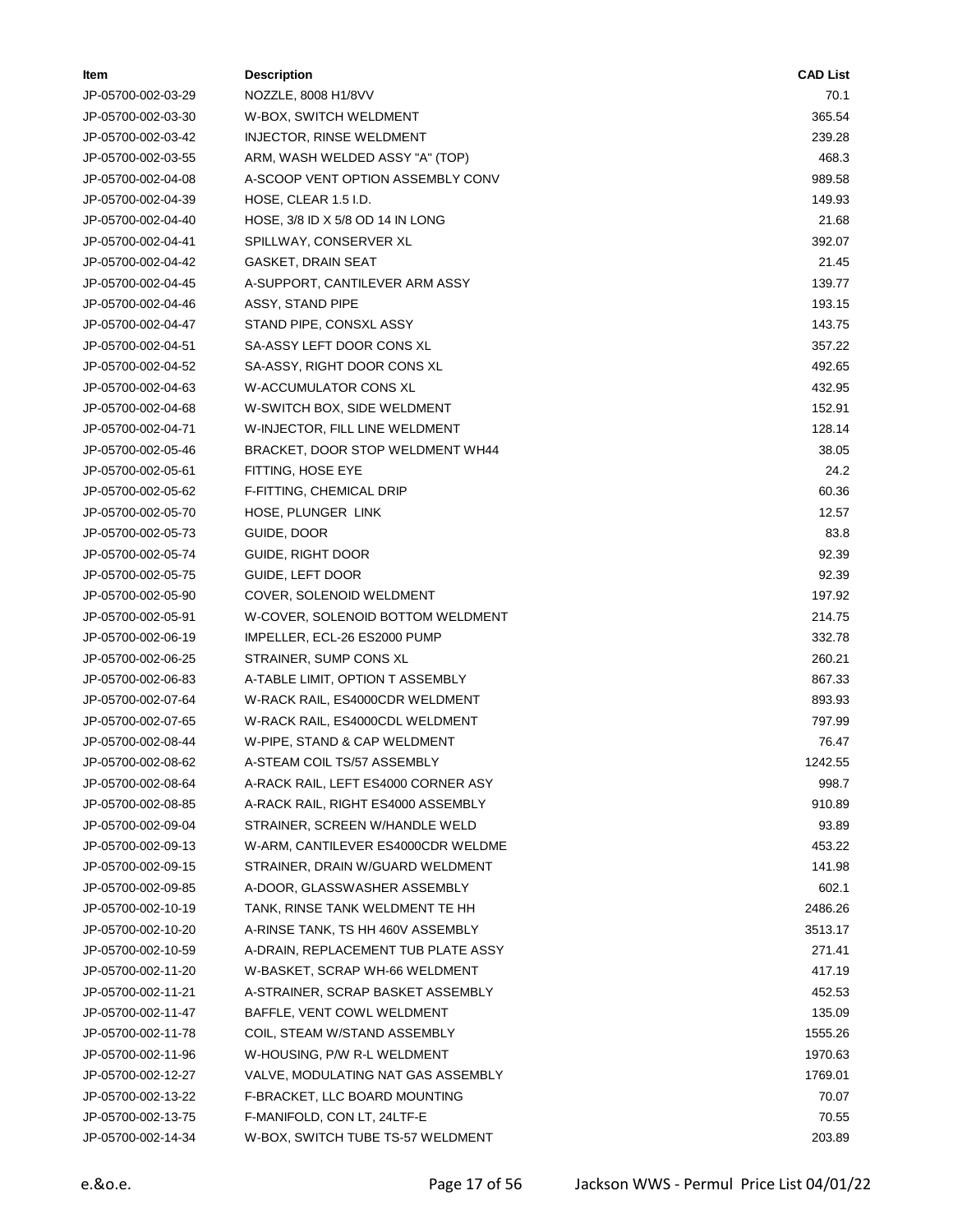| ltem               | <b>Description</b>                  | <b>CAD List</b> |
|--------------------|-------------------------------------|-----------------|
| JP-05700-002-03-29 | NOZZLE, 8008 H1/8VV                 | 70.1            |
| JP-05700-002-03-30 | W-BOX, SWITCH WELDMENT              | 365.54          |
| JP-05700-002-03-42 | INJECTOR, RINSE WELDMENT            | 239.28          |
| JP-05700-002-03-55 | ARM, WASH WELDED ASSY "A" (TOP)     | 468.3           |
| JP-05700-002-04-08 | A-SCOOP VENT OPTION ASSEMBLY CONV   | 989.58          |
| JP-05700-002-04-39 | HOSE, CLEAR 1.5 I.D.                | 149.93          |
| JP-05700-002-04-40 | HOSE, 3/8 ID X 5/8 OD 14 IN LONG    | 21.68           |
| JP-05700-002-04-41 | SPILLWAY, CONSERVER XL              | 392.07          |
| JP-05700-002-04-42 | GASKET, DRAIN SEAT                  | 21.45           |
| JP-05700-002-04-45 | A-SUPPORT, CANTILEVER ARM ASSY      | 139.77          |
| JP-05700-002-04-46 | ASSY, STAND PIPE                    | 193.15          |
| JP-05700-002-04-47 | STAND PIPE, CONSXL ASSY             | 143.75          |
| JP-05700-002-04-51 | SA-ASSY LEFT DOOR CONS XL           | 357.22          |
| JP-05700-002-04-52 | SA-ASSY, RIGHT DOOR CONS XL         | 492.65          |
| JP-05700-002-04-63 | W-ACCUMULATOR CONS XL               | 432.95          |
| JP-05700-002-04-68 | W-SWITCH BOX, SIDE WELDMENT         | 152.91          |
| JP-05700-002-04-71 | W-INJECTOR, FILL LINE WELDMENT      | 128.14          |
| JP-05700-002-05-46 | BRACKET, DOOR STOP WELDMENT WH44    | 38.05           |
| JP-05700-002-05-61 | FITTING, HOSE EYE                   | 24.2            |
| JP-05700-002-05-62 | F-FITTING, CHEMICAL DRIP            | 60.36           |
| JP-05700-002-05-70 | HOSE, PLUNGER LINK                  | 12.57           |
| JP-05700-002-05-73 | GUIDE, DOOR                         | 83.8            |
| JP-05700-002-05-74 | GUIDE, RIGHT DOOR                   | 92.39           |
| JP-05700-002-05-75 | GUIDE, LEFT DOOR                    | 92.39           |
| JP-05700-002-05-90 | COVER, SOLENOID WELDMENT            | 197.92          |
| JP-05700-002-05-91 | W-COVER, SOLENOID BOTTOM WELDMENT   | 214.75          |
| JP-05700-002-06-19 | IMPELLER, ECL-26 ES2000 PUMP        | 332.78          |
| JP-05700-002-06-25 | STRAINER, SUMP CONS XL              | 260.21          |
| JP-05700-002-06-83 | A-TABLE LIMIT, OPTION T ASSEMBLY    | 867.33          |
| JP-05700-002-07-64 | W-RACK RAIL, ES4000CDR WELDMENT     | 893.93          |
| JP-05700-002-07-65 | W-RACK RAIL, ES4000CDL WELDMENT     | 797.99          |
| JP-05700-002-08-44 | W-PIPE, STAND & CAP WELDMENT        | 76.47           |
| JP-05700-002-08-62 | A-STEAM COIL TS/57 ASSEMBLY         | 1242.55         |
| JP-05700-002-08-64 | A-RACK RAIL, LEFT ES4000 CORNER ASY | 998.7           |
| JP-05700-002-08-85 | A-RACK RAIL, RIGHT ES4000 ASSEMBLY  | 910.89          |
| JP-05700-002-09-04 | STRAINER, SCREEN W/HANDLE WELD      | 93.89           |
| JP-05700-002-09-13 | W-ARM, CANTILEVER ES4000CDR WELDME  | 453.22          |
| JP-05700-002-09-15 | STRAINER, DRAIN W/GUARD WELDMENT    | 141.98          |
| JP-05700-002-09-85 | A-DOOR, GLASSWASHER ASSEMBLY        | 602.1           |
| JP-05700-002-10-19 | TANK, RINSE TANK WELDMENT TE HH     | 2486.26         |
| JP-05700-002-10-20 | A-RINSE TANK, TS HH 460V ASSEMBLY   | 3513.17         |
| JP-05700-002-10-59 | A-DRAIN, REPLACEMENT TUB PLATE ASSY | 271.41          |
| JP-05700-002-11-20 | W-BASKET, SCRAP WH-66 WELDMENT      | 417.19          |
| JP-05700-002-11-21 | A-STRAINER, SCRAP BASKET ASSEMBLY   | 452.53          |
| JP-05700-002-11-47 | BAFFLE, VENT COWL WELDMENT          | 135.09          |
| JP-05700-002-11-78 | COIL, STEAM W/STAND ASSEMBLY        | 1555.26         |
| JP-05700-002-11-96 | W-HOUSING, P/W R-L WELDMENT         | 1970.63         |
| JP-05700-002-12-27 | VALVE, MODULATING NAT GAS ASSEMBLY  | 1769.01         |
| JP-05700-002-13-22 | F-BRACKET, LLC BOARD MOUNTING       | 70.07           |
| JP-05700-002-13-75 | F-MANIFOLD, CON LT, 24LTF-E         | 70.55           |
| JP-05700-002-14-34 | W-BOX, SWITCH TUBE TS-57 WELDMENT   | 203.89          |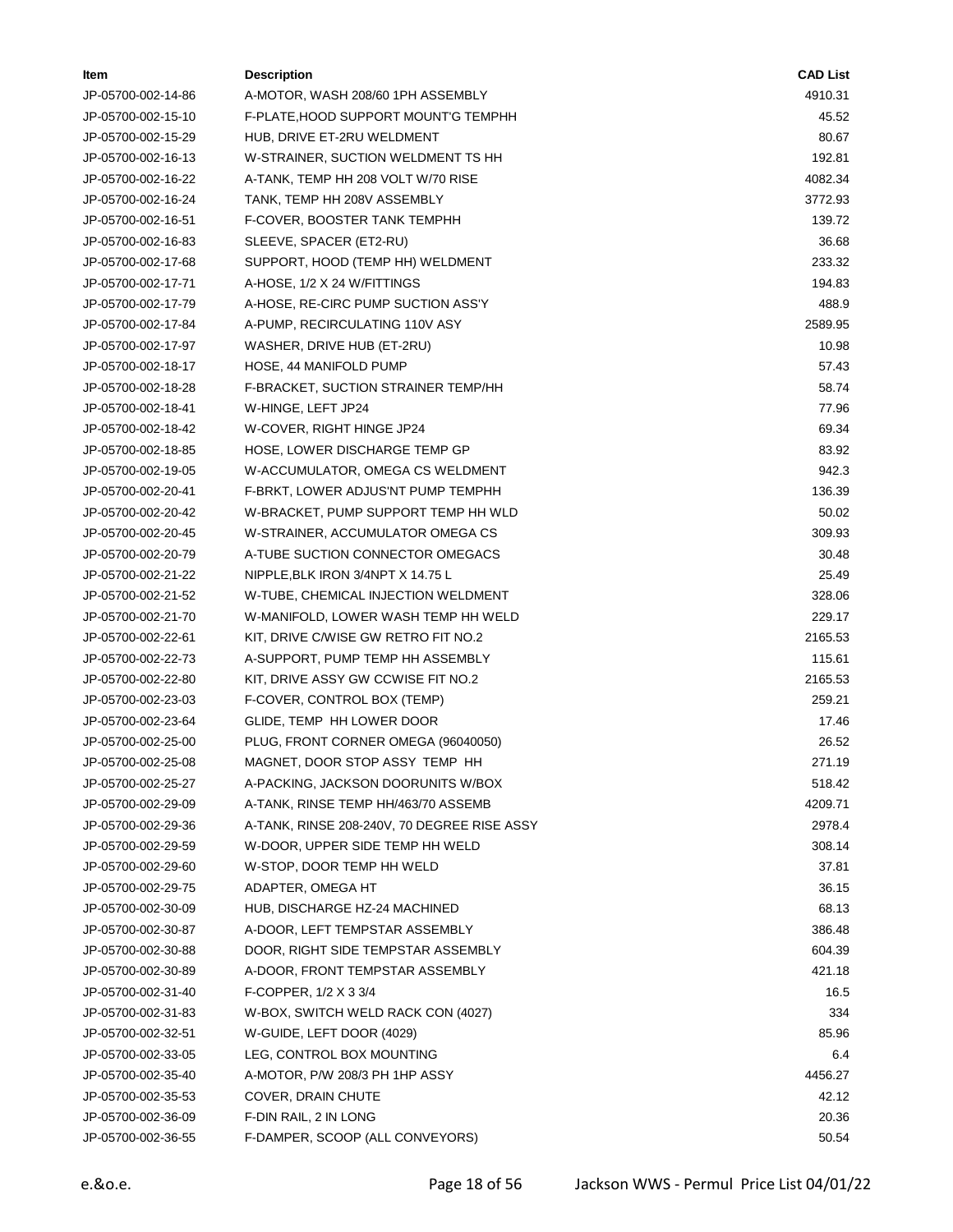| ltem               | <b>Description</b>                          | <b>CAD List</b> |
|--------------------|---------------------------------------------|-----------------|
| JP-05700-002-14-86 | A-MOTOR, WASH 208/60 1PH ASSEMBLY           | 4910.31         |
| JP-05700-002-15-10 | F-PLATE, HOOD SUPPORT MOUNT'G TEMPHH        | 45.52           |
| JP-05700-002-15-29 | HUB, DRIVE ET-2RU WELDMENT                  | 80.67           |
| JP-05700-002-16-13 | W-STRAINER, SUCTION WELDMENT TS HH          | 192.81          |
| JP-05700-002-16-22 | A-TANK, TEMP HH 208 VOLT W/70 RISE          | 4082.34         |
| JP-05700-002-16-24 | TANK, TEMP HH 208V ASSEMBLY                 | 3772.93         |
| JP-05700-002-16-51 | F-COVER, BOOSTER TANK TEMPHH                | 139.72          |
| JP-05700-002-16-83 | SLEEVE, SPACER (ET2-RU)                     | 36.68           |
| JP-05700-002-17-68 | SUPPORT, HOOD (TEMP HH) WELDMENT            | 233.32          |
| JP-05700-002-17-71 | A-HOSE, 1/2 X 24 W/FITTINGS                 | 194.83          |
| JP-05700-002-17-79 | A-HOSE, RE-CIRC PUMP SUCTION ASS'Y          | 488.9           |
| JP-05700-002-17-84 | A-PUMP, RECIRCULATING 110V ASY              | 2589.95         |
| JP-05700-002-17-97 | WASHER, DRIVE HUB (ET-2RU)                  | 10.98           |
| JP-05700-002-18-17 | HOSE, 44 MANIFOLD PUMP                      | 57.43           |
| JP-05700-002-18-28 | F-BRACKET, SUCTION STRAINER TEMP/HH         | 58.74           |
| JP-05700-002-18-41 | W-HINGE, LEFT JP24                          | 77.96           |
| JP-05700-002-18-42 | W-COVER, RIGHT HINGE JP24                   | 69.34           |
| JP-05700-002-18-85 | HOSE, LOWER DISCHARGE TEMP GP               | 83.92           |
| JP-05700-002-19-05 | W-ACCUMULATOR, OMEGA CS WELDMENT            | 942.3           |
| JP-05700-002-20-41 | F-BRKT, LOWER ADJUS'NT PUMP TEMPHH          | 136.39          |
| JP-05700-002-20-42 | W-BRACKET, PUMP SUPPORT TEMP HH WLD         | 50.02           |
| JP-05700-002-20-45 | W-STRAINER, ACCUMULATOR OMEGA CS            | 309.93          |
| JP-05700-002-20-79 | A-TUBE SUCTION CONNECTOR OMEGACS            | 30.48           |
| JP-05700-002-21-22 | NIPPLE, BLK IRON 3/4NPT X 14.75 L           | 25.49           |
| JP-05700-002-21-52 | W-TUBE, CHEMICAL INJECTION WELDMENT         | 328.06          |
| JP-05700-002-21-70 | W-MANIFOLD, LOWER WASH TEMP HH WELD         | 229.17          |
| JP-05700-002-22-61 | KIT, DRIVE C/WISE GW RETRO FIT NO.2         | 2165.53         |
| JP-05700-002-22-73 | A-SUPPORT, PUMP TEMP HH ASSEMBLY            | 115.61          |
| JP-05700-002-22-80 | KIT, DRIVE ASSY GW CCWISE FIT NO.2          | 2165.53         |
| JP-05700-002-23-03 | F-COVER, CONTROL BOX (TEMP)                 | 259.21          |
| JP-05700-002-23-64 | GLIDE, TEMP HH LOWER DOOR                   | 17.46           |
| JP-05700-002-25-00 | PLUG, FRONT CORNER OMEGA (96040050)         | 26.52           |
| JP-05700-002-25-08 | MAGNET, DOOR STOP ASSY TEMP HH              | 271.19          |
| JP-05700-002-25-27 | A-PACKING, JACKSON DOORUNITS W/BOX          | 518.42          |
| JP-05700-002-29-09 | A-TANK, RINSE TEMP HH/463/70 ASSEMB         | 4209.71         |
| JP-05700-002-29-36 | A-TANK, RINSE 208-240V, 70 DEGREE RISE ASSY | 2978.4          |
| JP-05700-002-29-59 | W-DOOR, UPPER SIDE TEMP HH WELD             | 308.14          |
| JP-05700-002-29-60 | W-STOP, DOOR TEMP HH WELD                   | 37.81           |
| JP-05700-002-29-75 | ADAPTER, OMEGA HT                           | 36.15           |
| JP-05700-002-30-09 | HUB, DISCHARGE HZ-24 MACHINED               | 68.13           |
| JP-05700-002-30-87 | A-DOOR, LEFT TEMPSTAR ASSEMBLY              | 386.48          |
| JP-05700-002-30-88 | DOOR, RIGHT SIDE TEMPSTAR ASSEMBLY          | 604.39          |
| JP-05700-002-30-89 | A-DOOR, FRONT TEMPSTAR ASSEMBLY             | 421.18          |
| JP-05700-002-31-40 | F-COPPER, 1/2 X 3 3/4                       | 16.5            |
| JP-05700-002-31-83 | W-BOX, SWITCH WELD RACK CON (4027)          | 334             |
| JP-05700-002-32-51 | W-GUIDE, LEFT DOOR (4029)                   | 85.96           |
| JP-05700-002-33-05 | LEG, CONTROL BOX MOUNTING                   | 6.4             |
| JP-05700-002-35-40 | A-MOTOR, P/W 208/3 PH 1HP ASSY              | 4456.27         |
| JP-05700-002-35-53 | COVER, DRAIN CHUTE                          | 42.12           |
| JP-05700-002-36-09 | F-DIN RAIL, 2 IN LONG                       | 20.36           |
| JP-05700-002-36-55 | F-DAMPER, SCOOP (ALL CONVEYORS)             | 50.54           |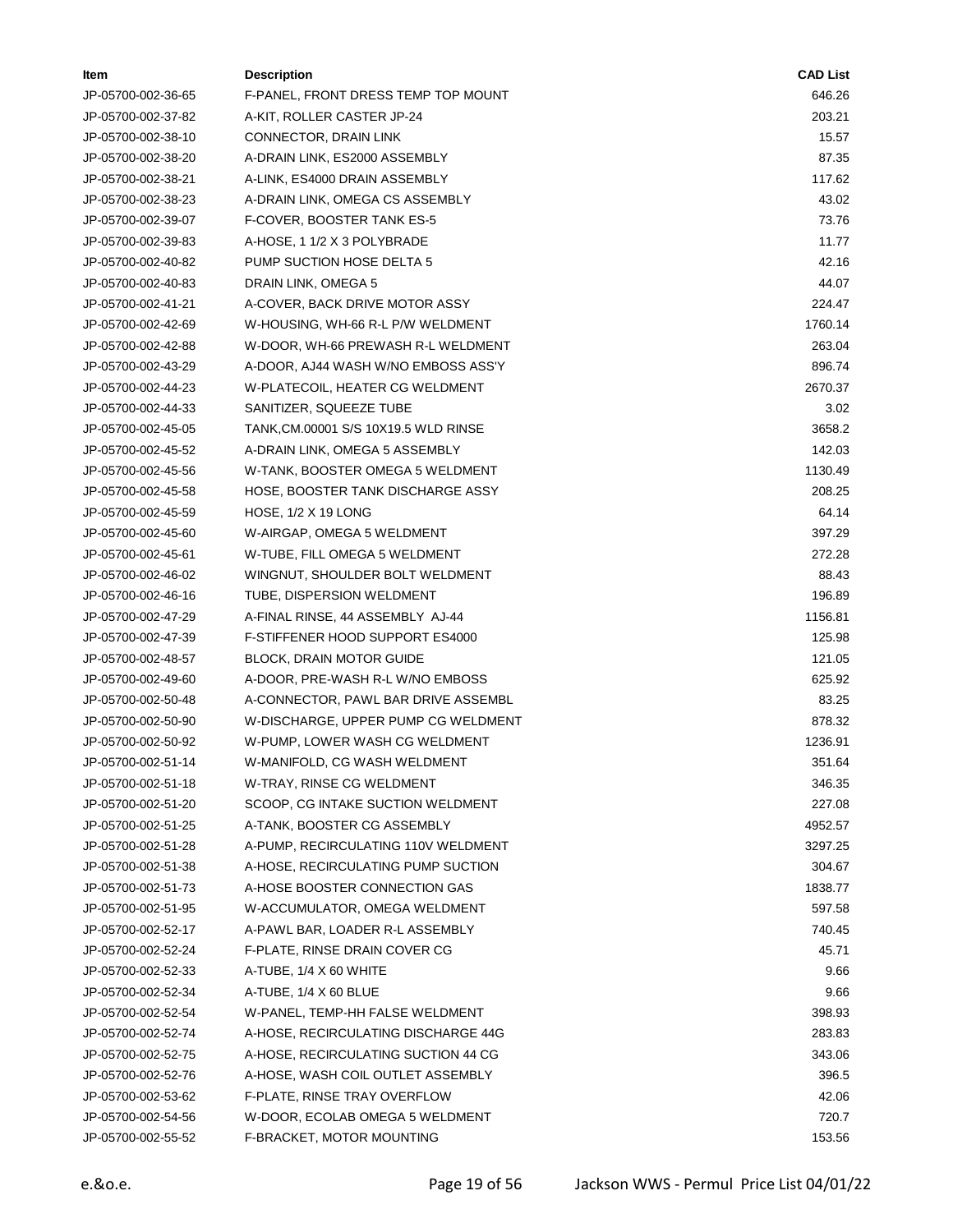| ltem               | <b>Description</b>                   | <b>CAD List</b> |
|--------------------|--------------------------------------|-----------------|
| JP-05700-002-36-65 | F-PANEL, FRONT DRESS TEMP TOP MOUNT  | 646.26          |
| JP-05700-002-37-82 | A-KIT, ROLLER CASTER JP-24           | 203.21          |
| JP-05700-002-38-10 | CONNECTOR, DRAIN LINK                | 15.57           |
| JP-05700-002-38-20 | A-DRAIN LINK, ES2000 ASSEMBLY        | 87.35           |
| JP-05700-002-38-21 | A-LINK, ES4000 DRAIN ASSEMBLY        | 117.62          |
| JP-05700-002-38-23 | A-DRAIN LINK, OMEGA CS ASSEMBLY      | 43.02           |
| JP-05700-002-39-07 | F-COVER, BOOSTER TANK ES-5           | 73.76           |
| JP-05700-002-39-83 | A-HOSE, 1 1/2 X 3 POLYBRADE          | 11.77           |
| JP-05700-002-40-82 | PUMP SUCTION HOSE DELTA 5            | 42.16           |
| JP-05700-002-40-83 | DRAIN LINK, OMEGA 5                  | 44.07           |
| JP-05700-002-41-21 | A-COVER, BACK DRIVE MOTOR ASSY       | 224.47          |
| JP-05700-002-42-69 | W-HOUSING, WH-66 R-L P/W WELDMENT    | 1760.14         |
| JP-05700-002-42-88 | W-DOOR, WH-66 PREWASH R-L WELDMENT   | 263.04          |
| JP-05700-002-43-29 | A-DOOR, AJ44 WASH W/NO EMBOSS ASS'Y  | 896.74          |
| JP-05700-002-44-23 | W-PLATECOIL, HEATER CG WELDMENT      | 2670.37         |
| JP-05700-002-44-33 | SANITIZER, SQUEEZE TUBE              | 3.02            |
| JP-05700-002-45-05 | TANK, CM.00001 S/S 10X19.5 WLD RINSE | 3658.2          |
| JP-05700-002-45-52 | A-DRAIN LINK, OMEGA 5 ASSEMBLY       | 142.03          |
| JP-05700-002-45-56 | W-TANK, BOOSTER OMEGA 5 WELDMENT     | 1130.49         |
| JP-05700-002-45-58 | HOSE, BOOSTER TANK DISCHARGE ASSY    | 208.25          |
| JP-05700-002-45-59 | <b>HOSE, 1/2 X 19 LONG</b>           | 64.14           |
| JP-05700-002-45-60 | W-AIRGAP, OMEGA 5 WELDMENT           | 397.29          |
| JP-05700-002-45-61 | W-TUBE, FILL OMEGA 5 WELDMENT        | 272.28          |
| JP-05700-002-46-02 | WINGNUT, SHOULDER BOLT WELDMENT      | 88.43           |
| JP-05700-002-46-16 | TUBE, DISPERSION WELDMENT            | 196.89          |
| JP-05700-002-47-29 | A-FINAL RINSE, 44 ASSEMBLY AJ-44     | 1156.81         |
| JP-05700-002-47-39 | F-STIFFENER HOOD SUPPORT ES4000      | 125.98          |
| JP-05700-002-48-57 | <b>BLOCK, DRAIN MOTOR GUIDE</b>      | 121.05          |
| JP-05700-002-49-60 | A-DOOR, PRE-WASH R-L W/NO EMBOSS     | 625.92          |
| JP-05700-002-50-48 | A-CONNECTOR, PAWL BAR DRIVE ASSEMBL  | 83.25           |
| JP-05700-002-50-90 | W-DISCHARGE, UPPER PUMP CG WELDMENT  | 878.32          |
| JP-05700-002-50-92 | W-PUMP, LOWER WASH CG WELDMENT       | 1236.91         |
| JP-05700-002-51-14 | W-MANIFOLD, CG WASH WELDMENT         | 351.64          |
| JP-05700-002-51-18 | W-TRAY, RINSE CG WELDMENT            | 346.35          |
| JP-05700-002-51-20 | SCOOP, CG INTAKE SUCTION WELDMENT    | 227.08          |
| JP-05700-002-51-25 | A-TANK, BOOSTER CG ASSEMBLY          | 4952.57         |
| JP-05700-002-51-28 | A-PUMP, RECIRCULATING 110V WELDMENT  | 3297.25         |
| JP-05700-002-51-38 | A-HOSE, RECIRCULATING PUMP SUCTION   | 304.67          |
| JP-05700-002-51-73 | A-HOSE BOOSTER CONNECTION GAS        | 1838.77         |
| JP-05700-002-51-95 | W-ACCUMULATOR, OMEGA WELDMENT        | 597.58          |
| JP-05700-002-52-17 | A-PAWL BAR, LOADER R-L ASSEMBLY      | 740.45          |
| JP-05700-002-52-24 | F-PLATE, RINSE DRAIN COVER CG        | 45.71           |
| JP-05700-002-52-33 | A-TUBE, 1/4 X 60 WHITE               | 9.66            |
| JP-05700-002-52-34 | A-TUBE, 1/4 X 60 BLUE                | 9.66            |
| JP-05700-002-52-54 | W-PANEL, TEMP-HH FALSE WELDMENT      | 398.93          |
| JP-05700-002-52-74 | A-HOSE, RECIRCULATING DISCHARGE 44G  | 283.83          |
| JP-05700-002-52-75 | A-HOSE, RECIRCULATING SUCTION 44 CG  | 343.06          |
| JP-05700-002-52-76 | A-HOSE, WASH COIL OUTLET ASSEMBLY    | 396.5           |
| JP-05700-002-53-62 | F-PLATE, RINSE TRAY OVERFLOW         | 42.06           |
| JP-05700-002-54-56 | W-DOOR, ECOLAB OMEGA 5 WELDMENT      | 720.7           |
| JP-05700-002-55-52 | F-BRACKET, MOTOR MOUNTING            | 153.56          |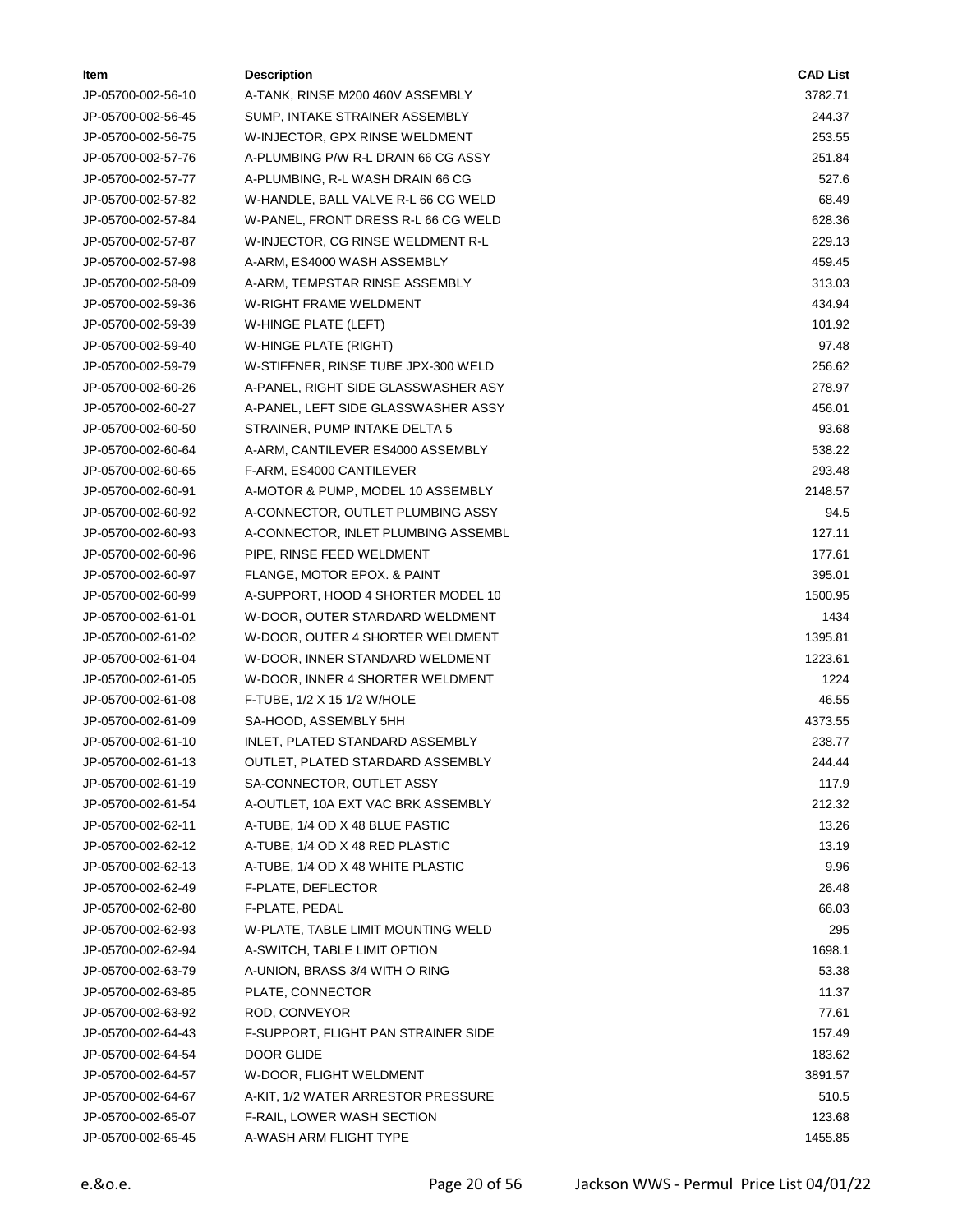| ltem               | <b>Description</b>                  | <b>CAD List</b> |
|--------------------|-------------------------------------|-----------------|
| JP-05700-002-56-10 | A-TANK, RINSE M200 460V ASSEMBLY    | 3782.71         |
| JP-05700-002-56-45 | SUMP, INTAKE STRAINER ASSEMBLY      | 244.37          |
| JP-05700-002-56-75 | W-INJECTOR, GPX RINSE WELDMENT      | 253.55          |
| JP-05700-002-57-76 | A-PLUMBING P/W R-L DRAIN 66 CG ASSY | 251.84          |
| JP-05700-002-57-77 | A-PLUMBING, R-L WASH DRAIN 66 CG    | 527.6           |
| JP-05700-002-57-82 | W-HANDLE, BALL VALVE R-L 66 CG WELD | 68.49           |
| JP-05700-002-57-84 | W-PANEL, FRONT DRESS R-L 66 CG WELD | 628.36          |
| JP-05700-002-57-87 | W-INJECTOR, CG RINSE WELDMENT R-L   | 229.13          |
| JP-05700-002-57-98 | A-ARM, ES4000 WASH ASSEMBLY         | 459.45          |
| JP-05700-002-58-09 | A-ARM, TEMPSTAR RINSE ASSEMBLY      | 313.03          |
| JP-05700-002-59-36 | W-RIGHT FRAME WELDMENT              | 434.94          |
| JP-05700-002-59-39 | W-HINGE PLATE (LEFT)                | 101.92          |
| JP-05700-002-59-40 | W-HINGE PLATE (RIGHT)               | 97.48           |
| JP-05700-002-59-79 | W-STIFFNER, RINSE TUBE JPX-300 WELD | 256.62          |
| JP-05700-002-60-26 | A-PANEL, RIGHT SIDE GLASSWASHER ASY | 278.97          |
| JP-05700-002-60-27 | A-PANEL, LEFT SIDE GLASSWASHER ASSY | 456.01          |
| JP-05700-002-60-50 | STRAINER, PUMP INTAKE DELTA 5       | 93.68           |
| JP-05700-002-60-64 | A-ARM, CANTILEVER ES4000 ASSEMBLY   | 538.22          |
| JP-05700-002-60-65 | F-ARM, ES4000 CANTILEVER            | 293.48          |
| JP-05700-002-60-91 | A-MOTOR & PUMP, MODEL 10 ASSEMBLY   | 2148.57         |
| JP-05700-002-60-92 | A-CONNECTOR, OUTLET PLUMBING ASSY   | 94.5            |
| JP-05700-002-60-93 | A-CONNECTOR, INLET PLUMBING ASSEMBL | 127.11          |
| JP-05700-002-60-96 | PIPE, RINSE FEED WELDMENT           | 177.61          |
| JP-05700-002-60-97 | FLANGE, MOTOR EPOX. & PAINT         | 395.01          |
| JP-05700-002-60-99 | A-SUPPORT, HOOD 4 SHORTER MODEL 10  | 1500.95         |
| JP-05700-002-61-01 | W-DOOR, OUTER STARDARD WELDMENT     | 1434            |
| JP-05700-002-61-02 | W-DOOR, OUTER 4 SHORTER WELDMENT    | 1395.81         |
| JP-05700-002-61-04 | W-DOOR, INNER STANDARD WELDMENT     | 1223.61         |
| JP-05700-002-61-05 | W-DOOR, INNER 4 SHORTER WELDMENT    | 1224            |
| JP-05700-002-61-08 | F-TUBE, 1/2 X 15 1/2 W/HOLE         | 46.55           |
| JP-05700-002-61-09 | SA-HOOD, ASSEMBLY 5HH               | 4373.55         |
| JP-05700-002-61-10 | INLET, PLATED STANDARD ASSEMBLY     | 238.77          |
| JP-05700-002-61-13 | OUTLET, PLATED STARDARD ASSEMBLY    | 244.44          |
| JP-05700-002-61-19 | SA-CONNECTOR, OUTLET ASSY           | 117.9           |
| JP-05700-002-61-54 | A-OUTLET, 10A EXT VAC BRK ASSEMBLY  | 212.32          |
| JP-05700-002-62-11 | A-TUBE, 1/4 OD X 48 BLUE PASTIC     | 13.26           |
| JP-05700-002-62-12 | A-TUBE, 1/4 OD X 48 RED PLASTIC     | 13.19           |
| JP-05700-002-62-13 | A-TUBE, 1/4 OD X 48 WHITE PLASTIC   | 9.96            |
| JP-05700-002-62-49 | F-PLATE, DEFLECTOR                  | 26.48           |
| JP-05700-002-62-80 | F-PLATE, PEDAL                      | 66.03           |
| JP-05700-002-62-93 | W-PLATE, TABLE LIMIT MOUNTING WELD  | 295             |
| JP-05700-002-62-94 | A-SWITCH, TABLE LIMIT OPTION        | 1698.1          |
| JP-05700-002-63-79 | A-UNION, BRASS 3/4 WITH O RING      | 53.38           |
| JP-05700-002-63-85 | PLATE, CONNECTOR                    | 11.37           |
| JP-05700-002-63-92 | ROD, CONVEYOR                       | 77.61           |
| JP-05700-002-64-43 | F-SUPPORT, FLIGHT PAN STRAINER SIDE | 157.49          |
| JP-05700-002-64-54 | DOOR GLIDE                          | 183.62          |
| JP-05700-002-64-57 | W-DOOR, FLIGHT WELDMENT             | 3891.57         |
| JP-05700-002-64-67 | A-KIT, 1/2 WATER ARRESTOR PRESSURE  | 510.5           |
| JP-05700-002-65-07 | F-RAIL, LOWER WASH SECTION          | 123.68          |
| JP-05700-002-65-45 | A-WASH ARM FLIGHT TYPE              | 1455.85         |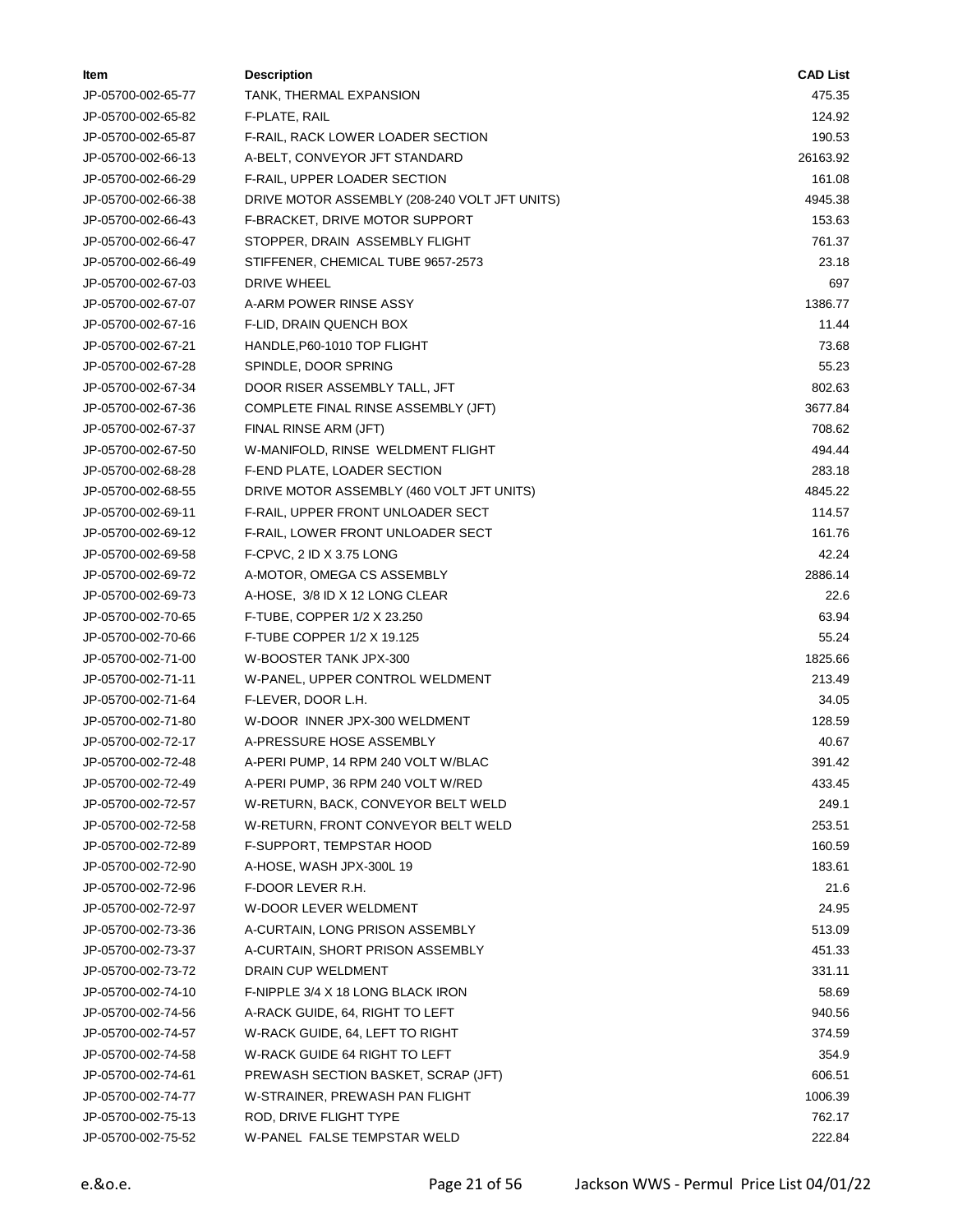| ltem               | <b>Description</b>                            | <b>CAD List</b> |
|--------------------|-----------------------------------------------|-----------------|
| JP-05700-002-65-77 | TANK, THERMAL EXPANSION                       | 475.35          |
| JP-05700-002-65-82 | F-PLATE, RAIL                                 | 124.92          |
| JP-05700-002-65-87 | F-RAIL, RACK LOWER LOADER SECTION             | 190.53          |
| JP-05700-002-66-13 | A-BELT, CONVEYOR JFT STANDARD                 | 26163.92        |
| JP-05700-002-66-29 | F-RAIL, UPPER LOADER SECTION                  | 161.08          |
| JP-05700-002-66-38 | DRIVE MOTOR ASSEMBLY (208-240 VOLT JFT UNITS) | 4945.38         |
| JP-05700-002-66-43 | F-BRACKET, DRIVE MOTOR SUPPORT                | 153.63          |
| JP-05700-002-66-47 | STOPPER, DRAIN ASSEMBLY FLIGHT                | 761.37          |
| JP-05700-002-66-49 | STIFFENER, CHEMICAL TUBE 9657-2573            | 23.18           |
| JP-05700-002-67-03 | DRIVE WHEEL                                   | 697             |
| JP-05700-002-67-07 | A-ARM POWER RINSE ASSY                        | 1386.77         |
| JP-05700-002-67-16 | F-LID, DRAIN QUENCH BOX                       | 11.44           |
| JP-05700-002-67-21 | HANDLE, P60-1010 TOP FLIGHT                   | 73.68           |
| JP-05700-002-67-28 | SPINDLE, DOOR SPRING                          | 55.23           |
| JP-05700-002-67-34 | DOOR RISER ASSEMBLY TALL, JFT                 | 802.63          |
| JP-05700-002-67-36 | COMPLETE FINAL RINSE ASSEMBLY (JFT)           | 3677.84         |
| JP-05700-002-67-37 | FINAL RINSE ARM (JFT)                         | 708.62          |
| JP-05700-002-67-50 | W-MANIFOLD, RINSE WELDMENT FLIGHT             | 494.44          |
| JP-05700-002-68-28 | F-END PLATE, LOADER SECTION                   | 283.18          |
| JP-05700-002-68-55 | DRIVE MOTOR ASSEMBLY (460 VOLT JFT UNITS)     | 4845.22         |
| JP-05700-002-69-11 | F-RAIL, UPPER FRONT UNLOADER SECT             | 114.57          |
| JP-05700-002-69-12 | F-RAIL, LOWER FRONT UNLOADER SECT             | 161.76          |
| JP-05700-002-69-58 | F-CPVC, 2 ID X 3.75 LONG                      | 42.24           |
| JP-05700-002-69-72 | A-MOTOR, OMEGA CS ASSEMBLY                    | 2886.14         |
| JP-05700-002-69-73 | A-HOSE, 3/8 ID X 12 LONG CLEAR                | 22.6            |
| JP-05700-002-70-65 | F-TUBE, COPPER 1/2 X 23.250                   | 63.94           |
| JP-05700-002-70-66 | F-TUBE COPPER 1/2 X 19.125                    | 55.24           |
| JP-05700-002-71-00 | W-BOOSTER TANK JPX-300                        | 1825.66         |
| JP-05700-002-71-11 | W-PANEL, UPPER CONTROL WELDMENT               | 213.49          |
| JP-05700-002-71-64 | F-LEVER, DOOR L.H.                            | 34.05           |
| JP-05700-002-71-80 | W-DOOR INNER JPX-300 WELDMENT                 | 128.59          |
| JP-05700-002-72-17 | A-PRESSURE HOSE ASSEMBLY                      | 40.67           |
| JP-05700-002-72-48 | A-PERI PUMP, 14 RPM 240 VOLT W/BLAC           | 391.42          |
| JP-05700-002-72-49 | A-PERI PUMP, 36 RPM 240 VOLT W/RED            | 433.45          |
| JP-05700-002-72-57 | W-RETURN, BACK, CONVEYOR BELT WELD            | 249.1           |
| JP-05700-002-72-58 | W-RETURN, FRONT CONVEYOR BELT WELD            | 253.51          |
| JP-05700-002-72-89 | F-SUPPORT, TEMPSTAR HOOD                      | 160.59          |
| JP-05700-002-72-90 | A-HOSE, WASH JPX-300L 19                      | 183.61          |
| JP-05700-002-72-96 | F-DOOR LEVER R.H.                             | 21.6            |
| JP-05700-002-72-97 | W-DOOR LEVER WELDMENT                         | 24.95           |
| JP-05700-002-73-36 | A-CURTAIN, LONG PRISON ASSEMBLY               | 513.09          |
| JP-05700-002-73-37 | A-CURTAIN, SHORT PRISON ASSEMBLY              | 451.33          |
| JP-05700-002-73-72 | DRAIN CUP WELDMENT                            | 331.11          |
| JP-05700-002-74-10 | F-NIPPLE 3/4 X 18 LONG BLACK IRON             | 58.69           |
| JP-05700-002-74-56 | A-RACK GUIDE, 64, RIGHT TO LEFT               | 940.56          |
| JP-05700-002-74-57 | W-RACK GUIDE, 64, LEFT TO RIGHT               | 374.59          |
| JP-05700-002-74-58 | W-RACK GUIDE 64 RIGHT TO LEFT                 | 354.9           |
| JP-05700-002-74-61 | PREWASH SECTION BASKET, SCRAP (JFT)           | 606.51          |
| JP-05700-002-74-77 | W-STRAINER, PREWASH PAN FLIGHT                | 1006.39         |
| JP-05700-002-75-13 | ROD, DRIVE FLIGHT TYPE                        | 762.17          |
| JP-05700-002-75-52 | W-PANEL FALSE TEMPSTAR WELD                   | 222.84          |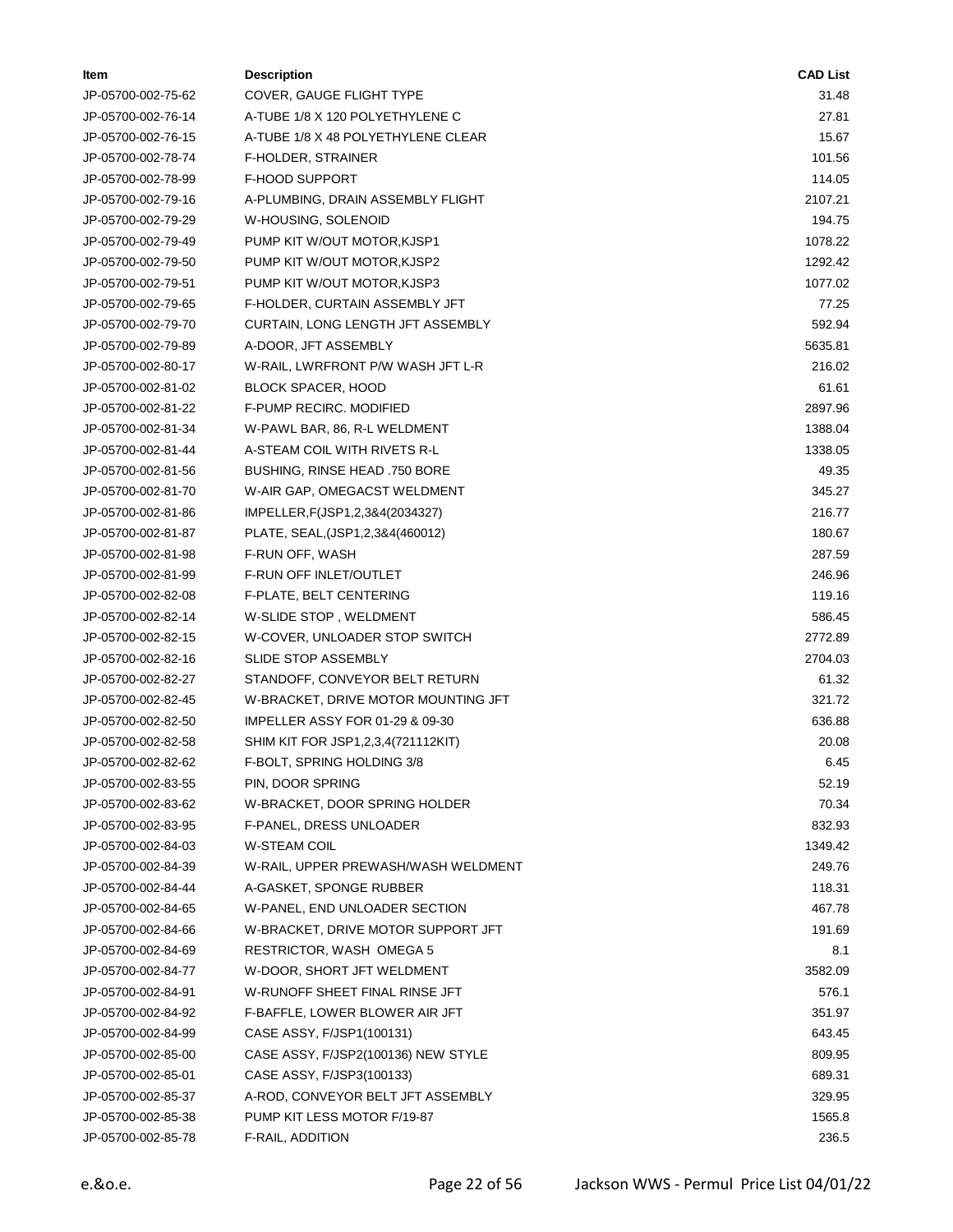| ltem               | <b>Description</b>                  | <b>CAD List</b> |
|--------------------|-------------------------------------|-----------------|
| JP-05700-002-75-62 | COVER, GAUGE FLIGHT TYPE            | 31.48           |
| JP-05700-002-76-14 | A-TUBE 1/8 X 120 POLYETHYLENE C     | 27.81           |
| JP-05700-002-76-15 | A-TUBE 1/8 X 48 POLYETHYLENE CLEAR  | 15.67           |
| JP-05700-002-78-74 | F-HOLDER, STRAINER                  | 101.56          |
| JP-05700-002-78-99 | <b>F-HOOD SUPPORT</b>               | 114.05          |
| JP-05700-002-79-16 | A-PLUMBING, DRAIN ASSEMBLY FLIGHT   | 2107.21         |
| JP-05700-002-79-29 | W-HOUSING, SOLENOID                 | 194.75          |
| JP-05700-002-79-49 | PUMP KIT W/OUT MOTOR, KJSP1         | 1078.22         |
| JP-05700-002-79-50 | PUMP KIT W/OUT MOTOR, KJSP2         | 1292.42         |
| JP-05700-002-79-51 | PUMP KIT W/OUT MOTOR, KJSP3         | 1077.02         |
| JP-05700-002-79-65 | F-HOLDER, CURTAIN ASSEMBLY JFT      | 77.25           |
| JP-05700-002-79-70 | CURTAIN, LONG LENGTH JFT ASSEMBLY   | 592.94          |
| JP-05700-002-79-89 | A-DOOR, JFT ASSEMBLY                | 5635.81         |
| JP-05700-002-80-17 | W-RAIL, LWRFRONT P/W WASH JFT L-R   | 216.02          |
| JP-05700-002-81-02 | <b>BLOCK SPACER, HOOD</b>           | 61.61           |
| JP-05700-002-81-22 | F-PUMP RECIRC. MODIFIED             | 2897.96         |
| JP-05700-002-81-34 | W-PAWL BAR, 86, R-L WELDMENT        | 1388.04         |
| JP-05700-002-81-44 | A-STEAM COIL WITH RIVETS R-L        | 1338.05         |
| JP-05700-002-81-56 | BUSHING, RINSE HEAD .750 BORE       | 49.35           |
| JP-05700-002-81-70 | W-AIR GAP, OMEGACST WELDMENT        | 345.27          |
| JP-05700-002-81-86 | IMPELLER, F(JSP1, 2, 3&4(2034327)   | 216.77          |
| JP-05700-002-81-87 | PLATE, SEAL, (JSP1, 2, 3&4 (460012) | 180.67          |
| JP-05700-002-81-98 | F-RUN OFF, WASH                     | 287.59          |
| JP-05700-002-81-99 | F-RUN OFF INLET/OUTLET              | 246.96          |
| JP-05700-002-82-08 | F-PLATE, BELT CENTERING             | 119.16          |
| JP-05700-002-82-14 | W-SLIDE STOP, WELDMENT              | 586.45          |
| JP-05700-002-82-15 | W-COVER, UNLOADER STOP SWITCH       | 2772.89         |
| JP-05700-002-82-16 | <b>SLIDE STOP ASSEMBLY</b>          | 2704.03         |
| JP-05700-002-82-27 | STANDOFF, CONVEYOR BELT RETURN      | 61.32           |
| JP-05700-002-82-45 | W-BRACKET, DRIVE MOTOR MOUNTING JFT | 321.72          |
| JP-05700-002-82-50 | IMPELLER ASSY FOR 01-29 & 09-30     | 636.88          |
| JP-05700-002-82-58 | SHIM KIT FOR JSP1,2,3,4(721112KIT)  | 20.08           |
| JP-05700-002-82-62 | F-BOLT, SPRING HOLDING 3/8          | 6.45            |
| JP-05700-002-83-55 | PIN, DOOR SPRING                    | 52.19           |
| JP-05700-002-83-62 | W-BRACKET, DOOR SPRING HOLDER       | 70.34           |
| JP-05700-002-83-95 | F-PANEL, DRESS UNLOADER             | 832.93          |
| JP-05700-002-84-03 | <b>W-STEAM COIL</b>                 | 1349.42         |
| JP-05700-002-84-39 | W-RAIL, UPPER PREWASH/WASH WELDMENT | 249.76          |
| JP-05700-002-84-44 | A-GASKET, SPONGE RUBBER             | 118.31          |
| JP-05700-002-84-65 | W-PANEL, END UNLOADER SECTION       | 467.78          |
| JP-05700-002-84-66 | W-BRACKET, DRIVE MOTOR SUPPORT JFT  | 191.69          |
| JP-05700-002-84-69 | <b>RESTRICTOR, WASH OMEGA 5</b>     | 8.1             |
| JP-05700-002-84-77 | W-DOOR, SHORT JFT WELDMENT          | 3582.09         |
| JP-05700-002-84-91 | W-RUNOFF SHEET FINAL RINSE JFT      | 576.1           |
| JP-05700-002-84-92 | F-BAFFLE, LOWER BLOWER AIR JFT      | 351.97          |
| JP-05700-002-84-99 | CASE ASSY, F/JSP1(100131)           | 643.45          |
| JP-05700-002-85-00 | CASE ASSY, F/JSP2(100136) NEW STYLE | 809.95          |
| JP-05700-002-85-01 | CASE ASSY, F/JSP3(100133)           | 689.31          |
| JP-05700-002-85-37 | A-ROD, CONVEYOR BELT JFT ASSEMBLY   | 329.95          |
| JP-05700-002-85-38 | PUMP KIT LESS MOTOR F/19-87         | 1565.8          |
| JP-05700-002-85-78 | F-RAIL, ADDITION                    | 236.5           |
|                    |                                     |                 |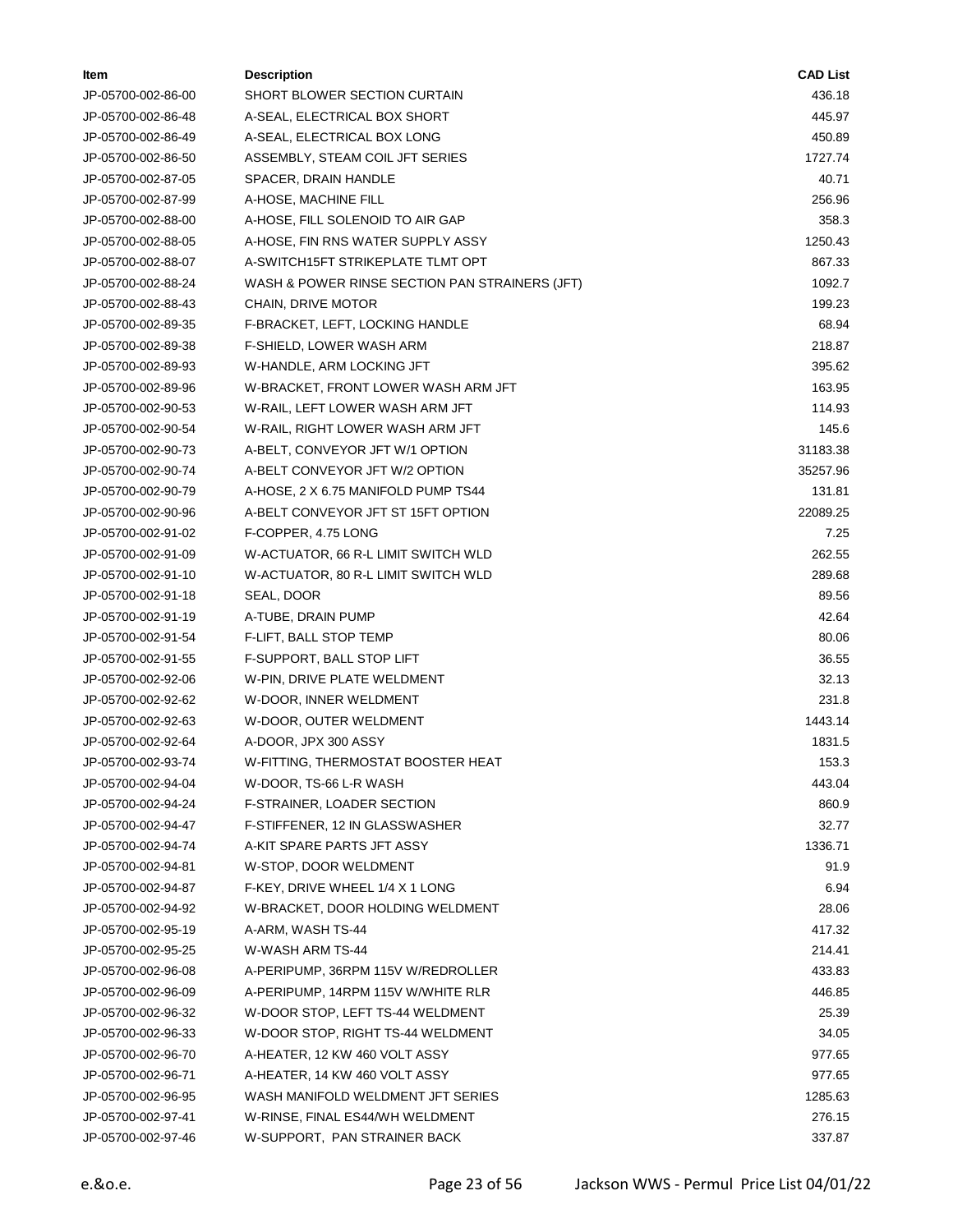| ltem               | <b>Description</b>                             | <b>CAD List</b> |
|--------------------|------------------------------------------------|-----------------|
| JP-05700-002-86-00 | SHORT BLOWER SECTION CURTAIN                   | 436.18          |
| JP-05700-002-86-48 | A-SEAL, ELECTRICAL BOX SHORT                   | 445.97          |
| JP-05700-002-86-49 | A-SEAL, ELECTRICAL BOX LONG                    | 450.89          |
| JP-05700-002-86-50 | ASSEMBLY, STEAM COIL JFT SERIES                | 1727.74         |
| JP-05700-002-87-05 | SPACER, DRAIN HANDLE                           | 40.71           |
| JP-05700-002-87-99 | A-HOSE, MACHINE FILL                           | 256.96          |
| JP-05700-002-88-00 | A-HOSE, FILL SOLENOID TO AIR GAP               | 358.3           |
| JP-05700-002-88-05 | A-HOSE, FIN RNS WATER SUPPLY ASSY              | 1250.43         |
| JP-05700-002-88-07 | A-SWITCH15FT STRIKEPLATE TLMT OPT              | 867.33          |
| JP-05700-002-88-24 | WASH & POWER RINSE SECTION PAN STRAINERS (JFT) | 1092.7          |
| JP-05700-002-88-43 | CHAIN, DRIVE MOTOR                             | 199.23          |
| JP-05700-002-89-35 | F-BRACKET, LEFT, LOCKING HANDLE                | 68.94           |
| JP-05700-002-89-38 | F-SHIELD, LOWER WASH ARM                       | 218.87          |
| JP-05700-002-89-93 | W-HANDLE, ARM LOCKING JFT                      | 395.62          |
| JP-05700-002-89-96 | W-BRACKET, FRONT LOWER WASH ARM JFT            | 163.95          |
| JP-05700-002-90-53 | W-RAIL, LEFT LOWER WASH ARM JFT                | 114.93          |
| JP-05700-002-90-54 | W-RAIL, RIGHT LOWER WASH ARM JFT               | 145.6           |
| JP-05700-002-90-73 | A-BELT, CONVEYOR JFT W/1 OPTION                | 31183.38        |
| JP-05700-002-90-74 | A-BELT CONVEYOR JFT W/2 OPTION                 | 35257.96        |
| JP-05700-002-90-79 | A-HOSE, 2 X 6.75 MANIFOLD PUMP TS44            | 131.81          |
| JP-05700-002-90-96 | A-BELT CONVEYOR JFT ST 15FT OPTION             | 22089.25        |
| JP-05700-002-91-02 | F-COPPER, 4.75 LONG                            | 7.25            |
| JP-05700-002-91-09 | W-ACTUATOR, 66 R-L LIMIT SWITCH WLD            | 262.55          |
| JP-05700-002-91-10 | W-ACTUATOR, 80 R-L LIMIT SWITCH WLD            | 289.68          |
| JP-05700-002-91-18 | SEAL, DOOR                                     | 89.56           |
| JP-05700-002-91-19 | A-TUBE, DRAIN PUMP                             | 42.64           |
| JP-05700-002-91-54 | F-LIFT, BALL STOP TEMP                         | 80.06           |
| JP-05700-002-91-55 | F-SUPPORT, BALL STOP LIFT                      | 36.55           |
| JP-05700-002-92-06 | W-PIN, DRIVE PLATE WELDMENT                    | 32.13           |
| JP-05700-002-92-62 | W-DOOR, INNER WELDMENT                         | 231.8           |
| JP-05700-002-92-63 | W-DOOR, OUTER WELDMENT                         | 1443.14         |
| JP-05700-002-92-64 | A-DOOR, JPX 300 ASSY                           | 1831.5          |
| JP-05700-002-93-74 | W-FITTING, THERMOSTAT BOOSTER HEAT             | 153.3           |
| JP-05700-002-94-04 | W-DOOR, TS-66 L-R WASH                         | 443.04          |
| JP-05700-002-94-24 | F-STRAINER, LOADER SECTION                     | 860.9           |
| JP-05700-002-94-47 | F-STIFFENER, 12 IN GLASSWASHER                 | 32.77           |
| JP-05700-002-94-74 | A-KIT SPARE PARTS JFT ASSY                     | 1336.71         |
| JP-05700-002-94-81 | W-STOP, DOOR WELDMENT                          | 91.9            |
| JP-05700-002-94-87 | F-KEY, DRIVE WHEEL 1/4 X 1 LONG                | 6.94            |
| JP-05700-002-94-92 | W-BRACKET, DOOR HOLDING WELDMENT               | 28.06           |
| JP-05700-002-95-19 | A-ARM, WASH TS-44                              | 417.32          |
| JP-05700-002-95-25 | W-WASH ARM TS-44                               | 214.41          |
| JP-05700-002-96-08 | A-PERIPUMP, 36RPM 115V W/REDROLLER             | 433.83          |
| JP-05700-002-96-09 | A-PERIPUMP, 14RPM 115V W/WHITE RLR             | 446.85          |
| JP-05700-002-96-32 | W-DOOR STOP, LEFT TS-44 WELDMENT               | 25.39           |
| JP-05700-002-96-33 | W-DOOR STOP, RIGHT TS-44 WELDMENT              | 34.05           |
| JP-05700-002-96-70 | A-HEATER, 12 KW 460 VOLT ASSY                  | 977.65          |
| JP-05700-002-96-71 | A-HEATER, 14 KW 460 VOLT ASSY                  | 977.65          |
| JP-05700-002-96-95 | WASH MANIFOLD WELDMENT JFT SERIES              | 1285.63         |
| JP-05700-002-97-41 | W-RINSE, FINAL ES44/WH WELDMENT                | 276.15          |
| JP-05700-002-97-46 | W-SUPPORT, PAN STRAINER BACK                   | 337.87          |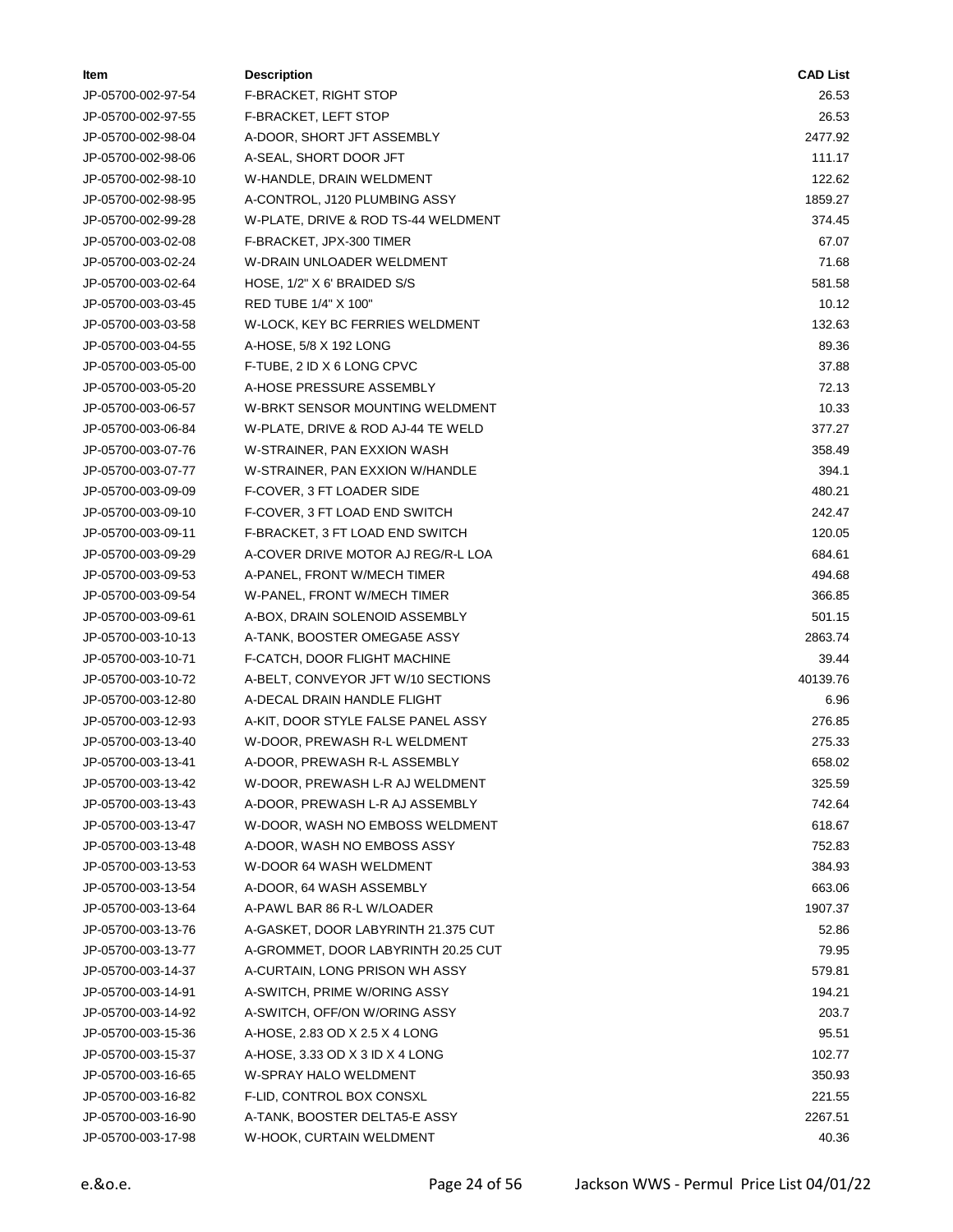| ltem               | <b>Description</b>                  | <b>CAD List</b> |
|--------------------|-------------------------------------|-----------------|
| JP-05700-002-97-54 | F-BRACKET, RIGHT STOP               | 26.53           |
| JP-05700-002-97-55 | F-BRACKET, LEFT STOP                | 26.53           |
| JP-05700-002-98-04 | A-DOOR, SHORT JFT ASSEMBLY          | 2477.92         |
| JP-05700-002-98-06 | A-SEAL, SHORT DOOR JFT              | 111.17          |
| JP-05700-002-98-10 | W-HANDLE, DRAIN WELDMENT            | 122.62          |
| JP-05700-002-98-95 | A-CONTROL, J120 PLUMBING ASSY       | 1859.27         |
| JP-05700-002-99-28 | W-PLATE, DRIVE & ROD TS-44 WELDMENT | 374.45          |
| JP-05700-003-02-08 | F-BRACKET, JPX-300 TIMER            | 67.07           |
| JP-05700-003-02-24 | W-DRAIN UNLOADER WELDMENT           | 71.68           |
| JP-05700-003-02-64 | HOSE, 1/2" X 6' BRAIDED S/S         | 581.58          |
| JP-05700-003-03-45 | RED TUBE 1/4" X 100"                | 10.12           |
| JP-05700-003-03-58 | W-LOCK, KEY BC FERRIES WELDMENT     | 132.63          |
| JP-05700-003-04-55 | A-HOSE, 5/8 X 192 LONG              | 89.36           |
| JP-05700-003-05-00 | F-TUBE, 2 ID X 6 LONG CPVC          | 37.88           |
| JP-05700-003-05-20 | A-HOSE PRESSURE ASSEMBLY            | 72.13           |
| JP-05700-003-06-57 | W-BRKT SENSOR MOUNTING WELDMENT     | 10.33           |
| JP-05700-003-06-84 | W-PLATE, DRIVE & ROD AJ-44 TE WELD  | 377.27          |
| JP-05700-003-07-76 | W-STRAINER, PAN EXXION WASH         | 358.49          |
| JP-05700-003-07-77 | W-STRAINER, PAN EXXION W/HANDLE     | 394.1           |
| JP-05700-003-09-09 | F-COVER, 3 FT LOADER SIDE           | 480.21          |
| JP-05700-003-09-10 | F-COVER, 3 FT LOAD END SWITCH       | 242.47          |
| JP-05700-003-09-11 | F-BRACKET, 3 FT LOAD END SWITCH     | 120.05          |
| JP-05700-003-09-29 | A-COVER DRIVE MOTOR AJ REG/R-L LOA  | 684.61          |
| JP-05700-003-09-53 | A-PANEL, FRONT W/MECH TIMER         | 494.68          |
| JP-05700-003-09-54 | W-PANEL, FRONT W/MECH TIMER         | 366.85          |
| JP-05700-003-09-61 | A-BOX, DRAIN SOLENOID ASSEMBLY      | 501.15          |
| JP-05700-003-10-13 | A-TANK, BOOSTER OMEGA5E ASSY        | 2863.74         |
| JP-05700-003-10-71 | F-CATCH, DOOR FLIGHT MACHINE        | 39.44           |
| JP-05700-003-10-72 | A-BELT, CONVEYOR JFT W/10 SECTIONS  | 40139.76        |
| JP-05700-003-12-80 | A-DECAL DRAIN HANDLE FLIGHT         | 6.96            |
| JP-05700-003-12-93 | A-KIT, DOOR STYLE FALSE PANEL ASSY  | 276.85          |
| JP-05700-003-13-40 | W-DOOR, PREWASH R-L WELDMENT        | 275.33          |
| JP-05700-003-13-41 | A-DOOR, PREWASH R-L ASSEMBLY        | 658.02          |
| JP-05700-003-13-42 | W-DOOR, PREWASH L-R AJ WELDMENT     | 325.59          |
| JP-05700-003-13-43 | A-DOOR, PREWASH L-R AJ ASSEMBLY     | 742.64          |
| JP-05700-003-13-47 | W-DOOR, WASH NO EMBOSS WELDMENT     | 618.67          |
| JP-05700-003-13-48 | A-DOOR, WASH NO EMBOSS ASSY         | 752.83          |
| JP-05700-003-13-53 | W-DOOR 64 WASH WELDMENT             | 384.93          |
| JP-05700-003-13-54 | A-DOOR, 64 WASH ASSEMBLY            | 663.06          |
| JP-05700-003-13-64 | A-PAWL BAR 86 R-L W/LOADER          | 1907.37         |
| JP-05700-003-13-76 | A-GASKET, DOOR LABYRINTH 21.375 CUT | 52.86           |
| JP-05700-003-13-77 | A-GROMMET, DOOR LABYRINTH 20.25 CUT | 79.95           |
| JP-05700-003-14-37 | A-CURTAIN, LONG PRISON WH ASSY      | 579.81          |
| JP-05700-003-14-91 | A-SWITCH, PRIME W/ORING ASSY        | 194.21          |
| JP-05700-003-14-92 | A-SWITCH, OFF/ON W/ORING ASSY       | 203.7           |
| JP-05700-003-15-36 | A-HOSE, 2.83 OD X 2.5 X 4 LONG      | 95.51           |
| JP-05700-003-15-37 | A-HOSE, 3.33 OD X 3 ID X 4 LONG     | 102.77          |
| JP-05700-003-16-65 | W-SPRAY HALO WELDMENT               | 350.93          |
| JP-05700-003-16-82 | F-LID, CONTROL BOX CONSXL           | 221.55          |
| JP-05700-003-16-90 | A-TANK, BOOSTER DELTA5-E ASSY       | 2267.51         |
| JP-05700-003-17-98 | W-HOOK, CURTAIN WELDMENT            | 40.36           |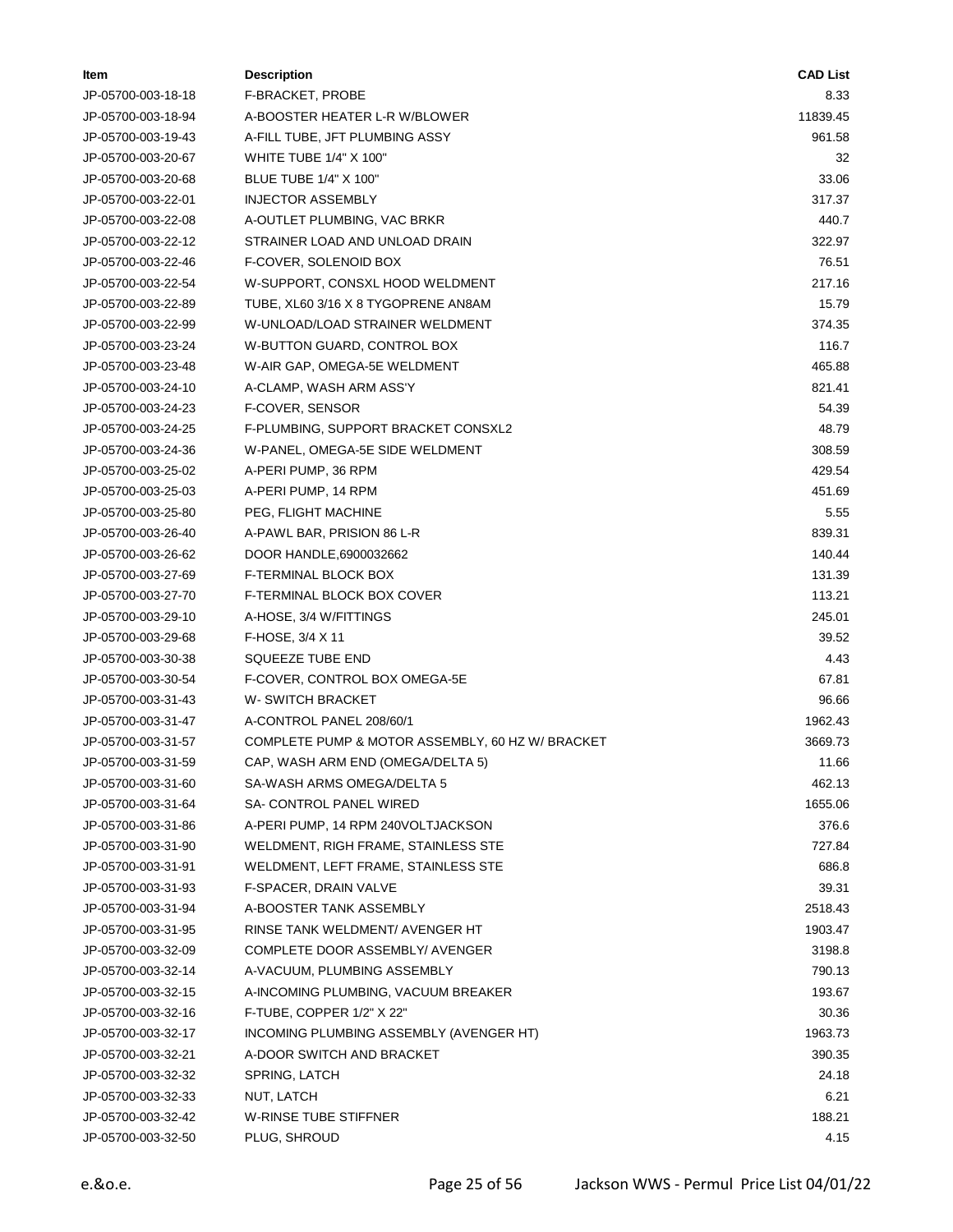| ltem               | <b>Description</b>                               | <b>CAD List</b> |
|--------------------|--------------------------------------------------|-----------------|
| JP-05700-003-18-18 | F-BRACKET, PROBE                                 | 8.33            |
| JP-05700-003-18-94 | A-BOOSTER HEATER L-R W/BLOWER                    | 11839.45        |
| JP-05700-003-19-43 | A-FILL TUBE, JFT PLUMBING ASSY                   | 961.58          |
| JP-05700-003-20-67 | <b>WHITE TUBE 1/4" X 100"</b>                    | 32              |
| JP-05700-003-20-68 | BLUE TUBE 1/4" X 100"                            | 33.06           |
| JP-05700-003-22-01 | <b>INJECTOR ASSEMBLY</b>                         | 317.37          |
| JP-05700-003-22-08 | A-OUTLET PLUMBING, VAC BRKR                      | 440.7           |
| JP-05700-003-22-12 | STRAINER LOAD AND UNLOAD DRAIN                   | 322.97          |
| JP-05700-003-22-46 | F-COVER, SOLENOID BOX                            | 76.51           |
| JP-05700-003-22-54 | W-SUPPORT, CONSXL HOOD WELDMENT                  | 217.16          |
| JP-05700-003-22-89 | TUBE, XL60 3/16 X 8 TYGOPRENE AN8AM              | 15.79           |
| JP-05700-003-22-99 | W-UNLOAD/LOAD STRAINER WELDMENT                  | 374.35          |
| JP-05700-003-23-24 | W-BUTTON GUARD, CONTROL BOX                      | 116.7           |
| JP-05700-003-23-48 | W-AIR GAP, OMEGA-5E WELDMENT                     | 465.88          |
| JP-05700-003-24-10 | A-CLAMP, WASH ARM ASS'Y                          | 821.41          |
| JP-05700-003-24-23 | F-COVER, SENSOR                                  | 54.39           |
| JP-05700-003-24-25 | F-PLUMBING, SUPPORT BRACKET CONSXL2              | 48.79           |
| JP-05700-003-24-36 | W-PANEL, OMEGA-5E SIDE WELDMENT                  | 308.59          |
| JP-05700-003-25-02 | A-PERI PUMP, 36 RPM                              | 429.54          |
| JP-05700-003-25-03 | A-PERI PUMP, 14 RPM                              | 451.69          |
| JP-05700-003-25-80 | PEG, FLIGHT MACHINE                              | 5.55            |
| JP-05700-003-26-40 | A-PAWL BAR, PRISION 86 L-R                       | 839.31          |
| JP-05700-003-26-62 | DOOR HANDLE,6900032662                           | 140.44          |
| JP-05700-003-27-69 | F-TERMINAL BLOCK BOX                             | 131.39          |
| JP-05700-003-27-70 | F-TERMINAL BLOCK BOX COVER                       | 113.21          |
| JP-05700-003-29-10 | A-HOSE, 3/4 W/FITTINGS                           | 245.01          |
| JP-05700-003-29-68 | $F-HOSE$ , $3/4$ X 11                            | 39.52           |
| JP-05700-003-30-38 | SQUEEZE TUBE END                                 | 4.43            |
| JP-05700-003-30-54 | F-COVER, CONTROL BOX OMEGA-5E                    | 67.81           |
| JP-05700-003-31-43 | <b>W-SWITCH BRACKET</b>                          | 96.66           |
| JP-05700-003-31-47 | A-CONTROL PANEL 208/60/1                         | 1962.43         |
| JP-05700-003-31-57 | COMPLETE PUMP & MOTOR ASSEMBLY, 60 HZ W/ BRACKET | 3669.73         |
| JP-05700-003-31-59 | CAP, WASH ARM END (OMEGA/DELTA 5)                | 11.66           |
| JP-05700-003-31-60 | SA-WASH ARMS OMEGA/DELTA 5                       | 462.13          |
| JP-05700-003-31-64 | SA- CONTROL PANEL WIRED                          | 1655.06         |
| JP-05700-003-31-86 | A-PERI PUMP, 14 RPM 240VOLTJACKSON               | 376.6           |
| JP-05700-003-31-90 | WELDMENT, RIGH FRAME, STAINLESS STE              | 727.84          |
| JP-05700-003-31-91 | WELDMENT, LEFT FRAME, STAINLESS STE              | 686.8           |
| JP-05700-003-31-93 | F-SPACER, DRAIN VALVE                            | 39.31           |
| JP-05700-003-31-94 | A-BOOSTER TANK ASSEMBLY                          | 2518.43         |
| JP-05700-003-31-95 | RINSE TANK WELDMENT/ AVENGER HT                  | 1903.47         |
| JP-05700-003-32-09 | COMPLETE DOOR ASSEMBLY/ AVENGER                  | 3198.8          |
| JP-05700-003-32-14 | A-VACUUM, PLUMBING ASSEMBLY                      | 790.13          |
| JP-05700-003-32-15 | A-INCOMING PLUMBING, VACUUM BREAKER              | 193.67          |
| JP-05700-003-32-16 | F-TUBE, COPPER 1/2" X 22"                        | 30.36           |
| JP-05700-003-32-17 | INCOMING PLUMBING ASSEMBLY (AVENGER HT)          | 1963.73         |
| JP-05700-003-32-21 | A-DOOR SWITCH AND BRACKET                        | 390.35          |
| JP-05700-003-32-32 | SPRING, LATCH                                    | 24.18           |
| JP-05700-003-32-33 | NUT, LATCH                                       | 6.21            |
| JP-05700-003-32-42 | W-RINSE TUBE STIFFNER                            | 188.21          |
| JP-05700-003-32-50 | PLUG, SHROUD                                     | 4.15            |
|                    |                                                  |                 |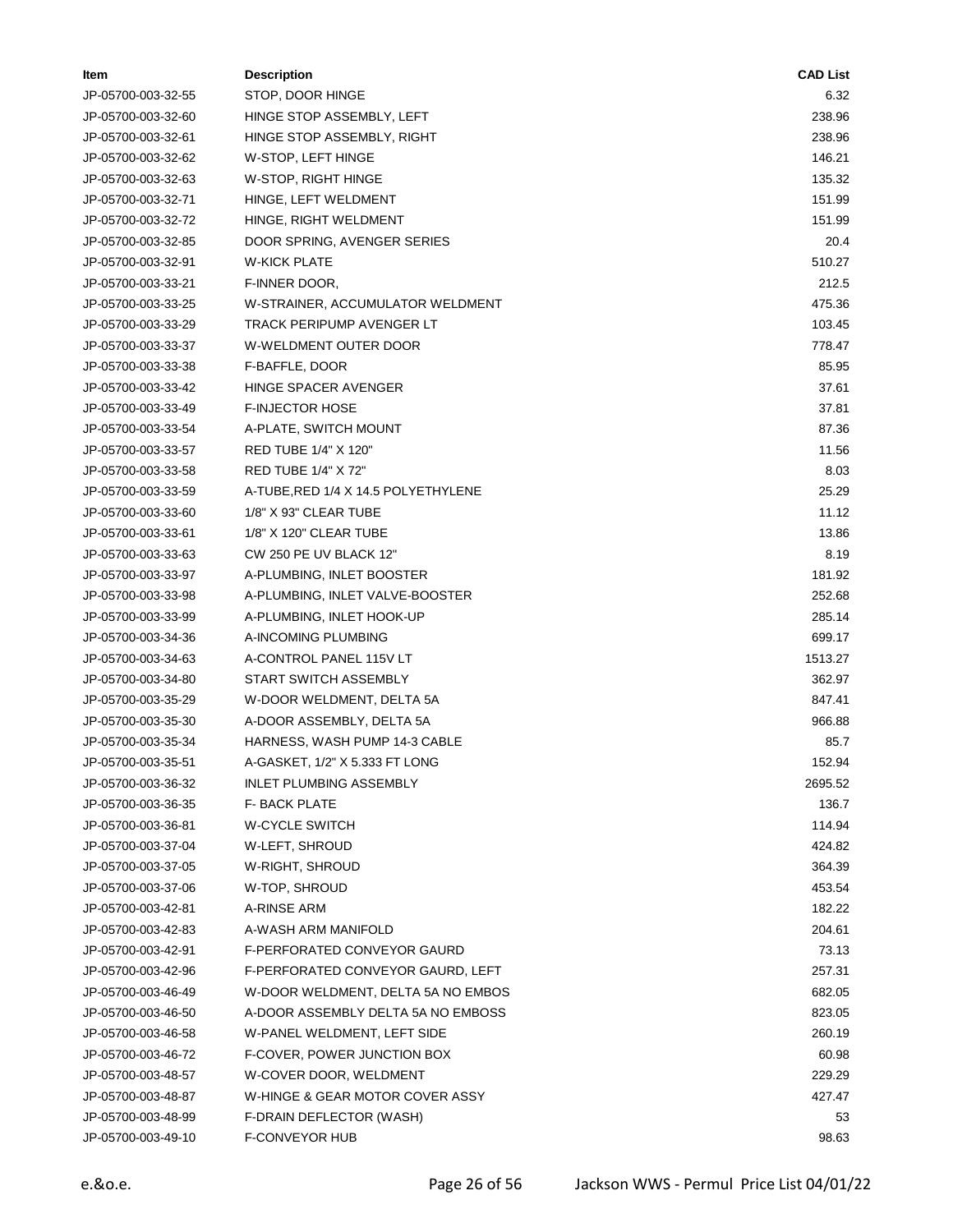| ltem               | <b>Description</b>                  | <b>CAD List</b> |
|--------------------|-------------------------------------|-----------------|
| JP-05700-003-32-55 | STOP, DOOR HINGE                    | 6.32            |
| JP-05700-003-32-60 | HINGE STOP ASSEMBLY, LEFT           | 238.96          |
| JP-05700-003-32-61 | HINGE STOP ASSEMBLY, RIGHT          | 238.96          |
| JP-05700-003-32-62 | W-STOP, LEFT HINGE                  | 146.21          |
| JP-05700-003-32-63 | W-STOP, RIGHT HINGE                 | 135.32          |
| JP-05700-003-32-71 | HINGE, LEFT WELDMENT                | 151.99          |
| JP-05700-003-32-72 | HINGE, RIGHT WELDMENT               | 151.99          |
| JP-05700-003-32-85 | DOOR SPRING, AVENGER SERIES         | 20.4            |
| JP-05700-003-32-91 | <b>W-KICK PLATE</b>                 | 510.27          |
| JP-05700-003-33-21 | F-INNER DOOR,                       | 212.5           |
| JP-05700-003-33-25 | W-STRAINER, ACCUMULATOR WELDMENT    | 475.36          |
| JP-05700-003-33-29 | TRACK PERIPUMP AVENGER LT           | 103.45          |
| JP-05700-003-33-37 | W-WELDMENT OUTER DOOR               | 778.47          |
| JP-05700-003-33-38 | F-BAFFLE, DOOR                      | 85.95           |
| JP-05700-003-33-42 | HINGE SPACER AVENGER                | 37.61           |
| JP-05700-003-33-49 | <b>F-INJECTOR HOSE</b>              | 37.81           |
| JP-05700-003-33-54 | A-PLATE, SWITCH MOUNT               | 87.36           |
| JP-05700-003-33-57 | RED TUBE 1/4" X 120"                | 11.56           |
| JP-05700-003-33-58 | RED TUBE 1/4" X 72"                 | 8.03            |
| JP-05700-003-33-59 | A-TUBE, RED 1/4 X 14.5 POLYETHYLENE | 25.29           |
| JP-05700-003-33-60 | 1/8" X 93" CLEAR TUBE               | 11.12           |
| JP-05700-003-33-61 | 1/8" X 120" CLEAR TUBE              | 13.86           |
| JP-05700-003-33-63 | CW 250 PE UV BLACK 12"              | 8.19            |
| JP-05700-003-33-97 | A-PLUMBING, INLET BOOSTER           | 181.92          |
| JP-05700-003-33-98 | A-PLUMBING, INLET VALVE-BOOSTER     | 252.68          |
| JP-05700-003-33-99 | A-PLUMBING, INLET HOOK-UP           | 285.14          |
| JP-05700-003-34-36 | A-INCOMING PLUMBING                 | 699.17          |
| JP-05700-003-34-63 | A-CONTROL PANEL 115V LT             | 1513.27         |
| JP-05700-003-34-80 | START SWITCH ASSEMBLY               | 362.97          |
| JP-05700-003-35-29 | W-DOOR WELDMENT, DELTA 5A           | 847.41          |
| JP-05700-003-35-30 | A-DOOR ASSEMBLY, DELTA 5A           | 966.88          |
| JP-05700-003-35-34 | HARNESS, WASH PUMP 14-3 CABLE       | 85.7            |
| JP-05700-003-35-51 | A-GASKET, 1/2" X 5.333 FT LONG      | 152.94          |
| JP-05700-003-36-32 | INLET PLUMBING ASSEMBLY             | 2695.52         |
| JP-05700-003-36-35 | F- BACK PLATE                       | 136.7           |
| JP-05700-003-36-81 | W-CYCLE SWITCH                      | 114.94          |
| JP-05700-003-37-04 | W-LEFT, SHROUD                      | 424.82          |
| JP-05700-003-37-05 | W-RIGHT, SHROUD                     | 364.39          |
| JP-05700-003-37-06 | W-TOP, SHROUD                       | 453.54          |
| JP-05700-003-42-81 | A-RINSE ARM                         | 182.22          |
| JP-05700-003-42-83 | A-WASH ARM MANIFOLD                 | 204.61          |
| JP-05700-003-42-91 | <b>F-PERFORATED CONVEYOR GAURD</b>  | 73.13           |
| JP-05700-003-42-96 | F-PERFORATED CONVEYOR GAURD, LEFT   | 257.31          |
| JP-05700-003-46-49 | W-DOOR WELDMENT, DELTA 5A NO EMBOS  | 682.05          |
| JP-05700-003-46-50 | A-DOOR ASSEMBLY DELTA 5A NO EMBOSS  | 823.05          |
| JP-05700-003-46-58 | W-PANEL WELDMENT, LEFT SIDE         | 260.19          |
| JP-05700-003-46-72 | F-COVER, POWER JUNCTION BOX         | 60.98           |
| JP-05700-003-48-57 | W-COVER DOOR, WELDMENT              | 229.29          |
| JP-05700-003-48-87 | W-HINGE & GEAR MOTOR COVER ASSY     | 427.47          |
| JP-05700-003-48-99 | F-DRAIN DEFLECTOR (WASH)            | 53              |
| JP-05700-003-49-10 | F-CONVEYOR HUB                      | 98.63           |
|                    |                                     |                 |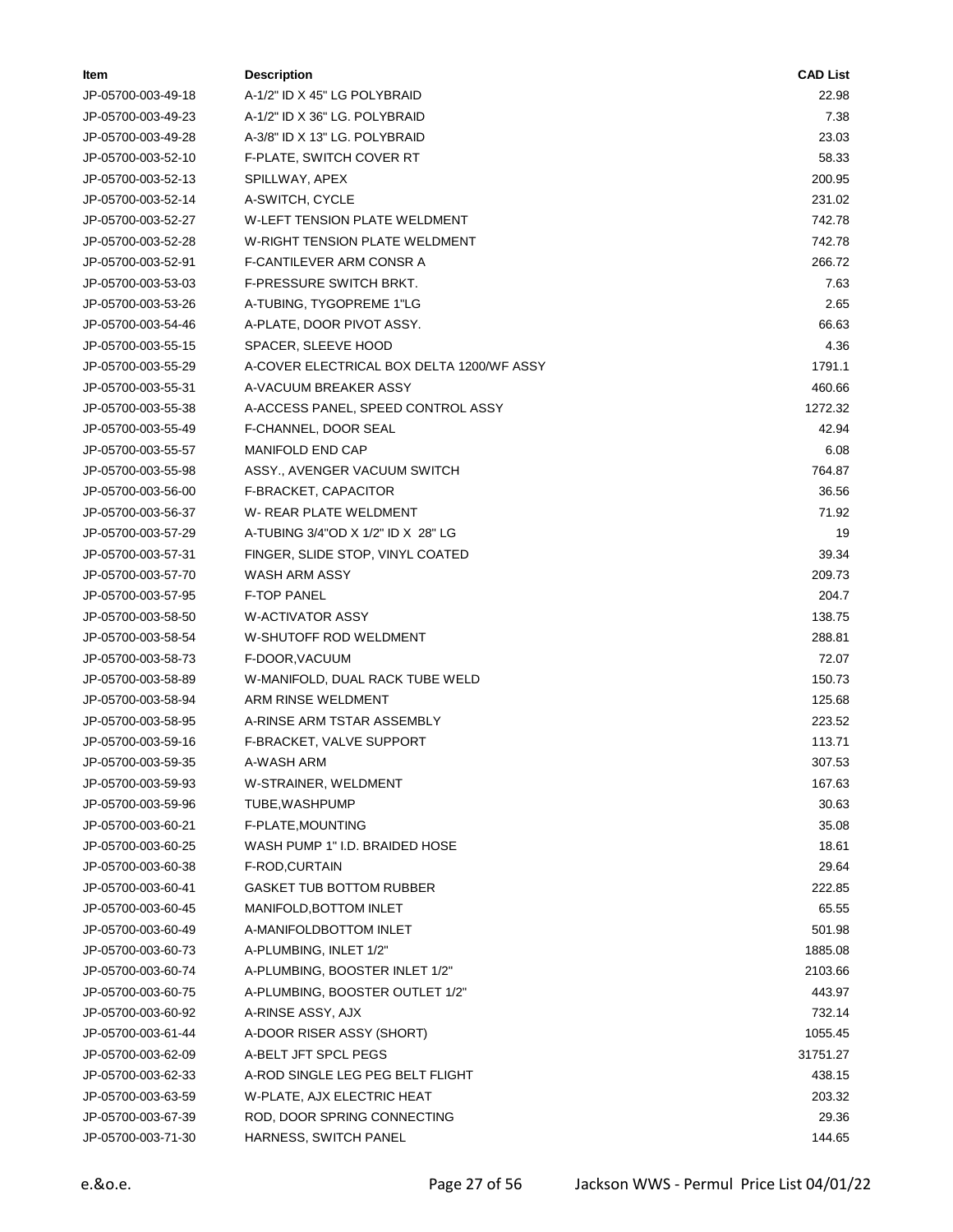| ltem               | <b>Description</b>                        | <b>CAD List</b> |
|--------------------|-------------------------------------------|-----------------|
| JP-05700-003-49-18 | A-1/2" ID X 45" LG POLYBRAID              | 22.98           |
| JP-05700-003-49-23 | A-1/2" ID X 36" LG. POLYBRAID             | 7.38            |
| JP-05700-003-49-28 | A-3/8" ID X 13" LG. POLYBRAID             | 23.03           |
| JP-05700-003-52-10 | <b>F-PLATE, SWITCH COVER RT</b>           | 58.33           |
| JP-05700-003-52-13 | SPILLWAY, APEX                            | 200.95          |
| JP-05700-003-52-14 | A-SWITCH, CYCLE                           | 231.02          |
| JP-05700-003-52-27 | <b>W-LEFT TENSION PLATE WELDMENT</b>      | 742.78          |
| JP-05700-003-52-28 | <b>W-RIGHT TENSION PLATE WELDMENT</b>     | 742.78          |
| JP-05700-003-52-91 | F-CANTILEVER ARM CONSR A                  | 266.72          |
| JP-05700-003-53-03 | F-PRESSURE SWITCH BRKT.                   | 7.63            |
| JP-05700-003-53-26 | A-TUBING, TYGOPREME 1"LG                  | 2.65            |
| JP-05700-003-54-46 | A-PLATE, DOOR PIVOT ASSY.                 | 66.63           |
| JP-05700-003-55-15 | SPACER, SLEEVE HOOD                       | 4.36            |
| JP-05700-003-55-29 | A-COVER ELECTRICAL BOX DELTA 1200/WF ASSY | 1791.1          |
| JP-05700-003-55-31 | A-VACUUM BREAKER ASSY                     | 460.66          |
| JP-05700-003-55-38 | A-ACCESS PANEL, SPEED CONTROL ASSY        | 1272.32         |
| JP-05700-003-55-49 | F-CHANNEL, DOOR SEAL                      | 42.94           |
| JP-05700-003-55-57 | MANIFOLD END CAP                          | 6.08            |
| JP-05700-003-55-98 | ASSY., AVENGER VACUUM SWITCH              | 764.87          |
| JP-05700-003-56-00 | F-BRACKET, CAPACITOR                      | 36.56           |
| JP-05700-003-56-37 | W-REAR PLATE WELDMENT                     | 71.92           |
| JP-05700-003-57-29 | A-TUBING 3/4"OD X 1/2" ID X 28" LG        | 19              |
| JP-05700-003-57-31 | FINGER, SLIDE STOP, VINYL COATED          | 39.34           |
| JP-05700-003-57-70 | WASH ARM ASSY                             | 209.73          |
| JP-05700-003-57-95 | <b>F-TOP PANEL</b>                        | 204.7           |
| JP-05700-003-58-50 | <b>W-ACTIVATOR ASSY</b>                   | 138.75          |
| JP-05700-003-58-54 | W-SHUTOFF ROD WELDMENT                    | 288.81          |
| JP-05700-003-58-73 | F-DOOR, VACUUM                            | 72.07           |
| JP-05700-003-58-89 | W-MANIFOLD, DUAL RACK TUBE WELD           | 150.73          |
| JP-05700-003-58-94 | ARM RINSE WELDMENT                        | 125.68          |
| JP-05700-003-58-95 | A-RINSE ARM TSTAR ASSEMBLY                | 223.52          |
| JP-05700-003-59-16 | F-BRACKET, VALVE SUPPORT                  | 113.71          |
| JP-05700-003-59-35 | A-WASH ARM                                | 307.53          |
| JP-05700-003-59-93 | W-STRAINER, WELDMENT                      | 167.63          |
| JP-05700-003-59-96 | TUBE, WASHPUMP                            | 30.63           |
| JP-05700-003-60-21 | F-PLATE, MOUNTING                         | 35.08           |
| JP-05700-003-60-25 | WASH PUMP 1" I.D. BRAIDED HOSE            | 18.61           |
| JP-05700-003-60-38 | F-ROD,CURTAIN                             | 29.64           |
| JP-05700-003-60-41 | <b>GASKET TUB BOTTOM RUBBER</b>           | 222.85          |
| JP-05700-003-60-45 | MANIFOLD, BOTTOM INLET                    | 65.55           |
| JP-05700-003-60-49 | A-MANIFOLDBOTTOM INLET                    | 501.98          |
| JP-05700-003-60-73 | A-PLUMBING, INLET 1/2"                    | 1885.08         |
| JP-05700-003-60-74 | A-PLUMBING, BOOSTER INLET 1/2"            | 2103.66         |
| JP-05700-003-60-75 | A-PLUMBING, BOOSTER OUTLET 1/2"           | 443.97          |
| JP-05700-003-60-92 | A-RINSE ASSY, AJX                         | 732.14          |
| JP-05700-003-61-44 | A-DOOR RISER ASSY (SHORT)                 | 1055.45         |
| JP-05700-003-62-09 | A-BELT JFT SPCL PEGS                      | 31751.27        |
| JP-05700-003-62-33 | A-ROD SINGLE LEG PEG BELT FLIGHT          | 438.15          |
| JP-05700-003-63-59 | W-PLATE, AJX ELECTRIC HEAT                | 203.32          |
| JP-05700-003-67-39 | ROD, DOOR SPRING CONNECTING               | 29.36           |
| JP-05700-003-71-30 | HARNESS, SWITCH PANEL                     | 144.65          |
|                    |                                           |                 |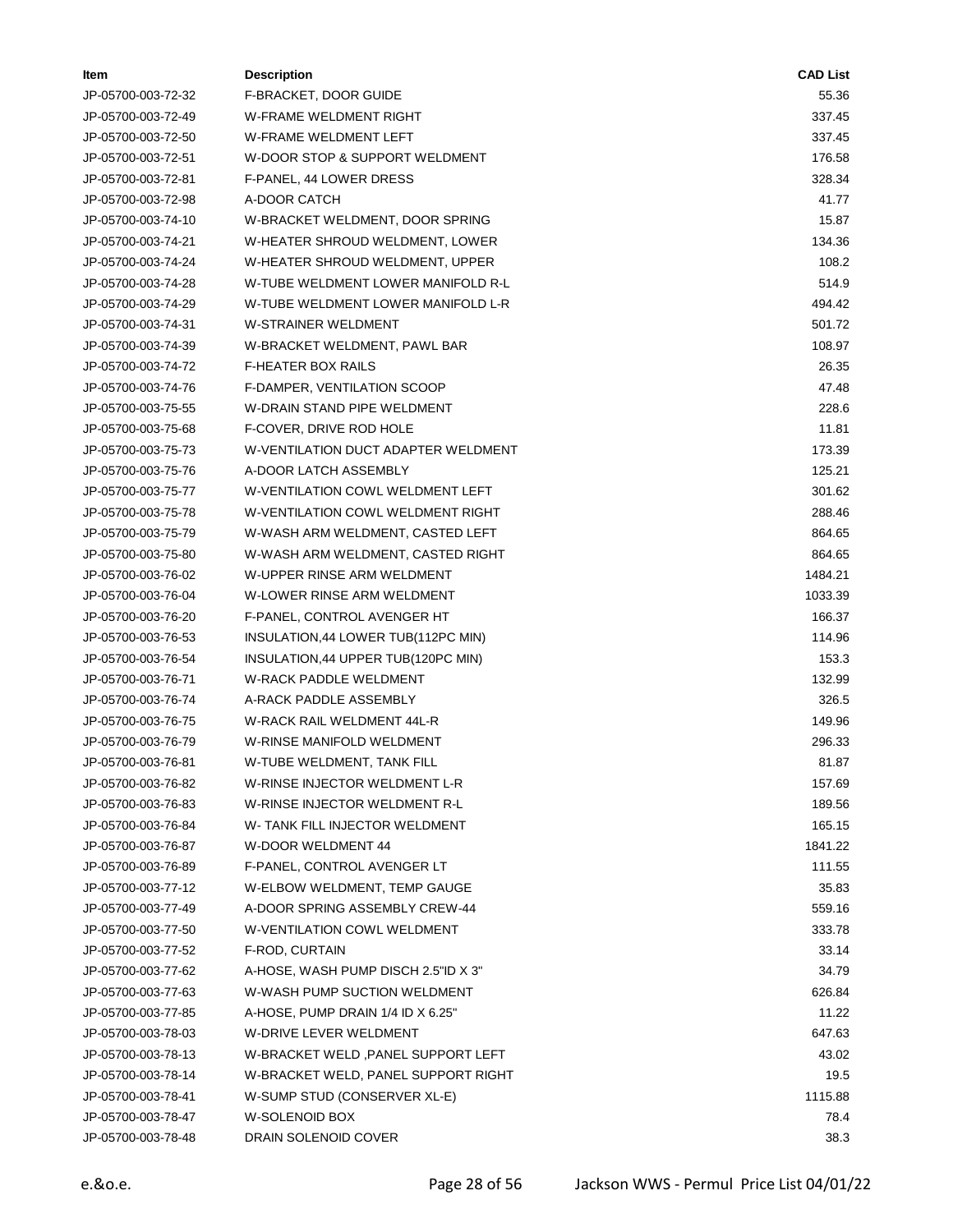| ltem               | <b>Description</b>                  | <b>CAD List</b> |
|--------------------|-------------------------------------|-----------------|
| JP-05700-003-72-32 | F-BRACKET, DOOR GUIDE               | 55.36           |
| JP-05700-003-72-49 | W-FRAME WELDMENT RIGHT              | 337.45          |
| JP-05700-003-72-50 | W-FRAME WELDMENT LEFT               | 337.45          |
| JP-05700-003-72-51 | W-DOOR STOP & SUPPORT WELDMENT      | 176.58          |
| JP-05700-003-72-81 | F-PANEL, 44 LOWER DRESS             | 328.34          |
| JP-05700-003-72-98 | A-DOOR CATCH                        | 41.77           |
| JP-05700-003-74-10 | W-BRACKET WELDMENT, DOOR SPRING     | 15.87           |
| JP-05700-003-74-21 | W-HEATER SHROUD WELDMENT, LOWER     | 134.36          |
| JP-05700-003-74-24 | W-HEATER SHROUD WELDMENT, UPPER     | 108.2           |
| JP-05700-003-74-28 | W-TUBE WELDMENT LOWER MANIFOLD R-L  | 514.9           |
| JP-05700-003-74-29 | W-TUBE WELDMENT LOWER MANIFOLD L-R  | 494.42          |
| JP-05700-003-74-31 | <b>W-STRAINER WELDMENT</b>          | 501.72          |
| JP-05700-003-74-39 | W-BRACKET WELDMENT, PAWL BAR        | 108.97          |
| JP-05700-003-74-72 | F-HEATER BOX RAILS                  | 26.35           |
| JP-05700-003-74-76 | F-DAMPER, VENTILATION SCOOP         | 47.48           |
| JP-05700-003-75-55 | W-DRAIN STAND PIPE WELDMENT         | 228.6           |
| JP-05700-003-75-68 | F-COVER, DRIVE ROD HOLE             | 11.81           |
| JP-05700-003-75-73 | W-VENTILATION DUCT ADAPTER WELDMENT | 173.39          |
| JP-05700-003-75-76 | A-DOOR LATCH ASSEMBLY               | 125.21          |
| JP-05700-003-75-77 | W-VENTILATION COWL WELDMENT LEFT    | 301.62          |
| JP-05700-003-75-78 | W-VENTILATION COWL WELDMENT RIGHT   | 288.46          |
| JP-05700-003-75-79 | W-WASH ARM WELDMENT, CASTED LEFT    | 864.65          |
| JP-05700-003-75-80 | W-WASH ARM WELDMENT, CASTED RIGHT   | 864.65          |
| JP-05700-003-76-02 | W-UPPER RINSE ARM WELDMENT          | 1484.21         |
| JP-05700-003-76-04 | W-LOWER RINSE ARM WELDMENT          | 1033.39         |
| JP-05700-003-76-20 | F-PANEL, CONTROL AVENGER HT         | 166.37          |
| JP-05700-003-76-53 | INSULATION, 44 LOWER TUB(112PC MIN) | 114.96          |
| JP-05700-003-76-54 | INSULATION, 44 UPPER TUB(120PC MIN) | 153.3           |
| JP-05700-003-76-71 | <b>W-RACK PADDLE WELDMENT</b>       | 132.99          |
| JP-05700-003-76-74 | A-RACK PADDLE ASSEMBLY              | 326.5           |
| JP-05700-003-76-75 | W-RACK RAIL WELDMENT 44L-R          | 149.96          |
| JP-05700-003-76-79 | W-RINSE MANIFOLD WELDMENT           | 296.33          |
| JP-05700-003-76-81 | W-TUBE WELDMENT, TANK FILL          | 81.87           |
| JP-05700-003-76-82 | W-RINSE INJECTOR WELDMENT L-R       | 157.69          |
| JP-05700-003-76-83 | W-RINSE INJECTOR WELDMENT R-L       | 189.56          |
| JP-05700-003-76-84 | W-TANK FILL INJECTOR WELDMENT       | 165.15          |
| JP-05700-003-76-87 | W-DOOR WELDMENT 44                  | 1841.22         |
| JP-05700-003-76-89 | F-PANEL, CONTROL AVENGER LT         | 111.55          |
| JP-05700-003-77-12 | W-ELBOW WELDMENT, TEMP GAUGE        | 35.83           |
| JP-05700-003-77-49 | A-DOOR SPRING ASSEMBLY CREW-44      | 559.16          |
| JP-05700-003-77-50 | W-VENTILATION COWL WELDMENT         | 333.78          |
| JP-05700-003-77-52 | F-ROD, CURTAIN                      | 33.14           |
| JP-05700-003-77-62 | A-HOSE, WASH PUMP DISCH 2.5"ID X 3" | 34.79           |
| JP-05700-003-77-63 | W-WASH PUMP SUCTION WELDMENT        | 626.84          |
| JP-05700-003-77-85 | A-HOSE, PUMP DRAIN 1/4 ID X 6.25"   | 11.22           |
| JP-05700-003-78-03 | W-DRIVE LEVER WELDMENT              | 647.63          |
| JP-05700-003-78-13 | W-BRACKET WELD , PANEL SUPPORT LEFT | 43.02           |
| JP-05700-003-78-14 | W-BRACKET WELD, PANEL SUPPORT RIGHT | 19.5            |
| JP-05700-003-78-41 | W-SUMP STUD (CONSERVER XL-E)        | 1115.88         |
| JP-05700-003-78-47 | W-SOLENOID BOX                      | 78.4            |
| JP-05700-003-78-48 | DRAIN SOLENOID COVER                | 38.3            |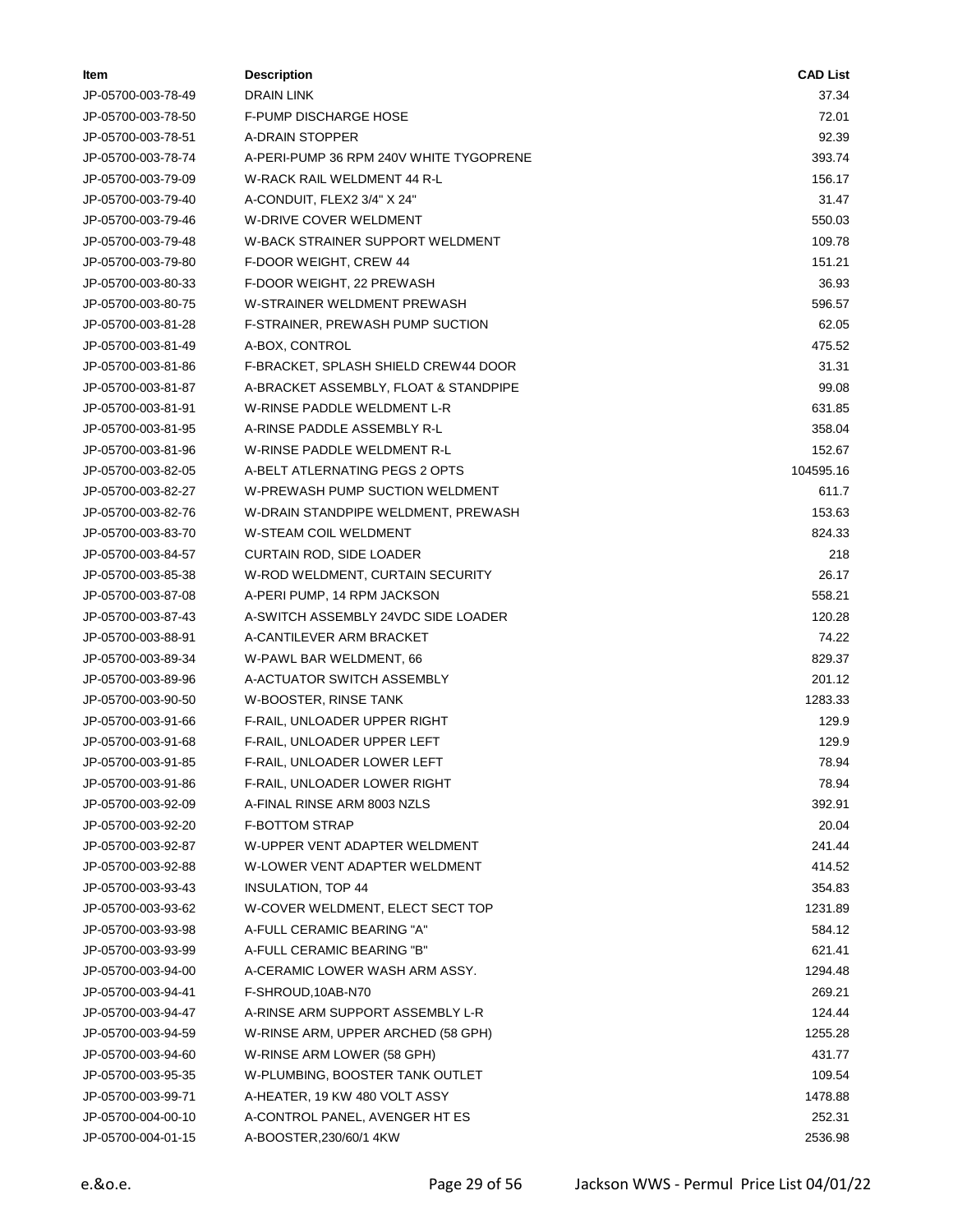| ltem               | <b>Description</b>                      | <b>CAD List</b> |
|--------------------|-----------------------------------------|-----------------|
| JP-05700-003-78-49 | DRAIN LINK                              | 37.34           |
| JP-05700-003-78-50 | <b>F-PUMP DISCHARGE HOSE</b>            | 72.01           |
| JP-05700-003-78-51 | A-DRAIN STOPPER                         | 92.39           |
| JP-05700-003-78-74 | A-PERI-PUMP 36 RPM 240V WHITE TYGOPRENE | 393.74          |
| JP-05700-003-79-09 | W-RACK RAIL WELDMENT 44 R-L             | 156.17          |
| JP-05700-003-79-40 | A-CONDUIT, FLEX2 3/4" X 24"             | 31.47           |
| JP-05700-003-79-46 | W-DRIVE COVER WELDMENT                  | 550.03          |
| JP-05700-003-79-48 | W-BACK STRAINER SUPPORT WELDMENT        | 109.78          |
| JP-05700-003-79-80 | F-DOOR WEIGHT, CREW 44                  | 151.21          |
| JP-05700-003-80-33 | F-DOOR WEIGHT, 22 PREWASH               | 36.93           |
| JP-05700-003-80-75 | W-STRAINER WELDMENT PREWASH             | 596.57          |
| JP-05700-003-81-28 | F-STRAINER, PREWASH PUMP SUCTION        | 62.05           |
| JP-05700-003-81-49 | A-BOX, CONTROL                          | 475.52          |
| JP-05700-003-81-86 | F-BRACKET, SPLASH SHIELD CREW44 DOOR    | 31.31           |
| JP-05700-003-81-87 | A-BRACKET ASSEMBLY, FLOAT & STANDPIPE   | 99.08           |
| JP-05700-003-81-91 | W-RINSE PADDLE WELDMENT L-R             | 631.85          |
| JP-05700-003-81-95 | A-RINSE PADDLE ASSEMBLY R-L             | 358.04          |
| JP-05700-003-81-96 | W-RINSE PADDLE WELDMENT R-L             | 152.67          |
| JP-05700-003-82-05 | A-BELT ATLERNATING PEGS 2 OPTS          | 104595.16       |
| JP-05700-003-82-27 | W-PREWASH PUMP SUCTION WELDMENT         | 611.7           |
| JP-05700-003-82-76 | W-DRAIN STANDPIPE WELDMENT, PREWASH     | 153.63          |
| JP-05700-003-83-70 | W-STEAM COIL WELDMENT                   | 824.33          |
| JP-05700-003-84-57 | CURTAIN ROD, SIDE LOADER                | 218             |
| JP-05700-003-85-38 | W-ROD WELDMENT, CURTAIN SECURITY        | 26.17           |
| JP-05700-003-87-08 | A-PERI PUMP, 14 RPM JACKSON             | 558.21          |
| JP-05700-003-87-43 | A-SWITCH ASSEMBLY 24VDC SIDE LOADER     | 120.28          |
| JP-05700-003-88-91 | A-CANTILEVER ARM BRACKET                | 74.22           |
| JP-05700-003-89-34 | W-PAWL BAR WELDMENT, 66                 | 829.37          |
| JP-05700-003-89-96 | A-ACTUATOR SWITCH ASSEMBLY              | 201.12          |
| JP-05700-003-90-50 | W-BOOSTER, RINSE TANK                   | 1283.33         |
| JP-05700-003-91-66 | F-RAIL, UNLOADER UPPER RIGHT            | 129.9           |
| JP-05700-003-91-68 | F-RAIL, UNLOADER UPPER LEFT             | 129.9           |
| JP-05700-003-91-85 | F-RAIL, UNLOADER LOWER LEFT             | 78.94           |
| JP-05700-003-91-86 | F-RAIL, UNLOADER LOWER RIGHT            | 78.94           |
| JP-05700-003-92-09 | A-FINAL RINSE ARM 8003 NZLS             | 392.91          |
| JP-05700-003-92-20 | <b>F-BOTTOM STRAP</b>                   | 20.04           |
| JP-05700-003-92-87 | W-UPPER VENT ADAPTER WELDMENT           | 241.44          |
| JP-05700-003-92-88 | W-LOWER VENT ADAPTER WELDMENT           | 414.52          |
| JP-05700-003-93-43 | INSULATION, TOP 44                      | 354.83          |
| JP-05700-003-93-62 | W-COVER WELDMENT, ELECT SECT TOP        | 1231.89         |
| JP-05700-003-93-98 | A-FULL CERAMIC BEARING "A"              | 584.12          |
| JP-05700-003-93-99 | A-FULL CERAMIC BEARING "B"              | 621.41          |
| JP-05700-003-94-00 | A-CERAMIC LOWER WASH ARM ASSY.          | 1294.48         |
| JP-05700-003-94-41 | F-SHROUD, 10AB-N70                      | 269.21          |
| JP-05700-003-94-47 | A-RINSE ARM SUPPORT ASSEMBLY L-R        | 124.44          |
| JP-05700-003-94-59 | W-RINSE ARM, UPPER ARCHED (58 GPH)      | 1255.28         |
| JP-05700-003-94-60 | W-RINSE ARM LOWER (58 GPH)              | 431.77          |
| JP-05700-003-95-35 | W-PLUMBING, BOOSTER TANK OUTLET         | 109.54          |
| JP-05700-003-99-71 | A-HEATER, 19 KW 480 VOLT ASSY           | 1478.88         |
| JP-05700-004-00-10 | A-CONTROL PANEL, AVENGER HT ES          | 252.31          |
| JP-05700-004-01-15 | A-BOOSTER, 230/60/1 4KW                 | 2536.98         |
|                    |                                         |                 |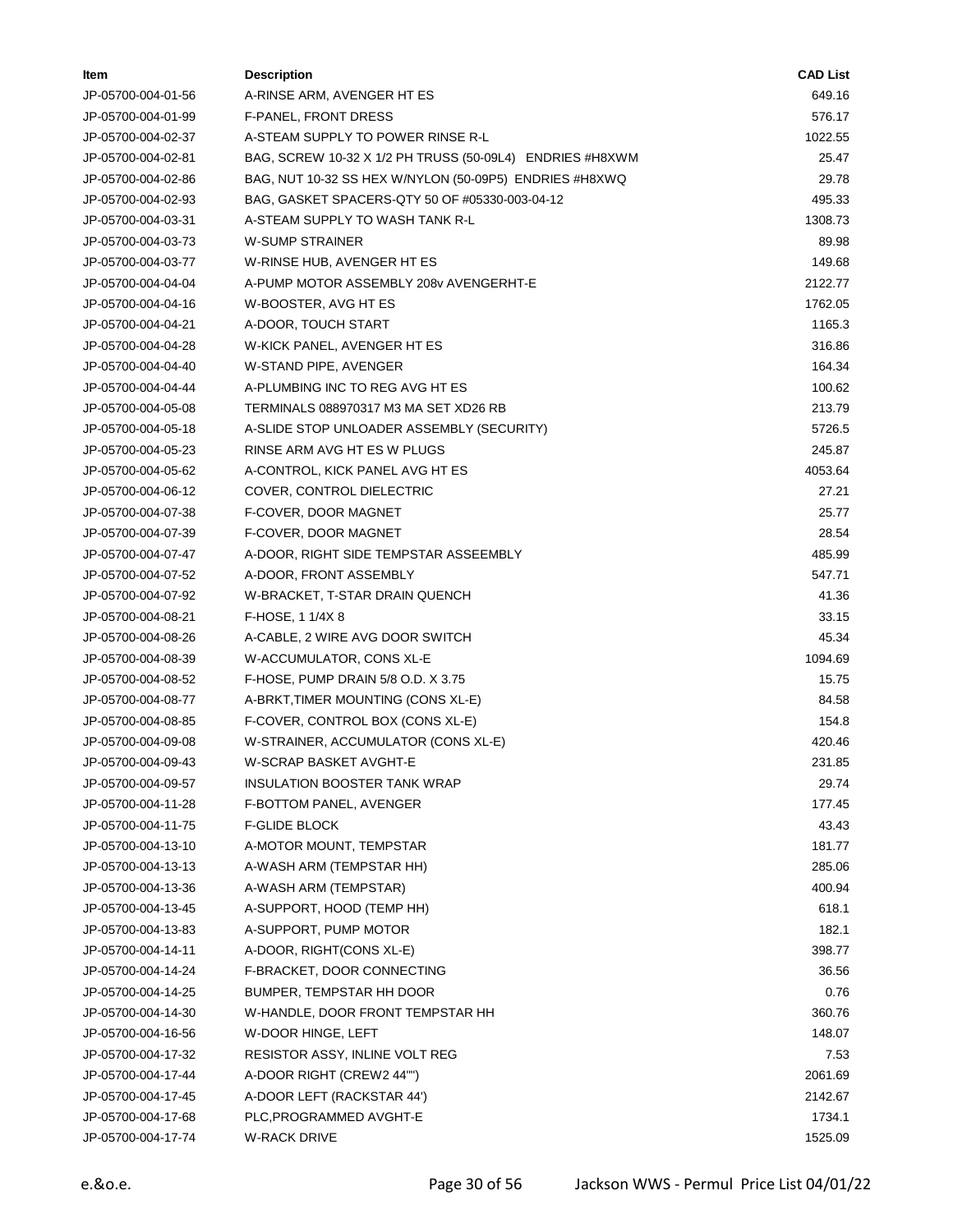| ltem               | <b>Description</b>                                       | <b>CAD List</b> |
|--------------------|----------------------------------------------------------|-----------------|
| JP-05700-004-01-56 | A-RINSE ARM, AVENGER HT ES                               | 649.16          |
| JP-05700-004-01-99 | F-PANEL, FRONT DRESS                                     | 576.17          |
| JP-05700-004-02-37 | A-STEAM SUPPLY TO POWER RINSE R-L                        | 1022.55         |
| JP-05700-004-02-81 | BAG, SCREW 10-32 X 1/2 PH TRUSS (50-09L4) ENDRIES #H8XWM | 25.47           |
| JP-05700-004-02-86 | BAG, NUT 10-32 SS HEX W/NYLON (50-09P5) ENDRIES #H8XWQ   | 29.78           |
| JP-05700-004-02-93 | BAG, GASKET SPACERS-QTY 50 OF #05330-003-04-12           | 495.33          |
| JP-05700-004-03-31 | A-STEAM SUPPLY TO WASH TANK R-L                          | 1308.73         |
| JP-05700-004-03-73 | <b>W-SUMP STRAINER</b>                                   | 89.98           |
| JP-05700-004-03-77 | W-RINSE HUB, AVENGER HT ES                               | 149.68          |
| JP-05700-004-04-04 | A-PUMP MOTOR ASSEMBLY 208v AVENGERHT-E                   | 2122.77         |
| JP-05700-004-04-16 | W-BOOSTER, AVG HT ES                                     | 1762.05         |
| JP-05700-004-04-21 | A-DOOR, TOUCH START                                      | 1165.3          |
| JP-05700-004-04-28 | W-KICK PANEL, AVENGER HT ES                              | 316.86          |
| JP-05700-004-04-40 | W-STAND PIPE, AVENGER                                    | 164.34          |
| JP-05700-004-04-44 | A-PLUMBING INC TO REG AVG HT ES                          | 100.62          |
| JP-05700-004-05-08 | TERMINALS 088970317 M3 MA SET XD26 RB                    | 213.79          |
| JP-05700-004-05-18 | A-SLIDE STOP UNLOADER ASSEMBLY (SECURITY)                | 5726.5          |
| JP-05700-004-05-23 | RINSE ARM AVG HT ES W PLUGS                              | 245.87          |
| JP-05700-004-05-62 | A-CONTROL, KICK PANEL AVG HT ES                          | 4053.64         |
| JP-05700-004-06-12 | COVER, CONTROL DIELECTRIC                                | 27.21           |
| JP-05700-004-07-38 | F-COVER, DOOR MAGNET                                     | 25.77           |
| JP-05700-004-07-39 | F-COVER, DOOR MAGNET                                     | 28.54           |
| JP-05700-004-07-47 | A-DOOR, RIGHT SIDE TEMPSTAR ASSEEMBLY                    | 485.99          |
| JP-05700-004-07-52 | A-DOOR, FRONT ASSEMBLY                                   | 547.71          |
| JP-05700-004-07-92 | W-BRACKET, T-STAR DRAIN QUENCH                           | 41.36           |
| JP-05700-004-08-21 | F-HOSE, 1 1/4X 8                                         | 33.15           |
| JP-05700-004-08-26 | A-CABLE, 2 WIRE AVG DOOR SWITCH                          | 45.34           |
| JP-05700-004-08-39 | W-ACCUMULATOR, CONS XL-E                                 | 1094.69         |
| JP-05700-004-08-52 | F-HOSE, PUMP DRAIN 5/8 O.D. X 3.75                       | 15.75           |
| JP-05700-004-08-77 | A-BRKT, TIMER MOUNTING (CONS XL-E)                       | 84.58           |
| JP-05700-004-08-85 | F-COVER, CONTROL BOX (CONS XL-E)                         | 154.8           |
| JP-05700-004-09-08 | W-STRAINER, ACCUMULATOR (CONS XL-E)                      | 420.46          |
| JP-05700-004-09-43 | W-SCRAP BASKET AVGHT-E                                   | 231.85          |
| JP-05700-004-09-57 | INSULATION BOOSTER TANK WRAP                             | 29.74           |
| JP-05700-004-11-28 | F-BOTTOM PANEL, AVENGER                                  | 177.45          |
| JP-05700-004-11-75 | <b>F-GLIDE BLOCK</b>                                     | 43.43           |
| JP-05700-004-13-10 | A-MOTOR MOUNT, TEMPSTAR                                  | 181.77          |
| JP-05700-004-13-13 | A-WASH ARM (TEMPSTAR HH)                                 | 285.06          |
| JP-05700-004-13-36 | A-WASH ARM (TEMPSTAR)                                    | 400.94          |
| JP-05700-004-13-45 | A-SUPPORT, HOOD (TEMP HH)                                | 618.1           |
| JP-05700-004-13-83 | A-SUPPORT, PUMP MOTOR                                    | 182.1           |
| JP-05700-004-14-11 | A-DOOR, RIGHT(CONS XL-E)                                 | 398.77          |
| JP-05700-004-14-24 | F-BRACKET, DOOR CONNECTING                               | 36.56           |
| JP-05700-004-14-25 | BUMPER, TEMPSTAR HH DOOR                                 | 0.76            |
| JP-05700-004-14-30 | W-HANDLE, DOOR FRONT TEMPSTAR HH                         | 360.76          |
| JP-05700-004-16-56 | W-DOOR HINGE, LEFT                                       | 148.07          |
| JP-05700-004-17-32 | RESISTOR ASSY, INLINE VOLT REG                           | 7.53            |
| JP-05700-004-17-44 | A-DOOR RIGHT (CREW2 44"")                                | 2061.69         |
| JP-05700-004-17-45 | A-DOOR LEFT (RACKSTAR 44')                               | 2142.67         |
| JP-05700-004-17-68 | PLC, PROGRAMMED AVGHT-E                                  | 1734.1          |
| JP-05700-004-17-74 | <b>W-RACK DRIVE</b>                                      | 1525.09         |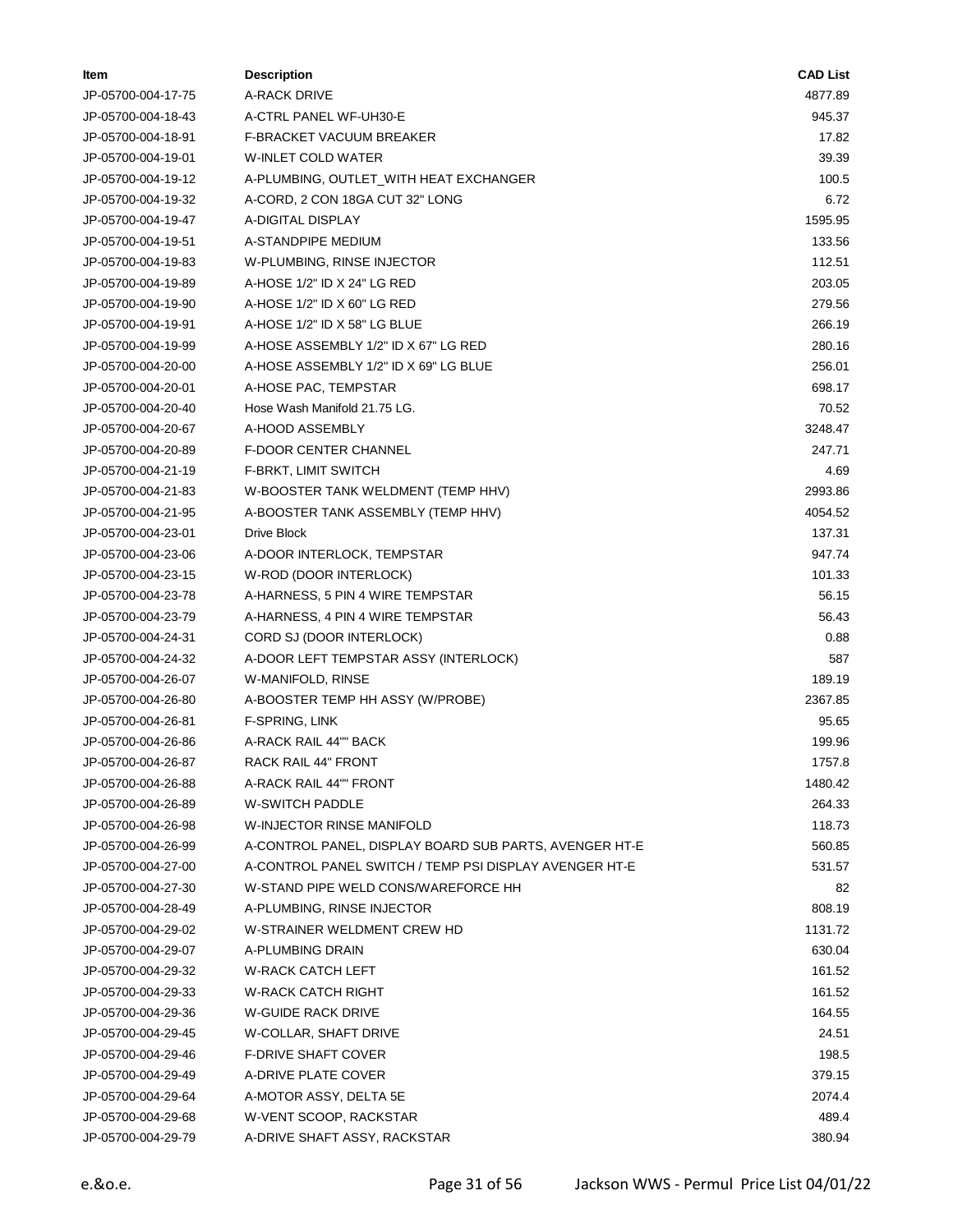| Item               | <b>Description</b>                                        | <b>CAD List</b> |
|--------------------|-----------------------------------------------------------|-----------------|
| JP-05700-004-17-75 | A-RACK DRIVE                                              | 4877.89         |
| JP-05700-004-18-43 | A-CTRL PANEL WF-UH30-E                                    | 945.37          |
| JP-05700-004-18-91 | F-BRACKET VACUUM BREAKER                                  | 17.82           |
| JP-05700-004-19-01 | W-INLET COLD WATER                                        | 39.39           |
| JP-05700-004-19-12 | A-PLUMBING, OUTLET_WITH HEAT EXCHANGER                    | 100.5           |
| JP-05700-004-19-32 | A-CORD, 2 CON 18GA CUT 32" LONG                           | 6.72            |
| JP-05700-004-19-47 | A-DIGITAL DISPLAY                                         | 1595.95         |
| JP-05700-004-19-51 | A-STANDPIPE MEDIUM                                        | 133.56          |
| JP-05700-004-19-83 | W-PLUMBING, RINSE INJECTOR                                | 112.51          |
| JP-05700-004-19-89 | A-HOSE 1/2" ID X 24" LG RED                               | 203.05          |
| JP-05700-004-19-90 | A-HOSE 1/2" ID X 60" LG RED                               | 279.56          |
| JP-05700-004-19-91 | A-HOSE 1/2" ID X 58" LG BLUE                              | 266.19          |
| JP-05700-004-19-99 | A-HOSE ASSEMBLY 1/2" ID X 67" LG RED                      | 280.16          |
| JP-05700-004-20-00 | A-HOSE ASSEMBLY 1/2" ID X 69" LG BLUE                     | 256.01          |
| JP-05700-004-20-01 | A-HOSE PAC, TEMPSTAR                                      | 698.17          |
| JP-05700-004-20-40 | Hose Wash Manifold 21.75 LG.                              | 70.52           |
| JP-05700-004-20-67 | A-HOOD ASSEMBLY                                           | 3248.47         |
| JP-05700-004-20-89 | <b>F-DOOR CENTER CHANNEL</b>                              | 247.71          |
| JP-05700-004-21-19 | F-BRKT, LIMIT SWITCH                                      | 4.69            |
| JP-05700-004-21-83 | W-BOOSTER TANK WELDMENT (TEMP HHV)                        | 2993.86         |
| JP-05700-004-21-95 | A-BOOSTER TANK ASSEMBLY (TEMP HHV)                        | 4054.52         |
| JP-05700-004-23-01 | Drive Block                                               | 137.31          |
| JP-05700-004-23-06 | A-DOOR INTERLOCK, TEMPSTAR                                | 947.74          |
| JP-05700-004-23-15 | W-ROD (DOOR INTERLOCK)                                    | 101.33          |
| JP-05700-004-23-78 | A-HARNESS, 5 PIN 4 WIRE TEMPSTAR                          | 56.15           |
| JP-05700-004-23-79 | A-HARNESS, 4 PIN 4 WIRE TEMPSTAR                          | 56.43           |
| JP-05700-004-24-31 | CORD SJ (DOOR INTERLOCK)                                  | 0.88            |
| JP-05700-004-24-32 | A-DOOR LEFT TEMPSTAR ASSY (INTERLOCK)                     | 587             |
| JP-05700-004-26-07 | W-MANIFOLD, RINSE                                         | 189.19          |
| JP-05700-004-26-80 | A-BOOSTER TEMP HH ASSY (W/PROBE)                          | 2367.85         |
| JP-05700-004-26-81 | F-SPRING, LINK                                            | 95.65           |
| JP-05700-004-26-86 | A-RACK RAIL 44"" BACK                                     | 199.96          |
| JP-05700-004-26-87 | RACK RAIL 44" FRONT                                       | 1757.8          |
| JP-05700-004-26-88 | A-RACK RAIL 44"" FRONT                                    | 1480.42         |
| JP-05700-004-26-89 | W-SWITCH PADDLE                                           | 264.33          |
| JP-05700-004-26-98 | W-INJECTOR RINSE MANIFOLD                                 | 118.73          |
| JP-05700-004-26-99 | A-CONTROL PANEL, DISPLAY BOARD SUB PARTS, AVENGER HT-E    | 560.85          |
| JP-05700-004-27-00 | A-CONTROL PANEL SWITCH / TEMP PSI DISPLAY AVENGER HT-E    | 531.57          |
| JP-05700-004-27-30 | W-STAND PIPE WELD CONS/WAREFORCE HH                       | 82              |
|                    |                                                           | 808.19          |
| JP-05700-004-28-49 | A-PLUMBING, RINSE INJECTOR<br>W-STRAINER WELDMENT CREW HD | 1131.72         |
| JP-05700-004-29-02 |                                                           |                 |
| JP-05700-004-29-07 | A-PLUMBING DRAIN                                          | 630.04          |
| JP-05700-004-29-32 | W-RACK CATCH LEFT                                         | 161.52          |
| JP-05700-004-29-33 | W-RACK CATCH RIGHT                                        | 161.52          |
| JP-05700-004-29-36 | <b>W-GUIDE RACK DRIVE</b>                                 | 164.55          |
| JP-05700-004-29-45 | W-COLLAR, SHAFT DRIVE                                     | 24.51           |
| JP-05700-004-29-46 | <b>F-DRIVE SHAFT COVER</b>                                | 198.5           |
| JP-05700-004-29-49 | A-DRIVE PLATE COVER                                       | 379.15          |
| JP-05700-004-29-64 | A-MOTOR ASSY, DELTA 5E                                    | 2074.4          |
| JP-05700-004-29-68 | W-VENT SCOOP, RACKSTAR                                    | 489.4           |
| JP-05700-004-29-79 | A-DRIVE SHAFT ASSY, RACKSTAR                              | 380.94          |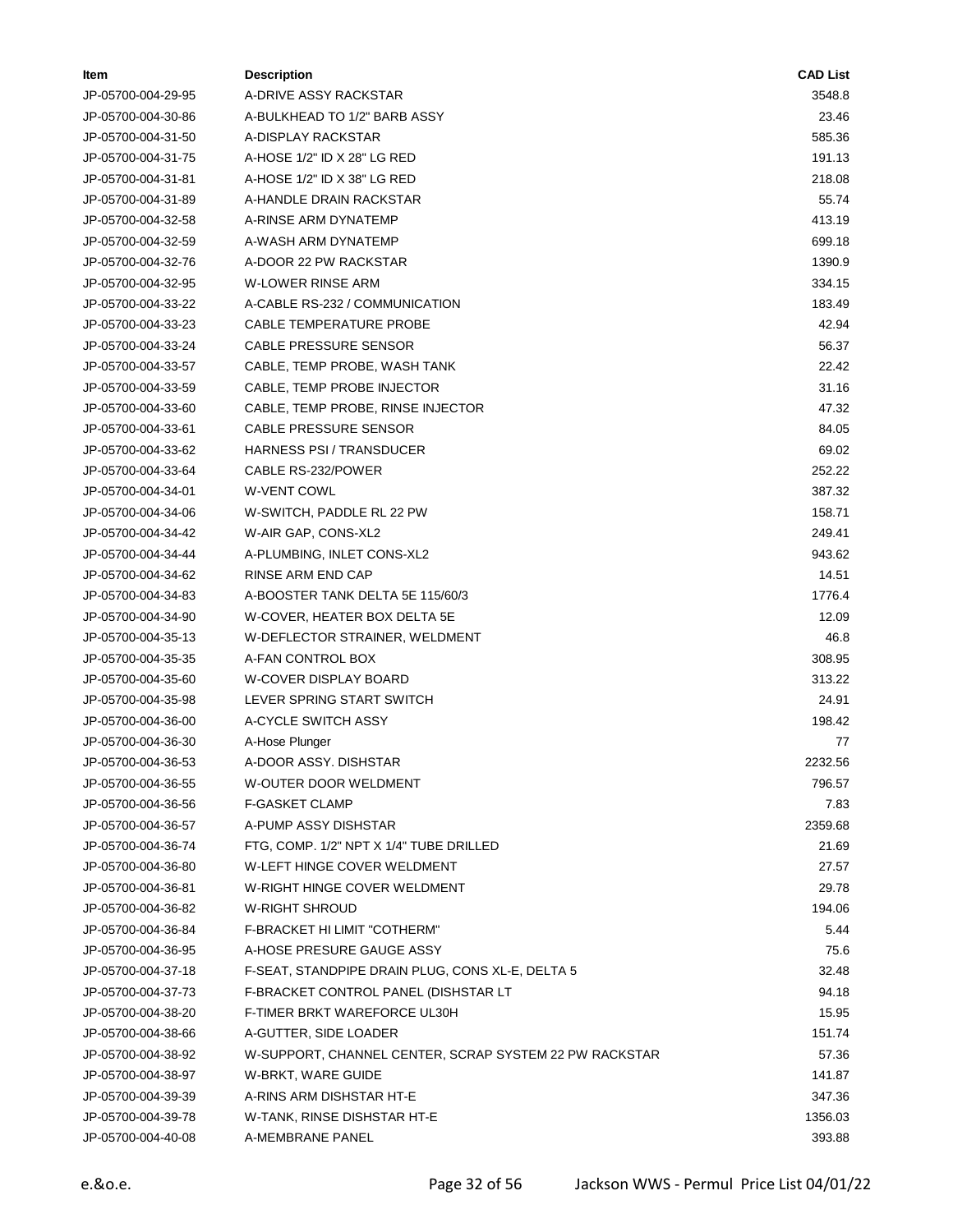| ltem               | <b>Description</b>                                     | <b>CAD List</b> |
|--------------------|--------------------------------------------------------|-----------------|
| JP-05700-004-29-95 | A-DRIVE ASSY RACKSTAR                                  | 3548.8          |
| JP-05700-004-30-86 | A-BULKHEAD TO 1/2" BARB ASSY                           | 23.46           |
| JP-05700-004-31-50 | A-DISPLAY RACKSTAR                                     | 585.36          |
| JP-05700-004-31-75 | A-HOSE 1/2" ID X 28" LG RED                            | 191.13          |
| JP-05700-004-31-81 | A-HOSE 1/2" ID X 38" LG RED                            | 218.08          |
| JP-05700-004-31-89 | A-HANDLE DRAIN RACKSTAR                                | 55.74           |
| JP-05700-004-32-58 | A-RINSE ARM DYNATEMP                                   | 413.19          |
| JP-05700-004-32-59 | A-WASH ARM DYNATEMP                                    | 699.18          |
| JP-05700-004-32-76 | A-DOOR 22 PW RACKSTAR                                  | 1390.9          |
| JP-05700-004-32-95 | <b>W-LOWER RINSE ARM</b>                               | 334.15          |
| JP-05700-004-33-22 | A-CABLE RS-232 / COMMUNICATION                         | 183.49          |
| JP-05700-004-33-23 | CABLE TEMPERATURE PROBE                                | 42.94           |
| JP-05700-004-33-24 | CABLE PRESSURE SENSOR                                  | 56.37           |
| JP-05700-004-33-57 | CABLE, TEMP PROBE, WASH TANK                           | 22.42           |
| JP-05700-004-33-59 | CABLE, TEMP PROBE INJECTOR                             | 31.16           |
| JP-05700-004-33-60 | CABLE, TEMP PROBE, RINSE INJECTOR                      | 47.32           |
| JP-05700-004-33-61 | CABLE PRESSURE SENSOR                                  | 84.05           |
| JP-05700-004-33-62 | <b>HARNESS PSI / TRANSDUCER</b>                        | 69.02           |
| JP-05700-004-33-64 | CABLE RS-232/POWER                                     | 252.22          |
| JP-05700-004-34-01 | <b>W-VENT COWL</b>                                     | 387.32          |
| JP-05700-004-34-06 | W-SWITCH, PADDLE RL 22 PW                              | 158.71          |
| JP-05700-004-34-42 | W-AIR GAP, CONS-XL2                                    | 249.41          |
| JP-05700-004-34-44 | A-PLUMBING, INLET CONS-XL2                             | 943.62          |
| JP-05700-004-34-62 | RINSE ARM END CAP                                      | 14.51           |
| JP-05700-004-34-83 | A-BOOSTER TANK DELTA 5E 115/60/3                       | 1776.4          |
| JP-05700-004-34-90 | W-COVER, HEATER BOX DELTA 5E                           | 12.09           |
| JP-05700-004-35-13 | W-DEFLECTOR STRAINER, WELDMENT                         | 46.8            |
| JP-05700-004-35-35 | A-FAN CONTROL BOX                                      | 308.95          |
| JP-05700-004-35-60 | W-COVER DISPLAY BOARD                                  | 313.22          |
| JP-05700-004-35-98 | LEVER SPRING START SWITCH                              | 24.91           |
| JP-05700-004-36-00 | A-CYCLE SWITCH ASSY                                    | 198.42          |
| JP-05700-004-36-30 | A-Hose Plunger                                         | 77              |
| JP-05700-004-36-53 | A-DOOR ASSY. DISHSTAR                                  | 2232.56         |
| JP-05700-004-36-55 | W-OUTER DOOR WELDMENT                                  | 796.57          |
| JP-05700-004-36-56 | F-GASKET CLAMP                                         | 7.83            |
| JP-05700-004-36-57 | A-PUMP ASSY DISHSTAR                                   | 2359.68         |
| JP-05700-004-36-74 | FTG, COMP. 1/2" NPT X 1/4" TUBE DRILLED                | 21.69           |
| JP-05700-004-36-80 | W-LEFT HINGE COVER WELDMENT                            | 27.57           |
| JP-05700-004-36-81 | W-RIGHT HINGE COVER WELDMENT                           | 29.78           |
| JP-05700-004-36-82 | W-RIGHT SHROUD                                         | 194.06          |
| JP-05700-004-36-84 | F-BRACKET HI LIMIT "COTHERM"                           | 5.44            |
| JP-05700-004-36-95 | A-HOSE PRESURE GAUGE ASSY                              | 75.6            |
| JP-05700-004-37-18 | F-SEAT, STANDPIPE DRAIN PLUG, CONS XL-E, DELTA 5       | 32.48           |
| JP-05700-004-37-73 | F-BRACKET CONTROL PANEL (DISHSTAR LT                   | 94.18           |
| JP-05700-004-38-20 | F-TIMER BRKT WAREFORCE UL30H                           | 15.95           |
| JP-05700-004-38-66 | A-GUTTER, SIDE LOADER                                  | 151.74          |
| JP-05700-004-38-92 | W-SUPPORT, CHANNEL CENTER, SCRAP SYSTEM 22 PW RACKSTAR | 57.36           |
| JP-05700-004-38-97 | W-BRKT, WARE GUIDE                                     | 141.87          |
| JP-05700-004-39-39 | A-RINS ARM DISHSTAR HT-E                               | 347.36          |
| JP-05700-004-39-78 | W-TANK, RINSE DISHSTAR HT-E                            | 1356.03         |
| JP-05700-004-40-08 | A-MEMBRANE PANEL                                       | 393.88          |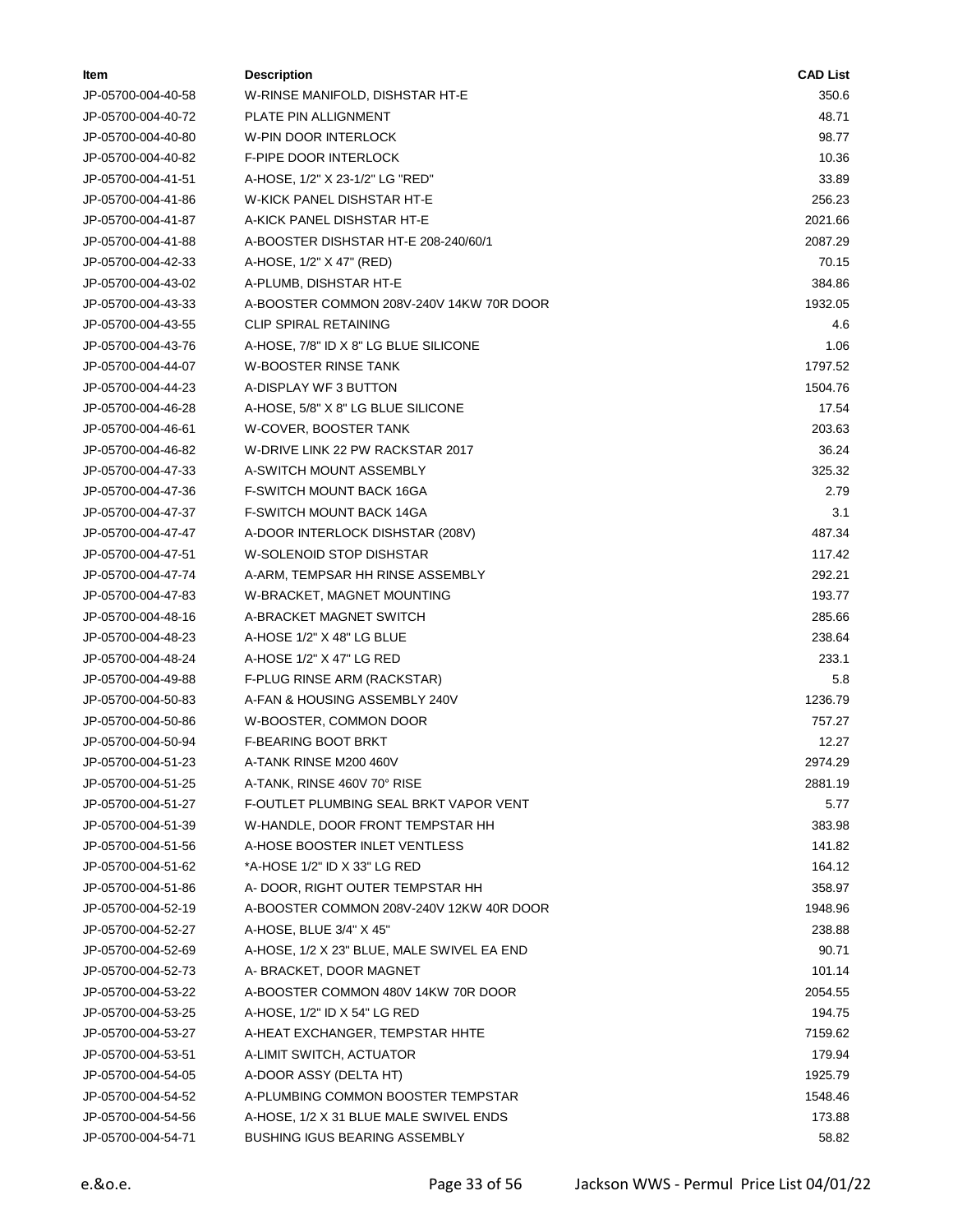| ltem               | <b>Description</b>                         | <b>CAD List</b> |
|--------------------|--------------------------------------------|-----------------|
| JP-05700-004-40-58 | W-RINSE MANIFOLD, DISHSTAR HT-E            | 350.6           |
| JP-05700-004-40-72 | PLATE PIN ALLIGNMENT                       | 48.71           |
| JP-05700-004-40-80 | W-PIN DOOR INTERLOCK                       | 98.77           |
| JP-05700-004-40-82 | F-PIPE DOOR INTERLOCK                      | 10.36           |
| JP-05700-004-41-51 | A-HOSE, 1/2" X 23-1/2" LG "RED"            | 33.89           |
| JP-05700-004-41-86 | W-KICK PANEL DISHSTAR HT-E                 | 256.23          |
| JP-05700-004-41-87 | A-KICK PANEL DISHSTAR HT-E                 | 2021.66         |
| JP-05700-004-41-88 | A-BOOSTER DISHSTAR HT-E 208-240/60/1       | 2087.29         |
| JP-05700-004-42-33 | A-HOSE, 1/2" X 47" (RED)                   | 70.15           |
| JP-05700-004-43-02 | A-PLUMB, DISHSTAR HT-E                     | 384.86          |
| JP-05700-004-43-33 | A-BOOSTER COMMON 208V-240V 14KW 70R DOOR   | 1932.05         |
| JP-05700-004-43-55 | <b>CLIP SPIRAL RETAINING</b>               | 4.6             |
| JP-05700-004-43-76 | A-HOSE, 7/8" ID X 8" LG BLUE SILICONE      | 1.06            |
| JP-05700-004-44-07 | <b>W-BOOSTER RINSE TANK</b>                | 1797.52         |
| JP-05700-004-44-23 | A-DISPLAY WF 3 BUTTON                      | 1504.76         |
| JP-05700-004-46-28 | A-HOSE, 5/8" X 8" LG BLUE SILICONE         | 17.54           |
| JP-05700-004-46-61 | W-COVER, BOOSTER TANK                      | 203.63          |
| JP-05700-004-46-82 | W-DRIVE LINK 22 PW RACKSTAR 2017           | 36.24           |
| JP-05700-004-47-33 | A-SWITCH MOUNT ASSEMBLY                    | 325.32          |
| JP-05700-004-47-36 | F-SWITCH MOUNT BACK 16GA                   | 2.79            |
| JP-05700-004-47-37 | F-SWITCH MOUNT BACK 14GA                   | 3.1             |
| JP-05700-004-47-47 | A-DOOR INTERLOCK DISHSTAR (208V)           | 487.34          |
| JP-05700-004-47-51 | W-SOLENOID STOP DISHSTAR                   | 117.42          |
| JP-05700-004-47-74 | A-ARM, TEMPSAR HH RINSE ASSEMBLY           | 292.21          |
| JP-05700-004-47-83 | W-BRACKET, MAGNET MOUNTING                 | 193.77          |
| JP-05700-004-48-16 | A-BRACKET MAGNET SWITCH                    | 285.66          |
| JP-05700-004-48-23 | A-HOSE 1/2" X 48" LG BLUE                  | 238.64          |
| JP-05700-004-48-24 | A-HOSE 1/2" X 47" LG RED                   | 233.1           |
| JP-05700-004-49-88 | F-PLUG RINSE ARM (RACKSTAR)                | 5.8             |
| JP-05700-004-50-83 | A-FAN & HOUSING ASSEMBLY 240V              | 1236.79         |
| JP-05700-004-50-86 | W-BOOSTER, COMMON DOOR                     | 757.27          |
| JP-05700-004-50-94 | F-BEARING BOOT BRKT                        | 12.27           |
| JP-05700-004-51-23 | A-TANK RINSE M200 460V                     | 2974.29         |
| JP-05700-004-51-25 | A-TANK, RINSE 460V 70° RISE                | 2881.19         |
| JP-05700-004-51-27 | F-OUTLET PLUMBING SEAL BRKT VAPOR VENT     | 5.77            |
| JP-05700-004-51-39 | W-HANDLE, DOOR FRONT TEMPSTAR HH           | 383.98          |
| JP-05700-004-51-56 | A-HOSE BOOSTER INLET VENTLESS              | 141.82          |
| JP-05700-004-51-62 | *A-HOSE 1/2" ID X 33" LG RED               | 164.12          |
| JP-05700-004-51-86 | A-DOOR, RIGHT OUTER TEMPSTAR HH            | 358.97          |
| JP-05700-004-52-19 | A-BOOSTER COMMON 208V-240V 12KW 40R DOOR   | 1948.96         |
| JP-05700-004-52-27 | A-HOSE, BLUE 3/4" X 45"                    | 238.88          |
| JP-05700-004-52-69 | A-HOSE, 1/2 X 23" BLUE, MALE SWIVEL EA END | 90.71           |
| JP-05700-004-52-73 | A- BRACKET, DOOR MAGNET                    | 101.14          |
| JP-05700-004-53-22 | A-BOOSTER COMMON 480V 14KW 70R DOOR        | 2054.55         |
| JP-05700-004-53-25 | A-HOSE, $1/2$ " ID $X$ 54" LG RED          | 194.75          |
| JP-05700-004-53-27 | A-HEAT EXCHANGER, TEMPSTAR HHTE            | 7159.62         |
| JP-05700-004-53-51 | A-LIMIT SWITCH, ACTUATOR                   | 179.94          |
| JP-05700-004-54-05 | A-DOOR ASSY (DELTA HT)                     | 1925.79         |
| JP-05700-004-54-52 | A-PLUMBING COMMON BOOSTER TEMPSTAR         | 1548.46         |
| JP-05700-004-54-56 | A-HOSE, 1/2 X 31 BLUE MALE SWIVEL ENDS     | 173.88          |
| JP-05700-004-54-71 | BUSHING IGUS BEARING ASSEMBLY              | 58.82           |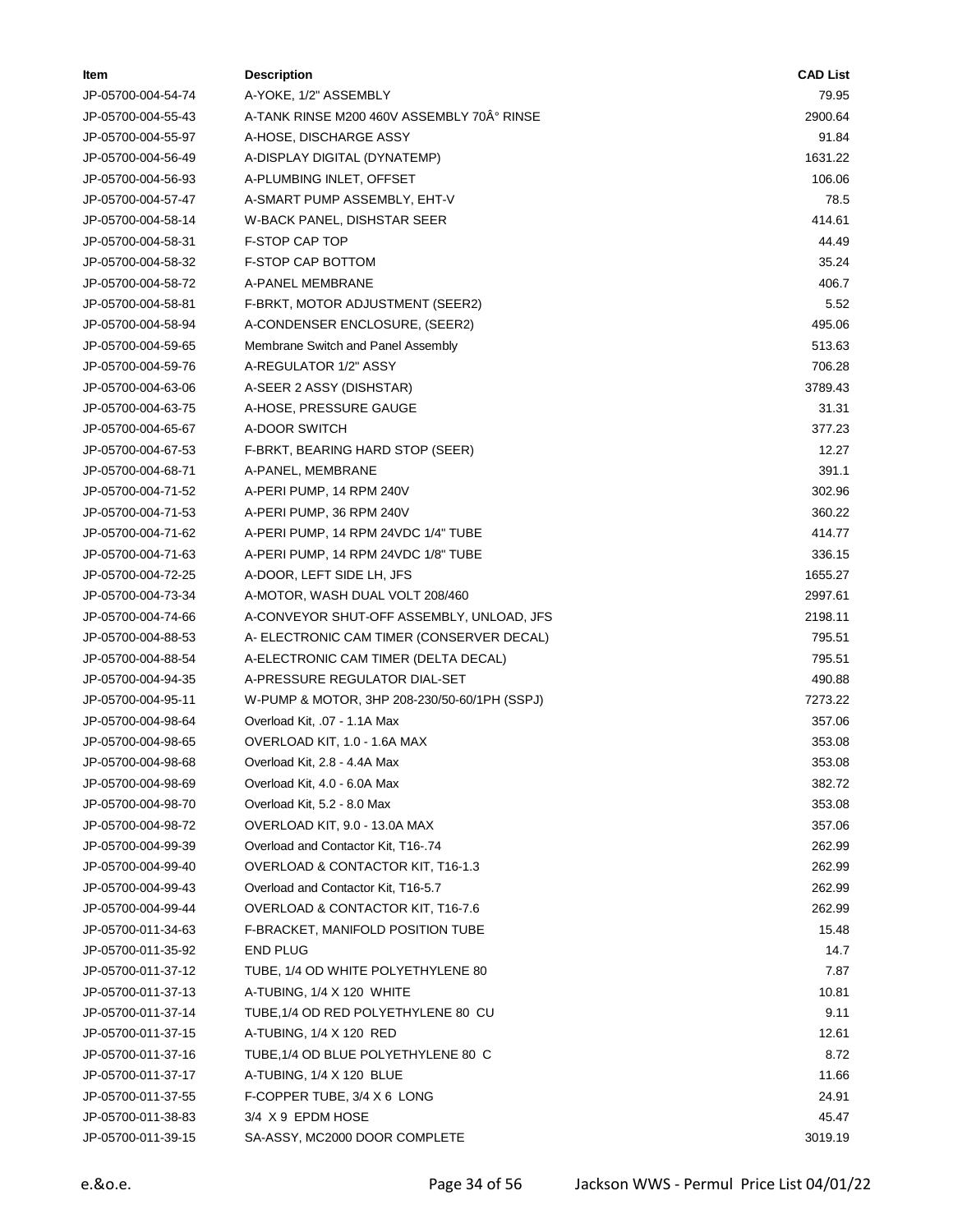| ltem               | <b>Description</b>                           | <b>CAD List</b> |
|--------------------|----------------------------------------------|-----------------|
| JP-05700-004-54-74 | A-YOKE, 1/2" ASSEMBLY                        | 79.95           |
| JP-05700-004-55-43 | A-TANK RINSE M200 460V ASSEMBLY 70° RINSE    | 2900.64         |
| JP-05700-004-55-97 | A-HOSE, DISCHARGE ASSY                       | 91.84           |
| JP-05700-004-56-49 | A-DISPLAY DIGITAL (DYNATEMP)                 | 1631.22         |
| JP-05700-004-56-93 | A-PLUMBING INLET, OFFSET                     | 106.06          |
| JP-05700-004-57-47 | A-SMART PUMP ASSEMBLY, EHT-V                 | 78.5            |
| JP-05700-004-58-14 | W-BACK PANEL, DISHSTAR SEER                  | 414.61          |
| JP-05700-004-58-31 | <b>F-STOP CAP TOP</b>                        | 44.49           |
| JP-05700-004-58-32 | <b>F-STOP CAP BOTTOM</b>                     | 35.24           |
| JP-05700-004-58-72 | A-PANEL MEMBRANE                             | 406.7           |
| JP-05700-004-58-81 | F-BRKT, MOTOR ADJUSTMENT (SEER2)             | 5.52            |
| JP-05700-004-58-94 | A-CONDENSER ENCLOSURE, (SEER2)               | 495.06          |
| JP-05700-004-59-65 | Membrane Switch and Panel Assembly           | 513.63          |
| JP-05700-004-59-76 | A-REGULATOR 1/2" ASSY                        | 706.28          |
| JP-05700-004-63-06 | A-SEER 2 ASSY (DISHSTAR)                     | 3789.43         |
| JP-05700-004-63-75 | A-HOSE, PRESSURE GAUGE                       | 31.31           |
| JP-05700-004-65-67 | A-DOOR SWITCH                                | 377.23          |
| JP-05700-004-67-53 | F-BRKT, BEARING HARD STOP (SEER)             | 12.27           |
| JP-05700-004-68-71 | A-PANEL, MEMBRANE                            | 391.1           |
| JP-05700-004-71-52 | A-PERI PUMP, 14 RPM 240V                     | 302.96          |
| JP-05700-004-71-53 | A-PERI PUMP, 36 RPM 240V                     | 360.22          |
| JP-05700-004-71-62 | A-PERI PUMP, 14 RPM 24VDC 1/4" TUBE          | 414.77          |
| JP-05700-004-71-63 | A-PERI PUMP, 14 RPM 24VDC 1/8" TUBE          | 336.15          |
| JP-05700-004-72-25 | A-DOOR, LEFT SIDE LH, JFS                    | 1655.27         |
| JP-05700-004-73-34 | A-MOTOR, WASH DUAL VOLT 208/460              | 2997.61         |
| JP-05700-004-74-66 | A-CONVEYOR SHUT-OFF ASSEMBLY, UNLOAD, JFS    | 2198.11         |
| JP-05700-004-88-53 | A- ELECTRONIC CAM TIMER (CONSERVER DECAL)    | 795.51          |
| JP-05700-004-88-54 | A-ELECTRONIC CAM TIMER (DELTA DECAL)         | 795.51          |
| JP-05700-004-94-35 | A-PRESSURE REGULATOR DIAL-SET                | 490.88          |
| JP-05700-004-95-11 | W-PUMP & MOTOR, 3HP 208-230/50-60/1PH (SSPJ) | 7273.22         |
| JP-05700-004-98-64 | Overload Kit, .07 - 1.1A Max                 | 357.06          |
| JP-05700-004-98-65 | OVERLOAD KIT, 1.0 - 1.6A MAX                 | 353.08          |
| JP-05700-004-98-68 | Overload Kit, 2.8 - 4.4A Max                 | 353.08          |
| JP-05700-004-98-69 | Overload Kit, 4.0 - 6.0A Max                 | 382.72          |
| JP-05700-004-98-70 | Overload Kit, 5.2 - 8.0 Max                  | 353.08          |
| JP-05700-004-98-72 | OVERLOAD KIT, 9.0 - 13.0A MAX                | 357.06          |
| JP-05700-004-99-39 | Overload and Contactor Kit, T16-.74          | 262.99          |
| JP-05700-004-99-40 | OVERLOAD & CONTACTOR KIT, T16-1.3            | 262.99          |
| JP-05700-004-99-43 | Overload and Contactor Kit, T16-5.7          | 262.99          |
| JP-05700-004-99-44 | OVERLOAD & CONTACTOR KIT, T16-7.6            | 262.99          |
| JP-05700-011-34-63 | F-BRACKET, MANIFOLD POSITION TUBE            | 15.48           |
| JP-05700-011-35-92 | <b>END PLUG</b>                              | 14.7            |
| JP-05700-011-37-12 | TUBE, 1/4 OD WHITE POLYETHYLENE 80           | 7.87            |
| JP-05700-011-37-13 | A-TUBING, 1/4 X 120 WHITE                    | 10.81           |
| JP-05700-011-37-14 | TUBE, 1/4 OD RED POLYETHYLENE 80 CU          | 9.11            |
| JP-05700-011-37-15 | A-TUBING, 1/4 X 120 RED                      | 12.61           |
| JP-05700-011-37-16 | TUBE, 1/4 OD BLUE POLYETHYLENE 80 C          | 8.72            |
| JP-05700-011-37-17 | A-TUBING, 1/4 X 120 BLUE                     | 11.66           |
| JP-05700-011-37-55 | F-COPPER TUBE, 3/4 X 6 LONG                  | 24.91           |
| JP-05700-011-38-83 | 3/4 X 9 EPDM HOSE                            | 45.47           |
| JP-05700-011-39-15 | SA-ASSY, MC2000 DOOR COMPLETE                | 3019.19         |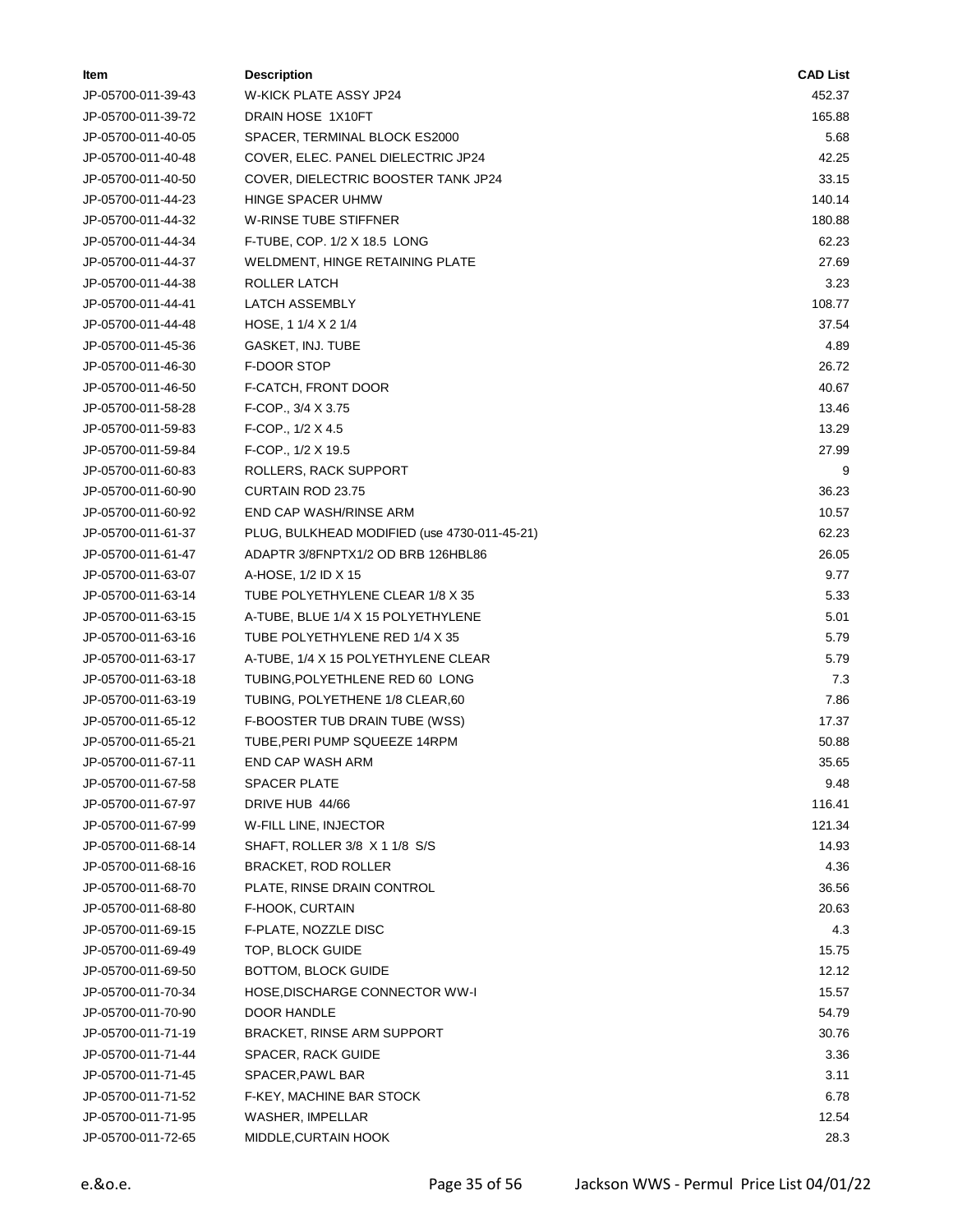| ltem               | <b>Description</b>                           | <b>CAD List</b> |
|--------------------|----------------------------------------------|-----------------|
| JP-05700-011-39-43 | W-KICK PLATE ASSY JP24                       | 452.37          |
| JP-05700-011-39-72 | DRAIN HOSE 1X10FT                            | 165.88          |
| JP-05700-011-40-05 | SPACER, TERMINAL BLOCK ES2000                | 5.68            |
| JP-05700-011-40-48 | COVER, ELEC. PANEL DIELECTRIC JP24           | 42.25           |
| JP-05700-011-40-50 | COVER, DIELECTRIC BOOSTER TANK JP24          | 33.15           |
| JP-05700-011-44-23 | HINGE SPACER UHMW                            | 140.14          |
| JP-05700-011-44-32 | W-RINSE TUBE STIFFNER                        | 180.88          |
| JP-05700-011-44-34 | F-TUBE, COP. 1/2 X 18.5 LONG                 | 62.23           |
| JP-05700-011-44-37 | WELDMENT, HINGE RETAINING PLATE              | 27.69           |
| JP-05700-011-44-38 | ROLLER LATCH                                 | 3.23            |
| JP-05700-011-44-41 | LATCH ASSEMBLY                               | 108.77          |
| JP-05700-011-44-48 | HOSE, 1 1/4 X 2 1/4                          | 37.54           |
| JP-05700-011-45-36 | GASKET, INJ. TUBE                            | 4.89            |
| JP-05700-011-46-30 | F-DOOR STOP                                  | 26.72           |
| JP-05700-011-46-50 | F-CATCH, FRONT DOOR                          | 40.67           |
| JP-05700-011-58-28 | F-COP., 3/4 X 3.75                           | 13.46           |
| JP-05700-011-59-83 | F-COP., 1/2 X 4.5                            | 13.29           |
| JP-05700-011-59-84 | F-COP., 1/2 X 19.5                           | 27.99           |
| JP-05700-011-60-83 | ROLLERS, RACK SUPPORT                        | 9               |
| JP-05700-011-60-90 | <b>CURTAIN ROD 23.75</b>                     | 36.23           |
| JP-05700-011-60-92 | END CAP WASH/RINSE ARM                       | 10.57           |
| JP-05700-011-61-37 | PLUG, BULKHEAD MODIFIED (use 4730-011-45-21) | 62.23           |
| JP-05700-011-61-47 | ADAPTR 3/8FNPTX1/2 OD BRB 126HBL86           | 26.05           |
| JP-05700-011-63-07 | A-HOSE, 1/2 ID X 15                          | 9.77            |
| JP-05700-011-63-14 | TUBE POLYETHYLENE CLEAR 1/8 X 35             | 5.33            |
| JP-05700-011-63-15 | A-TUBE, BLUE 1/4 X 15 POLYETHYLENE           | 5.01            |
| JP-05700-011-63-16 | TUBE POLYETHYLENE RED 1/4 X 35               | 5.79            |
| JP-05700-011-63-17 | A-TUBE, 1/4 X 15 POLYETHYLENE CLEAR          | 5.79            |
| JP-05700-011-63-18 | TUBING, POLYETHLENE RED 60 LONG              | 7.3             |
| JP-05700-011-63-19 | TUBING, POLYETHENE 1/8 CLEAR,60              | 7.86            |
| JP-05700-011-65-12 | F-BOOSTER TUB DRAIN TUBE (WSS)               | 17.37           |
| JP-05700-011-65-21 | TUBE, PERI PUMP SQUEEZE 14RPM                | 50.88           |
| JP-05700-011-67-11 | END CAP WASH ARM                             | 35.65           |
| JP-05700-011-67-58 | <b>SPACER PLATE</b>                          | 9.48            |
| JP-05700-011-67-97 | DRIVE HUB 44/66                              | 116.41          |
| JP-05700-011-67-99 | W-FILL LINE, INJECTOR                        | 121.34          |
| JP-05700-011-68-14 | SHAFT, ROLLER 3/8 X 1 1/8 S/S                | 14.93           |
| JP-05700-011-68-16 | <b>BRACKET, ROD ROLLER</b>                   | 4.36            |
| JP-05700-011-68-70 | PLATE, RINSE DRAIN CONTROL                   | 36.56           |
| JP-05700-011-68-80 | F-HOOK, CURTAIN                              | 20.63           |
| JP-05700-011-69-15 | F-PLATE, NOZZLE DISC                         | 4.3             |
| JP-05700-011-69-49 | TOP, BLOCK GUIDE                             | 15.75           |
| JP-05700-011-69-50 | BOTTOM, BLOCK GUIDE                          | 12.12           |
| JP-05700-011-70-34 | HOSE, DISCHARGE CONNECTOR WW-I               | 15.57           |
| JP-05700-011-70-90 | DOOR HANDLE                                  | 54.79           |
| JP-05700-011-71-19 | BRACKET, RINSE ARM SUPPORT                   | 30.76           |
| JP-05700-011-71-44 | SPACER, RACK GUIDE                           | 3.36            |
| JP-05700-011-71-45 | SPACER, PAWL BAR                             | 3.11            |
| JP-05700-011-71-52 | F-KEY, MACHINE BAR STOCK                     | 6.78            |
| JP-05700-011-71-95 | WASHER, IMPELLAR                             | 12.54           |
| JP-05700-011-72-65 | MIDDLE, CURTAIN HOOK                         | 28.3            |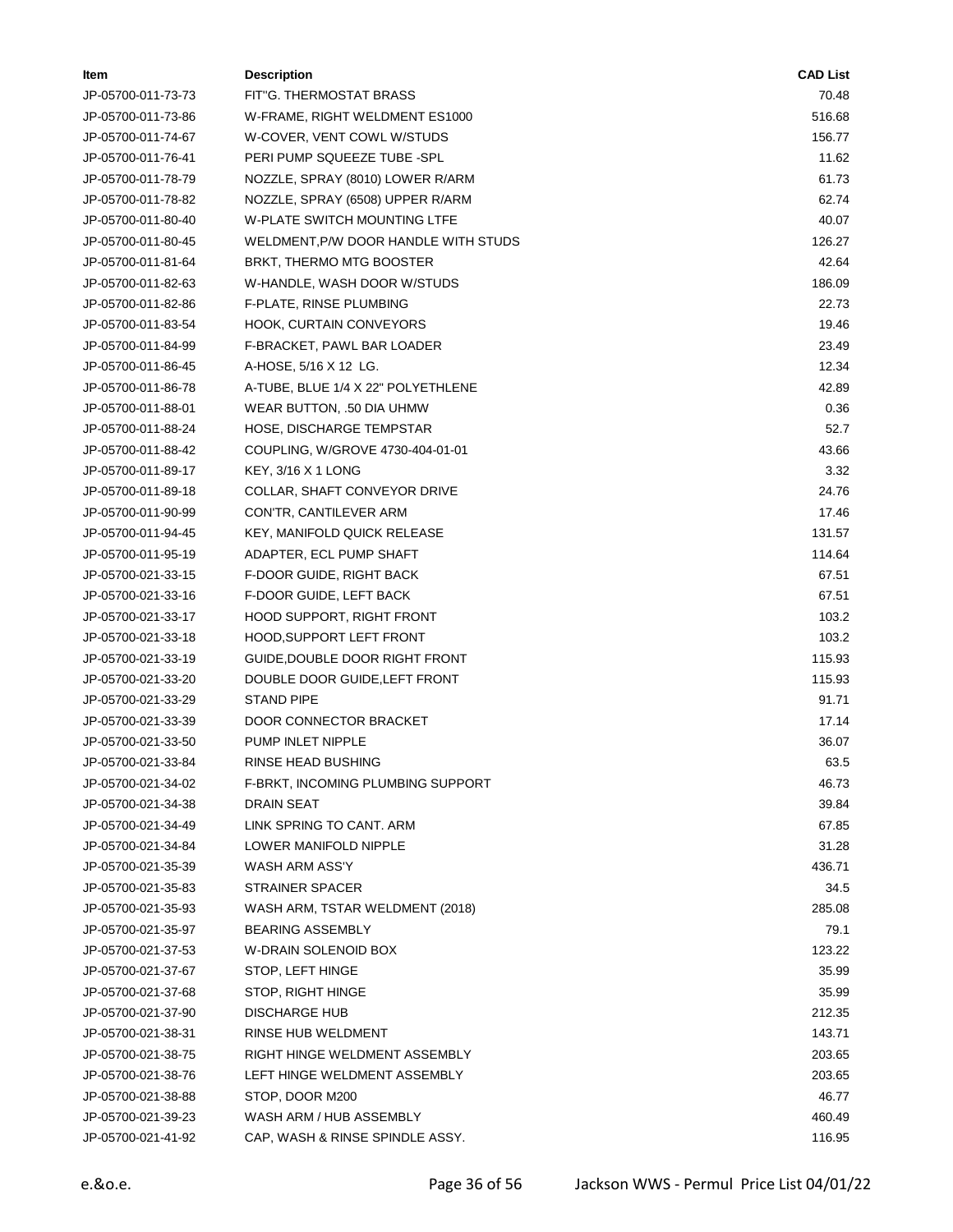| ltem               | <b>Description</b>                   | <b>CAD List</b> |
|--------------------|--------------------------------------|-----------------|
| JP-05700-011-73-73 | FIT"G. THERMOSTAT BRASS              | 70.48           |
| JP-05700-011-73-86 | W-FRAME, RIGHT WELDMENT ES1000       | 516.68          |
| JP-05700-011-74-67 | W-COVER, VENT COWL W/STUDS           | 156.77          |
| JP-05700-011-76-41 | PERI PUMP SQUEEZE TUBE -SPL          | 11.62           |
| JP-05700-011-78-79 | NOZZLE, SPRAY (8010) LOWER R/ARM     | 61.73           |
| JP-05700-011-78-82 | NOZZLE, SPRAY (6508) UPPER R/ARM     | 62.74           |
| JP-05700-011-80-40 | <b>W-PLATE SWITCH MOUNTING LTFE</b>  | 40.07           |
| JP-05700-011-80-45 | WELDMENT, P/W DOOR HANDLE WITH STUDS | 126.27          |
| JP-05700-011-81-64 | BRKT, THERMO MTG BOOSTER             | 42.64           |
| JP-05700-011-82-63 | W-HANDLE, WASH DOOR W/STUDS          | 186.09          |
| JP-05700-011-82-86 | F-PLATE, RINSE PLUMBING              | 22.73           |
| JP-05700-011-83-54 | HOOK, CURTAIN CONVEYORS              | 19.46           |
| JP-05700-011-84-99 | F-BRACKET, PAWL BAR LOADER           | 23.49           |
| JP-05700-011-86-45 | A-HOSE, 5/16 X 12 LG.                | 12.34           |
| JP-05700-011-86-78 | A-TUBE, BLUE 1/4 X 22" POLYETHLENE   | 42.89           |
| JP-05700-011-88-01 | WEAR BUTTON, .50 DIA UHMW            | 0.36            |
| JP-05700-011-88-24 | <b>HOSE, DISCHARGE TEMPSTAR</b>      | 52.7            |
| JP-05700-011-88-42 | COUPLING, W/GROVE 4730-404-01-01     | 43.66           |
| JP-05700-011-89-17 | KEY, 3/16 X 1 LONG                   | 3.32            |
| JP-05700-011-89-18 | COLLAR, SHAFT CONVEYOR DRIVE         | 24.76           |
| JP-05700-011-90-99 | CON'TR, CANTILEVER ARM               | 17.46           |
| JP-05700-011-94-45 | KEY, MANIFOLD QUICK RELEASE          | 131.57          |
| JP-05700-011-95-19 | ADAPTER, ECL PUMP SHAFT              | 114.64          |
| JP-05700-021-33-15 | F-DOOR GUIDE, RIGHT BACK             | 67.51           |
| JP-05700-021-33-16 | F-DOOR GUIDE, LEFT BACK              | 67.51           |
| JP-05700-021-33-17 | HOOD SUPPORT, RIGHT FRONT            | 103.2           |
| JP-05700-021-33-18 | HOOD, SUPPORT LEFT FRONT             | 103.2           |
| JP-05700-021-33-19 | GUIDE, DOUBLE DOOR RIGHT FRONT       | 115.93          |
| JP-05700-021-33-20 | DOUBLE DOOR GUIDE, LEFT FRONT        | 115.93          |
| JP-05700-021-33-29 | <b>STAND PIPE</b>                    | 91.71           |
| JP-05700-021-33-39 | DOOR CONNECTOR BRACKET               | 17.14           |
| JP-05700-021-33-50 | PUMP INLET NIPPLE                    | 36.07           |
| JP-05700-021-33-84 | RINSE HEAD BUSHING                   | 63.5            |
| JP-05700-021-34-02 | F-BRKT, INCOMING PLUMBING SUPPORT    | 46.73           |
| JP-05700-021-34-38 | <b>DRAIN SEAT</b>                    | 39.84           |
| JP-05700-021-34-49 | LINK SPRING TO CANT. ARM             | 67.85           |
| JP-05700-021-34-84 | LOWER MANIFOLD NIPPLE                | 31.28           |
| JP-05700-021-35-39 | WASH ARM ASS'Y                       | 436.71          |
| JP-05700-021-35-83 | <b>STRAINER SPACER</b>               | 34.5            |
| JP-05700-021-35-93 | WASH ARM, TSTAR WELDMENT (2018)      | 285.08          |
| JP-05700-021-35-97 | <b>BEARING ASSEMBLY</b>              | 79.1            |
| JP-05700-021-37-53 | W-DRAIN SOLENOID BOX                 | 123.22          |
| JP-05700-021-37-67 | STOP, LEFT HINGE                     | 35.99           |
| JP-05700-021-37-68 | STOP, RIGHT HINGE                    | 35.99           |
| JP-05700-021-37-90 | <b>DISCHARGE HUB</b>                 | 212.35          |
| JP-05700-021-38-31 | RINSE HUB WELDMENT                   | 143.71          |
| JP-05700-021-38-75 | RIGHT HINGE WELDMENT ASSEMBLY        | 203.65          |
| JP-05700-021-38-76 | LEFT HINGE WELDMENT ASSEMBLY         | 203.65          |
| JP-05700-021-38-88 | STOP, DOOR M200                      | 46.77           |
| JP-05700-021-39-23 | WASH ARM / HUB ASSEMBLY              | 460.49          |
| JP-05700-021-41-92 | CAP, WASH & RINSE SPINDLE ASSY.      | 116.95          |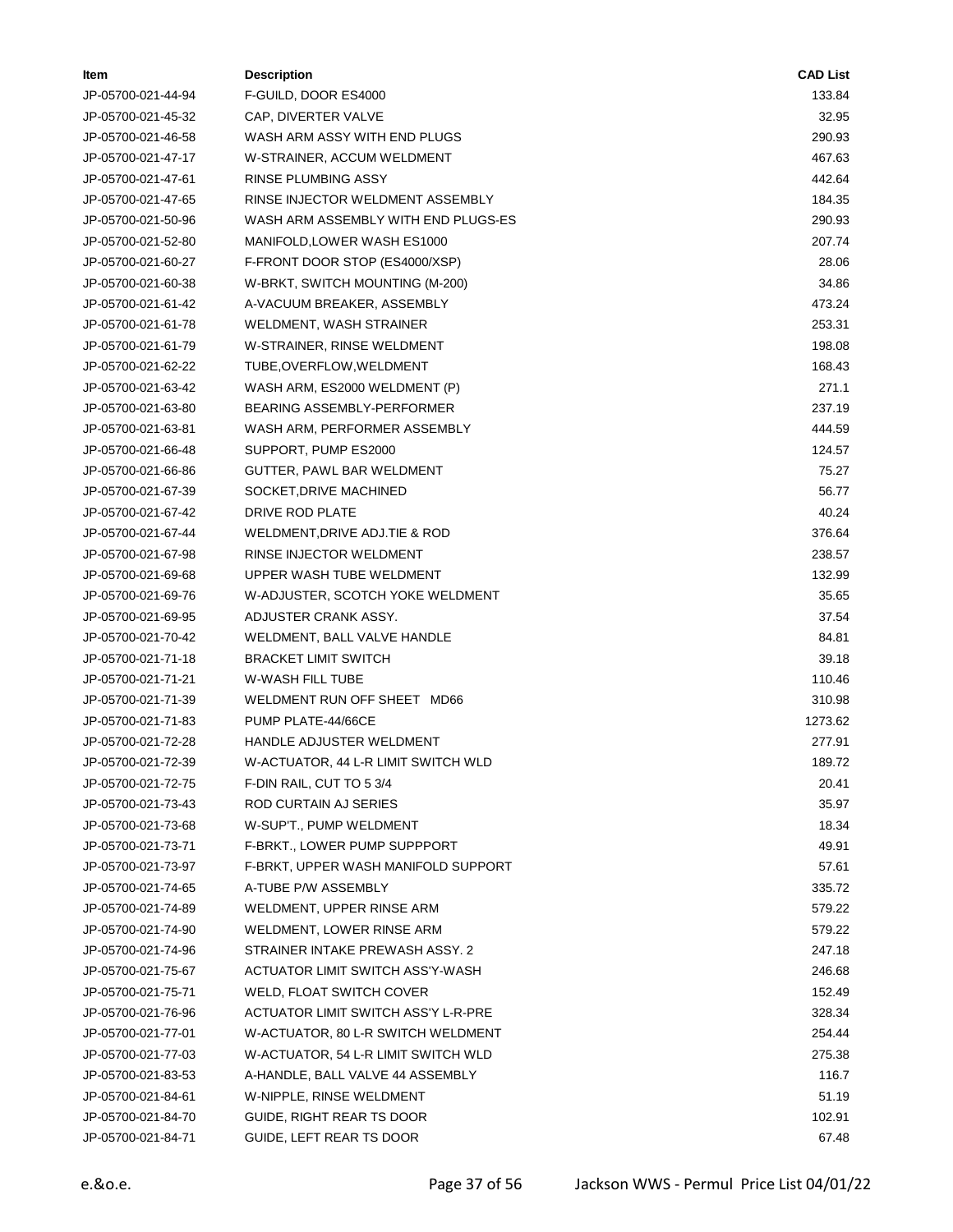| ltem               | <b>Description</b>                  | <b>CAD List</b> |
|--------------------|-------------------------------------|-----------------|
| JP-05700-021-44-94 | F-GUILD, DOOR ES4000                | 133.84          |
| JP-05700-021-45-32 | CAP, DIVERTER VALVE                 | 32.95           |
| JP-05700-021-46-58 | WASH ARM ASSY WITH END PLUGS        | 290.93          |
| JP-05700-021-47-17 | W-STRAINER, ACCUM WELDMENT          | 467.63          |
| JP-05700-021-47-61 | <b>RINSE PLUMBING ASSY</b>          | 442.64          |
| JP-05700-021-47-65 | RINSE INJECTOR WELDMENT ASSEMBLY    | 184.35          |
| JP-05700-021-50-96 | WASH ARM ASSEMBLY WITH END PLUGS-ES | 290.93          |
| JP-05700-021-52-80 | MANIFOLD, LOWER WASH ES1000         | 207.74          |
| JP-05700-021-60-27 | F-FRONT DOOR STOP (ES4000/XSP)      | 28.06           |
| JP-05700-021-60-38 | W-BRKT, SWITCH MOUNTING (M-200)     | 34.86           |
| JP-05700-021-61-42 | A-VACUUM BREAKER, ASSEMBLY          | 473.24          |
| JP-05700-021-61-78 | WELDMENT, WASH STRAINER             | 253.31          |
| JP-05700-021-61-79 | W-STRAINER, RINSE WELDMENT          | 198.08          |
| JP-05700-021-62-22 | TUBE, OVERFLOW, WELDMENT            | 168.43          |
| JP-05700-021-63-42 | WASH ARM, ES2000 WELDMENT (P)       | 271.1           |
| JP-05700-021-63-80 | <b>BEARING ASSEMBLY-PERFORMER</b>   | 237.19          |
| JP-05700-021-63-81 | WASH ARM, PERFORMER ASSEMBLY        | 444.59          |
| JP-05700-021-66-48 | SUPPORT, PUMP ES2000                | 124.57          |
| JP-05700-021-66-86 | GUTTER, PAWL BAR WELDMENT           | 75.27           |
| JP-05700-021-67-39 | SOCKET, DRIVE MACHINED              | 56.77           |
| JP-05700-021-67-42 | DRIVE ROD PLATE                     | 40.24           |
| JP-05700-021-67-44 | WELDMENT, DRIVE ADJ. TIE & ROD      | 376.64          |
| JP-05700-021-67-98 | RINSE INJECTOR WELDMENT             | 238.57          |
| JP-05700-021-69-68 | UPPER WASH TUBE WELDMENT            | 132.99          |
| JP-05700-021-69-76 | W-ADJUSTER, SCOTCH YOKE WELDMENT    | 35.65           |
| JP-05700-021-69-95 | ADJUSTER CRANK ASSY.                | 37.54           |
| JP-05700-021-70-42 | WELDMENT, BALL VALVE HANDLE         | 84.81           |
| JP-05700-021-71-18 | <b>BRACKET LIMIT SWITCH</b>         | 39.18           |
| JP-05700-021-71-21 | <b>W-WASH FILL TUBE</b>             | 110.46          |
| JP-05700-021-71-39 | WELDMENT RUN OFF SHEET MD66         | 310.98          |
| JP-05700-021-71-83 | PUMP PLATE-44/66CE                  | 1273.62         |
| JP-05700-021-72-28 | HANDLE ADJUSTER WELDMENT            | 277.91          |
| JP-05700-021-72-39 | W-ACTUATOR, 44 L-R LIMIT SWITCH WLD | 189.72          |
| JP-05700-021-72-75 | F-DIN RAIL, CUT TO 5 3/4            | 20.41           |
| JP-05700-021-73-43 | ROD CURTAIN AJ SERIES               | 35.97           |
| JP-05700-021-73-68 | W-SUP'T., PUMP WELDMENT             | 18.34           |
| JP-05700-021-73-71 | F-BRKT., LOWER PUMP SUPPPORT        | 49.91           |
| JP-05700-021-73-97 | F-BRKT, UPPER WASH MANIFOLD SUPPORT | 57.61           |
| JP-05700-021-74-65 | A-TUBE P/W ASSEMBLY                 | 335.72          |
| JP-05700-021-74-89 | WELDMENT, UPPER RINSE ARM           | 579.22          |
| JP-05700-021-74-90 | WELDMENT, LOWER RINSE ARM           | 579.22          |
| JP-05700-021-74-96 | STRAINER INTAKE PREWASH ASSY, 2     | 247.18          |
| JP-05700-021-75-67 | ACTUATOR LIMIT SWITCH ASS'Y-WASH    | 246.68          |
| JP-05700-021-75-71 | WELD, FLOAT SWITCH COVER            | 152.49          |
| JP-05700-021-76-96 | ACTUATOR LIMIT SWITCH ASS'Y L-R-PRE | 328.34          |
| JP-05700-021-77-01 | W-ACTUATOR, 80 L-R SWITCH WELDMENT  | 254.44          |
| JP-05700-021-77-03 | W-ACTUATOR, 54 L-R LIMIT SWITCH WLD | 275.38          |
| JP-05700-021-83-53 | A-HANDLE, BALL VALVE 44 ASSEMBLY    | 116.7           |
| JP-05700-021-84-61 | W-NIPPLE, RINSE WELDMENT            | 51.19           |
| JP-05700-021-84-70 | GUIDE, RIGHT REAR TS DOOR           | 102.91          |
| JP-05700-021-84-71 | GUIDE, LEFT REAR TS DOOR            | 67.48           |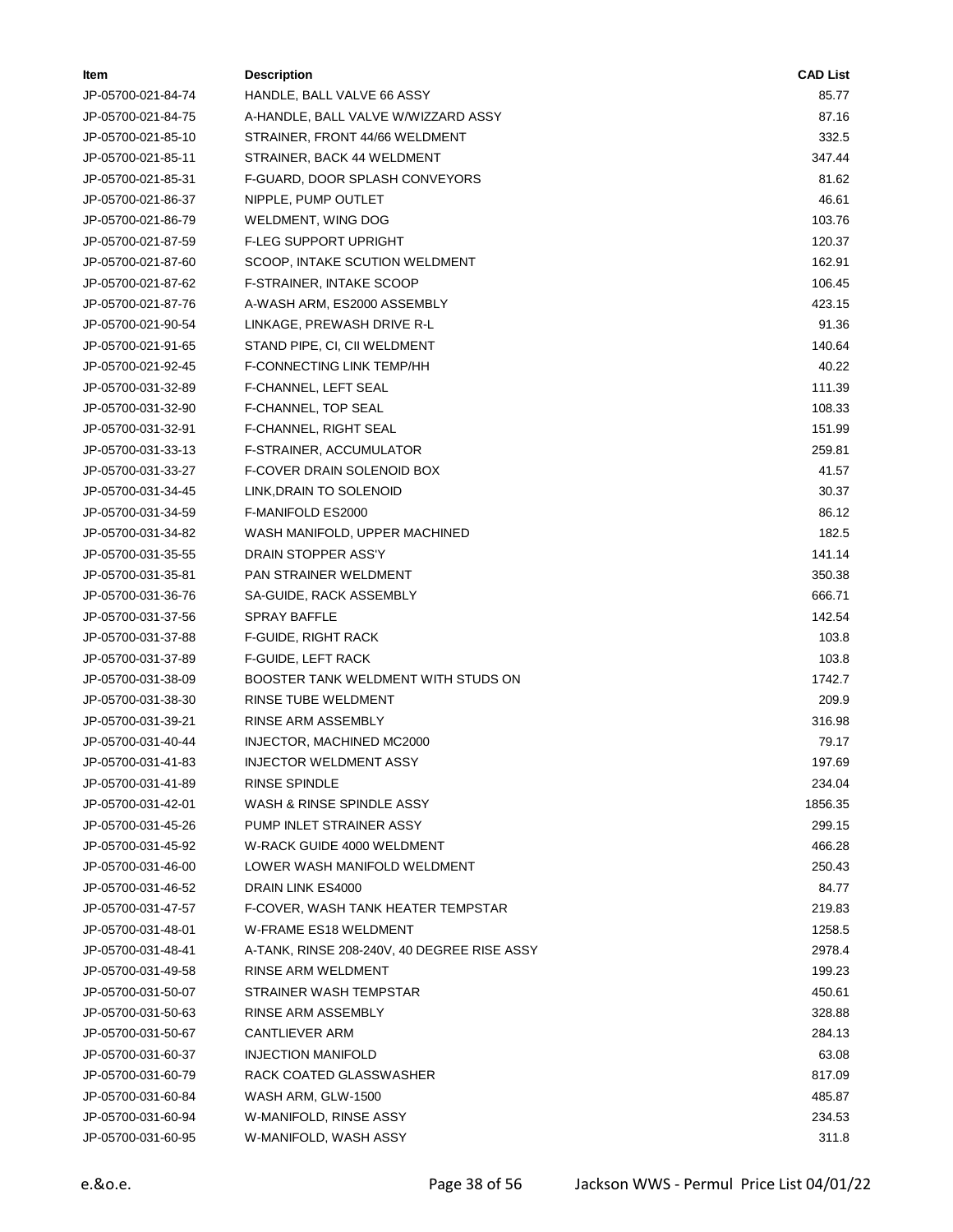| Item               | <b>Description</b>                          | <b>CAD List</b> |
|--------------------|---------------------------------------------|-----------------|
| JP-05700-021-84-74 | HANDLE, BALL VALVE 66 ASSY                  | 85.77           |
| JP-05700-021-84-75 | A-HANDLE, BALL VALVE W/WIZZARD ASSY         | 87.16           |
| JP-05700-021-85-10 | STRAINER, FRONT 44/66 WELDMENT              | 332.5           |
| JP-05700-021-85-11 | STRAINER, BACK 44 WELDMENT                  | 347.44          |
| JP-05700-021-85-31 | F-GUARD, DOOR SPLASH CONVEYORS              | 81.62           |
| JP-05700-021-86-37 | NIPPLE, PUMP OUTLET                         | 46.61           |
| JP-05700-021-86-79 | WELDMENT, WING DOG                          | 103.76          |
| JP-05700-021-87-59 | <b>F-LEG SUPPORT UPRIGHT</b>                | 120.37          |
| JP-05700-021-87-60 | SCOOP, INTAKE SCUTION WELDMENT              | 162.91          |
| JP-05700-021-87-62 | <b>F-STRAINER, INTAKE SCOOP</b>             | 106.45          |
| JP-05700-021-87-76 | A-WASH ARM, ES2000 ASSEMBLY                 | 423.15          |
| JP-05700-021-90-54 | LINKAGE, PREWASH DRIVE R-L                  | 91.36           |
| JP-05700-021-91-65 | STAND PIPE, CI, CII WELDMENT                | 140.64          |
| JP-05700-021-92-45 | F-CONNECTING LINK TEMP/HH                   | 40.22           |
| JP-05700-031-32-89 | F-CHANNEL, LEFT SEAL                        | 111.39          |
| JP-05700-031-32-90 | F-CHANNEL, TOP SEAL                         | 108.33          |
| JP-05700-031-32-91 | F-CHANNEL, RIGHT SEAL                       | 151.99          |
| JP-05700-031-33-13 | F-STRAINER, ACCUMULATOR                     | 259.81          |
| JP-05700-031-33-27 | F-COVER DRAIN SOLENOID BOX                  | 41.57           |
| JP-05700-031-34-45 | LINK, DRAIN TO SOLENOID                     | 30.37           |
| JP-05700-031-34-59 | F-MANIFOLD ES2000                           | 86.12           |
| JP-05700-031-34-82 | WASH MANIFOLD, UPPER MACHINED               | 182.5           |
| JP-05700-031-35-55 | DRAIN STOPPER ASS'Y                         | 141.14          |
| JP-05700-031-35-81 | PAN STRAINER WELDMENT                       | 350.38          |
| JP-05700-031-36-76 | SA-GUIDE, RACK ASSEMBLY                     | 666.71          |
| JP-05700-031-37-56 | <b>SPRAY BAFFLE</b>                         | 142.54          |
| JP-05700-031-37-88 | F-GUIDE, RIGHT RACK                         | 103.8           |
| JP-05700-031-37-89 | F-GUIDE, LEFT RACK                          | 103.8           |
| JP-05700-031-38-09 | BOOSTER TANK WELDMENT WITH STUDS ON         | 1742.7          |
| JP-05700-031-38-30 | RINSE TUBE WELDMENT                         | 209.9           |
| JP-05700-031-39-21 | RINSE ARM ASSEMBLY                          | 316.98          |
| JP-05700-031-40-44 | INJECTOR, MACHINED MC2000                   | 79.17           |
| JP-05700-031-41-83 | <b>INJECTOR WELDMENT ASSY</b>               | 197.69          |
| JP-05700-031-41-89 | RINSE SPINDLE                               | 234.04          |
| JP-05700-031-42-01 | WASH & RINSE SPINDLE ASSY                   | 1856.35         |
| JP-05700-031-45-26 | PUMP INLET STRAINER ASSY                    | 299.15          |
| JP-05700-031-45-92 | W-RACK GUIDE 4000 WELDMENT                  | 466.28          |
| JP-05700-031-46-00 | LOWER WASH MANIFOLD WELDMENT                | 250.43          |
| JP-05700-031-46-52 | DRAIN LINK ES4000                           | 84.77           |
| JP-05700-031-47-57 | F-COVER, WASH TANK HEATER TEMPSTAR          | 219.83          |
| JP-05700-031-48-01 | W-FRAME ES18 WELDMENT                       | 1258.5          |
| JP-05700-031-48-41 | A-TANK, RINSE 208-240V, 40 DEGREE RISE ASSY | 2978.4          |
| JP-05700-031-49-58 | RINSE ARM WELDMENT                          | 199.23          |
| JP-05700-031-50-07 | STRAINER WASH TEMPSTAR                      | 450.61          |
| JP-05700-031-50-63 | RINSE ARM ASSEMBLY                          | 328.88          |
| JP-05700-031-50-67 | CANTLIEVER ARM                              | 284.13          |
| JP-05700-031-60-37 | <b>INJECTION MANIFOLD</b>                   | 63.08           |
| JP-05700-031-60-79 | RACK COATED GLASSWASHER                     | 817.09          |
| JP-05700-031-60-84 | WASH ARM, GLW-1500                          | 485.87          |
| JP-05700-031-60-94 | W-MANIFOLD, RINSE ASSY                      | 234.53          |
| JP-05700-031-60-95 | W-MANIFOLD, WASH ASSY                       | 311.8           |
|                    |                                             |                 |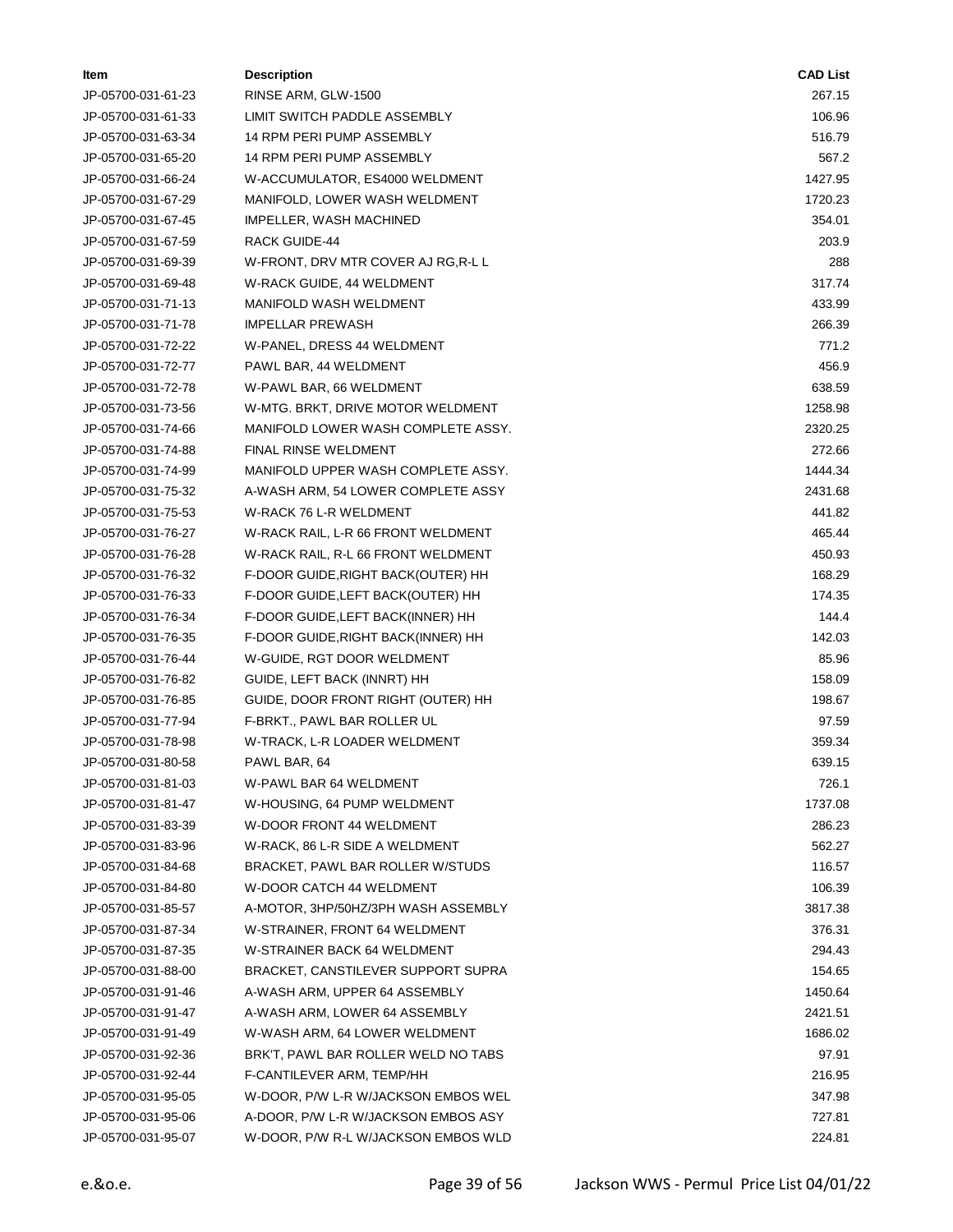| <b>Item</b>        | <b>Description</b>                  | <b>CAD List</b> |
|--------------------|-------------------------------------|-----------------|
| JP-05700-031-61-23 | RINSE ARM, GLW-1500                 | 267.15          |
| JP-05700-031-61-33 | LIMIT SWITCH PADDLE ASSEMBLY        | 106.96          |
| JP-05700-031-63-34 | 14 RPM PERI PUMP ASSEMBLY           | 516.79          |
| JP-05700-031-65-20 | 14 RPM PERI PUMP ASSEMBLY           | 567.2           |
| JP-05700-031-66-24 | W-ACCUMULATOR, ES4000 WELDMENT      | 1427.95         |
| JP-05700-031-67-29 | MANIFOLD, LOWER WASH WELDMENT       | 1720.23         |
| JP-05700-031-67-45 | IMPELLER, WASH MACHINED             | 354.01          |
| JP-05700-031-67-59 | <b>RACK GUIDE-44</b>                | 203.9           |
| JP-05700-031-69-39 | W-FRONT, DRV MTR COVER AJ RG, R-L L | 288             |
| JP-05700-031-69-48 | W-RACK GUIDE, 44 WELDMENT           | 317.74          |
| JP-05700-031-71-13 | <b>MANIFOLD WASH WELDMENT</b>       | 433.99          |
| JP-05700-031-71-78 | <b>IMPELLAR PREWASH</b>             | 266.39          |
| JP-05700-031-72-22 | W-PANEL, DRESS 44 WELDMENT          | 771.2           |
| JP-05700-031-72-77 | PAWL BAR, 44 WELDMENT               | 456.9           |
| JP-05700-031-72-78 | W-PAWL BAR, 66 WELDMENT             | 638.59          |
| JP-05700-031-73-56 | W-MTG. BRKT, DRIVE MOTOR WELDMENT   | 1258.98         |
| JP-05700-031-74-66 | MANIFOLD LOWER WASH COMPLETE ASSY.  | 2320.25         |
| JP-05700-031-74-88 | FINAL RINSE WELDMENT                | 272.66          |
| JP-05700-031-74-99 | MANIFOLD UPPER WASH COMPLETE ASSY.  | 1444.34         |
| JP-05700-031-75-32 | A-WASH ARM, 54 LOWER COMPLETE ASSY  | 2431.68         |
| JP-05700-031-75-53 | W-RACK 76 L-R WELDMENT              | 441.82          |
| JP-05700-031-76-27 | W-RACK RAIL, L-R 66 FRONT WELDMENT  | 465.44          |
| JP-05700-031-76-28 | W-RACK RAIL, R-L 66 FRONT WELDMENT  | 450.93          |
| JP-05700-031-76-32 | F-DOOR GUIDE, RIGHT BACK(OUTER) HH  | 168.29          |
| JP-05700-031-76-33 | F-DOOR GUIDE, LEFT BACK(OUTER) HH   | 174.35          |
| JP-05700-031-76-34 | F-DOOR GUIDE,LEFT BACK(INNER) HH    | 144.4           |
| JP-05700-031-76-35 | F-DOOR GUIDE, RIGHT BACK(INNER) HH  | 142.03          |
| JP-05700-031-76-44 | W-GUIDE, RGT DOOR WELDMENT          | 85.96           |
| JP-05700-031-76-82 | GUIDE, LEFT BACK (INNRT) HH         | 158.09          |
| JP-05700-031-76-85 | GUIDE, DOOR FRONT RIGHT (OUTER) HH  | 198.67          |
| JP-05700-031-77-94 | F-BRKT., PAWL BAR ROLLER UL         | 97.59           |
| JP-05700-031-78-98 | W-TRACK, L-R LOADER WELDMENT        | 359.34          |
| JP-05700-031-80-58 | PAWL BAR, 64                        | 639.15          |
| JP-05700-031-81-03 | W-PAWL BAR 64 WELDMENT              | 726.1           |
| JP-05700-031-81-47 | W-HOUSING, 64 PUMP WELDMENT         | 1737.08         |
| JP-05700-031-83-39 | W-DOOR FRONT 44 WELDMENT            | 286.23          |
| JP-05700-031-83-96 | W-RACK, 86 L-R SIDE A WELDMENT      | 562.27          |
| JP-05700-031-84-68 | BRACKET, PAWL BAR ROLLER W/STUDS    | 116.57          |
| JP-05700-031-84-80 | <b>W-DOOR CATCH 44 WELDMENT</b>     | 106.39          |
| JP-05700-031-85-57 | A-MOTOR, 3HP/50HZ/3PH WASH ASSEMBLY | 3817.38         |
| JP-05700-031-87-34 | W-STRAINER, FRONT 64 WELDMENT       | 376.31          |
| JP-05700-031-87-35 | W-STRAINER BACK 64 WELDMENT         | 294.43          |
| JP-05700-031-88-00 | BRACKET, CANSTILEVER SUPPORT SUPRA  | 154.65          |
| JP-05700-031-91-46 | A-WASH ARM, UPPER 64 ASSEMBLY       | 1450.64         |
| JP-05700-031-91-47 | A-WASH ARM, LOWER 64 ASSEMBLY       | 2421.51         |
| JP-05700-031-91-49 | W-WASH ARM, 64 LOWER WELDMENT       | 1686.02         |
| JP-05700-031-92-36 | BRK'T, PAWL BAR ROLLER WELD NO TABS | 97.91           |
| JP-05700-031-92-44 | F-CANTILEVER ARM, TEMP/HH           | 216.95          |
| JP-05700-031-95-05 | W-DOOR, P/W L-R W/JACKSON EMBOS WEL | 347.98          |
| JP-05700-031-95-06 | A-DOOR, P/W L-R W/JACKSON EMBOS ASY | 727.81          |
| JP-05700-031-95-07 | W-DOOR, P/W R-L W/JACKSON EMBOS WLD | 224.81          |
|                    |                                     |                 |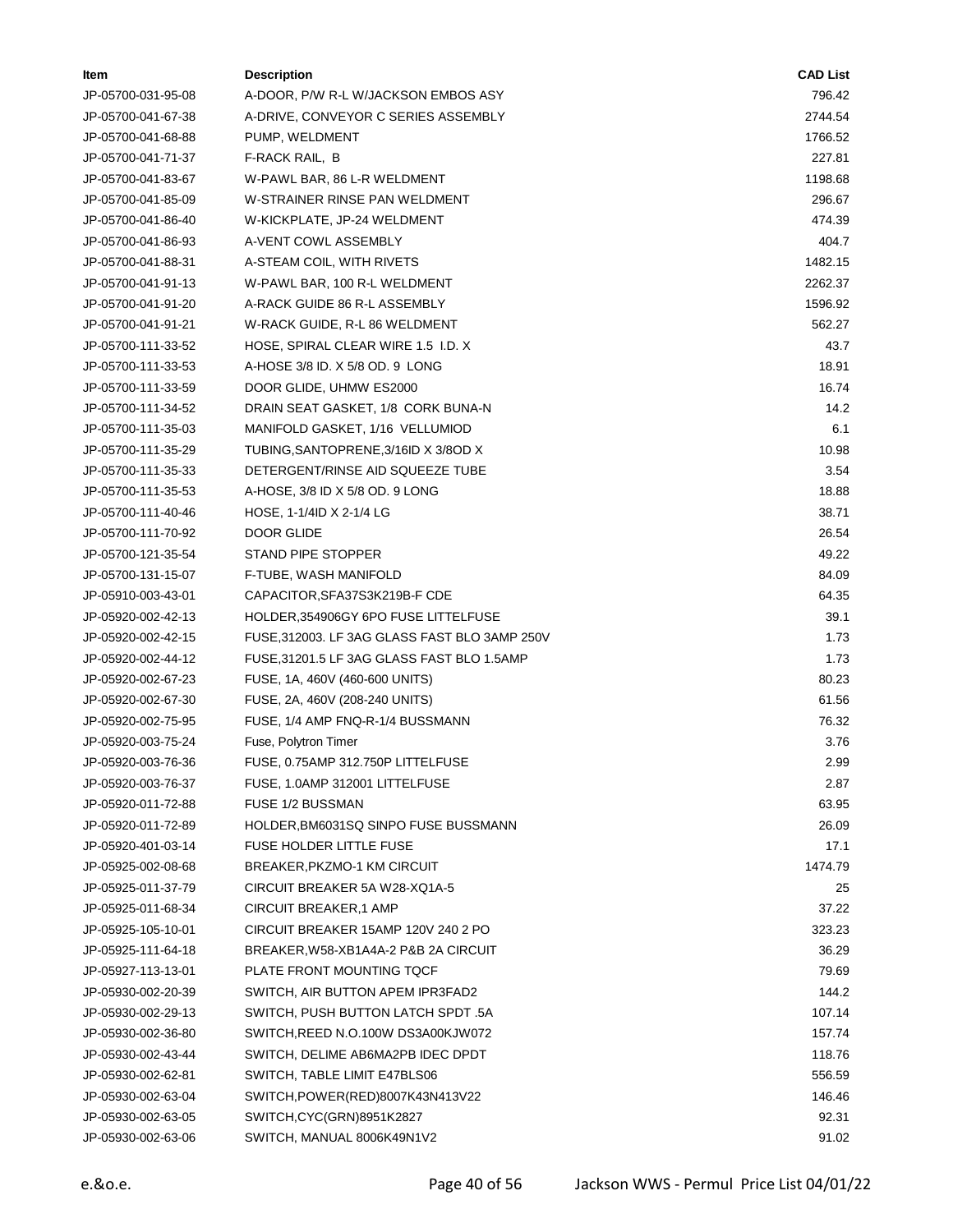| ltem               | <b>Description</b>                            | <b>CAD List</b> |
|--------------------|-----------------------------------------------|-----------------|
| JP-05700-031-95-08 | A-DOOR, P/W R-L W/JACKSON EMBOS ASY           | 796.42          |
| JP-05700-041-67-38 | A-DRIVE, CONVEYOR C SERIES ASSEMBLY           | 2744.54         |
| JP-05700-041-68-88 | PUMP, WELDMENT                                | 1766.52         |
| JP-05700-041-71-37 | F-RACK RAIL, B                                | 227.81          |
| JP-05700-041-83-67 | W-PAWL BAR, 86 L-R WELDMENT                   | 1198.68         |
| JP-05700-041-85-09 | W-STRAINER RINSE PAN WELDMENT                 | 296.67          |
| JP-05700-041-86-40 | W-KICKPLATE, JP-24 WELDMENT                   | 474.39          |
| JP-05700-041-86-93 | A-VENT COWL ASSEMBLY                          | 404.7           |
| JP-05700-041-88-31 | A-STEAM COIL, WITH RIVETS                     | 1482.15         |
| JP-05700-041-91-13 | W-PAWL BAR, 100 R-L WELDMENT                  | 2262.37         |
| JP-05700-041-91-20 | A-RACK GUIDE 86 R-L ASSEMBLY                  | 1596.92         |
| JP-05700-041-91-21 | W-RACK GUIDE, R-L 86 WELDMENT                 | 562.27          |
| JP-05700-111-33-52 | HOSE, SPIRAL CLEAR WIRE 1.5 I.D. X            | 43.7            |
| JP-05700-111-33-53 | A-HOSE 3/8 ID. X 5/8 OD. 9 LONG               | 18.91           |
| JP-05700-111-33-59 | DOOR GLIDE, UHMW ES2000                       | 16.74           |
| JP-05700-111-34-52 | DRAIN SEAT GASKET, 1/8 CORK BUNA-N            | 14.2            |
| JP-05700-111-35-03 | MANIFOLD GASKET, 1/16 VELLUMIOD               | 6.1             |
| JP-05700-111-35-29 | TUBING, SANTOPRENE, 3/16ID X 3/8OD X          | 10.98           |
| JP-05700-111-35-33 | DETERGENT/RINSE AID SQUEEZE TUBE              | 3.54            |
| JP-05700-111-35-53 | A-HOSE, 3/8 ID X 5/8 OD. 9 LONG               | 18.88           |
| JP-05700-111-40-46 | HOSE, 1-1/4ID X 2-1/4 LG                      | 38.71           |
| JP-05700-111-70-92 | DOOR GLIDE                                    | 26.54           |
| JP-05700-121-35-54 | STAND PIPE STOPPER                            | 49.22           |
| JP-05700-131-15-07 | F-TUBE, WASH MANIFOLD                         | 84.09           |
| JP-05910-003-43-01 | CAPACITOR, SFA37S3K219B-F CDE                 | 64.35           |
| JP-05920-002-42-13 | HOLDER, 354906GY 6PO FUSE LITTELFUSE          | 39.1            |
| JP-05920-002-42-15 | FUSE, 312003. LF 3AG GLASS FAST BLO 3AMP 250V | 1.73            |
| JP-05920-002-44-12 | FUSE, 31201.5 LF 3AG GLASS FAST BLO 1.5AMP    | 1.73            |
| JP-05920-002-67-23 | FUSE, 1A, 460V (460-600 UNITS)                | 80.23           |
| JP-05920-002-67-30 | FUSE, 2A, 460V (208-240 UNITS)                | 61.56           |
| JP-05920-002-75-95 | FUSE, 1/4 AMP FNQ-R-1/4 BUSSMANN              | 76.32           |
| JP-05920-003-75-24 | Fuse, Polytron Timer                          | 3.76            |
| JP-05920-003-76-36 | FUSE, 0.75AMP 312.750P LITTELFUSE             | 2.99            |
| JP-05920-003-76-37 | FUSE, 1.0AMP 312001 LITTELFUSE                | 2.87            |
| JP-05920-011-72-88 | FUSE 1/2 BUSSMAN                              | 63.95           |
| JP-05920-011-72-89 | HOLDER, BM6031SQ SINPO FUSE BUSSMANN          | 26.09           |
| JP-05920-401-03-14 | <b>FUSE HOLDER LITTLE FUSE</b>                | 17.1            |
| JP-05925-002-08-68 | BREAKER, PKZMO-1 KM CIRCUIT                   | 1474.79         |
| JP-05925-011-37-79 | CIRCUIT BREAKER 5A W28-XQ1A-5                 | 25              |
| JP-05925-011-68-34 | CIRCUIT BREAKER,1 AMP                         | 37.22           |
| JP-05925-105-10-01 | CIRCUIT BREAKER 15AMP 120V 240 2 PO           | 323.23          |
| JP-05925-111-64-18 | BREAKER, W58-XB1A4A-2 P&B 2A CIRCUIT          | 36.29           |
| JP-05927-113-13-01 | PLATE FRONT MOUNTING TQCF                     | 79.69           |
| JP-05930-002-20-39 | SWITCH, AIR BUTTON APEM IPR3FAD2              | 144.2           |
| JP-05930-002-29-13 | SWITCH, PUSH BUTTON LATCH SPDT .5A            | 107.14          |
| JP-05930-002-36-80 | SWITCH, REED N.O.100W DS3A00KJW072            | 157.74          |
| JP-05930-002-43-44 | SWITCH, DELIME AB6MA2PB IDEC DPDT             | 118.76          |
| JP-05930-002-62-81 | SWITCH, TABLE LIMIT E47BLS06                  | 556.59          |
| JP-05930-002-63-04 | SWITCH, POWER(RED) 8007K43N413V22             | 146.46          |
| JP-05930-002-63-05 | SWITCH,CYC(GRN)8951K2827                      | 92.31           |
| JP-05930-002-63-06 | SWITCH, MANUAL 8006K49N1V2                    | 91.02           |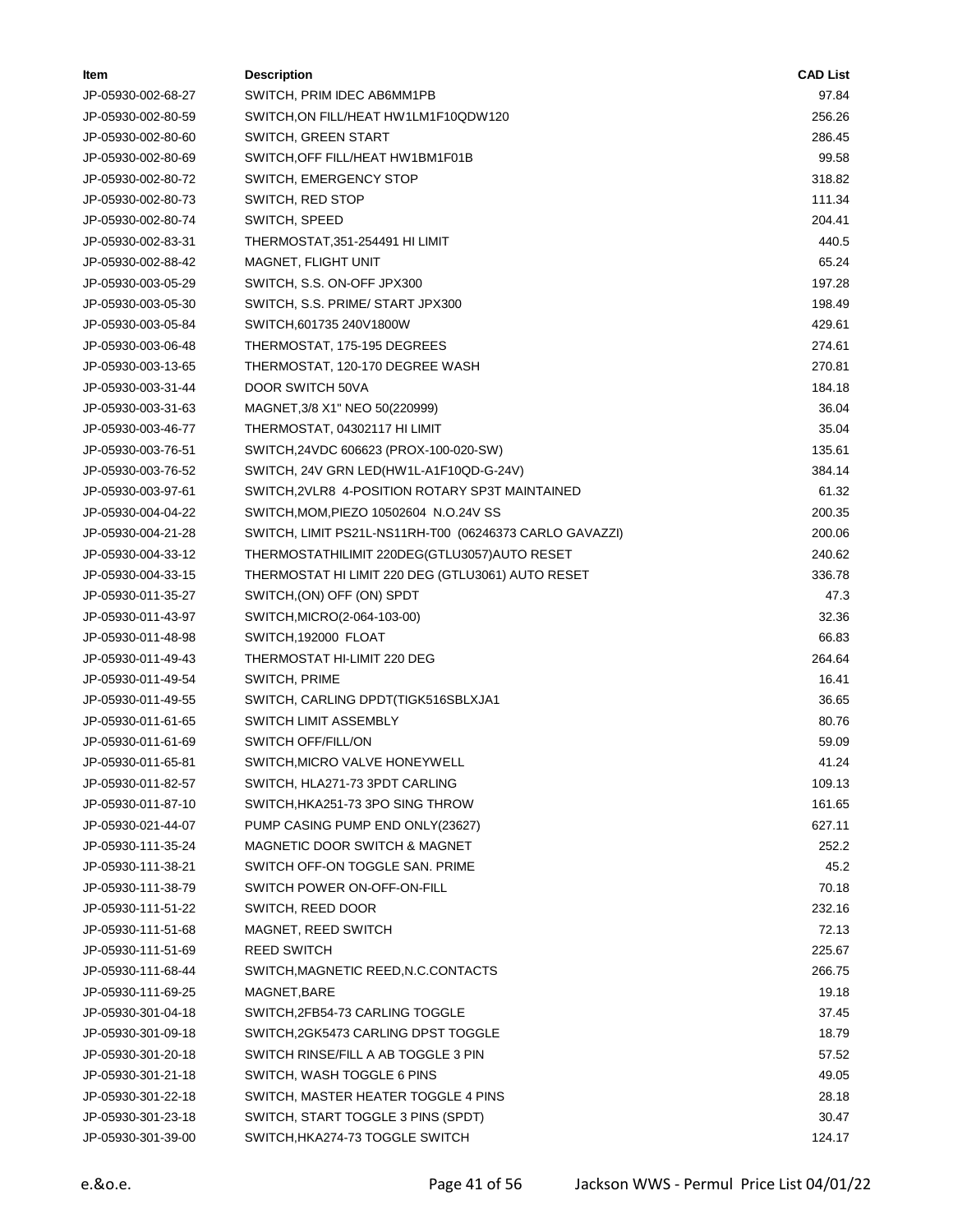| Item               | <b>Description</b>                                      | <b>CAD List</b> |
|--------------------|---------------------------------------------------------|-----------------|
| JP-05930-002-68-27 | SWITCH, PRIM IDEC AB6MM1PB                              | 97.84           |
| JP-05930-002-80-59 | SWITCH,ON FILL/HEAT HW1LM1F10QDW120                     | 256.26          |
| JP-05930-002-80-60 | SWITCH, GREEN START                                     | 286.45          |
| JP-05930-002-80-69 | SWITCH, OFF FILL/HEAT HW1BM1F01B                        | 99.58           |
| JP-05930-002-80-72 | <b>SWITCH, EMERGENCY STOP</b>                           | 318.82          |
| JP-05930-002-80-73 | SWITCH, RED STOP                                        | 111.34          |
| JP-05930-002-80-74 | SWITCH, SPEED                                           | 204.41          |
| JP-05930-002-83-31 | THERMOSTAT, 351-254491 HI LIMIT                         | 440.5           |
| JP-05930-002-88-42 | <b>MAGNET, FLIGHT UNIT</b>                              | 65.24           |
| JP-05930-003-05-29 | SWITCH, S.S. ON-OFF JPX300                              | 197.28          |
| JP-05930-003-05-30 | SWITCH, S.S. PRIME/ START JPX300                        | 198.49          |
| JP-05930-003-05-84 | SWITCH, 601735 240V1800W                                | 429.61          |
| JP-05930-003-06-48 | THERMOSTAT, 175-195 DEGREES                             | 274.61          |
| JP-05930-003-13-65 | THERMOSTAT, 120-170 DEGREE WASH                         | 270.81          |
| JP-05930-003-31-44 | DOOR SWITCH 50VA                                        | 184.18          |
| JP-05930-003-31-63 | MAGNET, 3/8 X1" NEO 50(220999)                          | 36.04           |
| JP-05930-003-46-77 | THERMOSTAT, 04302117 HI LIMIT                           | 35.04           |
| JP-05930-003-76-51 | SWITCH,24VDC 606623 (PROX-100-020-SW)                   | 135.61          |
| JP-05930-003-76-52 | SWITCH, 24V GRN LED(HW1L-A1F10QD-G-24V)                 | 384.14          |
| JP-05930-003-97-61 | SWITCH, 2VLR8 4-POSITION ROTARY SP3T MAINTAINED         | 61.32           |
| JP-05930-004-04-22 | SWITCH, MOM, PIEZO 10502604 N.O.24V SS                  | 200.35          |
| JP-05930-004-21-28 | SWITCH, LIMIT PS21L-NS11RH-T00 (06246373 CARLO GAVAZZI) | 200.06          |
| JP-05930-004-33-12 | THERMOSTATHILIMIT 220DEG(GTLU3057)AUTO RESET            | 240.62          |
| JP-05930-004-33-15 | THERMOSTAT HI LIMIT 220 DEG (GTLU3061) AUTO RESET       | 336.78          |
| JP-05930-011-35-27 | SWITCH, (ON) OFF (ON) SPDT                              | 47.3            |
| JP-05930-011-43-97 | SWITCH, MICRO (2-064-103-00)                            | 32.36           |
| JP-05930-011-48-98 | SWITCH, 192000 FLOAT                                    | 66.83           |
| JP-05930-011-49-43 | THERMOSTAT HI-LIMIT 220 DEG                             | 264.64          |
| JP-05930-011-49-54 | SWITCH, PRIME                                           | 16.41           |
| JP-05930-011-49-55 | SWITCH, CARLING DPDT (TIGK516SBLXJA1                    | 36.65           |
| JP-05930-011-61-65 | SWITCH LIMIT ASSEMBLY                                   | 80.76           |
| JP-05930-011-61-69 | <b>SWITCH OFF/FILL/ON</b>                               | 59.09           |
| JP-05930-011-65-81 | SWITCH, MICRO VALVE HONEYWELL                           | 41.24           |
| JP-05930-011-82-57 | SWITCH, HLA271-73 3PDT CARLING                          | 109.13          |
| JP-05930-011-87-10 | SWITCH, HKA251-73 3PO SING THROW                        | 161.65          |
| JP-05930-021-44-07 | PUMP CASING PUMP END ONLY(23627)                        | 627.11          |
| JP-05930-111-35-24 | <b>MAGNETIC DOOR SWITCH &amp; MAGNET</b>                | 252.2           |
| JP-05930-111-38-21 | SWITCH OFF-ON TOGGLE SAN. PRIME                         | 45.2            |
| JP-05930-111-38-79 | SWITCH POWER ON-OFF-ON-FILL                             | 70.18           |
| JP-05930-111-51-22 | SWITCH, REED DOOR                                       | 232.16          |
| JP-05930-111-51-68 | MAGNET, REED SWITCH                                     | 72.13           |
| JP-05930-111-51-69 | <b>REED SWITCH</b>                                      | 225.67          |
| JP-05930-111-68-44 | SWITCH, MAGNETIC REED, N.C.CONTACTS                     | 266.75          |
| JP-05930-111-69-25 | MAGNET, BARE                                            | 19.18           |
| JP-05930-301-04-18 | SWITCH, 2FB54-73 CARLING TOGGLE                         | 37.45           |
| JP-05930-301-09-18 | SWITCH, 2GK5473 CARLING DPST TOGGLE                     | 18.79           |
| JP-05930-301-20-18 | SWITCH RINSE/FILL A AB TOGGLE 3 PIN                     | 57.52           |
| JP-05930-301-21-18 | SWITCH, WASH TOGGLE 6 PINS                              | 49.05           |
| JP-05930-301-22-18 | SWITCH, MASTER HEATER TOGGLE 4 PINS                     | 28.18           |
| JP-05930-301-23-18 | SWITCH, START TOGGLE 3 PINS (SPDT)                      | 30.47           |
| JP-05930-301-39-00 | SWITCH, HKA274-73 TOGGLE SWITCH                         | 124.17          |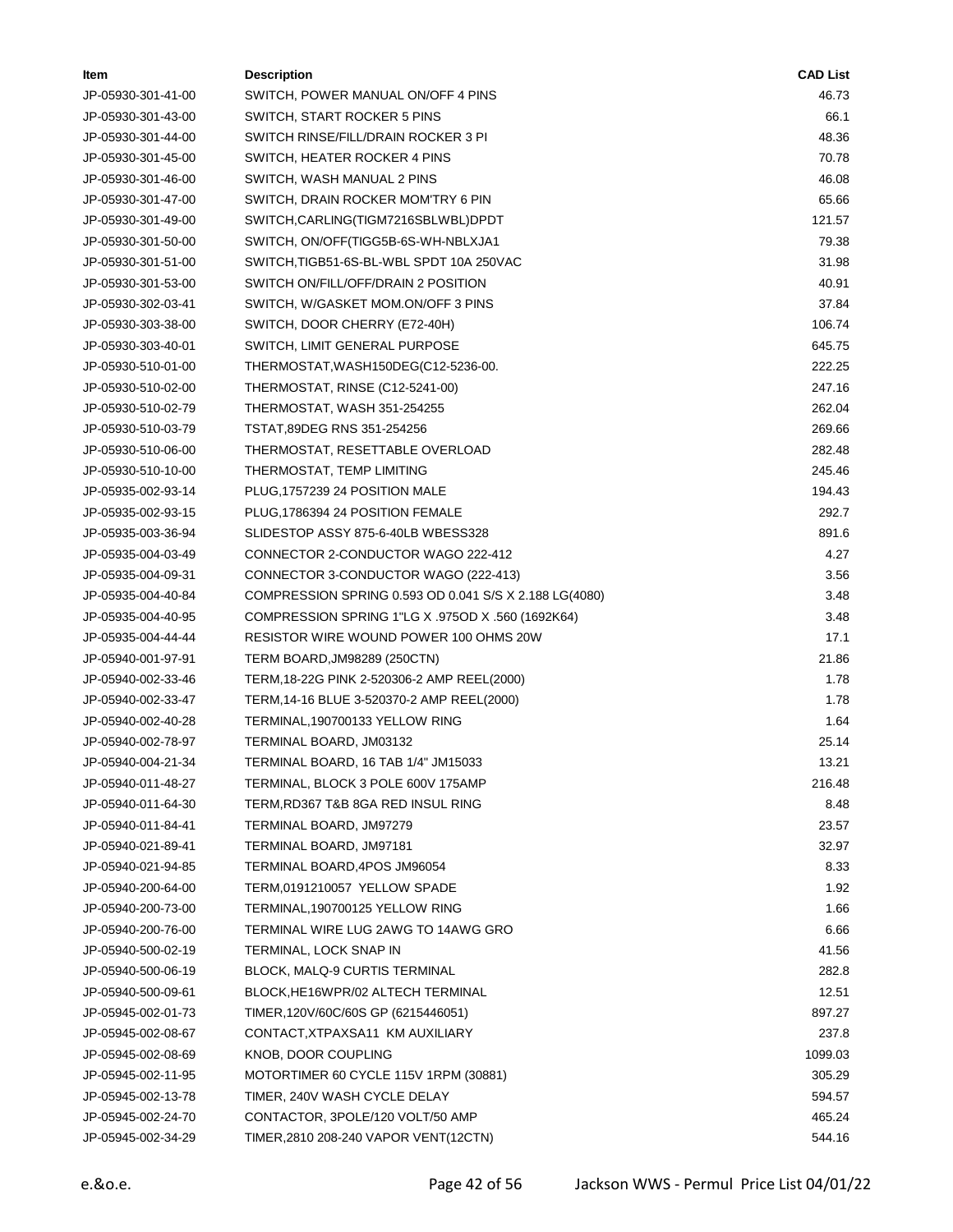| ltem               | <b>Description</b>                                     | <b>CAD List</b> |
|--------------------|--------------------------------------------------------|-----------------|
| JP-05930-301-41-00 | SWITCH, POWER MANUAL ON/OFF 4 PINS                     | 46.73           |
| JP-05930-301-43-00 | SWITCH, START ROCKER 5 PINS                            | 66.1            |
| JP-05930-301-44-00 | SWITCH RINSE/FILL/DRAIN ROCKER 3 PI                    | 48.36           |
| JP-05930-301-45-00 | SWITCH, HEATER ROCKER 4 PINS                           | 70.78           |
| JP-05930-301-46-00 | SWITCH, WASH MANUAL 2 PINS                             | 46.08           |
| JP-05930-301-47-00 | SWITCH, DRAIN ROCKER MOM'TRY 6 PIN                     | 65.66           |
| JP-05930-301-49-00 | SWITCH,CARLING(TIGM7216SBLWBL)DPDT                     | 121.57          |
| JP-05930-301-50-00 | SWITCH, ON/OFF(TIGG5B-6S-WH-NBLXJA1                    | 79.38           |
| JP-05930-301-51-00 | SWITCH,TIGB51-6S-BL-WBL SPDT 10A 250VAC                | 31.98           |
| JP-05930-301-53-00 | SWITCH ON/FILL/OFF/DRAIN 2 POSITION                    | 40.91           |
| JP-05930-302-03-41 | SWITCH, W/GASKET MOM.ON/OFF 3 PINS                     | 37.84           |
| JP-05930-303-38-00 | SWITCH, DOOR CHERRY (E72-40H)                          | 106.74          |
| JP-05930-303-40-01 | SWITCH, LIMIT GENERAL PURPOSE                          | 645.75          |
| JP-05930-510-01-00 | THERMOSTAT, WASH150DEG(C12-5236-00.                    | 222.25          |
| JP-05930-510-02-00 | THERMOSTAT, RINSE (C12-5241-00)                        | 247.16          |
| JP-05930-510-02-79 | THERMOSTAT, WASH 351-254255                            | 262.04          |
| JP-05930-510-03-79 | TSTAT,89DEG RNS 351-254256                             | 269.66          |
| JP-05930-510-06-00 | THERMOSTAT, RESETTABLE OVERLOAD                        | 282.48          |
| JP-05930-510-10-00 | THERMOSTAT, TEMP LIMITING                              | 245.46          |
| JP-05935-002-93-14 | PLUG, 1757239 24 POSITION MALE                         | 194.43          |
| JP-05935-002-93-15 | PLUG, 1786394 24 POSITION FEMALE                       | 292.7           |
| JP-05935-003-36-94 | SLIDESTOP ASSY 875-6-40LB WBESS328                     | 891.6           |
| JP-05935-004-03-49 | CONNECTOR 2-CONDUCTOR WAGO 222-412                     | 4.27            |
| JP-05935-004-09-31 | CONNECTOR 3-CONDUCTOR WAGO (222-413)                   | 3.56            |
| JP-05935-004-40-84 | COMPRESSION SPRING 0.593 OD 0.041 S/S X 2.188 LG(4080) | 3.48            |
| JP-05935-004-40-95 | COMPRESSION SPRING 1"LG X .975OD X .560 (1692K64)      | 3.48            |
| JP-05935-004-44-44 | RESISTOR WIRE WOUND POWER 100 OHMS 20W                 | 17.1            |
| JP-05940-001-97-91 | TERM BOARD, JM98289 (250CTN)                           | 21.86           |
| JP-05940-002-33-46 | TERM, 18-22G PINK 2-520306-2 AMP REEL(2000)            | 1.78            |
| JP-05940-002-33-47 | TERM, 14-16 BLUE 3-520370-2 AMP REEL(2000)             | 1.78            |
| JP-05940-002-40-28 | TERMINAL, 190700133 YELLOW RING                        | 1.64            |
| JP-05940-002-78-97 | TERMINAL BOARD, JM03132                                | 25.14           |
| JP-05940-004-21-34 | TERMINAL BOARD, 16 TAB 1/4" JM15033                    | 13.21           |
| JP-05940-011-48-27 | TERMINAL, BLOCK 3 POLE 600V 175AMP                     | 216.48          |
| JP-05940-011-64-30 | TERM, RD367 T&B 8GA RED INSUL RING                     | 8.48            |
| JP-05940-011-84-41 | TERMINAL BOARD, JM97279                                | 23.57           |
| JP-05940-021-89-41 | TERMINAL BOARD, JM97181                                | 32.97           |
| JP-05940-021-94-85 | TERMINAL BOARD, 4POS JM96054                           | 8.33            |
| JP-05940-200-64-00 | TERM,0191210057 YELLOW SPADE                           | 1.92            |
| JP-05940-200-73-00 | TERMINAL, 190700125 YELLOW RING                        | 1.66            |
| JP-05940-200-76-00 | TERMINAL WIRE LUG 2AWG TO 14AWG GRO                    | 6.66            |
| JP-05940-500-02-19 | TERMINAL, LOCK SNAP IN                                 | 41.56           |
| JP-05940-500-06-19 | BLOCK, MALQ-9 CURTIS TERMINAL                          | 282.8           |
| JP-05940-500-09-61 | BLOCK,HE16WPR/02 ALTECH TERMINAL                       | 12.51           |
| JP-05945-002-01-73 | TIMER, 120V/60C/60S GP (6215446051)                    | 897.27          |
| JP-05945-002-08-67 | CONTACT, XTPAXSA11 KM AUXILIARY                        | 237.8           |
| JP-05945-002-08-69 | KNOB, DOOR COUPLING                                    | 1099.03         |
| JP-05945-002-11-95 | MOTORTIMER 60 CYCLE 115V 1RPM (30881)                  | 305.29          |
| JP-05945-002-13-78 | TIMER, 240V WASH CYCLE DELAY                           | 594.57          |
| JP-05945-002-24-70 | CONTACTOR, 3POLE/120 VOLT/50 AMP                       | 465.24          |
| JP-05945-002-34-29 | TIMER, 2810 208-240 VAPOR VENT (12CTN)                 | 544.16          |
|                    |                                                        |                 |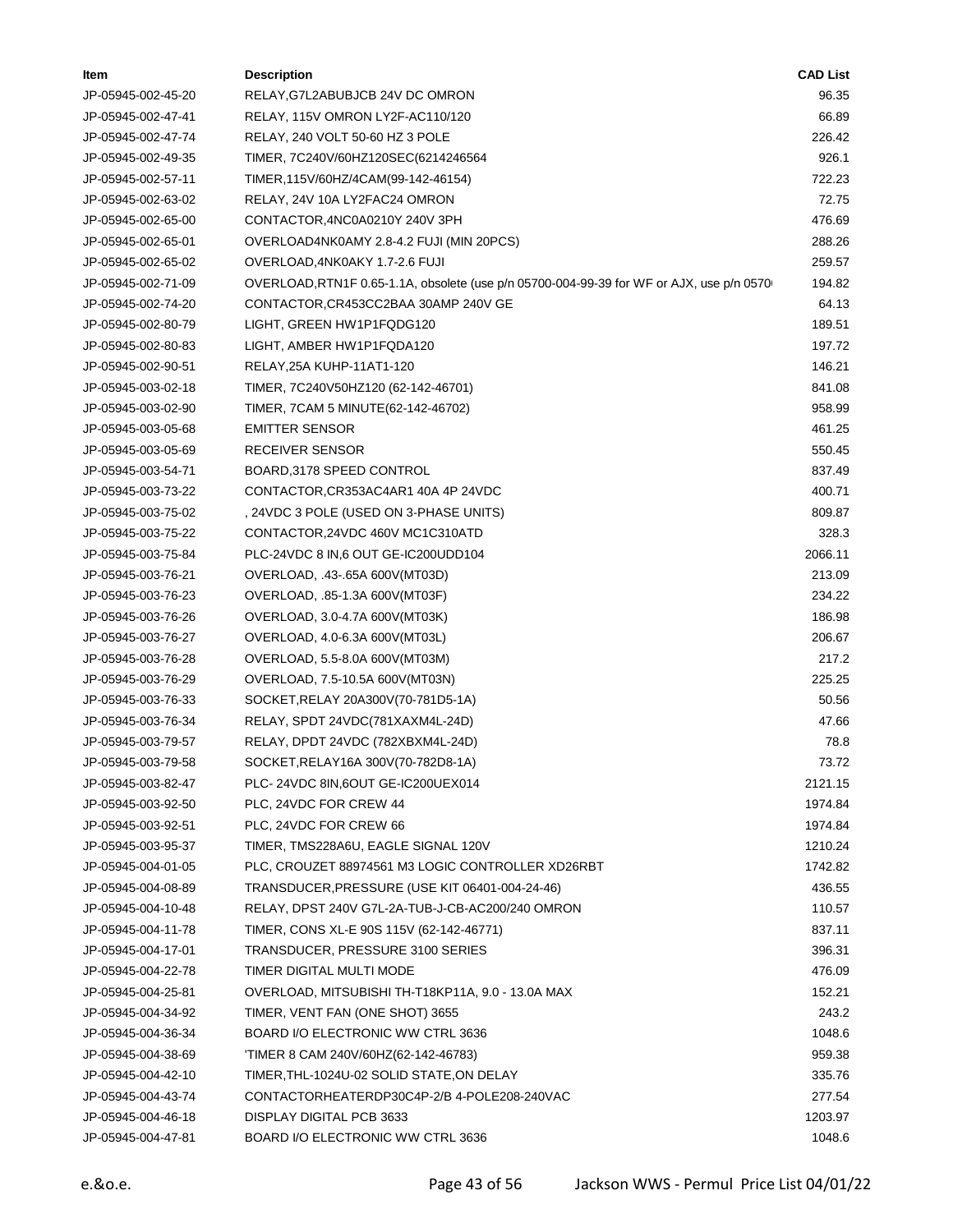| ltem               | <b>Description</b>                                                                       | <b>CAD List</b> |
|--------------------|------------------------------------------------------------------------------------------|-----------------|
| JP-05945-002-45-20 | RELAY, G7L2ABUBJCB 24V DC OMRON                                                          | 96.35           |
| JP-05945-002-47-41 | RELAY, 115V OMRON LY2F-AC110/120                                                         | 66.89           |
| JP-05945-002-47-74 | RELAY, 240 VOLT 50-60 HZ 3 POLE                                                          | 226.42          |
| JP-05945-002-49-35 | TIMER, 7C240V/60HZ120SEC(6214246564                                                      | 926.1           |
| JP-05945-002-57-11 | TIMER, 115V/60HZ/4CAM(99-142-46154)                                                      | 722.23          |
| JP-05945-002-63-02 | RELAY, 24V 10A LY2FAC24 OMRON                                                            | 72.75           |
| JP-05945-002-65-00 | CONTACTOR,4NC0A0210Y 240V 3PH                                                            | 476.69          |
| JP-05945-002-65-01 | OVERLOAD4NK0AMY 2.8-4.2 FUJI (MIN 20PCS)                                                 | 288.26          |
| JP-05945-002-65-02 | OVERLOAD, 4NK0AKY 1.7-2.6 FUJI                                                           | 259.57          |
| JP-05945-002-71-09 | OVERLOAD, RTN1F 0.65-1.1A, obsolete (use p/n 05700-004-99-39 for WF or AJX, use p/n 0570 | 194.82          |
| JP-05945-002-74-20 | CONTACTOR, CR453CC2BAA 30AMP 240V GE                                                     | 64.13           |
| JP-05945-002-80-79 | LIGHT, GREEN HW1P1FQDG120                                                                | 189.51          |
| JP-05945-002-80-83 | LIGHT, AMBER HW1P1FQDA120                                                                | 197.72          |
| JP-05945-002-90-51 | RELAY, 25A KUHP-11AT1-120                                                                | 146.21          |
| JP-05945-003-02-18 | TIMER, 7C240V50HZ120 (62-142-46701)                                                      | 841.08          |
| JP-05945-003-02-90 | TIMER, 7CAM 5 MINUTE(62-142-46702)                                                       | 958.99          |
| JP-05945-003-05-68 | <b>EMITTER SENSOR</b>                                                                    | 461.25          |
| JP-05945-003-05-69 | RECEIVER SENSOR                                                                          | 550.45          |
| JP-05945-003-54-71 | BOARD, 3178 SPEED CONTROL                                                                | 837.49          |
| JP-05945-003-73-22 | CONTACTOR, CR353AC4AR1 40A 4P 24VDC                                                      | 400.71          |
| JP-05945-003-75-02 | , 24VDC 3 POLE (USED ON 3-PHASE UNITS)                                                   | 809.87          |
| JP-05945-003-75-22 | CONTACTOR, 24VDC 460V MC1C310ATD                                                         | 328.3           |
| JP-05945-003-75-84 | PLC-24VDC 8 IN,6 OUT GE-IC200UDD104                                                      | 2066.11         |
| JP-05945-003-76-21 | OVERLOAD, .43-.65A 600V(MT03D)                                                           | 213.09          |
| JP-05945-003-76-23 | OVERLOAD, .85-1.3A 600V(MT03F)                                                           | 234.22          |
| JP-05945-003-76-26 | OVERLOAD, 3.0-4.7A 600V(MT03K)                                                           | 186.98          |
| JP-05945-003-76-27 | OVERLOAD, 4.0-6.3A 600V(MT03L)                                                           | 206.67          |
| JP-05945-003-76-28 | OVERLOAD, 5.5-8.0A 600V(MT03M)                                                           | 217.2           |
| JP-05945-003-76-29 | OVERLOAD, 7.5-10.5A 600V(MT03N)                                                          | 225.25          |
| JP-05945-003-76-33 | SOCKET, RELAY 20A300V(70-781D5-1A)                                                       | 50.56           |
| JP-05945-003-76-34 | RELAY, SPDT 24VDC(781XAXM4L-24D)                                                         | 47.66           |
| JP-05945-003-79-57 | RELAY, DPDT 24VDC (782XBXM4L-24D)                                                        | 78.8            |
| JP-05945-003-79-58 | SOCKET, RELAY16A 300V(70-782D8-1A)                                                       | 73.72           |
| JP-05945-003-82-47 | PLC-24VDC 8IN, 6OUT GE-IC200UEX014                                                       | 2121.15         |
| JP-05945-003-92-50 | PLC, 24VDC FOR CREW 44                                                                   | 1974.84         |
| JP-05945-003-92-51 | PLC, 24VDC FOR CREW 66                                                                   | 1974.84         |
| JP-05945-003-95-37 | TIMER, TMS228A6U, EAGLE SIGNAL 120V                                                      | 1210.24         |
| JP-05945-004-01-05 | PLC, CROUZET 88974561 M3 LOGIC CONTROLLER XD26RBT                                        | 1742.82         |
| JP-05945-004-08-89 | TRANSDUCER, PRESSURE (USE KIT 06401-004-24-46)                                           | 436.55          |
| JP-05945-004-10-48 | RELAY, DPST 240V G7L-2A-TUB-J-CB-AC200/240 OMRON                                         | 110.57          |
| JP-05945-004-11-78 | TIMER, CONS XL-E 90S 115V (62-142-46771)                                                 | 837.11          |
| JP-05945-004-17-01 | TRANSDUCER, PRESSURE 3100 SERIES                                                         | 396.31          |
| JP-05945-004-22-78 | TIMER DIGITAL MULTI MODE                                                                 | 476.09          |
| JP-05945-004-25-81 | OVERLOAD, MITSUBISHI TH-T18KP11A, 9.0 - 13.0A MAX                                        | 152.21          |
| JP-05945-004-34-92 | TIMER, VENT FAN (ONE SHOT) 3655                                                          | 243.2           |
| JP-05945-004-36-34 | BOARD I/O ELECTRONIC WW CTRL 3636                                                        | 1048.6          |
| JP-05945-004-38-69 | 'TIMER 8 CAM 240V/60HZ(62-142-46783)                                                     | 959.38          |
| JP-05945-004-42-10 | TIMER, THL-1024U-02 SOLID STATE, ON DELAY                                                | 335.76          |
| JP-05945-004-43-74 | CONTACTORHEATERDP30C4P-2/B 4-POLE208-240VAC                                              | 277.54          |
| JP-05945-004-46-18 | DISPLAY DIGITAL PCB 3633                                                                 | 1203.97         |
| JP-05945-004-47-81 | BOARD I/O ELECTRONIC WW CTRL 3636                                                        | 1048.6          |
|                    |                                                                                          |                 |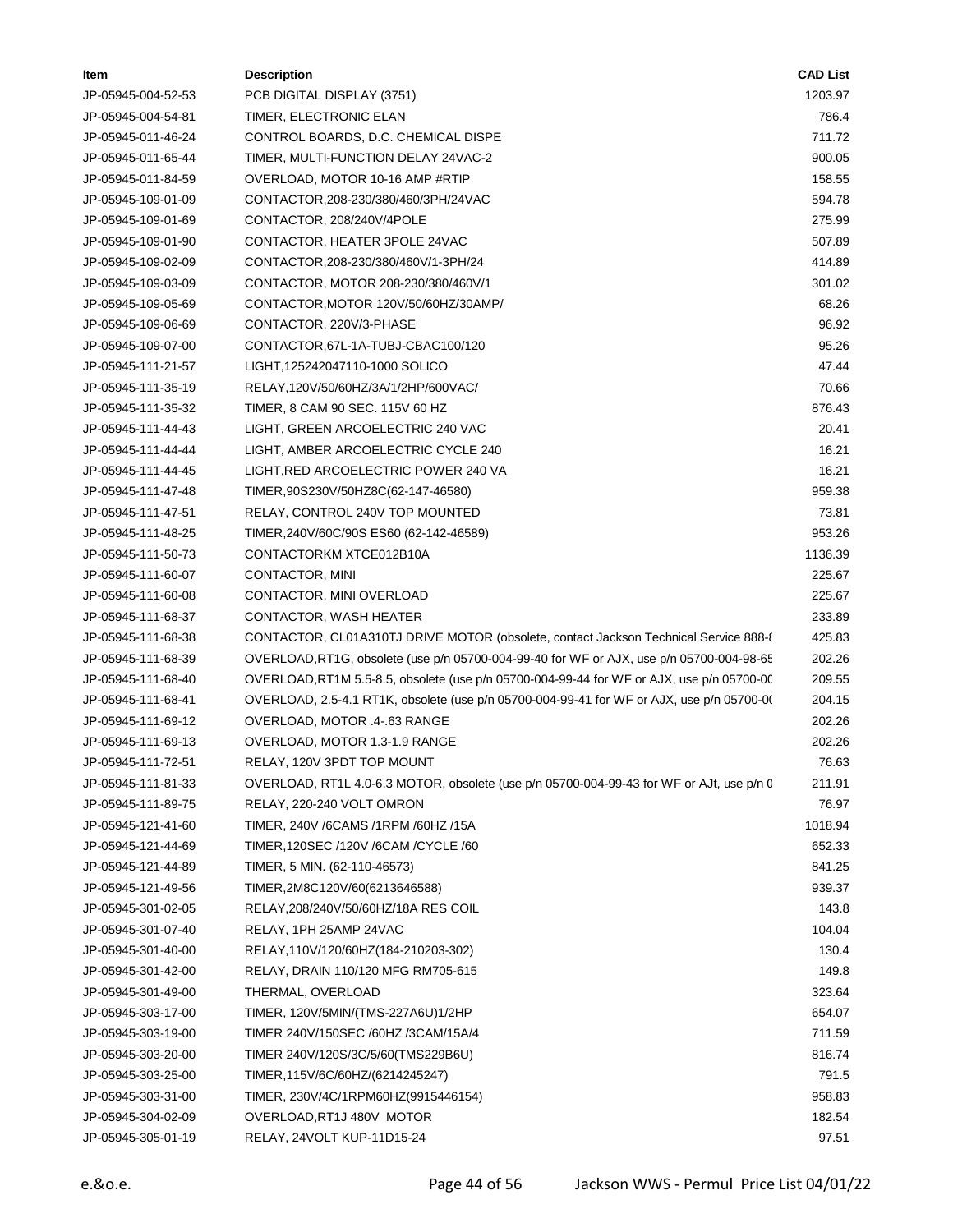| ltem               | <b>Description</b>                                                                        | <b>CAD List</b> |  |
|--------------------|-------------------------------------------------------------------------------------------|-----------------|--|
| JP-05945-004-52-53 | PCB DIGITAL DISPLAY (3751)                                                                | 1203.97         |  |
| JP-05945-004-54-81 | TIMER, ELECTRONIC ELAN                                                                    | 786.4           |  |
| JP-05945-011-46-24 | CONTROL BOARDS, D.C. CHEMICAL DISPE                                                       | 711.72          |  |
| JP-05945-011-65-44 | TIMER, MULTI-FUNCTION DELAY 24VAC-2                                                       | 900.05          |  |
| JP-05945-011-84-59 | OVERLOAD, MOTOR 10-16 AMP #RTIP                                                           | 158.55          |  |
| JP-05945-109-01-09 | CONTACTOR,208-230/380/460/3PH/24VAC                                                       | 594.78          |  |
| JP-05945-109-01-69 | CONTACTOR, 208/240V/4POLE                                                                 | 275.99          |  |
| JP-05945-109-01-90 | CONTACTOR, HEATER 3POLE 24VAC                                                             | 507.89          |  |
| JP-05945-109-02-09 | CONTACTOR, 208-230/380/460V/1-3PH/24                                                      | 414.89          |  |
| JP-05945-109-03-09 | CONTACTOR, MOTOR 208-230/380/460V/1                                                       | 301.02          |  |
| JP-05945-109-05-69 | CONTACTOR, MOTOR 120V/50/60HZ/30AMP/                                                      | 68.26           |  |
| JP-05945-109-06-69 | CONTACTOR, 220V/3-PHASE                                                                   | 96.92           |  |
| JP-05945-109-07-00 | CONTACTOR, 67L-1A-TUBJ-CBAC100/120                                                        | 95.26           |  |
| JP-05945-111-21-57 | LIGHT,125242047110-1000 SOLICO                                                            | 47.44           |  |
| JP-05945-111-35-19 | RELAY,120V/50/60HZ/3A/1/2HP/600VAC/                                                       | 70.66           |  |
| JP-05945-111-35-32 | TIMER, 8 CAM 90 SEC. 115V 60 HZ                                                           | 876.43          |  |
| JP-05945-111-44-43 | LIGHT, GREEN ARCOELECTRIC 240 VAC                                                         | 20.41           |  |
| JP-05945-111-44-44 | LIGHT, AMBER ARCOELECTRIC CYCLE 240                                                       | 16.21           |  |
| JP-05945-111-44-45 | LIGHT,RED ARCOELECTRIC POWER 240 VA                                                       | 16.21           |  |
| JP-05945-111-47-48 | TIMER, 90S230V/50HZ8C(62-147-46580)                                                       | 959.38          |  |
| JP-05945-111-47-51 | RELAY, CONTROL 240V TOP MOUNTED                                                           | 73.81           |  |
| JP-05945-111-48-25 | TIMER, 240V/60C/90S ES60 (62-142-46589)                                                   | 953.26          |  |
| JP-05945-111-50-73 | CONTACTORKM XTCE012B10A                                                                   | 1136.39         |  |
| JP-05945-111-60-07 | CONTACTOR, MINI                                                                           | 225.67          |  |
| JP-05945-111-60-08 | CONTACTOR, MINI OVERLOAD                                                                  | 225.67          |  |
| JP-05945-111-68-37 | CONTACTOR, WASH HEATER                                                                    | 233.89          |  |
| JP-05945-111-68-38 | CONTACTOR, CL01A310TJ DRIVE MOTOR (obsolete, contact Jackson Technical Service 888-{      | 425.83          |  |
| JP-05945-111-68-39 | OVERLOAD, RT1G, obsolete (use p/n 05700-004-99-40 for WF or AJX, use p/n 05700-004-98-65  | 202.26          |  |
| JP-05945-111-68-40 | OVERLOAD, RT1M 5.5-8.5, obsolete (use p/n 05700-004-99-44 for WF or AJX, use p/n 05700-00 | 209.55          |  |
| JP-05945-111-68-41 | OVERLOAD, 2.5-4.1 RT1K, obsolete (use p/n 05700-004-99-41 for WF or AJX, use p/n 05700-00 | 204.15          |  |
| JP-05945-111-69-12 | OVERLOAD, MOTOR .4-.63 RANGE                                                              | 202.26          |  |
| JP-05945-111-69-13 | OVERLOAD, MOTOR 1.3-1.9 RANGE                                                             | 202.26          |  |
| JP-05945-111-72-51 | RELAY, 120V 3PDT TOP MOUNT                                                                | 76.63           |  |
| JP-05945-111-81-33 | OVERLOAD, RT1L 4.0-6.3 MOTOR, obsolete (use p/n 05700-004-99-43 for WF or AJt, use p/n C  | 211.91          |  |
| JP-05945-111-89-75 | RELAY, 220-240 VOLT OMRON                                                                 | 76.97           |  |
| JP-05945-121-41-60 | TIMER, 240V /6CAMS /1RPM /60HZ /15A                                                       | 1018.94         |  |
| JP-05945-121-44-69 | TIMER, 120SEC /120V /6CAM / CYCLE /60                                                     | 652.33          |  |
| JP-05945-121-44-89 | TIMER, 5 MIN. (62-110-46573)                                                              | 841.25          |  |
| JP-05945-121-49-56 | TIMER, 2M8C120V/60(6213646588)                                                            | 939.37          |  |
| JP-05945-301-02-05 | RELAY,208/240V/50/60HZ/18A RES COIL                                                       | 143.8           |  |
| JP-05945-301-07-40 | RELAY, 1PH 25AMP 24VAC                                                                    | 104.04          |  |
| JP-05945-301-40-00 | RELAY,110V/120/60HZ(184-210203-302)                                                       | 130.4           |  |
| JP-05945-301-42-00 | RELAY, DRAIN 110/120 MFG RM705-615                                                        | 149.8           |  |
| JP-05945-301-49-00 | THERMAL, OVERLOAD                                                                         | 323.64          |  |
| JP-05945-303-17-00 | TIMER, 120V/5MIN/(TMS-227A6U)1/2HP                                                        | 654.07          |  |
|                    | TIMER 240V/150SEC /60HZ /3CAM/15A/4                                                       | 711.59          |  |
| JP-05945-303-19-00 |                                                                                           |                 |  |
| JP-05945-303-20-00 | TIMER 240V/120S/3C/5/60(TMS229B6U)                                                        | 816.74<br>791.5 |  |
| JP-05945-303-25-00 | TIMER, 115V/6C/60HZ/(6214245247)                                                          |                 |  |
| JP-05945-303-31-00 | TIMER, 230V/4C/1RPM60HZ(9915446154)                                                       | 958.83          |  |
| JP-05945-304-02-09 | OVERLOAD, RT1J 480V MOTOR                                                                 | 182.54          |  |
| JP-05945-305-01-19 | RELAY, 24VOLT KUP-11D15-24                                                                | 97.51           |  |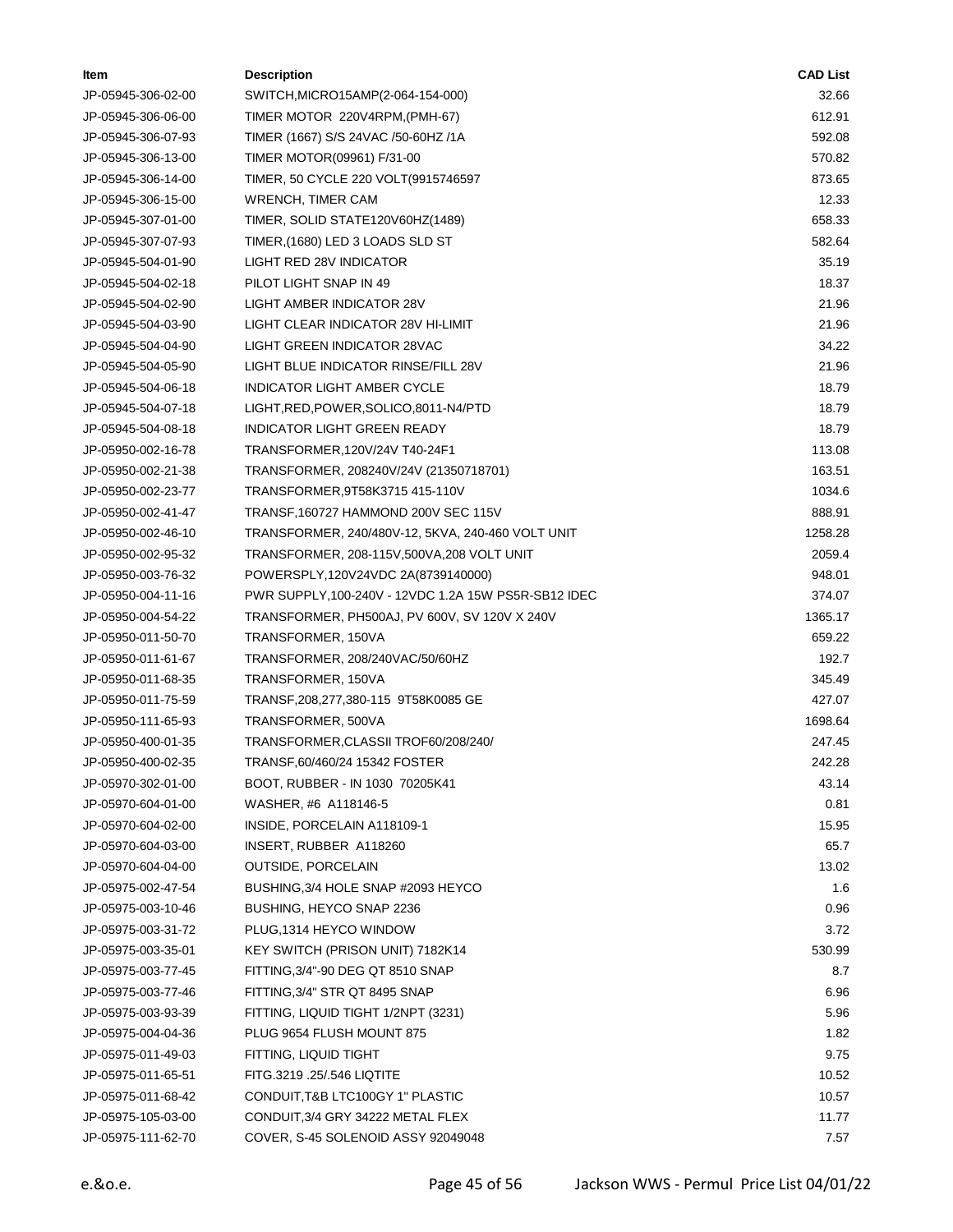| ltem               | <b>Description</b>                                   | <b>CAD List</b> |
|--------------------|------------------------------------------------------|-----------------|
| JP-05945-306-02-00 | SWITCH, MICRO15AMP(2-064-154-000)                    | 32.66           |
| JP-05945-306-06-00 | TIMER MOTOR 220V4RPM, (PMH-67)                       | 612.91          |
| JP-05945-306-07-93 | TIMER (1667) S/S 24VAC /50-60HZ /1A                  | 592.08          |
| JP-05945-306-13-00 | TIMER MOTOR(09961) F/31-00                           | 570.82          |
| JP-05945-306-14-00 | TIMER, 50 CYCLE 220 VOLT(9915746597                  | 873.65          |
| JP-05945-306-15-00 | <b>WRENCH, TIMER CAM</b>                             | 12.33           |
| JP-05945-307-01-00 | TIMER, SOLID STATE120V60HZ(1489)                     | 658.33          |
| JP-05945-307-07-93 | TIMER, (1680) LED 3 LOADS SLD ST                     | 582.64          |
| JP-05945-504-01-90 | LIGHT RED 28V INDICATOR                              | 35.19           |
| JP-05945-504-02-18 | PILOT LIGHT SNAP IN 49                               | 18.37           |
| JP-05945-504-02-90 | LIGHT AMBER INDICATOR 28V                            | 21.96           |
| JP-05945-504-03-90 | LIGHT CLEAR INDICATOR 28V HI-LIMIT                   | 21.96           |
| JP-05945-504-04-90 | LIGHT GREEN INDICATOR 28VAC                          | 34.22           |
| JP-05945-504-05-90 | LIGHT BLUE INDICATOR RINSE/FILL 28V                  | 21.96           |
| JP-05945-504-06-18 | <b>INDICATOR LIGHT AMBER CYCLE</b>                   | 18.79           |
| JP-05945-504-07-18 | LIGHT, RED, POWER, SOLICO, 8011-N4/PTD               | 18.79           |
| JP-05945-504-08-18 | <b>INDICATOR LIGHT GREEN READY</b>                   | 18.79           |
| JP-05950-002-16-78 | TRANSFORMER, 120V/24V T40-24F1                       | 113.08          |
| JP-05950-002-21-38 | TRANSFORMER, 208240V/24V (21350718701)               | 163.51          |
| JP-05950-002-23-77 | TRANSFORMER, 9T58K3715 415-110V                      | 1034.6          |
| JP-05950-002-41-47 | TRANSF, 160727 HAMMOND 200V SEC 115V                 | 888.91          |
| JP-05950-002-46-10 | TRANSFORMER, 240/480V-12, 5KVA, 240-460 VOLT UNIT    | 1258.28         |
| JP-05950-002-95-32 | TRANSFORMER, 208-115V, 500VA, 208 VOLT UNIT          | 2059.4          |
| JP-05950-003-76-32 | POWERSPLY,120V24VDC 2A(8739140000)                   | 948.01          |
| JP-05950-004-11-16 | PWR SUPPLY, 100-240V - 12VDC 1.2A 15W PS5R-SB12 IDEC | 374.07          |
| JP-05950-004-54-22 | TRANSFORMER, PH500AJ, PV 600V, SV 120V X 240V        | 1365.17         |
| JP-05950-011-50-70 | TRANSFORMER, 150VA                                   | 659.22          |
| JP-05950-011-61-67 | TRANSFORMER, 208/240VAC/50/60HZ                      | 192.7           |
| JP-05950-011-68-35 | TRANSFORMER, 150VA                                   | 345.49          |
| JP-05950-011-75-59 | TRANSF, 208, 277, 380-115 9T58K0085 GE               | 427.07          |
| JP-05950-111-65-93 | TRANSFORMER, 500VA                                   | 1698.64         |
| JP-05950-400-01-35 | TRANSFORMER, CLASSII TROF60/208/240/                 | 247.45          |
| JP-05950-400-02-35 | TRANSF, 60/460/24 15342 FOSTER                       | 242.28          |
| JP-05970-302-01-00 | BOOT, RUBBER - IN 1030 70205K41                      | 43.14           |
| JP-05970-604-01-00 | WASHER, #6 A118146-5                                 | 0.81            |
| JP-05970-604-02-00 | INSIDE, PORCELAIN A118109-1                          | 15.95           |
| JP-05970-604-03-00 | INSERT, RUBBER A118260                               | 65.7            |
| JP-05970-604-04-00 | OUTSIDE, PORCELAIN                                   | 13.02           |
| JP-05975-002-47-54 | BUSHING, 3/4 HOLE SNAP #2093 HEYCO                   | 1.6             |
| JP-05975-003-10-46 | BUSHING, HEYCO SNAP 2236                             | 0.96            |
| JP-05975-003-31-72 | PLUG, 1314 HEYCO WINDOW                              | 3.72            |
| JP-05975-003-35-01 | KEY SWITCH (PRISON UNIT) 7182K14                     | 530.99          |
| JP-05975-003-77-45 | FITTING, 3/4"-90 DEG QT 8510 SNAP                    | 8.7             |
| JP-05975-003-77-46 | FITTING, 3/4" STR QT 8495 SNAP                       | 6.96            |
| JP-05975-003-93-39 | FITTING, LIQUID TIGHT 1/2NPT (3231)                  | 5.96            |
| JP-05975-004-04-36 | PLUG 9654 FLUSH MOUNT 875                            | 1.82            |
| JP-05975-011-49-03 | FITTING, LIQUID TIGHT                                | 9.75            |
| JP-05975-011-65-51 | FITG.3219 .25/.546 LIQTITE                           | 10.52           |
| JP-05975-011-68-42 | CONDUIT, T&B LTC100GY 1" PLASTIC                     | 10.57           |
| JP-05975-105-03-00 | CONDUIT, 3/4 GRY 34222 METAL FLEX                    | 11.77           |
| JP-05975-111-62-70 | COVER, S-45 SOLENOID ASSY 92049048                   | 7.57            |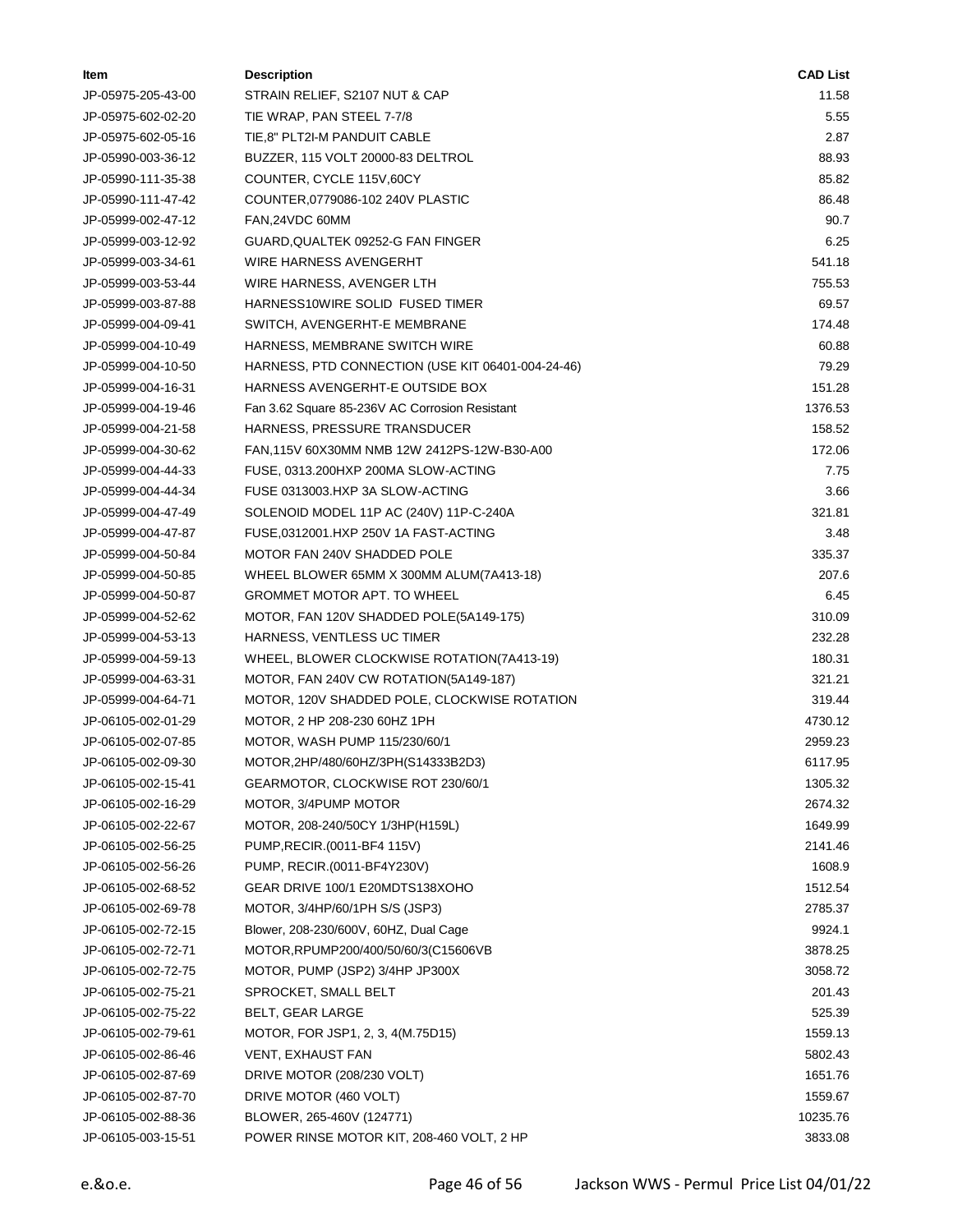| ltem               | <b>Description</b>                                | <b>CAD List</b> |
|--------------------|---------------------------------------------------|-----------------|
| JP-05975-205-43-00 | STRAIN RELIEF, S2107 NUT & CAP                    | 11.58           |
| JP-05975-602-02-20 | TIE WRAP, PAN STEEL 7-7/8                         | 5.55            |
| JP-05975-602-05-16 | TIE,8" PLT2I-M PANDUIT CABLE                      | 2.87            |
| JP-05990-003-36-12 | BUZZER, 115 VOLT 20000-83 DELTROL                 | 88.93           |
| JP-05990-111-35-38 | COUNTER, CYCLE 115V,60CY                          | 85.82           |
| JP-05990-111-47-42 | COUNTER, 0779086-102 240V PLASTIC                 | 86.48           |
| JP-05999-002-47-12 | FAN, 24VDC 60MM                                   | 90.7            |
| JP-05999-003-12-92 | GUARD, QUALTEK 09252-G FAN FINGER                 | 6.25            |
| JP-05999-003-34-61 | WIRE HARNESS AVENGERHT                            | 541.18          |
| JP-05999-003-53-44 | WIRE HARNESS, AVENGER LTH                         | 755.53          |
| JP-05999-003-87-88 | HARNESS10WIRE SOLID FUSED TIMER                   | 69.57           |
| JP-05999-004-09-41 | SWITCH, AVENGERHT-E MEMBRANE                      | 174.48          |
| JP-05999-004-10-49 | HARNESS, MEMBRANE SWITCH WIRE                     | 60.88           |
| JP-05999-004-10-50 | HARNESS, PTD CONNECTION (USE KIT 06401-004-24-46) | 79.29           |
| JP-05999-004-16-31 | HARNESS AVENGERHT-E OUTSIDE BOX                   | 151.28          |
| JP-05999-004-19-46 | Fan 3.62 Square 85-236V AC Corrosion Resistant    | 1376.53         |
| JP-05999-004-21-58 | HARNESS, PRESSURE TRANSDUCER                      | 158.52          |
| JP-05999-004-30-62 | FAN, 115V 60X30MM NMB 12W 2412PS-12W-B30-A00      | 172.06          |
| JP-05999-004-44-33 | FUSE, 0313.200HXP 200MA SLOW-ACTING               | 7.75            |
| JP-05999-004-44-34 | FUSE 0313003.HXP 3A SLOW-ACTING                   | 3.66            |
| JP-05999-004-47-49 | SOLENOID MODEL 11P AC (240V) 11P-C-240A           | 321.81          |
| JP-05999-004-47-87 | FUSE,0312001.HXP 250V 1A FAST-ACTING              | 3.48            |
| JP-05999-004-50-84 | MOTOR FAN 240V SHADDED POLE                       | 335.37          |
| JP-05999-004-50-85 | WHEEL BLOWER 65MM X 300MM ALUM(7A413-18)          | 207.6           |
| JP-05999-004-50-87 | <b>GROMMET MOTOR APT. TO WHEEL</b>                | 6.45            |
| JP-05999-004-52-62 | MOTOR, FAN 120V SHADDED POLE(5A149-175)           | 310.09          |
| JP-05999-004-53-13 | HARNESS, VENTLESS UC TIMER                        | 232.28          |
| JP-05999-004-59-13 | WHEEL, BLOWER CLOCKWISE ROTATION(7A413-19)        | 180.31          |
| JP-05999-004-63-31 | MOTOR, FAN 240V CW ROTATION(5A149-187)            | 321.21          |
| JP-05999-004-64-71 | MOTOR, 120V SHADDED POLE, CLOCKWISE ROTATION      | 319.44          |
| JP-06105-002-01-29 | MOTOR, 2 HP 208-230 60HZ 1PH                      | 4730.12         |
| JP-06105-002-07-85 | MOTOR, WASH PUMP 115/230/60/1                     | 2959.23         |
| JP-06105-002-09-30 | MOTOR, 2HP/480/60HZ/3PH(S14333B2D3)               | 6117.95         |
| JP-06105-002-15-41 | GEARMOTOR, CLOCKWISE ROT 230/60/1                 | 1305.32         |
| JP-06105-002-16-29 | MOTOR, 3/4PUMP MOTOR                              | 2674.32         |
| JP-06105-002-22-67 | MOTOR, 208-240/50CY 1/3HP(H159L)                  | 1649.99         |
| JP-06105-002-56-25 | PUMP, RECIR. (0011-BF4 115V)                      | 2141.46         |
| JP-06105-002-56-26 | PUMP, RECIR.(0011-BF4Y230V)                       | 1608.9          |
| JP-06105-002-68-52 | GEAR DRIVE 100/1 E20MDTS138XOHO                   | 1512.54         |
| JP-06105-002-69-78 | MOTOR, 3/4HP/60/1PH S/S (JSP3)                    | 2785.37         |
| JP-06105-002-72-15 | Blower, 208-230/600V, 60HZ, Dual Cage             | 9924.1          |
| JP-06105-002-72-71 | MOTOR, RPUMP200/400/50/60/3(C15606VB              | 3878.25         |
| JP-06105-002-72-75 | MOTOR, PUMP (JSP2) 3/4HP JP300X                   | 3058.72         |
| JP-06105-002-75-21 | SPROCKET, SMALL BELT                              | 201.43          |
| JP-06105-002-75-22 | BELT, GEAR LARGE                                  | 525.39          |
| JP-06105-002-79-61 | MOTOR, FOR JSP1, 2, 3, 4(M.75D15)                 | 1559.13         |
| JP-06105-002-86-46 | VENT, EXHAUST FAN                                 | 5802.43         |
| JP-06105-002-87-69 | DRIVE MOTOR (208/230 VOLT)                        | 1651.76         |
| JP-06105-002-87-70 | DRIVE MOTOR (460 VOLT)                            | 1559.67         |
| JP-06105-002-88-36 | BLOWER, 265-460V (124771)                         | 10235.76        |
| JP-06105-003-15-51 | POWER RINSE MOTOR KIT, 208-460 VOLT, 2 HP         | 3833.08         |
|                    |                                                   |                 |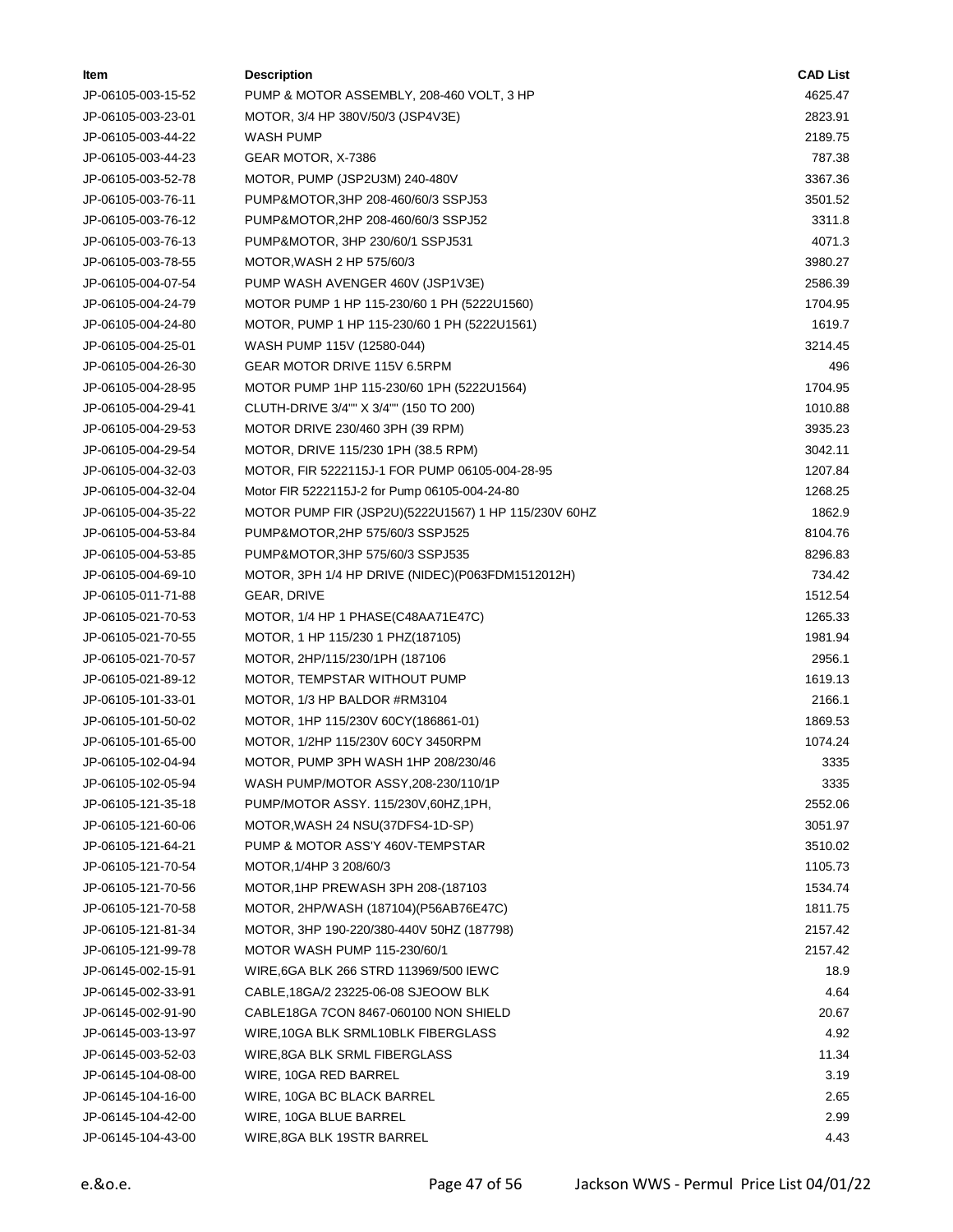| ltem               | <b>Description</b>                                   | <b>CAD List</b> |
|--------------------|------------------------------------------------------|-----------------|
| JP-06105-003-15-52 | PUMP & MOTOR ASSEMBLY, 208-460 VOLT, 3 HP            | 4625.47         |
| JP-06105-003-23-01 | MOTOR, 3/4 HP 380V/50/3 (JSP4V3E)                    | 2823.91         |
| JP-06105-003-44-22 | WASH PUMP                                            | 2189.75         |
| JP-06105-003-44-23 | GEAR MOTOR, X-7386                                   | 787.38          |
| JP-06105-003-52-78 | MOTOR, PUMP (JSP2U3M) 240-480V                       | 3367.36         |
| JP-06105-003-76-11 | PUMP&MOTOR, 3HP 208-460/60/3 SSPJ53                  | 3501.52         |
| JP-06105-003-76-12 | PUMP&MOTOR, 2HP 208-460/60/3 SSPJ52                  | 3311.8          |
| JP-06105-003-76-13 | PUMP&MOTOR, 3HP 230/60/1 SSPJ531                     | 4071.3          |
| JP-06105-003-78-55 | MOTOR, WASH 2 HP 575/60/3                            | 3980.27         |
| JP-06105-004-07-54 | PUMP WASH AVENGER 460V (JSP1V3E)                     | 2586.39         |
| JP-06105-004-24-79 | MOTOR PUMP 1 HP 115-230/60 1 PH (5222U1560)          | 1704.95         |
| JP-06105-004-24-80 | MOTOR, PUMP 1 HP 115-230/60 1 PH (5222U1561)         | 1619.7          |
| JP-06105-004-25-01 | WASH PUMP 115V (12580-044)                           | 3214.45         |
| JP-06105-004-26-30 | GEAR MOTOR DRIVE 115V 6.5RPM                         | 496             |
| JP-06105-004-28-95 | MOTOR PUMP 1HP 115-230/60 1PH (5222U1564)            | 1704.95         |
| JP-06105-004-29-41 | CLUTH-DRIVE 3/4"" X 3/4"" (150 TO 200)               | 1010.88         |
| JP-06105-004-29-53 | MOTOR DRIVE 230/460 3PH (39 RPM)                     | 3935.23         |
| JP-06105-004-29-54 | MOTOR, DRIVE 115/230 1PH (38.5 RPM)                  | 3042.11         |
| JP-06105-004-32-03 | MOTOR, FIR 5222115J-1 FOR PUMP 06105-004-28-95       | 1207.84         |
| JP-06105-004-32-04 | Motor FIR 5222115J-2 for Pump 06105-004-24-80        | 1268.25         |
| JP-06105-004-35-22 | MOTOR PUMP FIR (JSP2U)(5222U1567) 1 HP 115/230V 60HZ | 1862.9          |
| JP-06105-004-53-84 | PUMP&MOTOR, 2HP 575/60/3 SSPJ525                     | 8104.76         |
| JP-06105-004-53-85 | PUMP&MOTOR, 3HP 575/60/3 SSPJ535                     | 8296.83         |
| JP-06105-004-69-10 | MOTOR, 3PH 1/4 HP DRIVE (NIDEC)(P063FDM1512012H)     | 734.42          |
| JP-06105-011-71-88 | GEAR, DRIVE                                          | 1512.54         |
| JP-06105-021-70-53 | MOTOR, 1/4 HP 1 PHASE(C48AA71E47C)                   | 1265.33         |
| JP-06105-021-70-55 | MOTOR, 1 HP 115/230 1 PHZ(187105)                    | 1981.94         |
| JP-06105-021-70-57 | MOTOR, 2HP/115/230/1PH (187106                       | 2956.1          |
| JP-06105-021-89-12 | MOTOR, TEMPSTAR WITHOUT PUMP                         | 1619.13         |
| JP-06105-101-33-01 | MOTOR, 1/3 HP BALDOR #RM3104                         | 2166.1          |
| JP-06105-101-50-02 | MOTOR, 1HP 115/230V 60CY(186861-01)                  | 1869.53         |
| JP-06105-101-65-00 | MOTOR, 1/2HP 115/230V 60CY 3450RPM                   | 1074.24         |
| JP-06105-102-04-94 | MOTOR, PUMP 3PH WASH 1HP 208/230/46                  | 3335            |
| JP-06105-102-05-94 | WASH PUMP/MOTOR ASSY, 208-230/110/1P                 | 3335            |
| JP-06105-121-35-18 | PUMP/MOTOR ASSY. 115/230V, 60HZ, 1PH,                | 2552.06         |
| JP-06105-121-60-06 | MOTOR, WASH 24 NSU(37DFS4-1D-SP)                     | 3051.97         |
| JP-06105-121-64-21 | PUMP & MOTOR ASS'Y 460V-TEMPSTAR                     | 3510.02         |
| JP-06105-121-70-54 | MOTOR, 1/4HP 3 208/60/3                              | 1105.73         |
| JP-06105-121-70-56 | MOTOR, 1HP PREWASH 3PH 208-(187103                   | 1534.74         |
| JP-06105-121-70-58 | MOTOR, 2HP/WASH (187104)(P56AB76E47C)                | 1811.75         |
| JP-06105-121-81-34 | MOTOR, 3HP 190-220/380-440V 50HZ (187798)            | 2157.42         |
| JP-06105-121-99-78 | MOTOR WASH PUMP 115-230/60/1                         | 2157.42         |
| JP-06145-002-15-91 | WIRE, 6GA BLK 266 STRD 113969/500 IEWC               | 18.9            |
| JP-06145-002-33-91 | CABLE, 18GA/2 23225-06-08 SJEOOW BLK                 | 4.64            |
| JP-06145-002-91-90 | CABLE18GA 7CON 8467-060100 NON SHIELD                | 20.67           |
| JP-06145-003-13-97 | WIRE, 10GA BLK SRML10BLK FIBERGLASS                  | 4.92            |
| JP-06145-003-52-03 | WIRE, 8GA BLK SRML FIBERGLASS                        | 11.34           |
| JP-06145-104-08-00 | WIRE, 10GA RED BARREL                                | 3.19            |
| JP-06145-104-16-00 | WIRE, 10GA BC BLACK BARREL                           | 2.65            |
| JP-06145-104-42-00 | WIRE, 10GA BLUE BARREL                               | 2.99            |
| JP-06145-104-43-00 | WIRE, 8GA BLK 19STR BARREL                           | 4.43            |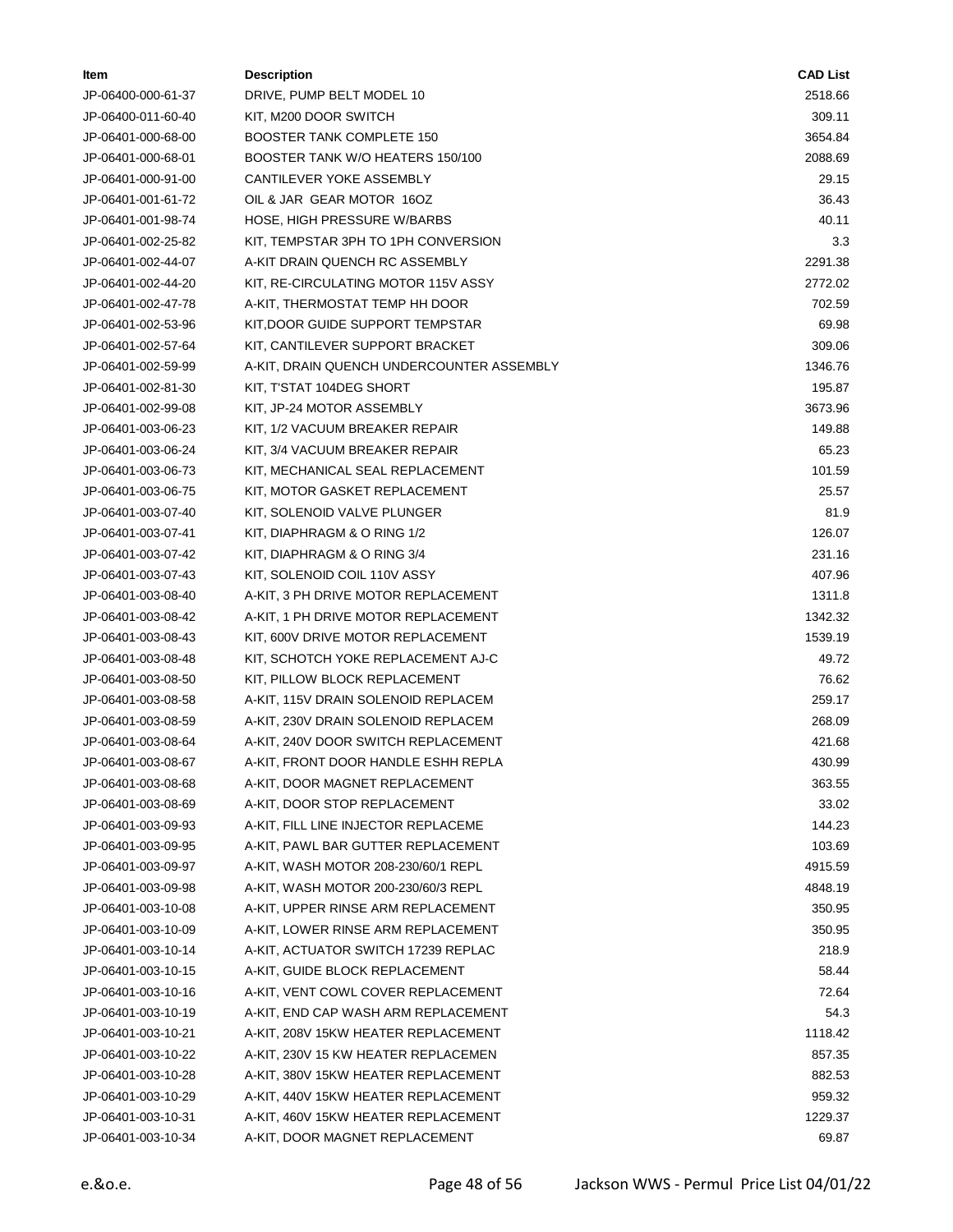| ltem               | <b>Description</b>                        | <b>CAD List</b> |
|--------------------|-------------------------------------------|-----------------|
| JP-06400-000-61-37 | DRIVE, PUMP BELT MODEL 10                 | 2518.66         |
| JP-06400-011-60-40 | KIT, M200 DOOR SWITCH                     | 309.11          |
| JP-06401-000-68-00 | <b>BOOSTER TANK COMPLETE 150</b>          | 3654.84         |
| JP-06401-000-68-01 | BOOSTER TANK W/O HEATERS 150/100          | 2088.69         |
| JP-06401-000-91-00 | CANTILEVER YOKE ASSEMBLY                  | 29.15           |
| JP-06401-001-61-72 | OIL & JAR GEAR MOTOR 16OZ                 | 36.43           |
| JP-06401-001-98-74 | HOSE, HIGH PRESSURE W/BARBS               | 40.11           |
| JP-06401-002-25-82 | KIT, TEMPSTAR 3PH TO 1PH CONVERSION       | 3.3             |
| JP-06401-002-44-07 | A-KIT DRAIN QUENCH RC ASSEMBLY            | 2291.38         |
| JP-06401-002-44-20 | KIT, RE-CIRCULATING MOTOR 115V ASSY       | 2772.02         |
| JP-06401-002-47-78 | A-KIT, THERMOSTAT TEMP HH DOOR            | 702.59          |
| JP-06401-002-53-96 | KIT, DOOR GUIDE SUPPORT TEMPSTAR          | 69.98           |
| JP-06401-002-57-64 | KIT, CANTILEVER SUPPORT BRACKET           | 309.06          |
| JP-06401-002-59-99 | A-KIT, DRAIN QUENCH UNDERCOUNTER ASSEMBLY | 1346.76         |
| JP-06401-002-81-30 | KIT, T'STAT 104DEG SHORT                  | 195.87          |
| JP-06401-002-99-08 | KIT, JP-24 MOTOR ASSEMBLY                 | 3673.96         |
| JP-06401-003-06-23 | KIT, 1/2 VACUUM BREAKER REPAIR            | 149.88          |
| JP-06401-003-06-24 | KIT, 3/4 VACUUM BREAKER REPAIR            | 65.23           |
| JP-06401-003-06-73 | KIT, MECHANICAL SEAL REPLACEMENT          | 101.59          |
| JP-06401-003-06-75 | KIT, MOTOR GASKET REPLACEMENT             | 25.57           |
| JP-06401-003-07-40 | KIT, SOLENOID VALVE PLUNGER               | 81.9            |
| JP-06401-003-07-41 | KIT, DIAPHRAGM & O RING 1/2               | 126.07          |
| JP-06401-003-07-42 | KIT, DIAPHRAGM & O RING 3/4               | 231.16          |
| JP-06401-003-07-43 | KIT, SOLENOID COIL 110V ASSY              | 407.96          |
| JP-06401-003-08-40 | A-KIT, 3 PH DRIVE MOTOR REPLACEMENT       | 1311.8          |
| JP-06401-003-08-42 | A-KIT, 1 PH DRIVE MOTOR REPLACEMENT       | 1342.32         |
| JP-06401-003-08-43 | KIT, 600V DRIVE MOTOR REPLACEMENT         | 1539.19         |
| JP-06401-003-08-48 | KIT, SCHOTCH YOKE REPLACEMENT AJ-C        | 49.72           |
| JP-06401-003-08-50 | KIT, PILLOW BLOCK REPLACEMENT             | 76.62           |
| JP-06401-003-08-58 | A-KIT, 115V DRAIN SOLENOID REPLACEM       | 259.17          |
| JP-06401-003-08-59 | A-KIT, 230V DRAIN SOLENOID REPLACEM       | 268.09          |
| JP-06401-003-08-64 | A-KIT, 240V DOOR SWITCH REPLACEMENT       | 421.68          |
| JP-06401-003-08-67 | A-KIT, FRONT DOOR HANDLE ESHH REPLA       | 430.99          |
| JP-06401-003-08-68 | A-KIT, DOOR MAGNET REPLACEMENT            | 363.55          |
| JP-06401-003-08-69 | A-KIT, DOOR STOP REPLACEMENT              | 33.02           |
| JP-06401-003-09-93 | A-KIT, FILL LINE INJECTOR REPLACEME       | 144.23          |
| JP-06401-003-09-95 | A-KIT, PAWL BAR GUTTER REPLACEMENT        | 103.69          |
| JP-06401-003-09-97 | A-KIT, WASH MOTOR 208-230/60/1 REPL       | 4915.59         |
| JP-06401-003-09-98 | A-KIT, WASH MOTOR 200-230/60/3 REPL       | 4848.19         |
| JP-06401-003-10-08 | A-KIT, UPPER RINSE ARM REPLACEMENT        | 350.95          |
| JP-06401-003-10-09 | A-KIT, LOWER RINSE ARM REPLACEMENT        | 350.95          |
| JP-06401-003-10-14 | A-KIT, ACTUATOR SWITCH 17239 REPLAC       | 218.9           |
| JP-06401-003-10-15 | A-KIT, GUIDE BLOCK REPLACEMENT            | 58.44           |
| JP-06401-003-10-16 | A-KIT, VENT COWL COVER REPLACEMENT        | 72.64           |
| JP-06401-003-10-19 | A-KIT, END CAP WASH ARM REPLACEMENT       | 54.3            |
| JP-06401-003-10-21 | A-KIT, 208V 15KW HEATER REPLACEMENT       | 1118.42         |
| JP-06401-003-10-22 | A-KIT, 230V 15 KW HEATER REPLACEMEN       | 857.35          |
| JP-06401-003-10-28 | A-KIT, 380V 15KW HEATER REPLACEMENT       | 882.53          |
| JP-06401-003-10-29 | A-KIT, 440V 15KW HEATER REPLACEMENT       | 959.32          |
| JP-06401-003-10-31 | A-KIT, 460V 15KW HEATER REPLACEMENT       | 1229.37         |
| JP-06401-003-10-34 | A-KIT, DOOR MAGNET REPLACEMENT            | 69.87           |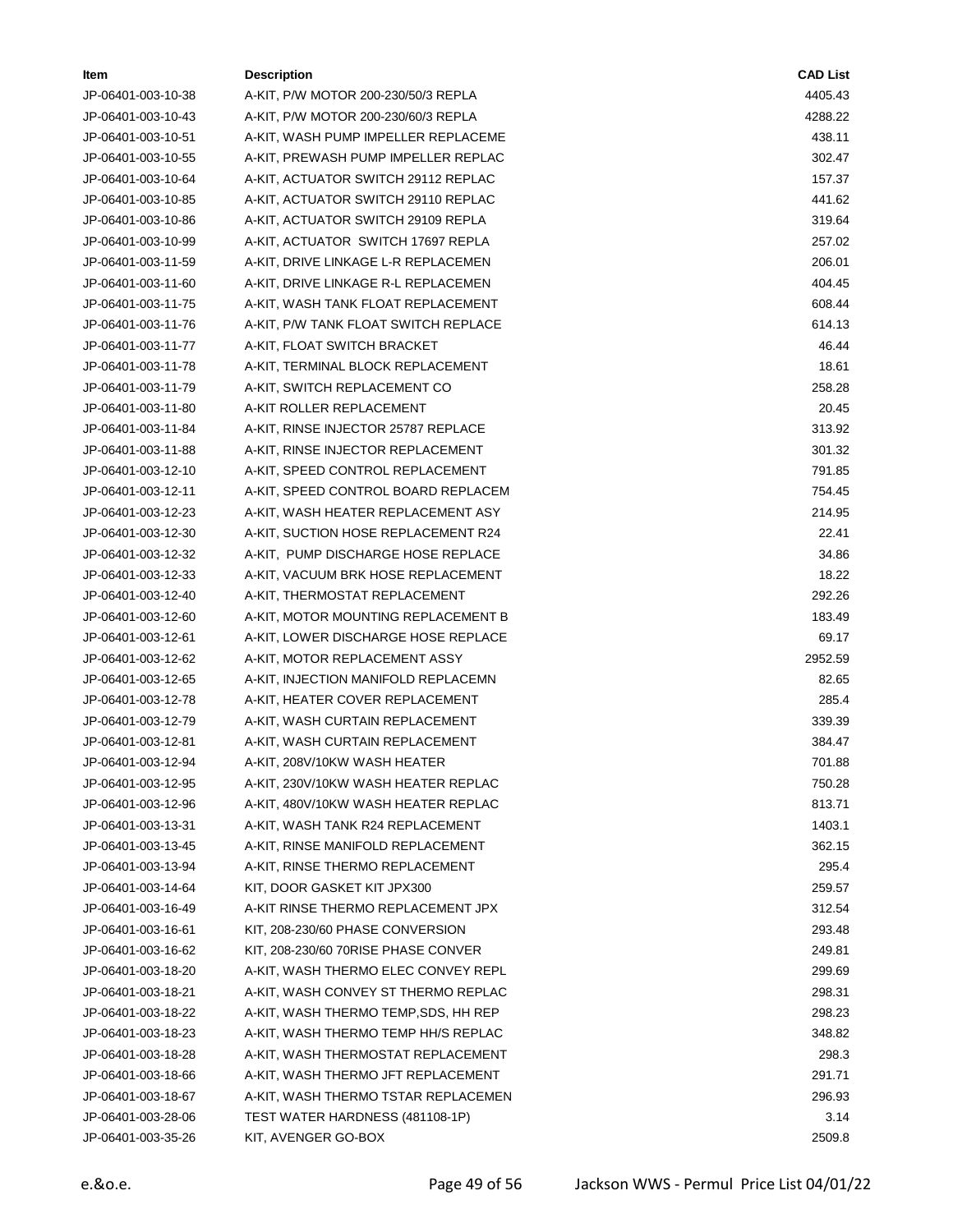| ltem               | <b>Description</b>                   | <b>CAD List</b> |
|--------------------|--------------------------------------|-----------------|
| JP-06401-003-10-38 | A-KIT, P/W MOTOR 200-230/50/3 REPLA  | 4405.43         |
| JP-06401-003-10-43 | A-KIT, P/W MOTOR 200-230/60/3 REPLA  | 4288.22         |
| JP-06401-003-10-51 | A-KIT, WASH PUMP IMPELLER REPLACEME  | 438.11          |
| JP-06401-003-10-55 | A-KIT, PREWASH PUMP IMPELLER REPLAC  | 302.47          |
| JP-06401-003-10-64 | A-KIT, ACTUATOR SWITCH 29112 REPLAC  | 157.37          |
| JP-06401-003-10-85 | A-KIT, ACTUATOR SWITCH 29110 REPLAC  | 441.62          |
| JP-06401-003-10-86 | A-KIT, ACTUATOR SWITCH 29109 REPLA   | 319.64          |
| JP-06401-003-10-99 | A-KIT, ACTUATOR SWITCH 17697 REPLA   | 257.02          |
| JP-06401-003-11-59 | A-KIT, DRIVE LINKAGE L-R REPLACEMEN  | 206.01          |
| JP-06401-003-11-60 | A-KIT, DRIVE LINKAGE R-L REPLACEMEN  | 404.45          |
| JP-06401-003-11-75 | A-KIT, WASH TANK FLOAT REPLACEMENT   | 608.44          |
| JP-06401-003-11-76 | A-KIT, P/W TANK FLOAT SWITCH REPLACE | 614.13          |
| JP-06401-003-11-77 | A-KIT, FLOAT SWITCH BRACKET          | 46.44           |
| JP-06401-003-11-78 | A-KIT, TERMINAL BLOCK REPLACEMENT    | 18.61           |
| JP-06401-003-11-79 | A-KIT, SWITCH REPLACEMENT CO         | 258.28          |
| JP-06401-003-11-80 | A-KIT ROLLER REPLACEMENT             | 20.45           |
| JP-06401-003-11-84 | A-KIT, RINSE INJECTOR 25787 REPLACE  | 313.92          |
| JP-06401-003-11-88 | A-KIT, RINSE INJECTOR REPLACEMENT    | 301.32          |
| JP-06401-003-12-10 | A-KIT, SPEED CONTROL REPLACEMENT     | 791.85          |
| JP-06401-003-12-11 | A-KIT, SPEED CONTROL BOARD REPLACEM  | 754.45          |
| JP-06401-003-12-23 | A-KIT, WASH HEATER REPLACEMENT ASY   | 214.95          |
| JP-06401-003-12-30 | A-KIT, SUCTION HOSE REPLACEMENT R24  | 22.41           |
| JP-06401-003-12-32 | A-KIT, PUMP DISCHARGE HOSE REPLACE   | 34.86           |
| JP-06401-003-12-33 | A-KIT, VACUUM BRK HOSE REPLACEMENT   | 18.22           |
| JP-06401-003-12-40 | A-KIT, THERMOSTAT REPLACEMENT        | 292.26          |
| JP-06401-003-12-60 | A-KIT, MOTOR MOUNTING REPLACEMENT B  | 183.49          |
| JP-06401-003-12-61 | A-KIT, LOWER DISCHARGE HOSE REPLACE  | 69.17           |
| JP-06401-003-12-62 | A-KIT, MOTOR REPLACEMENT ASSY        | 2952.59         |
| JP-06401-003-12-65 | A-KIT, INJECTION MANIFOLD REPLACEMN  | 82.65           |
| JP-06401-003-12-78 | A-KIT, HEATER COVER REPLACEMENT      | 285.4           |
| JP-06401-003-12-79 | A-KIT, WASH CURTAIN REPLACEMENT      | 339.39          |
| JP-06401-003-12-81 | A-KIT, WASH CURTAIN REPLACEMENT      | 384.47          |
| JP-06401-003-12-94 | A-KIT, 208V/10KW WASH HEATER         | 701.88          |
| JP-06401-003-12-95 | A-KIT, 230V/10KW WASH HEATER REPLAC  | 750.28          |
| JP-06401-003-12-96 | A-KIT, 480V/10KW WASH HEATER REPLAC  | 813.71          |
| JP-06401-003-13-31 | A-KIT, WASH TANK R24 REPLACEMENT     | 1403.1          |
| JP-06401-003-13-45 | A-KIT, RINSE MANIFOLD REPLACEMENT    | 362.15          |
| JP-06401-003-13-94 | A-KIT, RINSE THERMO REPLACEMENT      | 295.4           |
| JP-06401-003-14-64 | KIT, DOOR GASKET KIT JPX300          | 259.57          |
| JP-06401-003-16-49 | A-KIT RINSE THERMO REPLACEMENT JPX   | 312.54          |
| JP-06401-003-16-61 | KIT, 208-230/60 PHASE CONVERSION     | 293.48          |
| JP-06401-003-16-62 | KIT, 208-230/60 70RISE PHASE CONVER  | 249.81          |
| JP-06401-003-18-20 | A-KIT, WASH THERMO ELEC CONVEY REPL  | 299.69          |
| JP-06401-003-18-21 | A-KIT, WASH CONVEY ST THERMO REPLAC  | 298.31          |
| JP-06401-003-18-22 | A-KIT, WASH THERMO TEMP, SDS, HH REP | 298.23          |
| JP-06401-003-18-23 | A-KIT, WASH THERMO TEMP HH/S REPLAC  | 348.82          |
| JP-06401-003-18-28 | A-KIT, WASH THERMOSTAT REPLACEMENT   | 298.3           |
| JP-06401-003-18-66 | A-KIT, WASH THERMO JFT REPLACEMENT   | 291.71          |
| JP-06401-003-18-67 | A-KIT, WASH THERMO TSTAR REPLACEMEN  | 296.93          |
| JP-06401-003-28-06 | TEST WATER HARDNESS (481108-1P)      | 3.14            |
| JP-06401-003-35-26 | KIT, AVENGER GO-BOX                  | 2509.8          |
|                    |                                      |                 |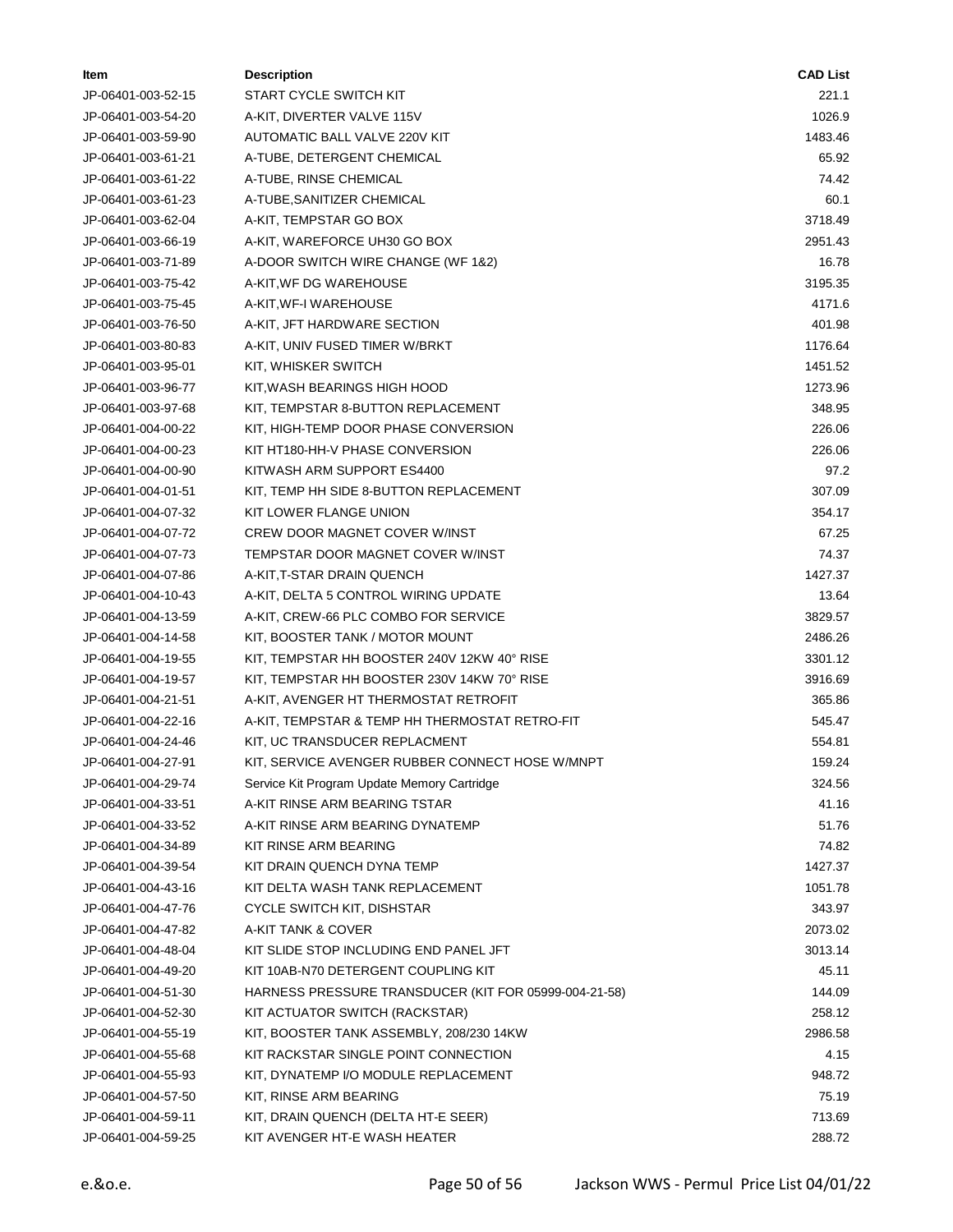| Item                                     | <b>Description</b>                                            | <b>CAD List</b> |
|------------------------------------------|---------------------------------------------------------------|-----------------|
| JP-06401-003-52-15                       | START CYCLE SWITCH KIT                                        | 221.1           |
| JP-06401-003-54-20                       | A-KIT, DIVERTER VALVE 115V                                    | 1026.9          |
| JP-06401-003-59-90                       | AUTOMATIC BALL VALVE 220V KIT                                 | 1483.46         |
| JP-06401-003-61-21                       | A-TUBE, DETERGENT CHEMICAL                                    | 65.92           |
| JP-06401-003-61-22                       | A-TUBE, RINSE CHEMICAL                                        | 74.42           |
| JP-06401-003-61-23                       | A-TUBE, SANITIZER CHEMICAL                                    | 60.1            |
| JP-06401-003-62-04                       | A-KIT, TEMPSTAR GO BOX                                        | 3718.49         |
| JP-06401-003-66-19                       | A-KIT, WAREFORCE UH30 GO BOX                                  | 2951.43         |
| JP-06401-003-71-89                       | A-DOOR SWITCH WIRE CHANGE (WF 1&2)                            | 16.78           |
| JP-06401-003-75-42                       | A-KIT, WF DG WAREHOUSE                                        | 3195.35         |
| JP-06401-003-75-45                       | A-KIT, WF-I WAREHOUSE                                         | 4171.6          |
| JP-06401-003-76-50                       | A-KIT, JFT HARDWARE SECTION                                   | 401.98          |
| JP-06401-003-80-83                       | A-KIT, UNIV FUSED TIMER W/BRKT                                | 1176.64         |
| JP-06401-003-95-01                       | KIT, WHISKER SWITCH                                           | 1451.52         |
| JP-06401-003-96-77                       | KIT, WASH BEARINGS HIGH HOOD                                  | 1273.96         |
| JP-06401-003-97-68                       | KIT, TEMPSTAR 8-BUTTON REPLACEMENT                            | 348.95          |
| JP-06401-004-00-22                       | KIT, HIGH-TEMP DOOR PHASE CONVERSION                          | 226.06          |
| JP-06401-004-00-23                       | KIT HT180-HH-V PHASE CONVERSION                               | 226.06          |
| JP-06401-004-00-90                       | KITWASH ARM SUPPORT ES4400                                    | 97.2            |
| JP-06401-004-01-51                       | KIT, TEMP HH SIDE 8-BUTTON REPLACEMENT                        | 307.09          |
| JP-06401-004-07-32                       | KIT LOWER FLANGE UNION                                        | 354.17          |
| JP-06401-004-07-72                       | <b>CREW DOOR MAGNET COVER W/INST</b>                          | 67.25           |
| JP-06401-004-07-73                       | TEMPSTAR DOOR MAGNET COVER W/INST                             | 74.37           |
| JP-06401-004-07-86                       | A-KIT,T-STAR DRAIN QUENCH                                     | 1427.37         |
| JP-06401-004-10-43                       | A-KIT, DELTA 5 CONTROL WIRING UPDATE                          | 13.64           |
| JP-06401-004-13-59                       | A-KIT, CREW-66 PLC COMBO FOR SERVICE                          | 3829.57         |
| JP-06401-004-14-58                       | KIT, BOOSTER TANK / MOTOR MOUNT                               | 2486.26         |
| JP-06401-004-19-55                       | KIT, TEMPSTAR HH BOOSTER 240V 12KW 40° RISE                   | 3301.12         |
| JP-06401-004-19-57                       | KIT, TEMPSTAR HH BOOSTER 230V 14KW 70° RISE                   | 3916.69         |
| JP-06401-004-21-51                       | A-KIT, AVENGER HT THERMOSTAT RETROFIT                         | 365.86          |
| JP-06401-004-22-16                       | A-KIT, TEMPSTAR & TEMP HH THERMOSTAT RETRO-FIT                | 545.47          |
| JP-06401-004-24-46                       | KIT, UC TRANSDUCER REPLACMENT                                 | 554.81          |
| JP-06401-004-27-91                       | KIT, SERVICE AVENGER RUBBER CONNECT HOSE W/MNPT               | 159.24          |
| JP-06401-004-29-74                       | Service Kit Program Update Memory Cartridge                   | 324.56          |
| JP-06401-004-33-51                       | A-KIT RINSE ARM BEARING TSTAR                                 | 41.16           |
| JP-06401-004-33-52                       | A-KIT RINSE ARM BEARING DYNATEMP                              | 51.76           |
|                                          | KIT RINSE ARM BEARING                                         | 74.82           |
| JP-06401-004-34-89                       |                                                               | 1427.37         |
| JP-06401-004-39-54                       | KIT DRAIN QUENCH DYNA TEMP<br>KIT DELTA WASH TANK REPLACEMENT | 1051.78         |
| JP-06401-004-43-16<br>JP-06401-004-47-76 |                                                               | 343.97          |
| JP-06401-004-47-82                       | CYCLE SWITCH KIT, DISHSTAR<br>A-KIT TANK & COVER              |                 |
|                                          |                                                               | 2073.02         |
| JP-06401-004-48-04                       | KIT SLIDE STOP INCLUDING END PANEL JFT                        | 3013.14         |
| JP-06401-004-49-20                       | KIT 10AB-N70 DETERGENT COUPLING KIT                           | 45.11           |
| JP-06401-004-51-30                       | HARNESS PRESSURE TRANSDUCER (KIT FOR 05999-004-21-58)         | 144.09          |
| JP-06401-004-52-30                       | KIT ACTUATOR SWITCH (RACKSTAR)                                | 258.12          |
| JP-06401-004-55-19                       | KIT, BOOSTER TANK ASSEMBLY, 208/230 14KW                      | 2986.58         |
| JP-06401-004-55-68                       | KIT RACKSTAR SINGLE POINT CONNECTION                          | 4.15            |
| JP-06401-004-55-93                       | KIT, DYNATEMP I/O MODULE REPLACEMENT                          | 948.72          |
| JP-06401-004-57-50                       | KIT, RINSE ARM BEARING                                        | 75.19           |
| JP-06401-004-59-11                       | KIT, DRAIN QUENCH (DELTA HT-E SEER)                           | 713.69          |
| JP-06401-004-59-25                       | KIT AVENGER HT-E WASH HEATER                                  | 288.72          |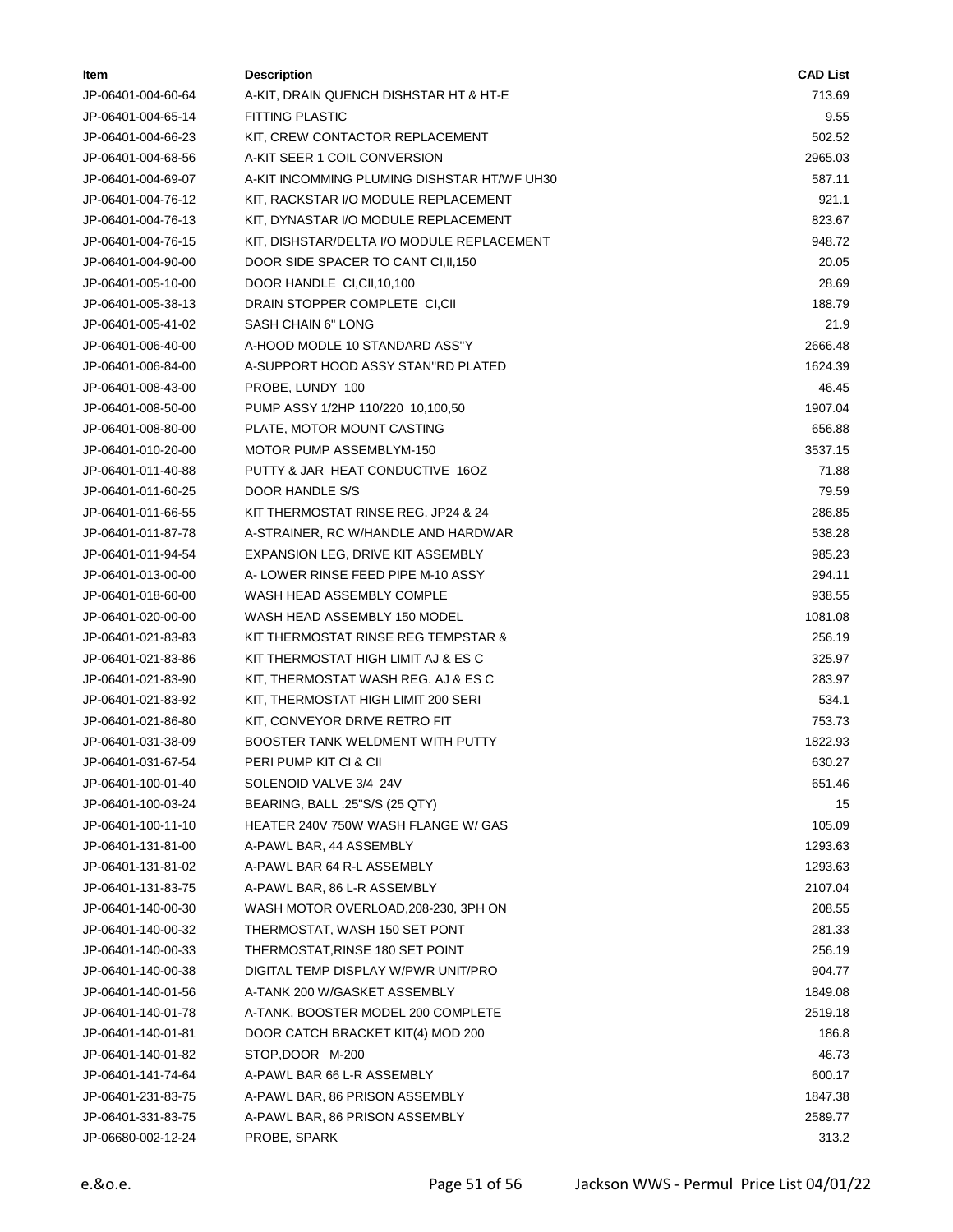| ltem               | <b>Description</b>                          | <b>CAD List</b> |
|--------------------|---------------------------------------------|-----------------|
| JP-06401-004-60-64 | A-KIT, DRAIN QUENCH DISHSTAR HT & HT-E      | 713.69          |
| JP-06401-004-65-14 | <b>FITTING PLASTIC</b>                      | 9.55            |
| JP-06401-004-66-23 | KIT, CREW CONTACTOR REPLACEMENT             | 502.52          |
| JP-06401-004-68-56 | A-KIT SEER 1 COIL CONVERSION                | 2965.03         |
| JP-06401-004-69-07 | A-KIT INCOMMING PLUMING DISHSTAR HT/WF UH30 | 587.11          |
| JP-06401-004-76-12 | KIT, RACKSTAR I/O MODULE REPLACEMENT        | 921.1           |
| JP-06401-004-76-13 | KIT, DYNASTAR I/O MODULE REPLACEMENT        | 823.67          |
| JP-06401-004-76-15 | KIT, DISHSTAR/DELTA I/O MODULE REPLACEMENT  | 948.72          |
| JP-06401-004-90-00 | DOOR SIDE SPACER TO CANT CI, II, 150        | 20.05           |
| JP-06401-005-10-00 | DOOR HANDLE CI, CII, 10, 100                | 28.69           |
| JP-06401-005-38-13 | DRAIN STOPPER COMPLETE CI,CII               | 188.79          |
| JP-06401-005-41-02 | SASH CHAIN 6" LONG                          | 21.9            |
| JP-06401-006-40-00 | A-HOOD MODLE 10 STANDARD ASS"Y              | 2666.48         |
| JP-06401-006-84-00 | A-SUPPORT HOOD ASSY STAN"RD PLATED          | 1624.39         |
| JP-06401-008-43-00 | PROBE, LUNDY 100                            | 46.45           |
| JP-06401-008-50-00 | PUMP ASSY 1/2HP 110/220 10,100,50           | 1907.04         |
| JP-06401-008-80-00 | PLATE, MOTOR MOUNT CASTING                  | 656.88          |
| JP-06401-010-20-00 | MOTOR PUMP ASSEMBLYM-150                    | 3537.15         |
| JP-06401-011-40-88 | PUTTY & JAR HEAT CONDUCTIVE 160Z            | 71.88           |
| JP-06401-011-60-25 | DOOR HANDLE S/S                             | 79.59           |
| JP-06401-011-66-55 | KIT THERMOSTAT RINSE REG. JP24 & 24         | 286.85          |
| JP-06401-011-87-78 | A-STRAINER, RC W/HANDLE AND HARDWAR         | 538.28          |
| JP-06401-011-94-54 | EXPANSION LEG, DRIVE KIT ASSEMBLY           | 985.23          |
| JP-06401-013-00-00 | A-LOWER RINSE FEED PIPE M-10 ASSY           | 294.11          |
| JP-06401-018-60-00 | WASH HEAD ASSEMBLY COMPLE                   | 938.55          |
| JP-06401-020-00-00 | WASH HEAD ASSEMBLY 150 MODEL                | 1081.08         |
| JP-06401-021-83-83 | KIT THERMOSTAT RINSE REG TEMPSTAR &         | 256.19          |
| JP-06401-021-83-86 | KIT THERMOSTAT HIGH LIMIT AJ & ES C         | 325.97          |
| JP-06401-021-83-90 | KIT, THERMOSTAT WASH REG. AJ & ES C         | 283.97          |
| JP-06401-021-83-92 | KIT, THERMOSTAT HIGH LIMIT 200 SERI         | 534.1           |
| JP-06401-021-86-80 | KIT, CONVEYOR DRIVE RETRO FIT               | 753.73          |
| JP-06401-031-38-09 | <b>BOOSTER TANK WELDMENT WITH PUTTY</b>     | 1822.93         |
| JP-06401-031-67-54 | PERI PUMP KIT CI & CII                      | 630.27          |
| JP-06401-100-01-40 | SOLENOID VALVE 3/4 24V                      | 651.46          |
| JP-06401-100-03-24 | BEARING, BALL .25"S/S (25 QTY)              | 15              |
| JP-06401-100-11-10 | HEATER 240V 750W WASH FLANGE W/ GAS         | 105.09          |
| JP-06401-131-81-00 | A-PAWL BAR, 44 ASSEMBLY                     | 1293.63         |
| JP-06401-131-81-02 | A-PAWL BAR 64 R-L ASSEMBLY                  | 1293.63         |
| JP-06401-131-83-75 | A-PAWL BAR, 86 L-R ASSEMBLY                 | 2107.04         |
| JP-06401-140-00-30 | WASH MOTOR OVERLOAD, 208-230, 3PH ON        | 208.55          |
| JP-06401-140-00-32 | THERMOSTAT, WASH 150 SET PONT               | 281.33          |
| JP-06401-140-00-33 | THERMOSTAT, RINSE 180 SET POINT             | 256.19          |
| JP-06401-140-00-38 | DIGITAL TEMP DISPLAY W/PWR UNIT/PRO         | 904.77          |
| JP-06401-140-01-56 | A-TANK 200 W/GASKET ASSEMBLY                | 1849.08         |
| JP-06401-140-01-78 | A-TANK, BOOSTER MODEL 200 COMPLETE          | 2519.18         |
| JP-06401-140-01-81 | DOOR CATCH BRACKET KIT(4) MOD 200           | 186.8           |
| JP-06401-140-01-82 | STOP, DOOR M-200                            | 46.73           |
| JP-06401-141-74-64 | A-PAWL BAR 66 L-R ASSEMBLY                  | 600.17          |
| JP-06401-231-83-75 | A-PAWL BAR, 86 PRISON ASSEMBLY              | 1847.38         |
| JP-06401-331-83-75 | A-PAWL BAR, 86 PRISON ASSEMBLY              | 2589.77         |
| JP-06680-002-12-24 | PROBE, SPARK                                | 313.2           |
|                    |                                             |                 |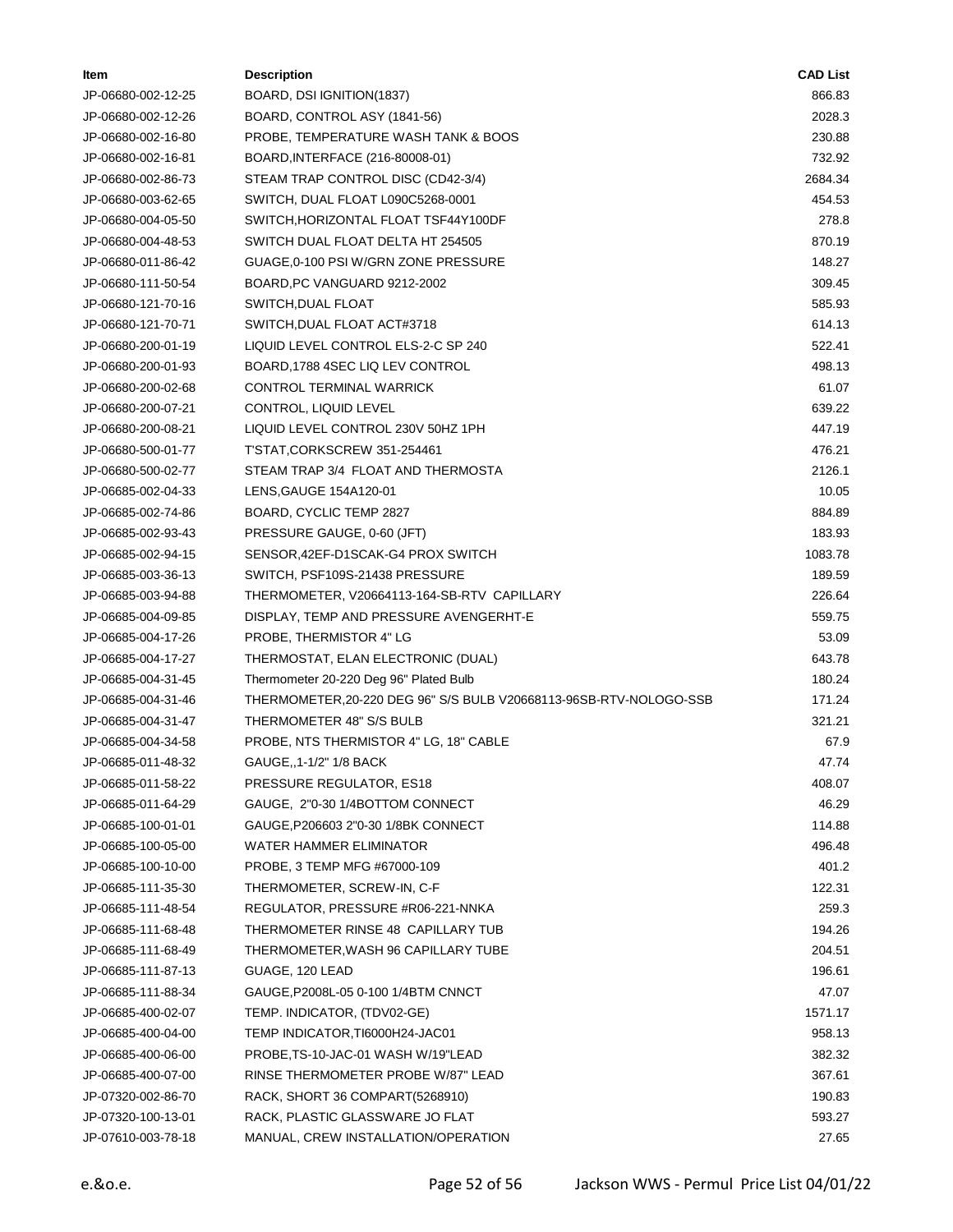| ltem               | <b>Description</b>                                                 | <b>CAD List</b> |
|--------------------|--------------------------------------------------------------------|-----------------|
| JP-06680-002-12-25 | BOARD, DSI IGNITION(1837)                                          | 866.83          |
| JP-06680-002-12-26 | BOARD, CONTROL ASY (1841-56)                                       | 2028.3          |
| JP-06680-002-16-80 | PROBE, TEMPERATURE WASH TANK & BOOS                                | 230.88          |
| JP-06680-002-16-81 | BOARD, INTERFACE (216-80008-01)                                    | 732.92          |
| JP-06680-002-86-73 | STEAM TRAP CONTROL DISC (CD42-3/4)                                 | 2684.34         |
| JP-06680-003-62-65 | SWITCH, DUAL FLOAT L090C5268-0001                                  | 454.53          |
| JP-06680-004-05-50 | SWITCH, HORIZONTAL FLOAT TSF44Y100DF                               | 278.8           |
| JP-06680-004-48-53 | SWITCH DUAL FLOAT DELTA HT 254505                                  | 870.19          |
| JP-06680-011-86-42 | GUAGE, 0-100 PSI W/GRN ZONE PRESSURE                               | 148.27          |
| JP-06680-111-50-54 | BOARD, PC VANGUARD 9212-2002                                       | 309.45          |
| JP-06680-121-70-16 | SWITCH, DUAL FLOAT                                                 | 585.93          |
| JP-06680-121-70-71 | SWITCH, DUAL FLOAT ACT#3718                                        | 614.13          |
| JP-06680-200-01-19 | LIQUID LEVEL CONTROL ELS-2-C SP 240                                | 522.41          |
| JP-06680-200-01-93 | BOARD, 1788 4SEC LIQ LEV CONTROL                                   | 498.13          |
| JP-06680-200-02-68 | CONTROL TERMINAL WARRICK                                           | 61.07           |
| JP-06680-200-07-21 | CONTROL, LIQUID LEVEL                                              | 639.22          |
| JP-06680-200-08-21 | LIQUID LEVEL CONTROL 230V 50HZ 1PH                                 | 447.19          |
| JP-06680-500-01-77 | T'STAT,CORKSCREW 351-254461                                        | 476.21          |
| JP-06680-500-02-77 | STEAM TRAP 3/4 FLOAT AND THERMOSTA                                 | 2126.1          |
| JP-06685-002-04-33 | LENS, GAUGE 154A120-01                                             | 10.05           |
| JP-06685-002-74-86 | BOARD, CYCLIC TEMP 2827                                            | 884.89          |
| JP-06685-002-93-43 | PRESSURE GAUGE, 0-60 (JFT)                                         | 183.93          |
| JP-06685-002-94-15 | SENSOR, 42EF-D1SCAK-G4 PROX SWITCH                                 | 1083.78         |
| JP-06685-003-36-13 | SWITCH, PSF109S-21438 PRESSURE                                     | 189.59          |
| JP-06685-003-94-88 | THERMOMETER, V20664113-164-SB-RTV CAPILLARY                        | 226.64          |
| JP-06685-004-09-85 | DISPLAY, TEMP AND PRESSURE AVENGERHT-E                             | 559.75          |
| JP-06685-004-17-26 | PROBE, THERMISTOR 4" LG                                            | 53.09           |
| JP-06685-004-17-27 | THERMOSTAT, ELAN ELECTRONIC (DUAL)                                 | 643.78          |
| JP-06685-004-31-45 | Thermometer 20-220 Deg 96" Plated Bulb                             | 180.24          |
| JP-06685-004-31-46 | THERMOMETER, 20-220 DEG 96" S/S BULB V20668113-96SB-RTV-NOLOGO-SSB | 171.24          |
| JP-06685-004-31-47 | THERMOMETER 48" S/S BULB                                           | 321.21          |
| JP-06685-004-34-58 | PROBE, NTS THERMISTOR 4" LG, 18" CABLE                             | 67.9            |
| JP-06685-011-48-32 | GAUGE,, 1-1/2" 1/8 BACK                                            | 47.74           |
| JP-06685-011-58-22 | PRESSURE REGULATOR, ES18                                           | 408.07          |
| JP-06685-011-64-29 | GAUGE, 2"0-30 1/4BOTTOM CONNECT                                    | 46.29           |
| JP-06685-100-01-01 | GAUGE, P206603 2"0-30 1/8BK CONNECT                                | 114.88          |
| JP-06685-100-05-00 | WATER HAMMER ELIMINATOR                                            | 496.48          |
| JP-06685-100-10-00 | PROBE, 3 TEMP MFG #67000-109                                       | 401.2           |
| JP-06685-111-35-30 | THERMOMETER, SCREW-IN, C-F                                         | 122.31          |
| JP-06685-111-48-54 | REGULATOR, PRESSURE #R06-221-NNKA                                  | 259.3           |
| JP-06685-111-68-48 | THERMOMETER RINSE 48 CAPILLARY TUB                                 | 194.26          |
| JP-06685-111-68-49 | THERMOMETER, WASH 96 CAPILLARY TUBE                                | 204.51          |
| JP-06685-111-87-13 | GUAGE, 120 LEAD                                                    | 196.61          |
| JP-06685-111-88-34 | GAUGE, P2008L-05 0-100 1/4BTM CNNCT                                | 47.07           |
| JP-06685-400-02-07 | TEMP. INDICATOR, (TDV02-GE)                                        | 1571.17         |
| JP-06685-400-04-00 | TEMP INDICATOR, TI6000H24-JAC01                                    | 958.13          |
| JP-06685-400-06-00 | PROBE, TS-10-JAC-01 WASH W/19"LEAD                                 | 382.32          |
| JP-06685-400-07-00 | RINSE THERMOMETER PROBE W/87" LEAD                                 | 367.61          |
| JP-07320-002-86-70 | RACK, SHORT 36 COMPART (5268910)                                   | 190.83          |
| JP-07320-100-13-01 | RACK, PLASTIC GLASSWARE JO FLAT                                    | 593.27          |
| JP-07610-003-78-18 | MANUAL, CREW INSTALLATION/OPERATION                                | 27.65           |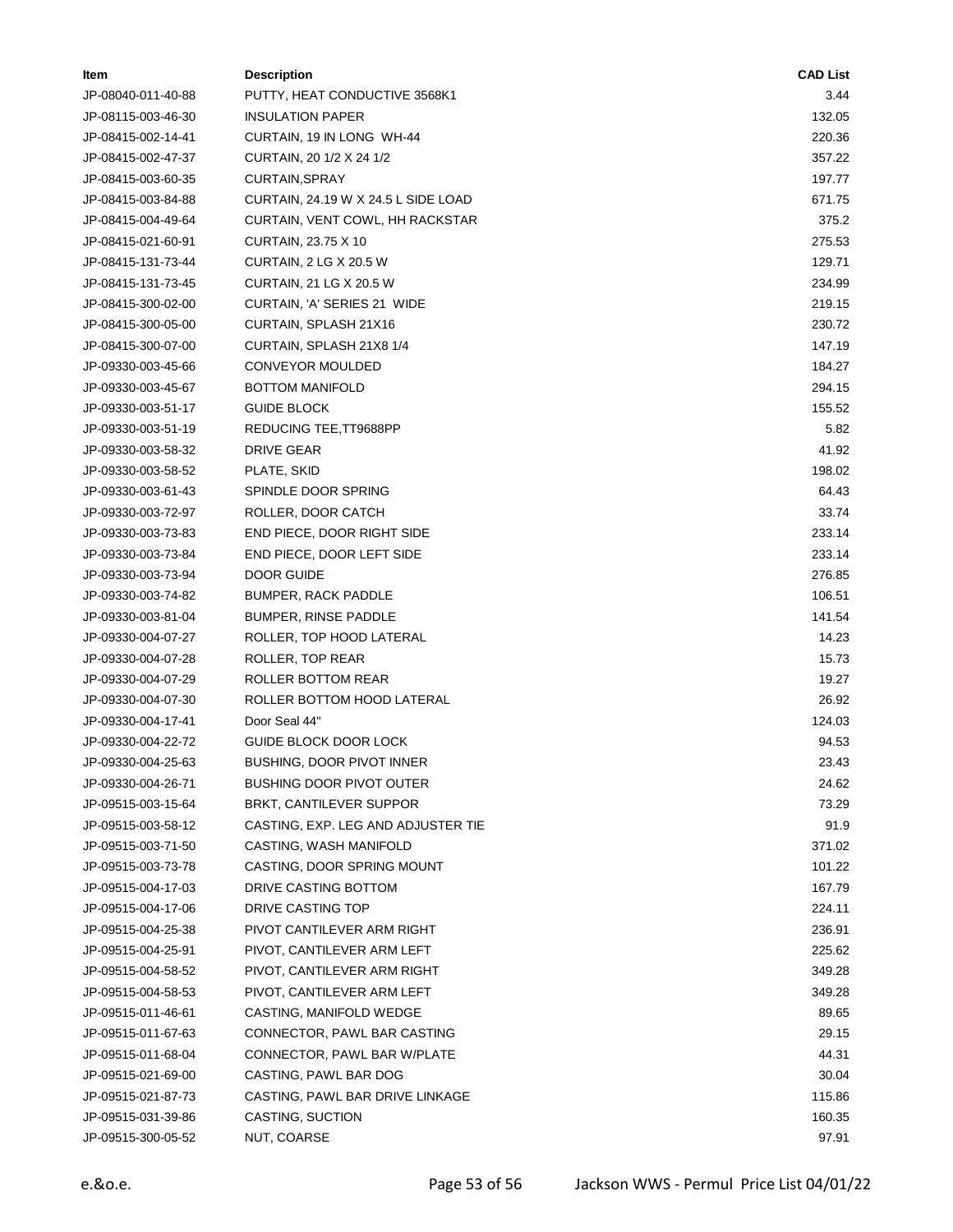| Item               | <b>Description</b>                  | <b>CAD List</b> |
|--------------------|-------------------------------------|-----------------|
| JP-08040-011-40-88 | PUTTY, HEAT CONDUCTIVE 3568K1       | 3.44            |
| JP-08115-003-46-30 | <b>INSULATION PAPER</b>             | 132.05          |
| JP-08415-002-14-41 | CURTAIN, 19 IN LONG WH-44           | 220.36          |
| JP-08415-002-47-37 | CURTAIN, 20 1/2 X 24 1/2            | 357.22          |
| JP-08415-003-60-35 | CURTAIN, SPRAY                      | 197.77          |
| JP-08415-003-84-88 | CURTAIN, 24.19 W X 24.5 L SIDE LOAD | 671.75          |
| JP-08415-004-49-64 | CURTAIN, VENT COWL, HH RACKSTAR     | 375.2           |
| JP-08415-021-60-91 | CURTAIN, 23.75 X 10                 | 275.53          |
| JP-08415-131-73-44 | CURTAIN, 2 LG X 20.5 W              | 129.71          |
| JP-08415-131-73-45 | CURTAIN, 21 LG X 20.5 W             | 234.99          |
| JP-08415-300-02-00 | CURTAIN, 'A' SERIES 21 WIDE         | 219.15          |
| JP-08415-300-05-00 | CURTAIN, SPLASH 21X16               | 230.72          |
| JP-08415-300-07-00 | CURTAIN, SPLASH 21X8 1/4            | 147.19          |
| JP-09330-003-45-66 | CONVEYOR MOULDED                    | 184.27          |
| JP-09330-003-45-67 | <b>BOTTOM MANIFOLD</b>              | 294.15          |
| JP-09330-003-51-17 | <b>GUIDE BLOCK</b>                  | 155.52          |
| JP-09330-003-51-19 | REDUCING TEE, TT9688PP              | 5.82            |
| JP-09330-003-58-32 | DRIVE GEAR                          | 41.92           |
| JP-09330-003-58-52 | PLATE, SKID                         | 198.02          |
| JP-09330-003-61-43 | SPINDLE DOOR SPRING                 | 64.43           |
| JP-09330-003-72-97 | ROLLER, DOOR CATCH                  | 33.74           |
| JP-09330-003-73-83 | END PIECE, DOOR RIGHT SIDE          | 233.14          |
| JP-09330-003-73-84 | END PIECE, DOOR LEFT SIDE           | 233.14          |
| JP-09330-003-73-94 | DOOR GUIDE                          | 276.85          |
| JP-09330-003-74-82 | <b>BUMPER, RACK PADDLE</b>          | 106.51          |
| JP-09330-003-81-04 | <b>BUMPER, RINSE PADDLE</b>         | 141.54          |
| JP-09330-004-07-27 | ROLLER, TOP HOOD LATERAL            | 14.23           |
| JP-09330-004-07-28 | ROLLER, TOP REAR                    | 15.73           |
| JP-09330-004-07-29 | ROLLER BOTTOM REAR                  | 19.27           |
| JP-09330-004-07-30 | ROLLER BOTTOM HOOD LATERAL          | 26.92           |
| JP-09330-004-17-41 | Door Seal 44"                       | 124.03          |
| JP-09330-004-22-72 | GUIDE BLOCK DOOR LOCK               | 94.53           |
| JP-09330-004-25-63 | BUSHING, DOOR PIVOT INNER           | 23.43           |
| JP-09330-004-26-71 | <b>BUSHING DOOR PIVOT OUTER</b>     | 24.62           |
| JP-09515-003-15-64 | BRKT, CANTILEVER SUPPOR             | 73.29           |
| JP-09515-003-58-12 | CASTING, EXP. LEG AND ADJUSTER TIE  | 91.9            |
| JP-09515-003-71-50 | CASTING, WASH MANIFOLD              | 371.02          |
| JP-09515-003-73-78 | CASTING, DOOR SPRING MOUNT          | 101.22          |
| JP-09515-004-17-03 | DRIVE CASTING BOTTOM                | 167.79          |
| JP-09515-004-17-06 | DRIVE CASTING TOP                   | 224.11          |
| JP-09515-004-25-38 | PIVOT CANTILEVER ARM RIGHT          | 236.91          |
| JP-09515-004-25-91 | PIVOT, CANTILEVER ARM LEFT          | 225.62          |
| JP-09515-004-58-52 | PIVOT, CANTILEVER ARM RIGHT         | 349.28          |
| JP-09515-004-58-53 | PIVOT, CANTILEVER ARM LEFT          | 349.28          |
| JP-09515-011-46-61 | CASTING, MANIFOLD WEDGE             | 89.65           |
| JP-09515-011-67-63 | CONNECTOR, PAWL BAR CASTING         | 29.15           |
| JP-09515-011-68-04 | CONNECTOR, PAWL BAR W/PLATE         | 44.31           |
| JP-09515-021-69-00 | CASTING, PAWL BAR DOG               | 30.04           |
| JP-09515-021-87-73 | CASTING, PAWL BAR DRIVE LINKAGE     | 115.86          |
| JP-09515-031-39-86 | CASTING, SUCTION                    | 160.35          |
| JP-09515-300-05-52 | NUT, COARSE                         | 97.91           |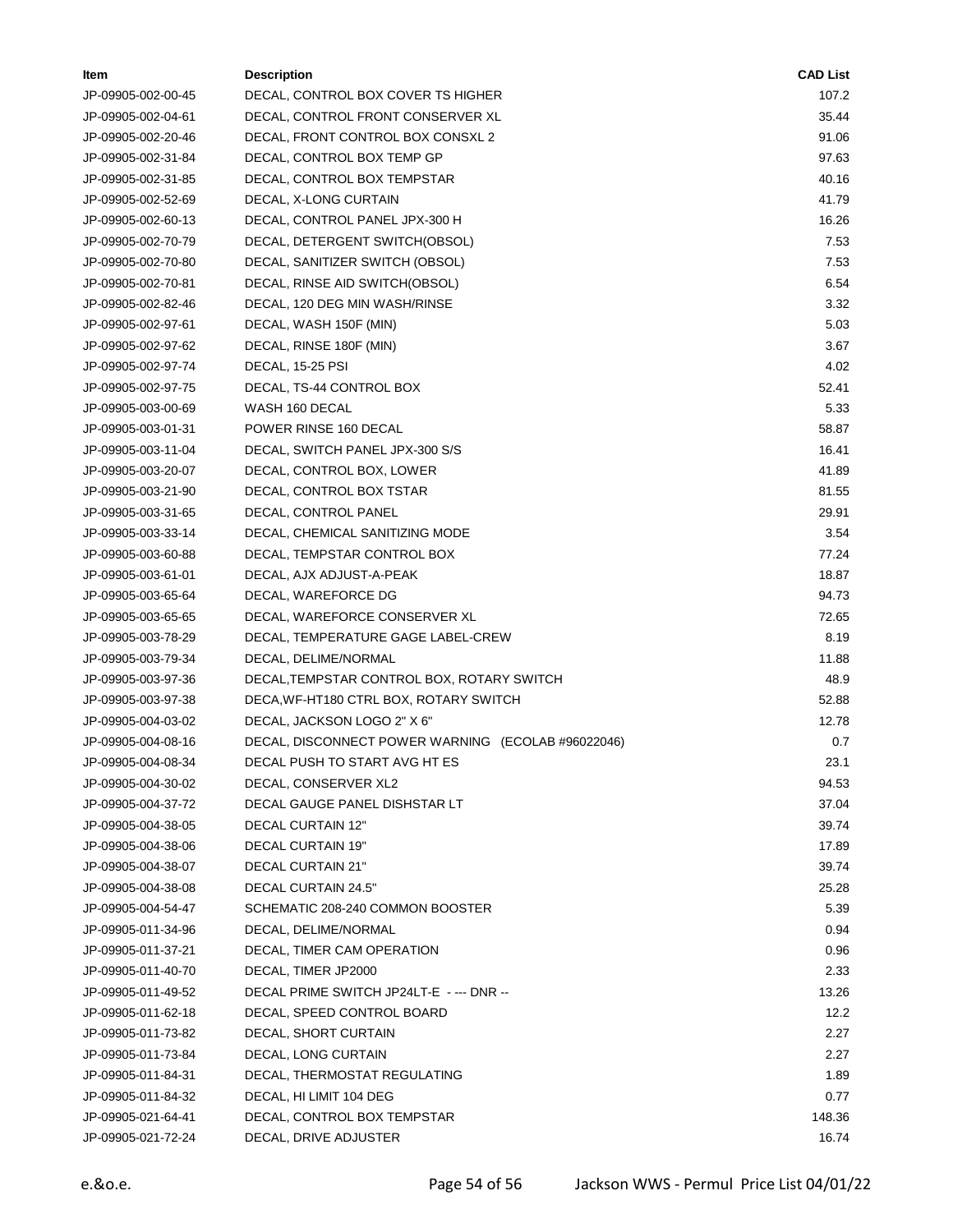| ltem               | <b>Description</b>                                 | <b>CAD List</b> |
|--------------------|----------------------------------------------------|-----------------|
| JP-09905-002-00-45 | DECAL, CONTROL BOX COVER TS HIGHER                 | 107.2           |
| JP-09905-002-04-61 | DECAL, CONTROL FRONT CONSERVER XL                  | 35.44           |
| JP-09905-002-20-46 | DECAL, FRONT CONTROL BOX CONSXL 2                  | 91.06           |
| JP-09905-002-31-84 | DECAL, CONTROL BOX TEMP GP                         | 97.63           |
| JP-09905-002-31-85 | DECAL, CONTROL BOX TEMPSTAR                        | 40.16           |
| JP-09905-002-52-69 | DECAL, X-LONG CURTAIN                              | 41.79           |
| JP-09905-002-60-13 | DECAL, CONTROL PANEL JPX-300 H                     | 16.26           |
| JP-09905-002-70-79 | DECAL, DETERGENT SWITCH(OBSOL)                     | 7.53            |
| JP-09905-002-70-80 | DECAL, SANITIZER SWITCH (OBSOL)                    | 7.53            |
| JP-09905-002-70-81 | DECAL, RINSE AID SWITCH(OBSOL)                     | 6.54            |
| JP-09905-002-82-46 | DECAL, 120 DEG MIN WASH/RINSE                      | 3.32            |
| JP-09905-002-97-61 | DECAL, WASH 150F (MIN)                             | 5.03            |
| JP-09905-002-97-62 | DECAL, RINSE 180F (MIN)                            | 3.67            |
| JP-09905-002-97-74 | DECAL, 15-25 PSI                                   | 4.02            |
| JP-09905-002-97-75 | DECAL, TS-44 CONTROL BOX                           | 52.41           |
| JP-09905-003-00-69 | WASH 160 DECAL                                     | 5.33            |
| JP-09905-003-01-31 | POWER RINSE 160 DECAL                              | 58.87           |
| JP-09905-003-11-04 | DECAL, SWITCH PANEL JPX-300 S/S                    | 16.41           |
| JP-09905-003-20-07 | DECAL, CONTROL BOX, LOWER                          | 41.89           |
| JP-09905-003-21-90 | DECAL, CONTROL BOX TSTAR                           | 81.55           |
| JP-09905-003-31-65 | DECAL, CONTROL PANEL                               | 29.91           |
| JP-09905-003-33-14 | DECAL, CHEMICAL SANITIZING MODE                    | 3.54            |
| JP-09905-003-60-88 | DECAL, TEMPSTAR CONTROL BOX                        | 77.24           |
| JP-09905-003-61-01 | DECAL, AJX ADJUST-A-PEAK                           | 18.87           |
| JP-09905-003-65-64 | DECAL, WAREFORCE DG                                | 94.73           |
| JP-09905-003-65-65 | DECAL, WAREFORCE CONSERVER XL                      | 72.65           |
| JP-09905-003-78-29 | DECAL, TEMPERATURE GAGE LABEL-CREW                 | 8.19            |
| JP-09905-003-79-34 | DECAL, DELIME/NORMAL                               | 11.88           |
| JP-09905-003-97-36 | DECAL, TEMPSTAR CONTROL BOX, ROTARY SWITCH         | 48.9            |
| JP-09905-003-97-38 | DECA, WF-HT180 CTRL BOX, ROTARY SWITCH             | 52.88           |
| JP-09905-004-03-02 | DECAL, JACKSON LOGO 2" X 6"                        | 12.78           |
| JP-09905-004-08-16 | DECAL, DISCONNECT POWER WARNING (ECOLAB #96022046) | 0.7             |
| JP-09905-004-08-34 | DECAL PUSH TO START AVG HT ES                      | 23.1            |
| JP-09905-004-30-02 | DECAL, CONSERVER XL2                               | 94.53           |
| JP-09905-004-37-72 | DECAL GAUGE PANEL DISHSTAR LT                      | 37.04           |
| JP-09905-004-38-05 | <b>DECAL CURTAIN 12"</b>                           | 39.74           |
| JP-09905-004-38-06 | <b>DECAL CURTAIN 19"</b>                           | 17.89           |
| JP-09905-004-38-07 | <b>DECAL CURTAIN 21"</b>                           | 39.74           |
| JP-09905-004-38-08 | DECAL CURTAIN 24.5"                                | 25.28           |
| JP-09905-004-54-47 | SCHEMATIC 208-240 COMMON BOOSTER                   | 5.39            |
| JP-09905-011-34-96 | DECAL, DELIME/NORMAL                               | 0.94            |
| JP-09905-011-37-21 | DECAL, TIMER CAM OPERATION                         | 0.96            |
| JP-09905-011-40-70 | DECAL, TIMER JP2000                                | 2.33            |
| JP-09905-011-49-52 | DECAL PRIME SWITCH JP24LT-E - --- DNR --           | 13.26           |
| JP-09905-011-62-18 | DECAL, SPEED CONTROL BOARD                         | 12.2            |
| JP-09905-011-73-82 | DECAL, SHORT CURTAIN                               | 2.27            |
| JP-09905-011-73-84 | DECAL, LONG CURTAIN                                | 2.27            |
| JP-09905-011-84-31 | DECAL, THERMOSTAT REGULATING                       | 1.89            |
| JP-09905-011-84-32 | DECAL, HI LIMIT 104 DEG                            | 0.77            |
| JP-09905-021-64-41 | DECAL, CONTROL BOX TEMPSTAR                        | 148.36          |
| JP-09905-021-72-24 | DECAL, DRIVE ADJUSTER                              | 16.74           |
|                    |                                                    |                 |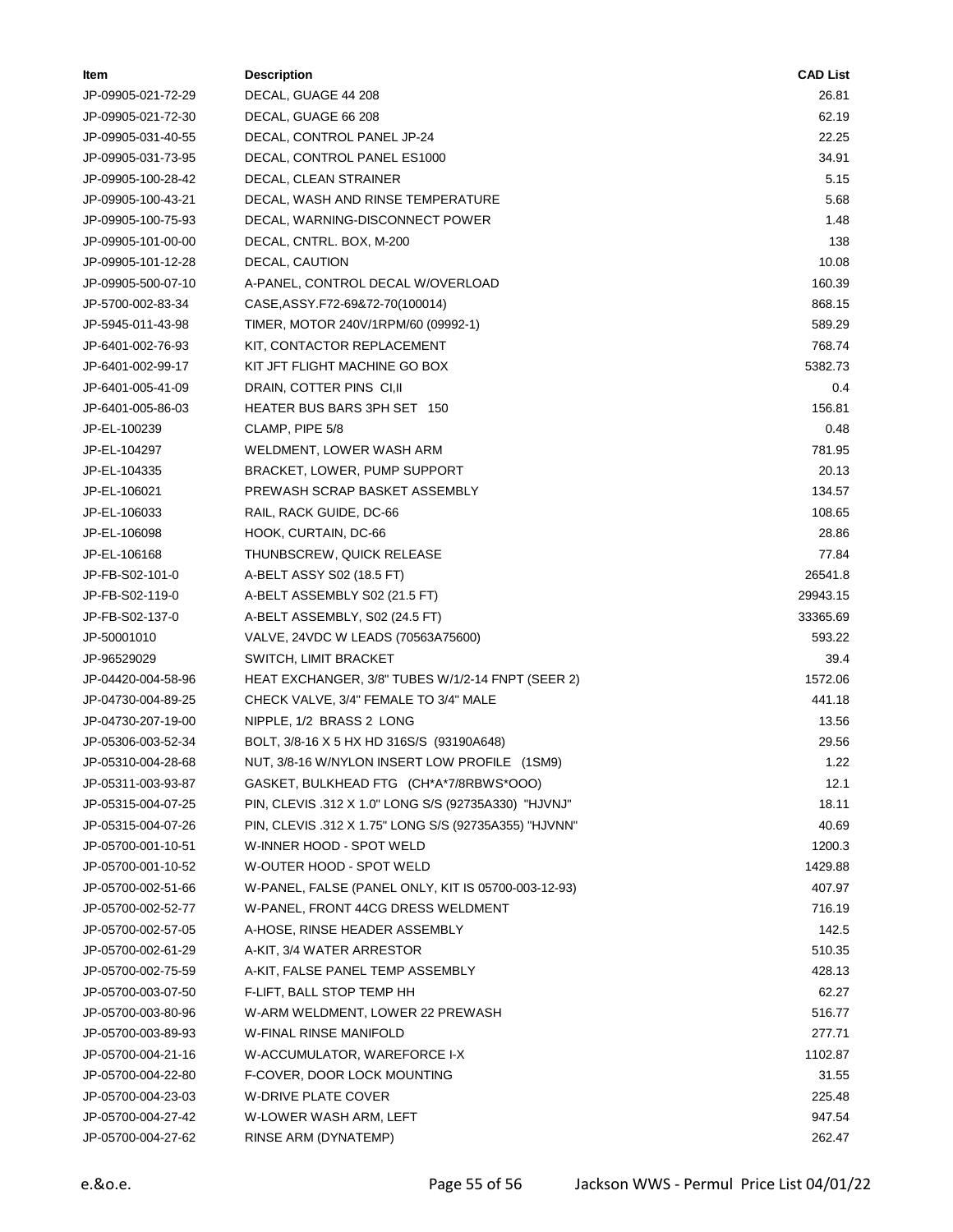| Item               | <b>Description</b>                                    | <b>CAD List</b> |
|--------------------|-------------------------------------------------------|-----------------|
| JP-09905-021-72-29 | DECAL, GUAGE 44 208                                   | 26.81           |
| JP-09905-021-72-30 | DECAL, GUAGE 66 208                                   | 62.19           |
| JP-09905-031-40-55 | DECAL, CONTROL PANEL JP-24                            | 22.25           |
| JP-09905-031-73-95 | DECAL, CONTROL PANEL ES1000                           | 34.91           |
| JP-09905-100-28-42 | DECAL, CLEAN STRAINER                                 | 5.15            |
| JP-09905-100-43-21 | DECAL, WASH AND RINSE TEMPERATURE                     | 5.68            |
| JP-09905-100-75-93 | DECAL, WARNING-DISCONNECT POWER                       | 1.48            |
| JP-09905-101-00-00 | DECAL, CNTRL. BOX, M-200                              | 138             |
| JP-09905-101-12-28 | DECAL, CAUTION                                        | 10.08           |
| JP-09905-500-07-10 | A-PANEL, CONTROL DECAL W/OVERLOAD                     | 160.39          |
| JP-5700-002-83-34  | CASE, ASSY.F72-69&72-70(100014)                       | 868.15          |
| JP-5945-011-43-98  | TIMER, MOTOR 240V/1RPM/60 (09992-1)                   | 589.29          |
| JP-6401-002-76-93  | KIT, CONTACTOR REPLACEMENT                            | 768.74          |
| JP-6401-002-99-17  | KIT JFT FLIGHT MACHINE GO BOX                         | 5382.73         |
| JP-6401-005-41-09  | DRAIN, COTTER PINS CI, II                             | 0.4             |
| JP-6401-005-86-03  | HEATER BUS BARS 3PH SET 150                           | 156.81          |
| JP-EL-100239       | CLAMP, PIPE 5/8                                       | 0.48            |
| JP-EL-104297       | WELDMENT, LOWER WASH ARM                              | 781.95          |
| JP-EL-104335       | BRACKET, LOWER, PUMP SUPPORT                          | 20.13           |
| JP-EL-106021       | PREWASH SCRAP BASKET ASSEMBLY                         | 134.57          |
| JP-EL-106033       | RAIL, RACK GUIDE, DC-66                               | 108.65          |
| JP-EL-106098       | HOOK, CURTAIN, DC-66                                  | 28.86           |
| JP-EL-106168       | THUNBSCREW, QUICK RELEASE                             | 77.84           |
| JP-FB-S02-101-0    | A-BELT ASSY S02 (18.5 FT)                             | 26541.8         |
| JP-FB-S02-119-0    | A-BELT ASSEMBLY S02 (21.5 FT)                         | 29943.15        |
| JP-FB-S02-137-0    | A-BELT ASSEMBLY, S02 (24.5 FT)                        | 33365.69        |
| JP-50001010        | VALVE, 24VDC W LEADS (70563A75600)                    | 593.22          |
| JP-96529029        | SWITCH, LIMIT BRACKET                                 | 39.4            |
| JP-04420-004-58-96 | HEAT EXCHANGER, 3/8" TUBES W/1/2-14 FNPT (SEER 2)     | 1572.06         |
| JP-04730-004-89-25 | CHECK VALVE, 3/4" FEMALE TO 3/4" MALE                 | 441.18          |
| JP-04730-207-19-00 | NIPPLE, 1/2 BRASS 2 LONG                              | 13.56           |
| JP-05306-003-52-34 | BOLT, 3/8-16 X 5 HX HD 316S/S (93190A648)             | 29.56           |
| JP-05310-004-28-68 | NUT, 3/8-16 W/NYLON INSERT LOW PROFILE (1SM9)         | 1.22            |
| JP-05311-003-93-87 | GASKET, BULKHEAD FTG (CH*A*7/8RBWS*OOO)               | 12.1            |
| JP-05315-004-07-25 | PIN, CLEVIS .312 X 1.0" LONG S/S (92735A330) "HJVNJ"  | 18.11           |
| JP-05315-004-07-26 | PIN, CLEVIS .312 X 1.75" LONG S/S (92735A355) "HJVNN" | 40.69           |
| JP-05700-001-10-51 | W-INNER HOOD - SPOT WELD                              | 1200.3          |
| JP-05700-001-10-52 | W-OUTER HOOD - SPOT WELD                              | 1429.88         |
| JP-05700-002-51-66 | W-PANEL, FALSE (PANEL ONLY, KIT IS 05700-003-12-93)   | 407.97          |
| JP-05700-002-52-77 | W-PANEL, FRONT 44CG DRESS WELDMENT                    | 716.19          |
| JP-05700-002-57-05 | A-HOSE, RINSE HEADER ASSEMBLY                         | 142.5           |
| JP-05700-002-61-29 | A-KIT, 3/4 WATER ARRESTOR                             | 510.35          |
| JP-05700-002-75-59 | A-KIT, FALSE PANEL TEMP ASSEMBLY                      | 428.13          |
| JP-05700-003-07-50 | F-LIFT, BALL STOP TEMP HH                             | 62.27           |
| JP-05700-003-80-96 | W-ARM WELDMENT, LOWER 22 PREWASH                      | 516.77          |
| JP-05700-003-89-93 | W-FINAL RINSE MANIFOLD                                | 277.71          |
| JP-05700-004-21-16 | W-ACCUMULATOR, WAREFORCE I-X                          | 1102.87         |
| JP-05700-004-22-80 | F-COVER, DOOR LOCK MOUNTING                           | 31.55           |
| JP-05700-004-23-03 | <b>W-DRIVE PLATE COVER</b>                            | 225.48          |
| JP-05700-004-27-42 | W-LOWER WASH ARM, LEFT                                | 947.54          |
| JP-05700-004-27-62 | RINSE ARM (DYNATEMP)                                  | 262.47          |